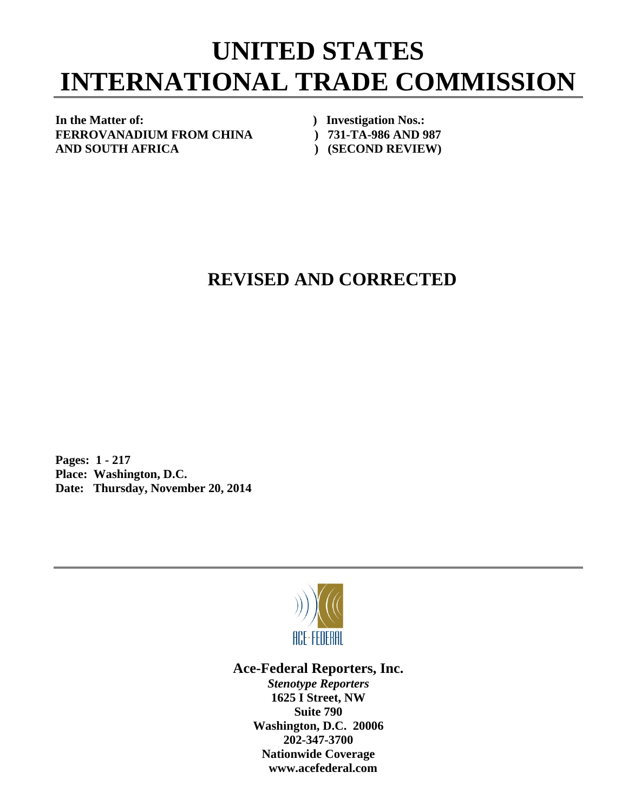## **UNITED STATES INTERNATIONAL TRADE COMMISSION**

In the Matter of: *In the Matter of: Physical physical physical physical physical physical physical physical physical physical physical physical physical physical physical physical physical physical physical physical* **FERROVANADIUM FROM CHINA ) 731-TA-986 AND 987 AND SOUTH AFRICA ) (SECOND REVIEW)** 

## **REVISED AND CORRECTED**

**Pages: 1 - 217 Place: Washington, D.C. Date: Thursday, November 20, 2014** 



**Ace-Federal Reporters, Inc.** 

*Stenotype Reporters*  **1625 I Street, NW Suite 790 Washington, D.C. 20006 202-347-3700 Nationwide Coverage www.acefederal.com**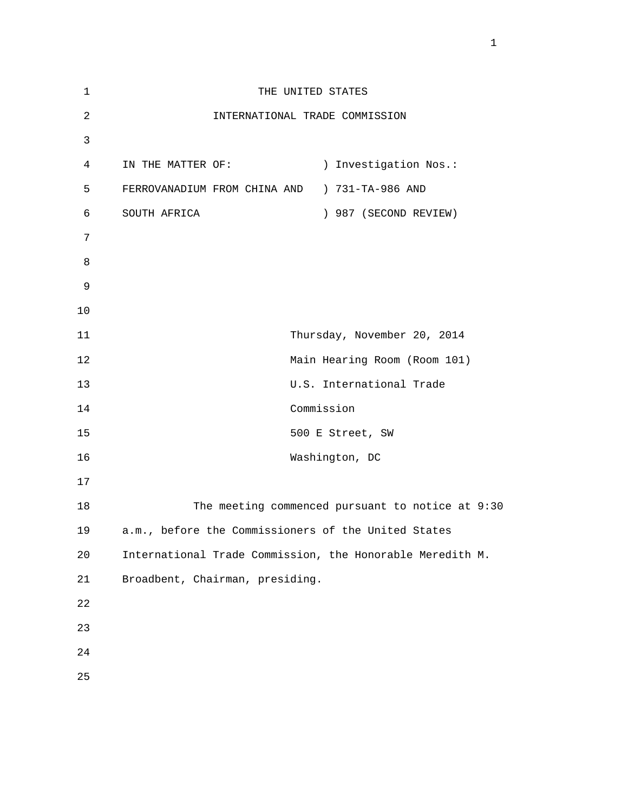| $1\,$          | THE UNITED STATES                                         |
|----------------|-----------------------------------------------------------|
| $\sqrt{2}$     | INTERNATIONAL TRADE COMMISSION                            |
| $\mathfrak{Z}$ |                                                           |
| $\overline{4}$ | ) Investigation Nos.:<br>IN THE MATTER OF:                |
| 5              | FERROVANADIUM FROM CHINA AND ) 731-TA-986 AND             |
| 6              | ) 987 (SECOND REVIEW)<br>SOUTH AFRICA                     |
| 7              |                                                           |
| 8              |                                                           |
| $\mathsf 9$    |                                                           |
| $10$           |                                                           |
| 11             | Thursday, November 20, 2014                               |
| 12             | Main Hearing Room (Room 101)                              |
| 13             | U.S. International Trade                                  |
| 14             | Commission                                                |
| 15             | 500 E Street, SW                                          |
| 16             | Washington, DC                                            |
| 17             |                                                           |
| 18             | The meeting commenced pursuant to notice at 9:30          |
| 19             | a.m., before the Commissioners of the United States       |
| 20             | International Trade Commission, the Honorable Meredith M. |
| 21             | Broadbent, Chairman, presiding.                           |
| 22             |                                                           |
| 23             |                                                           |
| 24             |                                                           |
| 25             |                                                           |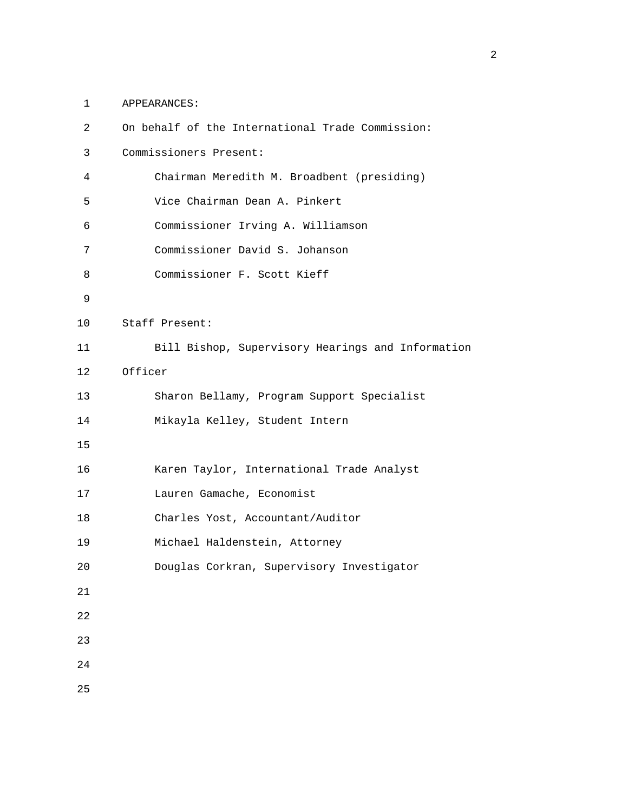1 APPEARANCES:

| $\overline{2}$ | On behalf of the International Trade Commission:  |
|----------------|---------------------------------------------------|
| 3              | Commissioners Present:                            |
| 4              | Chairman Meredith M. Broadbent (presiding)        |
| 5              | Vice Chairman Dean A. Pinkert                     |
| 6              | Commissioner Irving A. Williamson                 |
| 7              | Commissioner David S. Johanson                    |
| 8              | Commissioner F. Scott Kieff                       |
| 9              |                                                   |
| 10             | Staff Present:                                    |
| 11             | Bill Bishop, Supervisory Hearings and Information |
| 12             | Officer                                           |
| 13             | Sharon Bellamy, Program Support Specialist        |
| 14             | Mikayla Kelley, Student Intern                    |
| 15             |                                                   |
| 16             | Karen Taylor, International Trade Analyst         |
| 17             | Lauren Gamache, Economist                         |
| 18             | Charles Yost, Accountant/Auditor                  |
| 19             | Michael Haldenstein, Attorney                     |
| 20             | Douglas Corkran, Supervisory Investigator         |
| 21             |                                                   |
| 22             |                                                   |
| 23             |                                                   |
| 24             |                                                   |
| 25             |                                                   |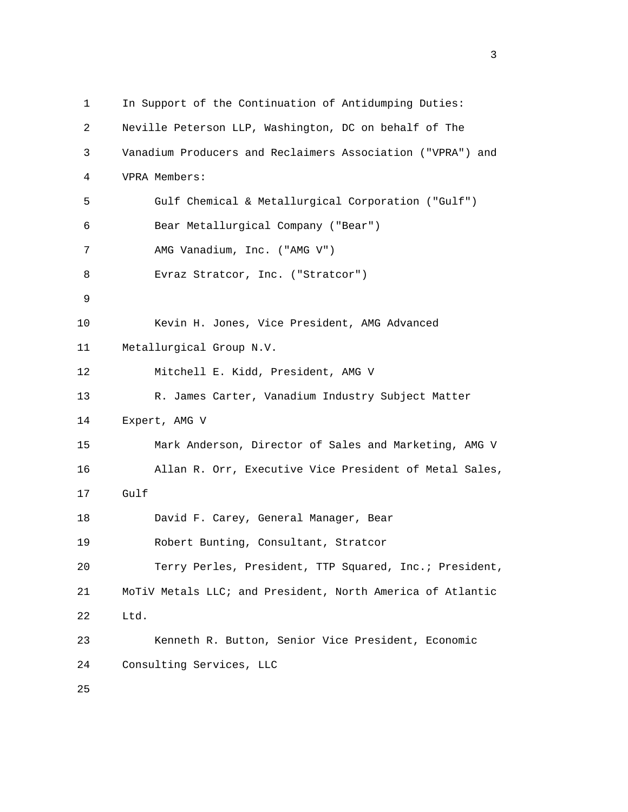| $\mathbf{1}$ | In Support of the Continuation of Antidumping Duties:      |
|--------------|------------------------------------------------------------|
| 2            | Neville Peterson LLP, Washington, DC on behalf of The      |
| 3            | Vanadium Producers and Reclaimers Association ("VPRA") and |
| 4            | VPRA Members:                                              |
| 5            | Gulf Chemical & Metallurgical Corporation ("Gulf")         |
| 6            | Bear Metallurgical Company ("Bear")                        |
| 7            | AMG Vanadium, Inc. ("AMG V")                               |
| 8            | Evraz Stratcor, Inc. ("Stratcor")                          |
| 9            |                                                            |
| 10           | Kevin H. Jones, Vice President, AMG Advanced               |
| 11           | Metallurgical Group N.V.                                   |
| 12           | Mitchell E. Kidd, President, AMG V                         |
| 13           | R. James Carter, Vanadium Industry Subject Matter          |
| 14           | Expert, AMG V                                              |
| 15           | Mark Anderson, Director of Sales and Marketing, AMG V      |
| 16           | Allan R. Orr, Executive Vice President of Metal Sales,     |
| 17           | Gulf                                                       |
| 18           | David F. Carey, General Manager, Bear                      |
| 19           | Robert Bunting, Consultant, Stratcor                       |
| 20           | Terry Perles, President, TTP Squared, Inc.; President,     |
| 21           | MoTiV Metals LLC; and President, North America of Atlantic |
| 22           | Ltd.                                                       |
| 23           | Kenneth R. Button, Senior Vice President, Economic         |
| 24           | Consulting Services, LLC                                   |
| 25           |                                                            |

<u>3</u>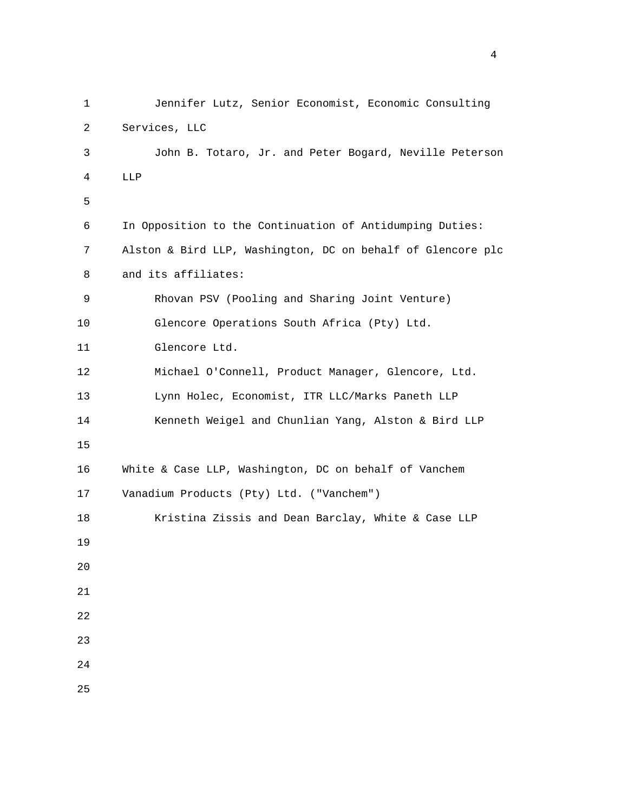| $\mathbf{1}$ | Jennifer Lutz, Senior Economist, Economic Consulting        |
|--------------|-------------------------------------------------------------|
| 2            | Services, LLC                                               |
| 3            | John B. Totaro, Jr. and Peter Bogard, Neville Peterson      |
| 4            | LLP                                                         |
| 5            |                                                             |
| 6            | In Opposition to the Continuation of Antidumping Duties:    |
| 7            | Alston & Bird LLP, Washington, DC on behalf of Glencore plc |
| 8            | and its affiliates:                                         |
| 9            | Rhovan PSV (Pooling and Sharing Joint Venture)              |
| 10           | Glencore Operations South Africa (Pty) Ltd.                 |
| 11           | Glencore Ltd.                                               |
| 12           | Michael O'Connell, Product Manager, Glencore, Ltd.          |
| 13           | Lynn Holec, Economist, ITR LLC/Marks Paneth LLP             |
| 14           | Kenneth Weigel and Chunlian Yang, Alston & Bird LLP         |
| 15           |                                                             |
| 16           | White & Case LLP, Washington, DC on behalf of Vanchem       |
| 17           | Vanadium Products (Pty) Ltd. ("Vanchem")                    |
| 18           | Kristina Zissis and Dean Barclay, White & Case LLP          |
| 19           |                                                             |
| 20           |                                                             |
| 21           |                                                             |
| 22           |                                                             |
| 23           |                                                             |
| 24           |                                                             |
| 25           |                                                             |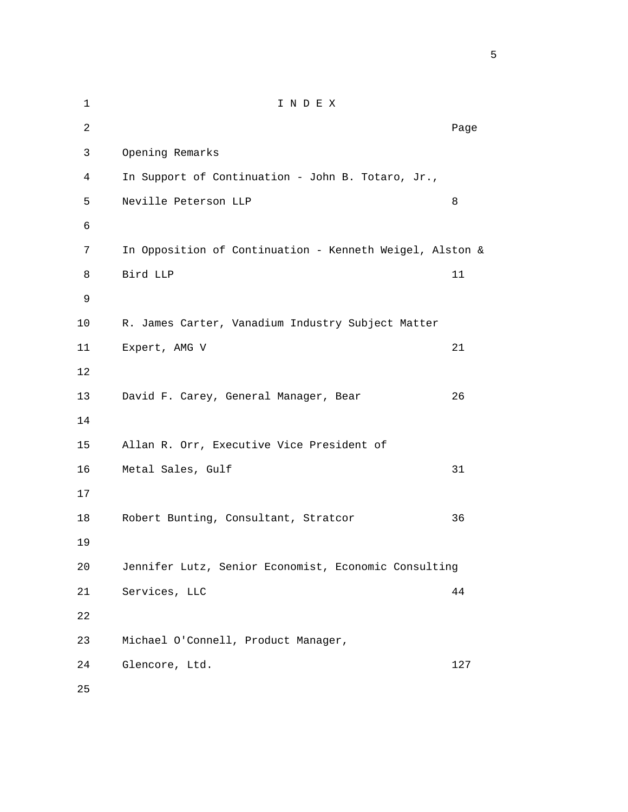| $\mathbf{1}$ | INDEX                                                    |      |
|--------------|----------------------------------------------------------|------|
| 2            |                                                          | Page |
| 3            | Opening Remarks                                          |      |
| 4            | In Support of Continuation - John B. Totaro, Jr.,        |      |
| 5            | Neville Peterson LLP                                     | 8    |
| б            |                                                          |      |
| 7            | In Opposition of Continuation - Kenneth Weigel, Alston & |      |
| 8            | Bird LLP                                                 | 11   |
| 9            |                                                          |      |
| 10           | R. James Carter, Vanadium Industry Subject Matter        |      |
| 11           | Expert, AMG V                                            | 21   |
| 12           |                                                          |      |
| 13           | David F. Carey, General Manager, Bear                    | 26   |
| 14           |                                                          |      |
| 15           | Allan R. Orr, Executive Vice President of                |      |
| 16           | Metal Sales, Gulf                                        | 31   |
| 17           |                                                          |      |
| 18           | Robert Bunting, Consultant, Stratcor                     | 36   |
| 19           |                                                          |      |
| 20           | Jennifer Lutz, Senior Economist, Economic Consulting     |      |
| 21           | Services, LLC                                            | 44   |
| 22           |                                                          |      |
| 23           | Michael O'Connell, Product Manager,                      |      |
| 24           | Glencore, Ltd.                                           | 127  |
| 25           |                                                          |      |

 $\sim$  5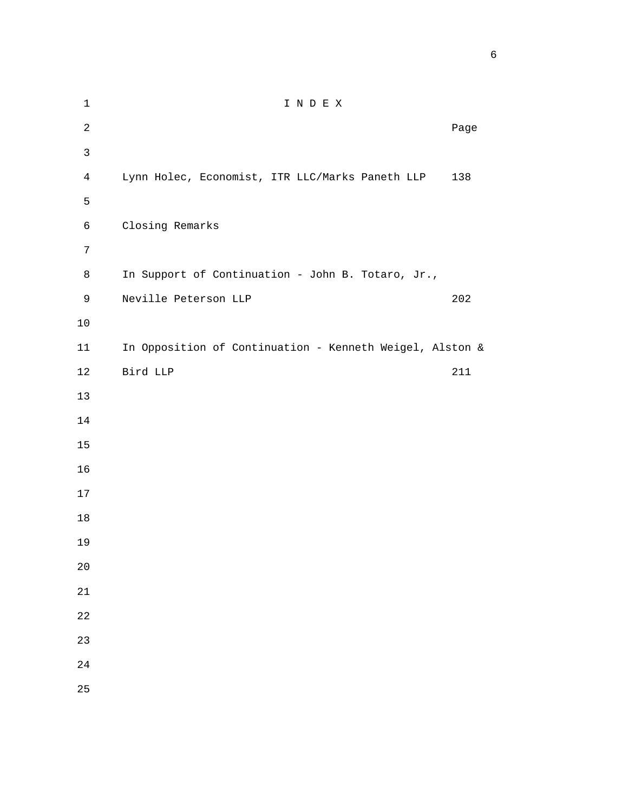| $\mathbf 1$    | I N D E X                                                |      |
|----------------|----------------------------------------------------------|------|
| $\overline{c}$ |                                                          | Page |
| $\mathsf{3}$   |                                                          |      |
| $\overline{4}$ | Lynn Holec, Economist, ITR LLC/Marks Paneth LLP          | 138  |
| 5              |                                                          |      |
| $\epsilon$     | Closing Remarks                                          |      |
| $\overline{7}$ |                                                          |      |
| $\,8\,$        | In Support of Continuation - John B. Totaro, Jr.,        |      |
| $\mathsf 9$    | Neville Peterson LLP                                     | 202  |
| $10$           |                                                          |      |
| 11             | In Opposition of Continuation - Kenneth Weigel, Alston & |      |
| $12$           | Bird LLP                                                 | 211  |
| 13             |                                                          |      |
| 14             |                                                          |      |
| $15$           |                                                          |      |
| 16             |                                                          |      |
| 17             |                                                          |      |
| $18\,$         |                                                          |      |
| 19             |                                                          |      |
| $20$           |                                                          |      |
| $21\,$         |                                                          |      |
| $2\sqrt{2}$    |                                                          |      |
| 23             |                                                          |      |
| $2\sqrt{4}$    |                                                          |      |
| 25             |                                                          |      |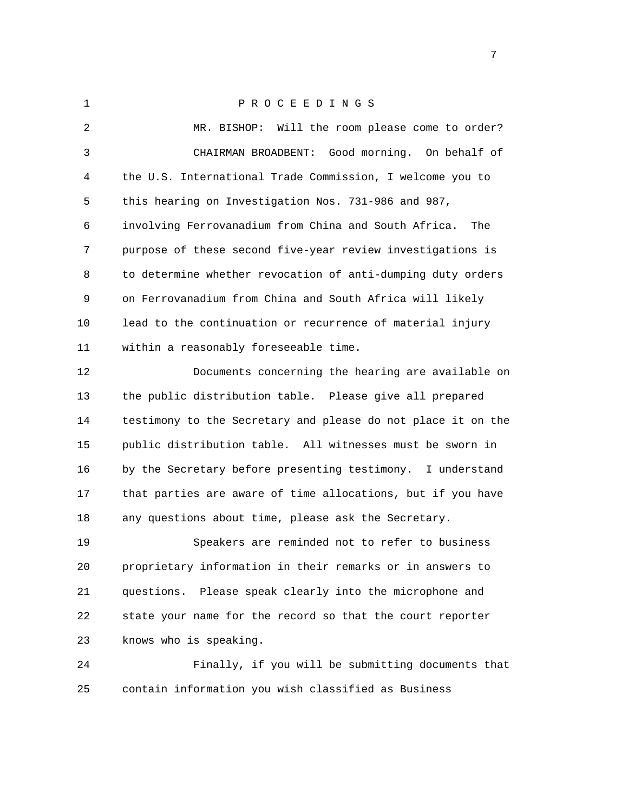1 P R O C E E D I N G S 2 MR. BISHOP: Will the room please come to order? 3 CHAIRMAN BROADBENT: Good morning. On behalf of 4 the U.S. International Trade Commission, I welcome you to 5 this hearing on Investigation Nos. 731-986 and 987, 6 involving Ferrovanadium from China and South Africa. The 7 purpose of these second five-year review investigations is 8 to determine whether revocation of anti-dumping duty orders 9 on Ferrovanadium from China and South Africa will likely 10 lead to the continuation or recurrence of material injury 11 within a reasonably foreseeable time.

 12 Documents concerning the hearing are available on 13 the public distribution table. Please give all prepared 14 testimony to the Secretary and please do not place it on the 15 public distribution table. All witnesses must be sworn in 16 by the Secretary before presenting testimony. I understand 17 that parties are aware of time allocations, but if you have 18 any questions about time, please ask the Secretary.

 19 Speakers are reminded not to refer to business 20 proprietary information in their remarks or in answers to 21 questions. Please speak clearly into the microphone and 22 state your name for the record so that the court reporter 23 knows who is speaking.

 24 Finally, if you will be submitting documents that 25 contain information you wish classified as Business

<u>2003: The contract of the contract of the contract of the contract of the contract of the contract of the con</u>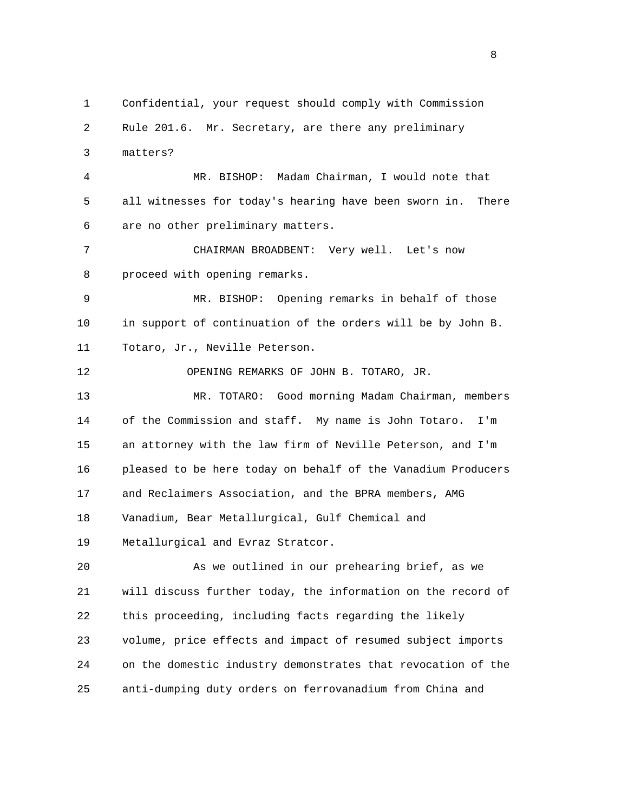1 Confidential, your request should comply with Commission 2 Rule 201.6. Mr. Secretary, are there any preliminary 3 matters? 4 MR. BISHOP: Madam Chairman, I would note that 5 all witnesses for today's hearing have been sworn in. There 6 are no other preliminary matters. 7 CHAIRMAN BROADBENT: Very well. Let's now 8 proceed with opening remarks. 9 MR. BISHOP: Opening remarks in behalf of those 10 in support of continuation of the orders will be by John B. 11 Totaro, Jr., Neville Peterson. 12 OPENING REMARKS OF JOHN B. TOTARO, JR. 13 MR. TOTARO: Good morning Madam Chairman, members 14 of the Commission and staff. My name is John Totaro. I'm 15 an attorney with the law firm of Neville Peterson, and I'm 16 pleased to be here today on behalf of the Vanadium Producers 17 and Reclaimers Association, and the BPRA members, AMG 18 Vanadium, Bear Metallurgical, Gulf Chemical and 19 Metallurgical and Evraz Stratcor. 20 As we outlined in our prehearing brief, as we 21 will discuss further today, the information on the record of 22 this proceeding, including facts regarding the likely 23 volume, price effects and impact of resumed subject imports 24 on the domestic industry demonstrates that revocation of the 25 anti-dumping duty orders on ferrovanadium from China and

experience of the state of the state of the state of the state of the state of the state of the state of the s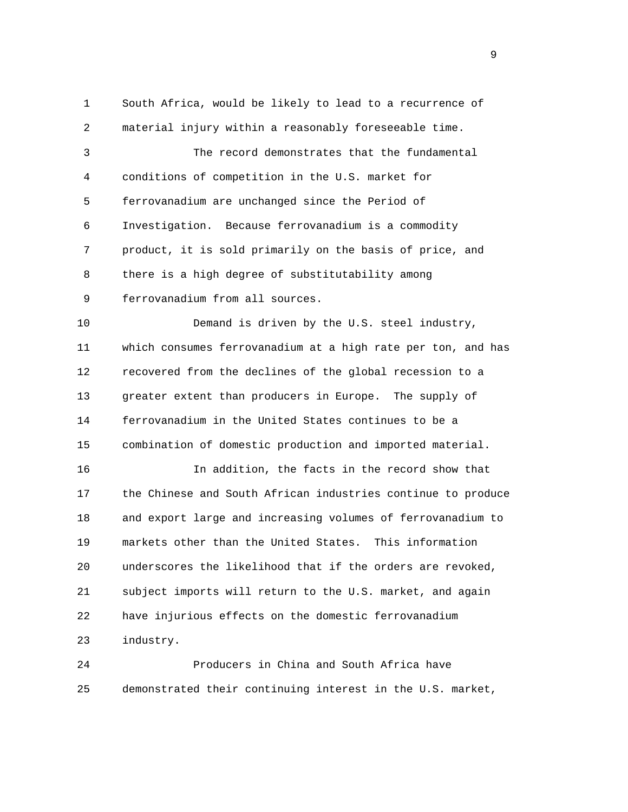1 South Africa, would be likely to lead to a recurrence of 2 material injury within a reasonably foreseeable time. 3 The record demonstrates that the fundamental 4 conditions of competition in the U.S. market for 5 ferrovanadium are unchanged since the Period of 6 Investigation. Because ferrovanadium is a commodity 7 product, it is sold primarily on the basis of price, and 8 there is a high degree of substitutability among 9 ferrovanadium from all sources. 10 Demand is driven by the U.S. steel industry, 11 which consumes ferrovanadium at a high rate per ton, and has 12 recovered from the declines of the global recession to a 13 greater extent than producers in Europe. The supply of 14 ferrovanadium in the United States continues to be a 15 combination of domestic production and imported material. 16 In addition, the facts in the record show that 17 the Chinese and South African industries continue to produce 18 and export large and increasing volumes of ferrovanadium to 19 markets other than the United States. This information 20 underscores the likelihood that if the orders are revoked, 21 subject imports will return to the U.S. market, and again

23 industry.

 24 Producers in China and South Africa have 25 demonstrated their continuing interest in the U.S. market,

22 have injurious effects on the domestic ferrovanadium

en de la provincia de la provincia de la provincia de la provincia de la provincia de la provincia de la provi<br>1900 : la provincia de la provincia de la provincia de la provincia de la provincia de la provincia de la prov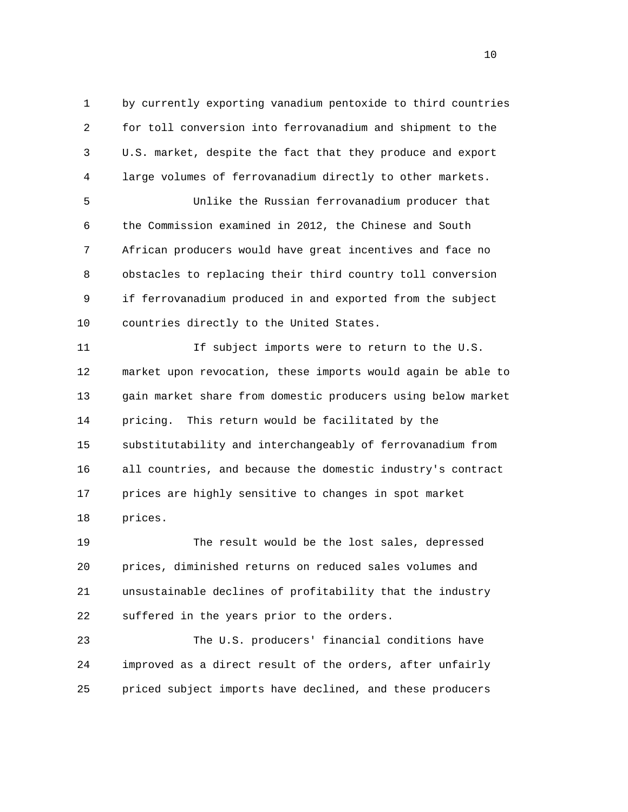1 by currently exporting vanadium pentoxide to third countries 2 for toll conversion into ferrovanadium and shipment to the 3 U.S. market, despite the fact that they produce and export 4 large volumes of ferrovanadium directly to other markets. 5 Unlike the Russian ferrovanadium producer that 6 the Commission examined in 2012, the Chinese and South 7 African producers would have great incentives and face no 8 obstacles to replacing their third country toll conversion 9 if ferrovanadium produced in and exported from the subject 10 countries directly to the United States.

 11 If subject imports were to return to the U.S. 12 market upon revocation, these imports would again be able to 13 gain market share from domestic producers using below market 14 pricing. This return would be facilitated by the 15 substitutability and interchangeably of ferrovanadium from 16 all countries, and because the domestic industry's contract 17 prices are highly sensitive to changes in spot market 18 prices.

 19 The result would be the lost sales, depressed 20 prices, diminished returns on reduced sales volumes and 21 unsustainable declines of profitability that the industry 22 suffered in the years prior to the orders.

 23 The U.S. producers' financial conditions have 24 improved as a direct result of the orders, after unfairly 25 priced subject imports have declined, and these producers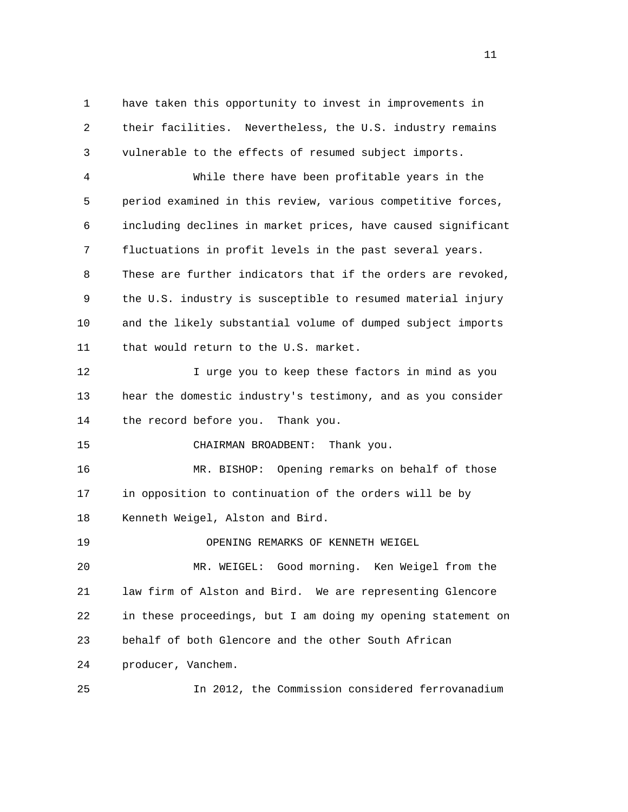1 have taken this opportunity to invest in improvements in 2 their facilities. Nevertheless, the U.S. industry remains 3 vulnerable to the effects of resumed subject imports.

 4 While there have been profitable years in the 5 period examined in this review, various competitive forces, 6 including declines in market prices, have caused significant 7 fluctuations in profit levels in the past several years. 8 These are further indicators that if the orders are revoked, 9 the U.S. industry is susceptible to resumed material injury 10 and the likely substantial volume of dumped subject imports 11 that would return to the U.S. market.

12 12 I urge you to keep these factors in mind as you 13 hear the domestic industry's testimony, and as you consider 14 the record before you. Thank you.

15 CHAIRMAN BROADBENT: Thank you.

 16 MR. BISHOP: Opening remarks on behalf of those 17 in opposition to continuation of the orders will be by 18 Kenneth Weigel, Alston and Bird.

19 OPENING REMARKS OF KENNETH WEIGEL

 20 MR. WEIGEL: Good morning. Ken Weigel from the 21 law firm of Alston and Bird. We are representing Glencore 22 in these proceedings, but I am doing my opening statement on 23 behalf of both Glencore and the other South African 24 producer, Vanchem.

25 In 2012, the Commission considered ferrovanadium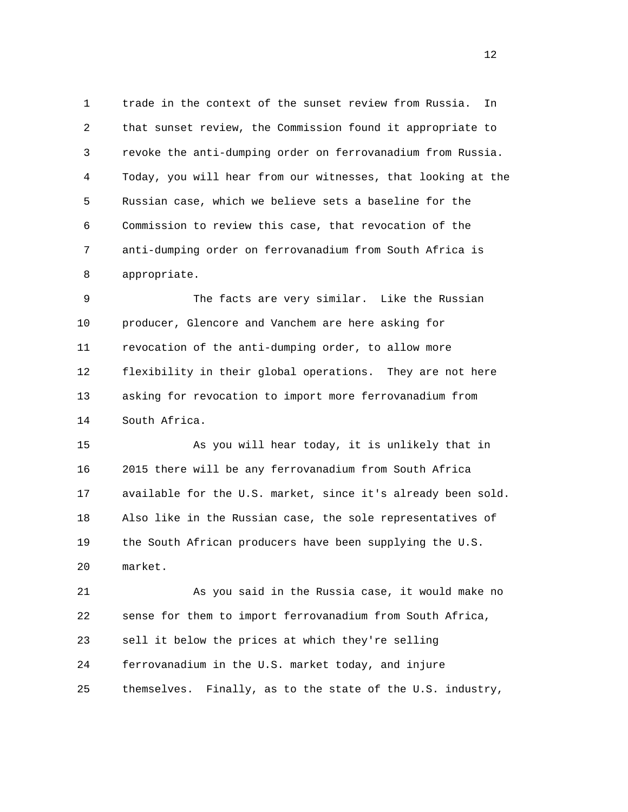1 trade in the context of the sunset review from Russia. In 2 that sunset review, the Commission found it appropriate to 3 revoke the anti-dumping order on ferrovanadium from Russia. 4 Today, you will hear from our witnesses, that looking at the 5 Russian case, which we believe sets a baseline for the 6 Commission to review this case, that revocation of the 7 anti-dumping order on ferrovanadium from South Africa is 8 appropriate.

 9 The facts are very similar. Like the Russian 10 producer, Glencore and Vanchem are here asking for 11 revocation of the anti-dumping order, to allow more 12 flexibility in their global operations. They are not here 13 asking for revocation to import more ferrovanadium from 14 South Africa.

 15 As you will hear today, it is unlikely that in 16 2015 there will be any ferrovanadium from South Africa 17 available for the U.S. market, since it's already been sold. 18 Also like in the Russian case, the sole representatives of 19 the South African producers have been supplying the U.S. 20 market.

 21 As you said in the Russia case, it would make no 22 sense for them to import ferrovanadium from South Africa, 23 sell it below the prices at which they're selling 24 ferrovanadium in the U.S. market today, and injure 25 themselves. Finally, as to the state of the U.S. industry,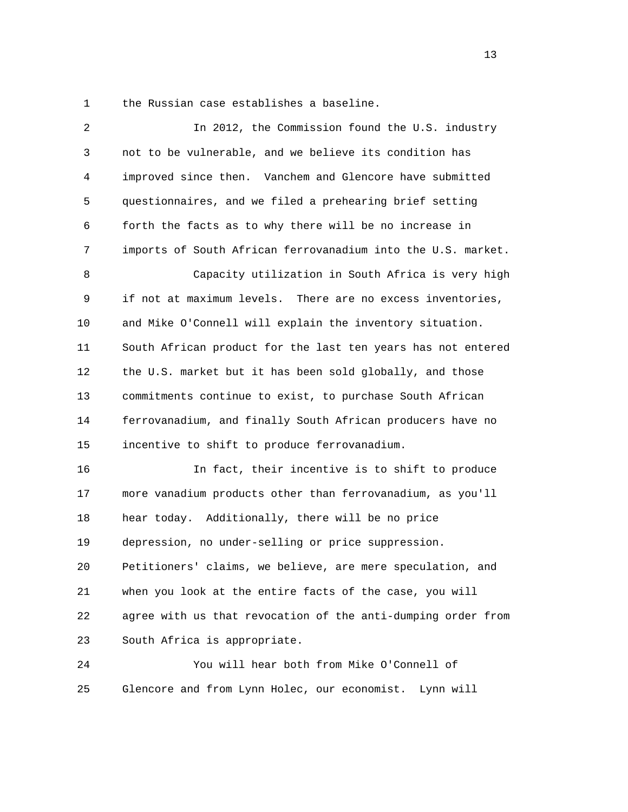1 the Russian case establishes a baseline.

| 2  | In 2012, the Commission found the U.S. industry               |
|----|---------------------------------------------------------------|
| 3  | not to be vulnerable, and we believe its condition has        |
| 4  | improved since then. Vanchem and Glencore have submitted      |
| 5  | questionnaires, and we filed a prehearing brief setting       |
| 6  | forth the facts as to why there will be no increase in        |
| 7  | imports of South African ferrovanadium into the U.S. market.  |
| 8  | Capacity utilization in South Africa is very high             |
| 9  | if not at maximum levels.<br>There are no excess inventories, |
| 10 | and Mike O'Connell will explain the inventory situation.      |
| 11 | South African product for the last ten years has not entered  |
| 12 | the U.S. market but it has been sold globally, and those      |
| 13 | commitments continue to exist, to purchase South African      |
| 14 | ferrovanadium, and finally South African producers have no    |
| 15 | incentive to shift to produce ferrovanadium.                  |
| 16 | In fact, their incentive is to shift to produce               |
| 17 | more vanadium products other than ferrovanadium, as you'll    |
| 18 | hear today. Additionally, there will be no price              |
| 19 | depression, no under-selling or price suppression.            |
| 20 | Petitioners' claims, we believe, are mere speculation, and    |
| 21 | when you look at the entire facts of the case, you will       |
| 22 | agree with us that revocation of the anti-dumping order from  |
| 23 | South Africa is appropriate.                                  |
| 24 | You will hear both from Mike O'Connell of                     |
| 25 | Glencore and from Lynn Holec, our economist. Lynn will        |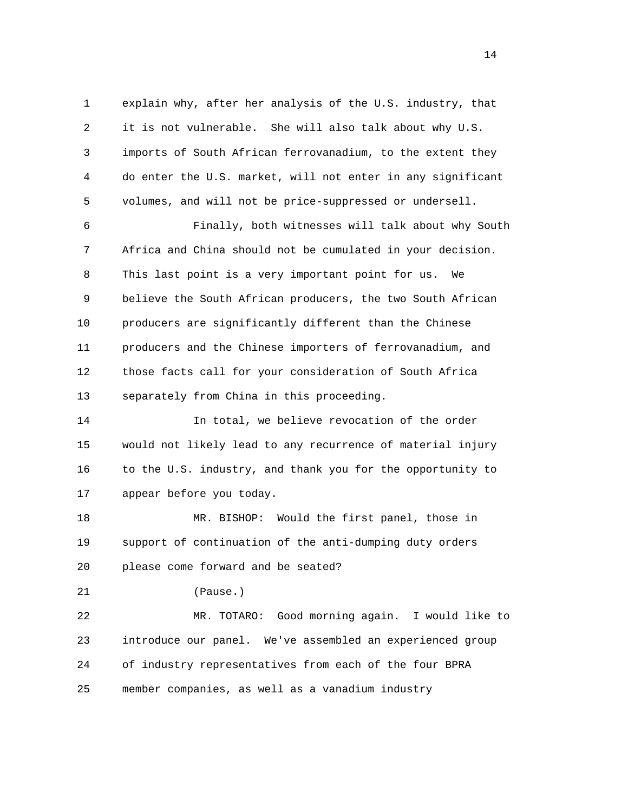1 explain why, after her analysis of the U.S. industry, that 2 it is not vulnerable. She will also talk about why U.S. 3 imports of South African ferrovanadium, to the extent they 4 do enter the U.S. market, will not enter in any significant 5 volumes, and will not be price-suppressed or undersell. 6 Finally, both witnesses will talk about why South 7 Africa and China should not be cumulated in your decision. 8 This last point is a very important point for us. We 9 believe the South African producers, the two South African 10 producers are significantly different than the Chinese 11 producers and the Chinese importers of ferrovanadium, and 12 those facts call for your consideration of South Africa 13 separately from China in this proceeding.

 14 In total, we believe revocation of the order 15 would not likely lead to any recurrence of material injury 16 to the U.S. industry, and thank you for the opportunity to 17 appear before you today.

 18 MR. BISHOP: Would the first panel, those in 19 support of continuation of the anti-dumping duty orders 20 please come forward and be seated?

21 (Pause.)

 22 MR. TOTARO: Good morning again. I would like to 23 introduce our panel. We've assembled an experienced group 24 of industry representatives from each of the four BPRA 25 member companies, as well as a vanadium industry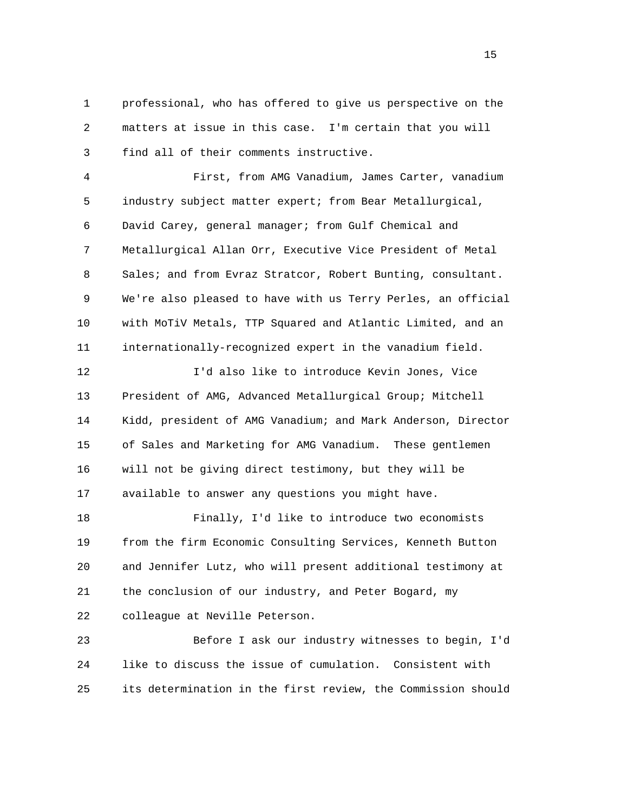1 professional, who has offered to give us perspective on the 2 matters at issue in this case. I'm certain that you will 3 find all of their comments instructive.

 4 First, from AMG Vanadium, James Carter, vanadium 5 industry subject matter expert; from Bear Metallurgical, 6 David Carey, general manager; from Gulf Chemical and 7 Metallurgical Allan Orr, Executive Vice President of Metal 8 Sales; and from Evraz Stratcor, Robert Bunting, consultant. 9 We're also pleased to have with us Terry Perles, an official 10 with MoTiV Metals, TTP Squared and Atlantic Limited, and an 11 internationally-recognized expert in the vanadium field.

 12 I'd also like to introduce Kevin Jones, Vice 13 President of AMG, Advanced Metallurgical Group; Mitchell 14 Kidd, president of AMG Vanadium; and Mark Anderson, Director 15 of Sales and Marketing for AMG Vanadium. These gentlemen 16 will not be giving direct testimony, but they will be 17 available to answer any questions you might have.

 18 Finally, I'd like to introduce two economists 19 from the firm Economic Consulting Services, Kenneth Button 20 and Jennifer Lutz, who will present additional testimony at 21 the conclusion of our industry, and Peter Bogard, my 22 colleague at Neville Peterson.

 23 Before I ask our industry witnesses to begin, I'd 24 like to discuss the issue of cumulation. Consistent with 25 its determination in the first review, the Commission should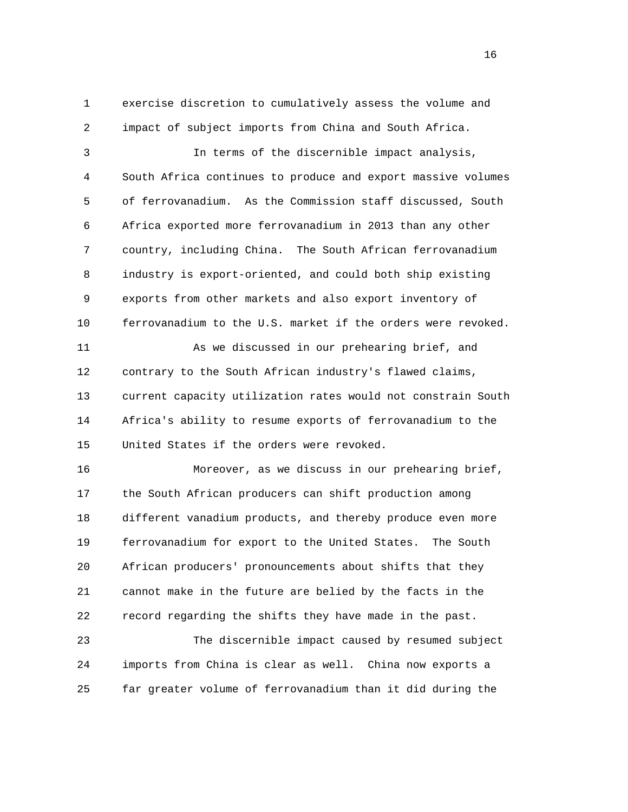1 exercise discretion to cumulatively assess the volume and 2 impact of subject imports from China and South Africa.

 3 In terms of the discernible impact analysis, 4 South Africa continues to produce and export massive volumes 5 of ferrovanadium. As the Commission staff discussed, South 6 Africa exported more ferrovanadium in 2013 than any other 7 country, including China. The South African ferrovanadium 8 industry is export-oriented, and could both ship existing 9 exports from other markets and also export inventory of 10 ferrovanadium to the U.S. market if the orders were revoked.

 11 As we discussed in our prehearing brief, and 12 contrary to the South African industry's flawed claims, 13 current capacity utilization rates would not constrain South 14 Africa's ability to resume exports of ferrovanadium to the 15 United States if the orders were revoked.

 16 Moreover, as we discuss in our prehearing brief, 17 the South African producers can shift production among 18 different vanadium products, and thereby produce even more 19 ferrovanadium for export to the United States. The South 20 African producers' pronouncements about shifts that they 21 cannot make in the future are belied by the facts in the 22 record regarding the shifts they have made in the past.

 23 The discernible impact caused by resumed subject 24 imports from China is clear as well. China now exports a 25 far greater volume of ferrovanadium than it did during the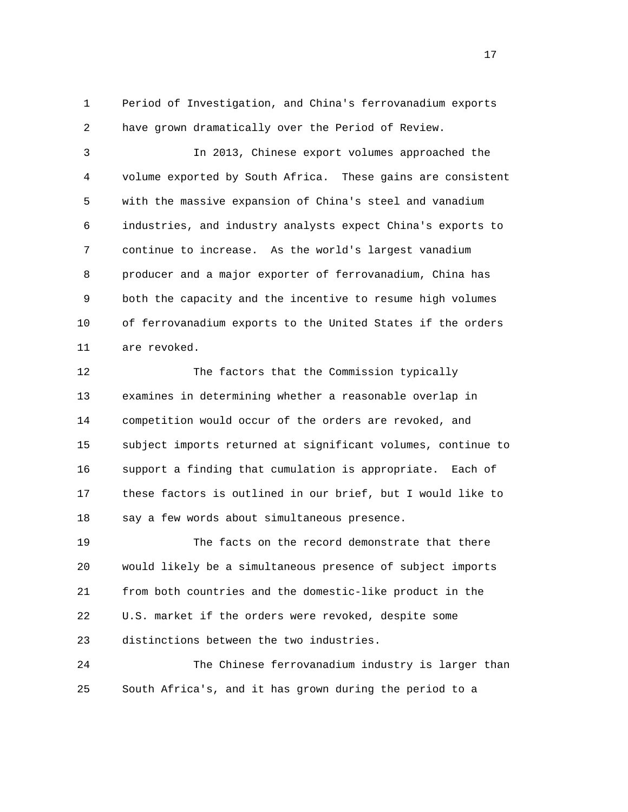1 Period of Investigation, and China's ferrovanadium exports 2 have grown dramatically over the Period of Review.

 3 In 2013, Chinese export volumes approached the 4 volume exported by South Africa. These gains are consistent 5 with the massive expansion of China's steel and vanadium 6 industries, and industry analysts expect China's exports to 7 continue to increase. As the world's largest vanadium 8 producer and a major exporter of ferrovanadium, China has 9 both the capacity and the incentive to resume high volumes 10 of ferrovanadium exports to the United States if the orders 11 are revoked.

 12 The factors that the Commission typically 13 examines in determining whether a reasonable overlap in 14 competition would occur of the orders are revoked, and 15 subject imports returned at significant volumes, continue to 16 support a finding that cumulation is appropriate. Each of 17 these factors is outlined in our brief, but I would like to 18 say a few words about simultaneous presence.

 19 The facts on the record demonstrate that there 20 would likely be a simultaneous presence of subject imports 21 from both countries and the domestic-like product in the 22 U.S. market if the orders were revoked, despite some 23 distinctions between the two industries.

 24 The Chinese ferrovanadium industry is larger than 25 South Africa's, and it has grown during the period to a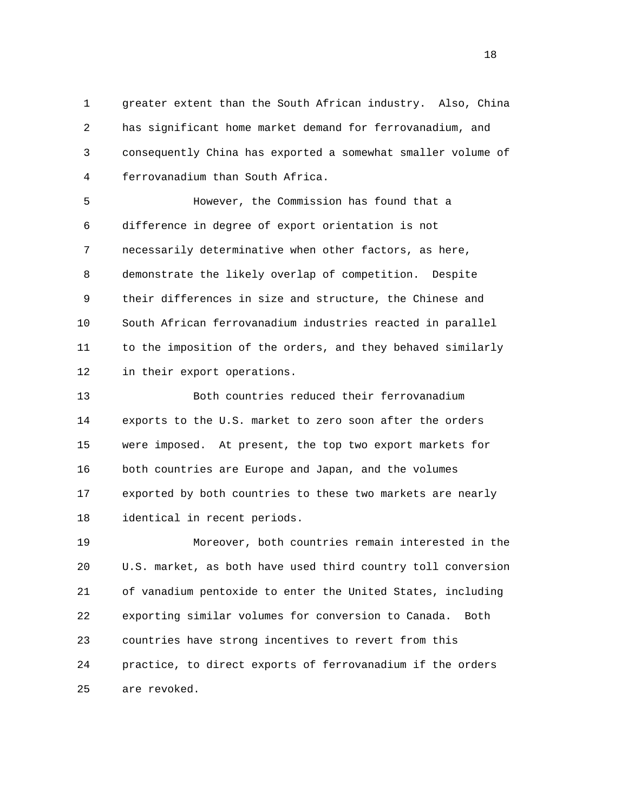1 greater extent than the South African industry. Also, China 2 has significant home market demand for ferrovanadium, and 3 consequently China has exported a somewhat smaller volume of 4 ferrovanadium than South Africa.

 5 However, the Commission has found that a 6 difference in degree of export orientation is not 7 necessarily determinative when other factors, as here, 8 demonstrate the likely overlap of competition. Despite 9 their differences in size and structure, the Chinese and 10 South African ferrovanadium industries reacted in parallel 11 to the imposition of the orders, and they behaved similarly 12 in their export operations.

 13 Both countries reduced their ferrovanadium 14 exports to the U.S. market to zero soon after the orders 15 were imposed. At present, the top two export markets for 16 both countries are Europe and Japan, and the volumes 17 exported by both countries to these two markets are nearly 18 identical in recent periods.

 19 Moreover, both countries remain interested in the 20 U.S. market, as both have used third country toll conversion 21 of vanadium pentoxide to enter the United States, including 22 exporting similar volumes for conversion to Canada. Both 23 countries have strong incentives to revert from this 24 practice, to direct exports of ferrovanadium if the orders 25 are revoked.

n 18 ann an 18 an t-Iomraid ann an 18 an t-Iomraid ann an 18 an t-Iomraid ann an 18 an t-Iomraid ann an 18 an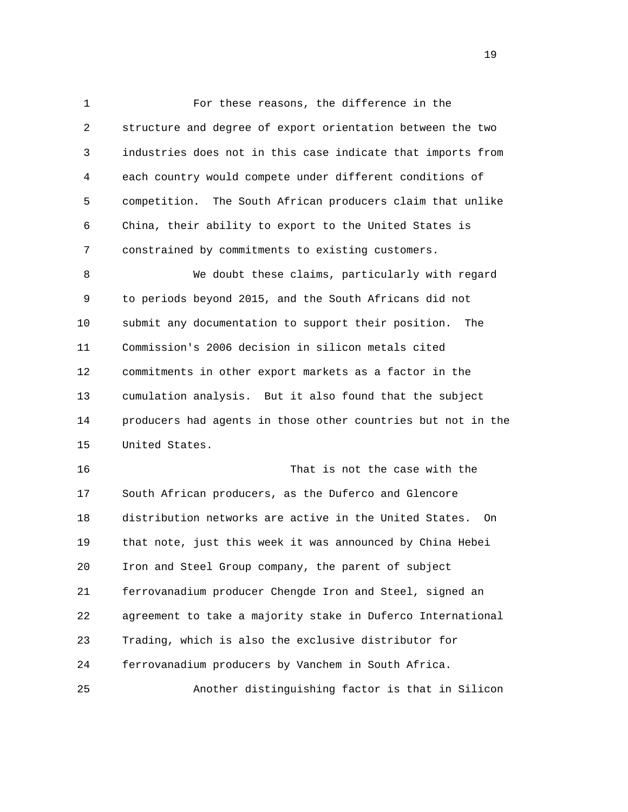1 For these reasons, the difference in the 2 structure and degree of export orientation between the two 3 industries does not in this case indicate that imports from 4 each country would compete under different conditions of 5 competition. The South African producers claim that unlike 6 China, their ability to export to the United States is 7 constrained by commitments to existing customers.

 8 We doubt these claims, particularly with regard 9 to periods beyond 2015, and the South Africans did not 10 submit any documentation to support their position. The 11 Commission's 2006 decision in silicon metals cited 12 commitments in other export markets as a factor in the 13 cumulation analysis. But it also found that the subject 14 producers had agents in those other countries but not in the 15 United States.

 16 That is not the case with the 17 South African producers, as the Duferco and Glencore 18 distribution networks are active in the United States. On 19 that note, just this week it was announced by China Hebei 20 Iron and Steel Group company, the parent of subject 21 ferrovanadium producer Chengde Iron and Steel, signed an 22 agreement to take a majority stake in Duferco International 23 Trading, which is also the exclusive distributor for 24 ferrovanadium producers by Vanchem in South Africa. 25 Another distinguishing factor is that in Silicon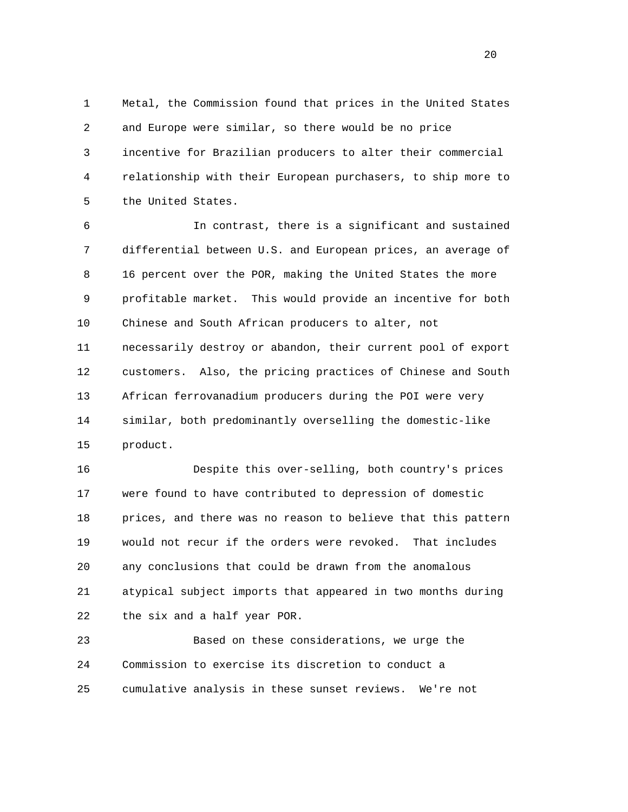1 Metal, the Commission found that prices in the United States 2 and Europe were similar, so there would be no price 3 incentive for Brazilian producers to alter their commercial 4 relationship with their European purchasers, to ship more to 5 the United States.

 6 In contrast, there is a significant and sustained 7 differential between U.S. and European prices, an average of 8 16 percent over the POR, making the United States the more 9 profitable market. This would provide an incentive for both 10 Chinese and South African producers to alter, not 11 necessarily destroy or abandon, their current pool of export 12 customers. Also, the pricing practices of Chinese and South 13 African ferrovanadium producers during the POI were very 14 similar, both predominantly overselling the domestic-like 15 product.

 16 Despite this over-selling, both country's prices 17 were found to have contributed to depression of domestic 18 prices, and there was no reason to believe that this pattern 19 would not recur if the orders were revoked. That includes 20 any conclusions that could be drawn from the anomalous 21 atypical subject imports that appeared in two months during 22 the six and a half year POR.

 23 Based on these considerations, we urge the 24 Commission to exercise its discretion to conduct a 25 cumulative analysis in these sunset reviews. We're not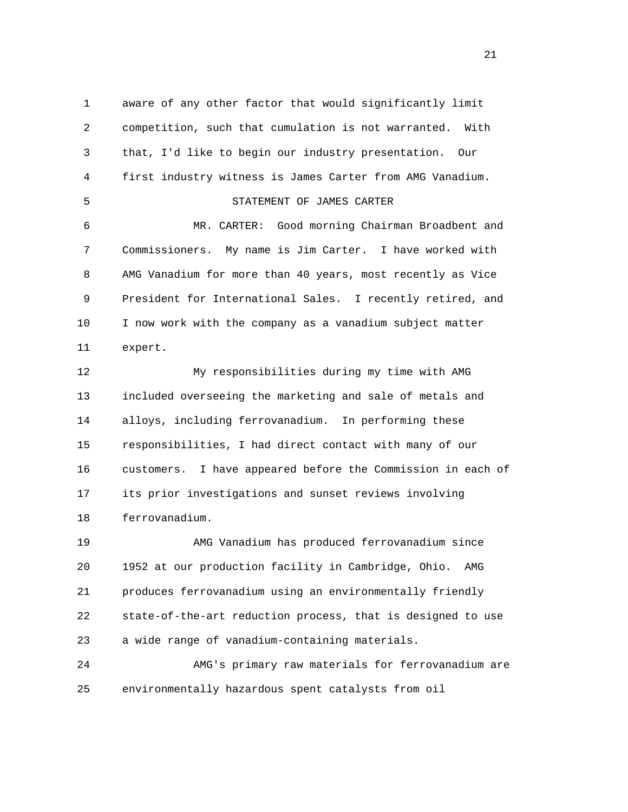1 aware of any other factor that would significantly limit 2 competition, such that cumulation is not warranted. With 3 that, I'd like to begin our industry presentation. Our 4 first industry witness is James Carter from AMG Vanadium. 5 STATEMENT OF JAMES CARTER 6 MR. CARTER: Good morning Chairman Broadbent and 7 Commissioners. My name is Jim Carter. I have worked with 8 AMG Vanadium for more than 40 years, most recently as Vice 9 President for International Sales. I recently retired, and 10 I now work with the company as a vanadium subject matter 11 expert. 12 My responsibilities during my time with AMG 13 included overseeing the marketing and sale of metals and 14 alloys, including ferrovanadium. In performing these 15 responsibilities, I had direct contact with many of our 16 customers. I have appeared before the Commission in each of 17 its prior investigations and sunset reviews involving 18 ferrovanadium. 19 AMG Vanadium has produced ferrovanadium since 20 1952 at our production facility in Cambridge, Ohio. AMG

 21 produces ferrovanadium using an environmentally friendly 22 state-of-the-art reduction process, that is designed to use 23 a wide range of vanadium-containing materials.

 24 AMG's primary raw materials for ferrovanadium are 25 environmentally hazardous spent catalysts from oil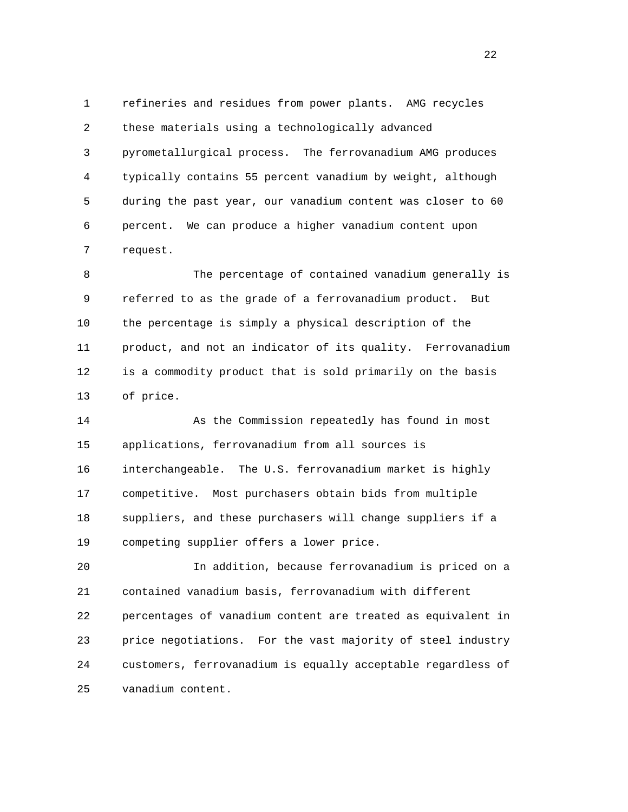1 refineries and residues from power plants. AMG recycles 2 these materials using a technologically advanced 3 pyrometallurgical process. The ferrovanadium AMG produces 4 typically contains 55 percent vanadium by weight, although 5 during the past year, our vanadium content was closer to 60 6 percent. We can produce a higher vanadium content upon 7 request.

 8 The percentage of contained vanadium generally is 9 referred to as the grade of a ferrovanadium product. But 10 the percentage is simply a physical description of the 11 product, and not an indicator of its quality. Ferrovanadium 12 is a commodity product that is sold primarily on the basis 13 of price.

 14 As the Commission repeatedly has found in most 15 applications, ferrovanadium from all sources is 16 interchangeable. The U.S. ferrovanadium market is highly 17 competitive. Most purchasers obtain bids from multiple 18 suppliers, and these purchasers will change suppliers if a 19 competing supplier offers a lower price.

 20 In addition, because ferrovanadium is priced on a 21 contained vanadium basis, ferrovanadium with different 22 percentages of vanadium content are treated as equivalent in 23 price negotiations. For the vast majority of steel industry 24 customers, ferrovanadium is equally acceptable regardless of 25 vanadium content.

22 a set of the state of the state of the state of the state of the state of the state of the state of the state of the state of the state of the state of the state of the state of the state of the state of the state of th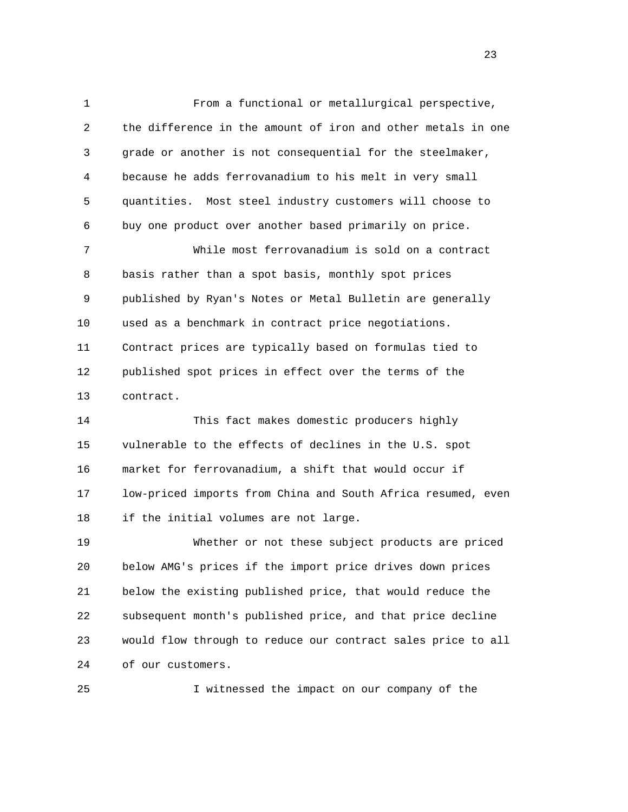1 From a functional or metallurgical perspective, 2 the difference in the amount of iron and other metals in one 3 grade or another is not consequential for the steelmaker, 4 because he adds ferrovanadium to his melt in very small 5 quantities. Most steel industry customers will choose to 6 buy one product over another based primarily on price. 7 While most ferrovanadium is sold on a contract 8 basis rather than a spot basis, monthly spot prices 9 published by Ryan's Notes or Metal Bulletin are generally 10 used as a benchmark in contract price negotiations. 11 Contract prices are typically based on formulas tied to

 12 published spot prices in effect over the terms of the 13 contract.

 14 This fact makes domestic producers highly 15 vulnerable to the effects of declines in the U.S. spot 16 market for ferrovanadium, a shift that would occur if 17 low-priced imports from China and South Africa resumed, even 18 if the initial volumes are not large.

 19 Whether or not these subject products are priced 20 below AMG's prices if the import price drives down prices 21 below the existing published price, that would reduce the 22 subsequent month's published price, and that price decline 23 would flow through to reduce our contract sales price to all 24 of our customers.

25 I witnessed the impact on our company of the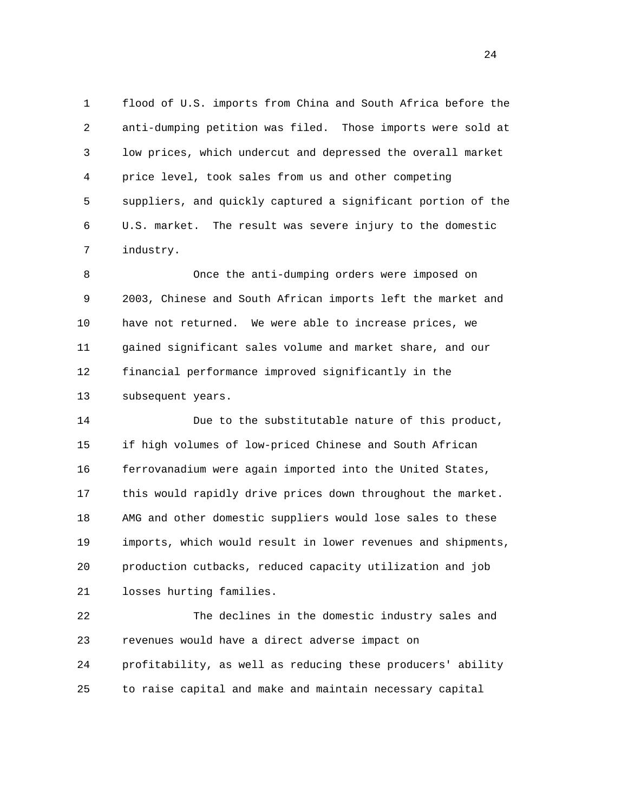1 flood of U.S. imports from China and South Africa before the 2 anti-dumping petition was filed. Those imports were sold at 3 low prices, which undercut and depressed the overall market 4 price level, took sales from us and other competing 5 suppliers, and quickly captured a significant portion of the 6 U.S. market. The result was severe injury to the domestic 7 industry.

 8 Once the anti-dumping orders were imposed on 9 2003, Chinese and South African imports left the market and 10 have not returned. We were able to increase prices, we 11 gained significant sales volume and market share, and our 12 financial performance improved significantly in the 13 subsequent years.

 14 Due to the substitutable nature of this product, 15 if high volumes of low-priced Chinese and South African 16 ferrovanadium were again imported into the United States, 17 this would rapidly drive prices down throughout the market. 18 AMG and other domestic suppliers would lose sales to these 19 imports, which would result in lower revenues and shipments, 20 production cutbacks, reduced capacity utilization and job 21 losses hurting families.

 22 The declines in the domestic industry sales and 23 revenues would have a direct adverse impact on 24 profitability, as well as reducing these producers' ability 25 to raise capital and make and maintain necessary capital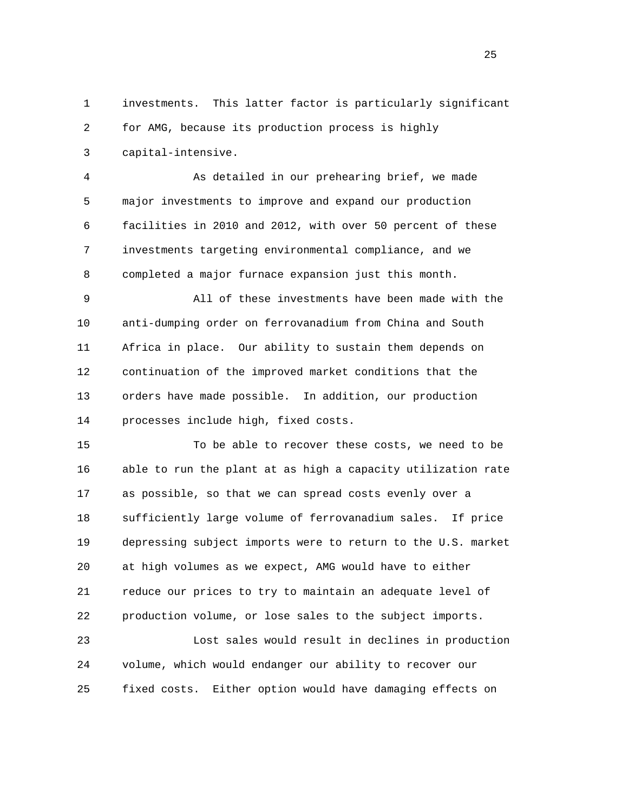1 investments. This latter factor is particularly significant 2 for AMG, because its production process is highly 3 capital-intensive.

 4 As detailed in our prehearing brief, we made 5 major investments to improve and expand our production 6 facilities in 2010 and 2012, with over 50 percent of these 7 investments targeting environmental compliance, and we 8 completed a major furnace expansion just this month.

 9 All of these investments have been made with the 10 anti-dumping order on ferrovanadium from China and South 11 Africa in place. Our ability to sustain them depends on 12 continuation of the improved market conditions that the 13 orders have made possible. In addition, our production 14 processes include high, fixed costs.

 15 To be able to recover these costs, we need to be 16 able to run the plant at as high a capacity utilization rate 17 as possible, so that we can spread costs evenly over a 18 sufficiently large volume of ferrovanadium sales. If price 19 depressing subject imports were to return to the U.S. market 20 at high volumes as we expect, AMG would have to either 21 reduce our prices to try to maintain an adequate level of 22 production volume, or lose sales to the subject imports.

 23 Lost sales would result in declines in production 24 volume, which would endanger our ability to recover our 25 fixed costs. Either option would have damaging effects on

25 and 25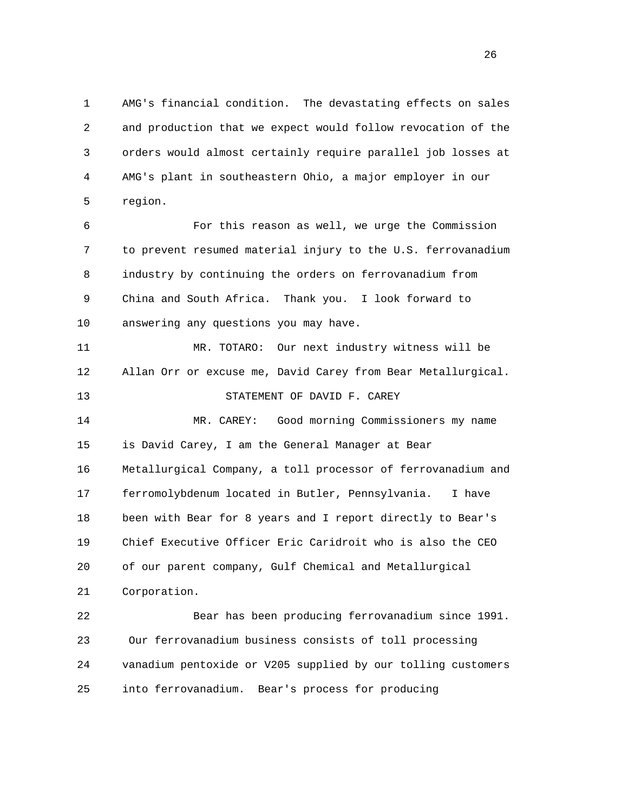1 AMG's financial condition. The devastating effects on sales 2 and production that we expect would follow revocation of the 3 orders would almost certainly require parallel job losses at 4 AMG's plant in southeastern Ohio, a major employer in our 5 region.

 6 For this reason as well, we urge the Commission 7 to prevent resumed material injury to the U.S. ferrovanadium 8 industry by continuing the orders on ferrovanadium from 9 China and South Africa. Thank you. I look forward to 10 answering any questions you may have.

 11 MR. TOTARO: Our next industry witness will be 12 Allan Orr or excuse me, David Carey from Bear Metallurgical. 13 STATEMENT OF DAVID F. CAREY 14 MR. CAREY: Good morning Commissioners my name 15 is David Carey, I am the General Manager at Bear 16 Metallurgical Company, a toll processor of ferrovanadium and 17 ferromolybdenum located in Butler, Pennsylvania. I have 18 been with Bear for 8 years and I report directly to Bear's 19 Chief Executive Officer Eric Caridroit who is also the CEO 20 of our parent company, Gulf Chemical and Metallurgical 21 Corporation.

 22 Bear has been producing ferrovanadium since 1991. 23 Our ferrovanadium business consists of toll processing 24 vanadium pentoxide or V205 supplied by our tolling customers 25 into ferrovanadium. Bear's process for producing

<u>26</u>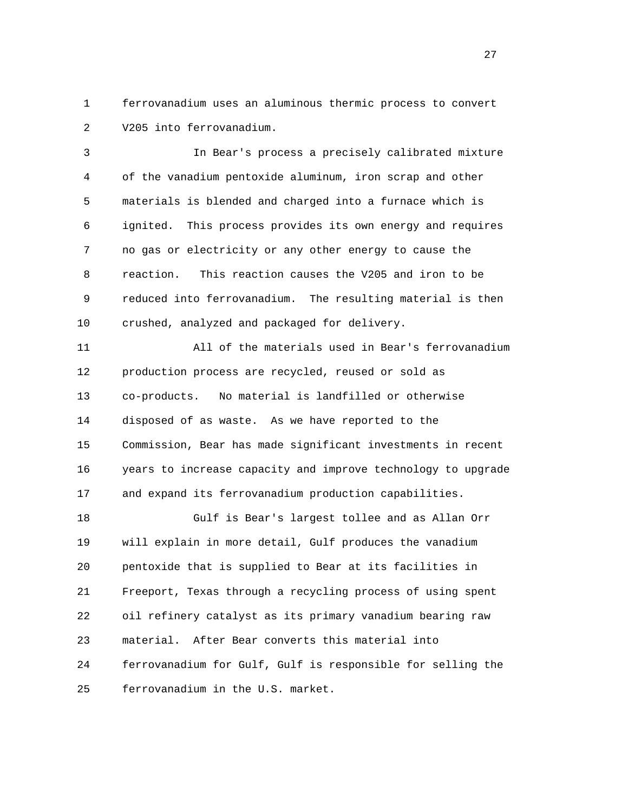1 ferrovanadium uses an aluminous thermic process to convert 2 V205 into ferrovanadium.

 3 In Bear's process a precisely calibrated mixture 4 of the vanadium pentoxide aluminum, iron scrap and other 5 materials is blended and charged into a furnace which is 6 ignited. This process provides its own energy and requires 7 no gas or electricity or any other energy to cause the 8 reaction. This reaction causes the V205 and iron to be 9 reduced into ferrovanadium. The resulting material is then 10 crushed, analyzed and packaged for delivery.

 11 All of the materials used in Bear's ferrovanadium 12 production process are recycled, reused or sold as 13 co-products. No material is landfilled or otherwise 14 disposed of as waste. As we have reported to the 15 Commission, Bear has made significant investments in recent 16 years to increase capacity and improve technology to upgrade 17 and expand its ferrovanadium production capabilities.

 18 Gulf is Bear's largest tollee and as Allan Orr 19 will explain in more detail, Gulf produces the vanadium 20 pentoxide that is supplied to Bear at its facilities in 21 Freeport, Texas through a recycling process of using spent 22 oil refinery catalyst as its primary vanadium bearing raw 23 material. After Bear converts this material into 24 ferrovanadium for Gulf, Gulf is responsible for selling the 25 ferrovanadium in the U.S. market.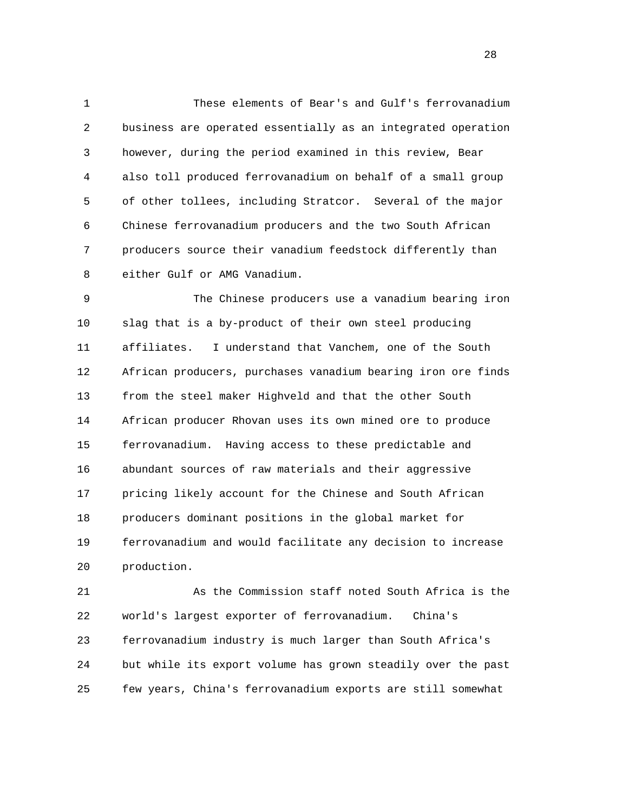1 These elements of Bear's and Gulf's ferrovanadium 2 business are operated essentially as an integrated operation 3 however, during the period examined in this review, Bear 4 also toll produced ferrovanadium on behalf of a small group 5 of other tollees, including Stratcor. Several of the major 6 Chinese ferrovanadium producers and the two South African 7 producers source their vanadium feedstock differently than 8 either Gulf or AMG Vanadium.

 9 The Chinese producers use a vanadium bearing iron 10 slag that is a by-product of their own steel producing 11 affiliates. I understand that Vanchem, one of the South 12 African producers, purchases vanadium bearing iron ore finds 13 from the steel maker Highveld and that the other South 14 African producer Rhovan uses its own mined ore to produce 15 ferrovanadium. Having access to these predictable and 16 abundant sources of raw materials and their aggressive 17 pricing likely account for the Chinese and South African 18 producers dominant positions in the global market for 19 ferrovanadium and would facilitate any decision to increase 20 production.

 21 As the Commission staff noted South Africa is the 22 world's largest exporter of ferrovanadium. China's 23 ferrovanadium industry is much larger than South Africa's 24 but while its export volume has grown steadily over the past 25 few years, China's ferrovanadium exports are still somewhat

28 and 28 and 28 and 28 and 28 and 28 and 28 and 28 and 28 and 28 and 28 and 28 and 28 and 28 and 28 and 28 and 28 and 28 and 28 and 28 and 28 and 28 and 28 and 28 and 28 and 28 and 28 and 28 and 28 and 28 and 28 and 28 an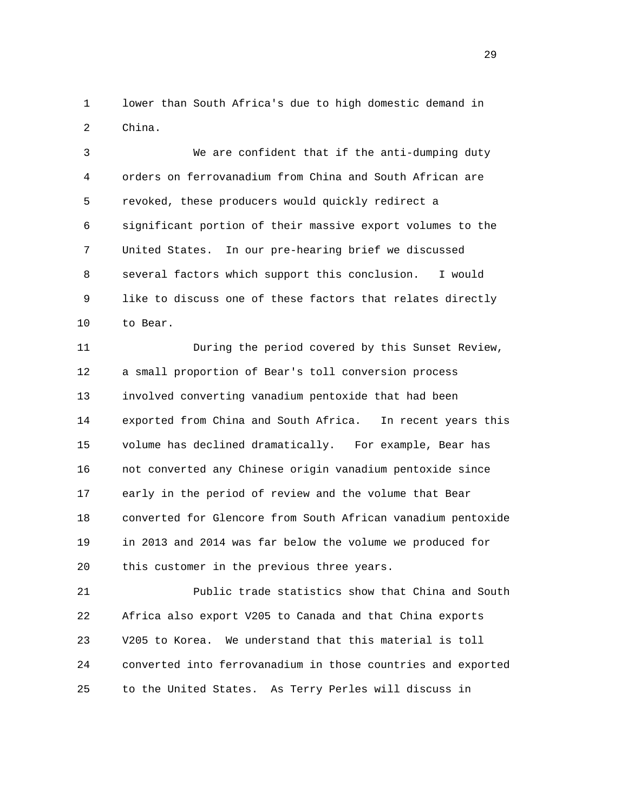1 lower than South Africa's due to high domestic demand in 2 China.

 3 We are confident that if the anti-dumping duty 4 orders on ferrovanadium from China and South African are 5 revoked, these producers would quickly redirect a 6 significant portion of their massive export volumes to the 7 United States. In our pre-hearing brief we discussed 8 several factors which support this conclusion. I would 9 like to discuss one of these factors that relates directly 10 to Bear.

 11 During the period covered by this Sunset Review, 12 a small proportion of Bear's toll conversion process 13 involved converting vanadium pentoxide that had been 14 exported from China and South Africa. In recent years this 15 volume has declined dramatically. For example, Bear has 16 not converted any Chinese origin vanadium pentoxide since 17 early in the period of review and the volume that Bear 18 converted for Glencore from South African vanadium pentoxide 19 in 2013 and 2014 was far below the volume we produced for 20 this customer in the previous three years.

 21 Public trade statistics show that China and South 22 Africa also export V205 to Canada and that China exports 23 V205 to Korea. We understand that this material is toll 24 converted into ferrovanadium in those countries and exported 25 to the United States. As Terry Perles will discuss in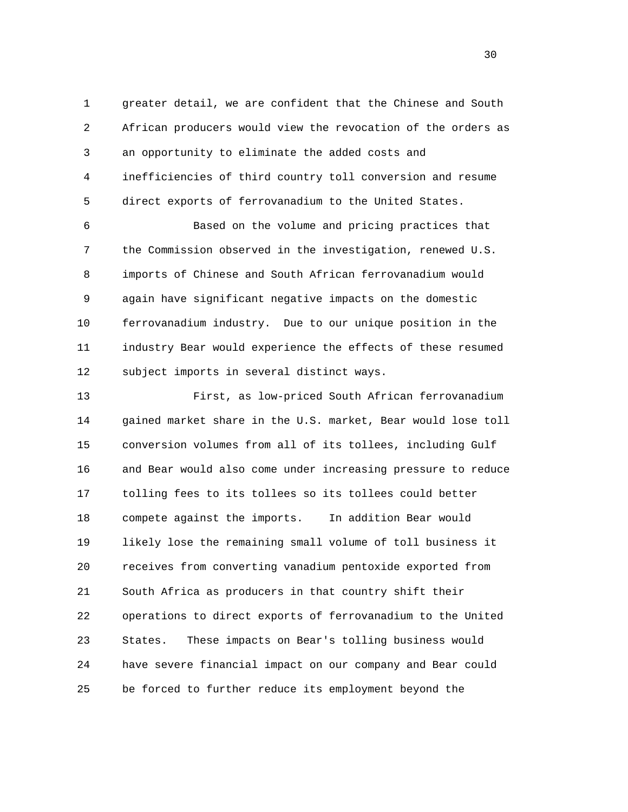1 greater detail, we are confident that the Chinese and South 2 African producers would view the revocation of the orders as 3 an opportunity to eliminate the added costs and 4 inefficiencies of third country toll conversion and resume 5 direct exports of ferrovanadium to the United States.

 6 Based on the volume and pricing practices that 7 the Commission observed in the investigation, renewed U.S. 8 imports of Chinese and South African ferrovanadium would 9 again have significant negative impacts on the domestic 10 ferrovanadium industry. Due to our unique position in the 11 industry Bear would experience the effects of these resumed 12 subject imports in several distinct ways.

 13 First, as low-priced South African ferrovanadium 14 gained market share in the U.S. market, Bear would lose toll 15 conversion volumes from all of its tollees, including Gulf 16 and Bear would also come under increasing pressure to reduce 17 tolling fees to its tollees so its tollees could better 18 compete against the imports. In addition Bear would 19 likely lose the remaining small volume of toll business it 20 receives from converting vanadium pentoxide exported from 21 South Africa as producers in that country shift their 22 operations to direct exports of ferrovanadium to the United 23 States. These impacts on Bear's tolling business would 24 have severe financial impact on our company and Bear could 25 be forced to further reduce its employment beyond the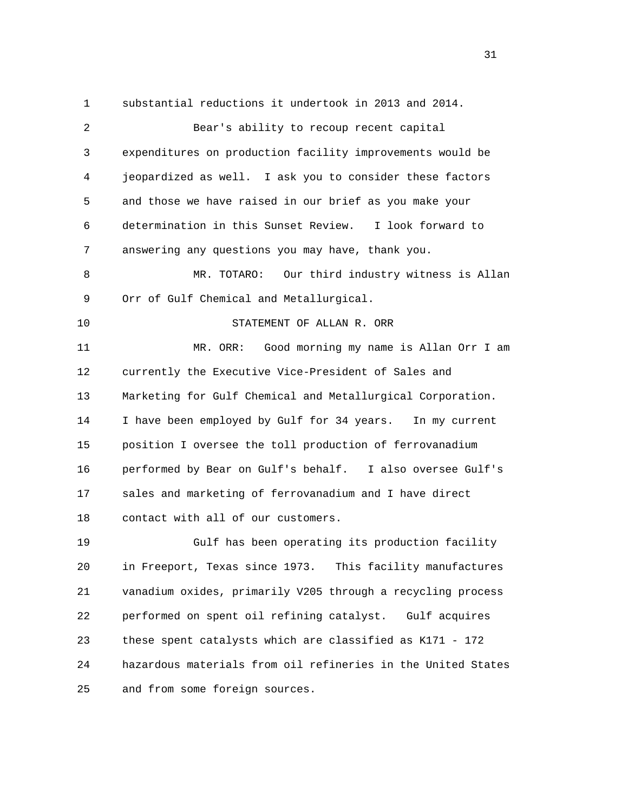1 substantial reductions it undertook in 2013 and 2014. 2 Bear's ability to recoup recent capital 3 expenditures on production facility improvements would be 4 jeopardized as well. I ask you to consider these factors 5 and those we have raised in our brief as you make your 6 determination in this Sunset Review. I look forward to 7 answering any questions you may have, thank you. 8 MR. TOTARO: Our third industry witness is Allan 9 Orr of Gulf Chemical and Metallurgical. 10 STATEMENT OF ALLAN R. ORR 11 MR. ORR: Good morning my name is Allan Orr I am 12 currently the Executive Vice-President of Sales and 13 Marketing for Gulf Chemical and Metallurgical Corporation. 14 I have been employed by Gulf for 34 years. In my current 15 position I oversee the toll production of ferrovanadium 16 performed by Bear on Gulf's behalf. I also oversee Gulf's 17 sales and marketing of ferrovanadium and I have direct 18 contact with all of our customers. 19 Gulf has been operating its production facility 20 in Freeport, Texas since 1973. This facility manufactures 21 vanadium oxides, primarily V205 through a recycling process 22 performed on spent oil refining catalyst. Gulf acquires 23 these spent catalysts which are classified as K171 - 172 24 hazardous materials from oil refineries in the United States 25 and from some foreign sources.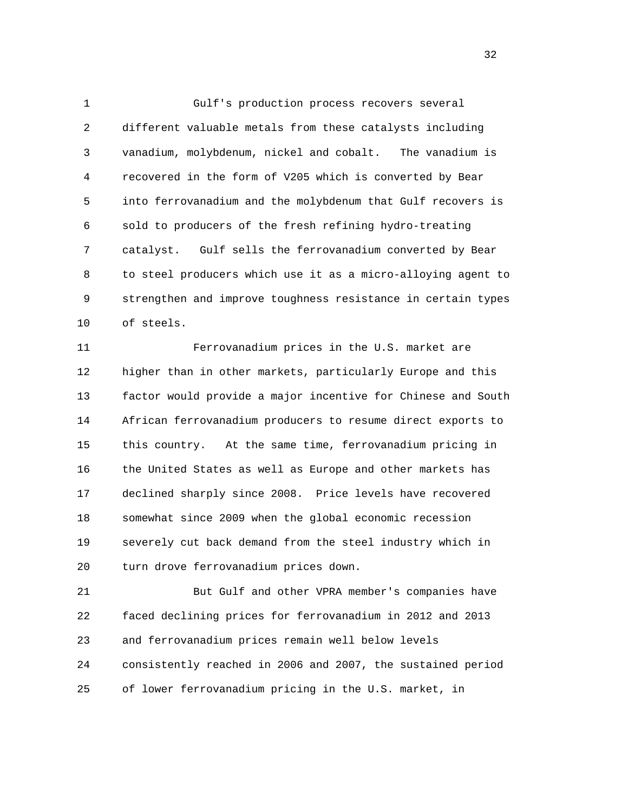1 Gulf's production process recovers several 2 different valuable metals from these catalysts including 3 vanadium, molybdenum, nickel and cobalt. The vanadium is 4 recovered in the form of V205 which is converted by Bear 5 into ferrovanadium and the molybdenum that Gulf recovers is 6 sold to producers of the fresh refining hydro-treating 7 catalyst. Gulf sells the ferrovanadium converted by Bear 8 to steel producers which use it as a micro-alloying agent to 9 strengthen and improve toughness resistance in certain types 10 of steels.

 11 Ferrovanadium prices in the U.S. market are 12 higher than in other markets, particularly Europe and this 13 factor would provide a major incentive for Chinese and South 14 African ferrovanadium producers to resume direct exports to 15 this country. At the same time, ferrovanadium pricing in 16 the United States as well as Europe and other markets has 17 declined sharply since 2008. Price levels have recovered 18 somewhat since 2009 when the global economic recession 19 severely cut back demand from the steel industry which in 20 turn drove ferrovanadium prices down.

 21 But Gulf and other VPRA member's companies have 22 faced declining prices for ferrovanadium in 2012 and 2013 23 and ferrovanadium prices remain well below levels 24 consistently reached in 2006 and 2007, the sustained period 25 of lower ferrovanadium pricing in the U.S. market, in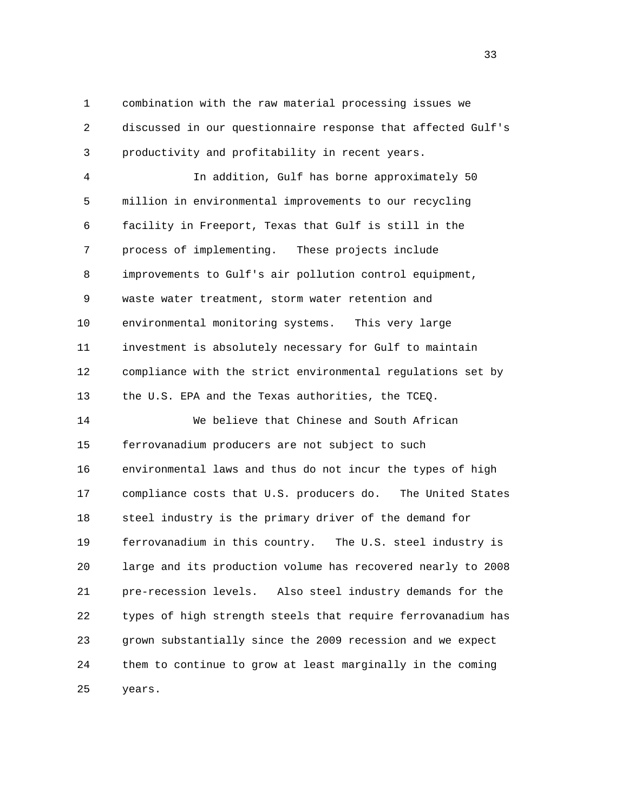1 combination with the raw material processing issues we 2 discussed in our questionnaire response that affected Gulf's 3 productivity and profitability in recent years.

 4 In addition, Gulf has borne approximately 50 5 million in environmental improvements to our recycling 6 facility in Freeport, Texas that Gulf is still in the 7 process of implementing. These projects include 8 improvements to Gulf's air pollution control equipment, 9 waste water treatment, storm water retention and 10 environmental monitoring systems. This very large 11 investment is absolutely necessary for Gulf to maintain 12 compliance with the strict environmental regulations set by 13 the U.S. EPA and the Texas authorities, the TCEQ.

 14 We believe that Chinese and South African 15 ferrovanadium producers are not subject to such 16 environmental laws and thus do not incur the types of high 17 compliance costs that U.S. producers do. The United States 18 steel industry is the primary driver of the demand for 19 ferrovanadium in this country. The U.S. steel industry is 20 large and its production volume has recovered nearly to 2008 21 pre-recession levels. Also steel industry demands for the 22 types of high strength steels that require ferrovanadium has 23 grown substantially since the 2009 recession and we expect 24 them to continue to grow at least marginally in the coming 25 years.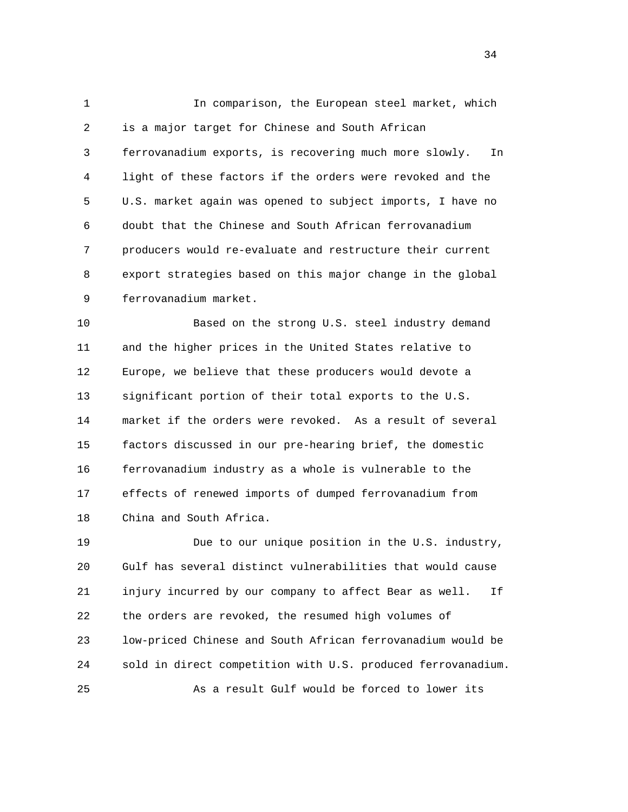1 In comparison, the European steel market, which 2 is a major target for Chinese and South African 3 ferrovanadium exports, is recovering much more slowly. In 4 light of these factors if the orders were revoked and the 5 U.S. market again was opened to subject imports, I have no 6 doubt that the Chinese and South African ferrovanadium 7 producers would re-evaluate and restructure their current 8 export strategies based on this major change in the global 9 ferrovanadium market.

 10 Based on the strong U.S. steel industry demand 11 and the higher prices in the United States relative to 12 Europe, we believe that these producers would devote a 13 significant portion of their total exports to the U.S. 14 market if the orders were revoked. As a result of several 15 factors discussed in our pre-hearing brief, the domestic 16 ferrovanadium industry as a whole is vulnerable to the 17 effects of renewed imports of dumped ferrovanadium from 18 China and South Africa.

 19 Due to our unique position in the U.S. industry, 20 Gulf has several distinct vulnerabilities that would cause 21 injury incurred by our company to affect Bear as well. If 22 the orders are revoked, the resumed high volumes of 23 low-priced Chinese and South African ferrovanadium would be 24 sold in direct competition with U.S. produced ferrovanadium. 25 As a result Gulf would be forced to lower its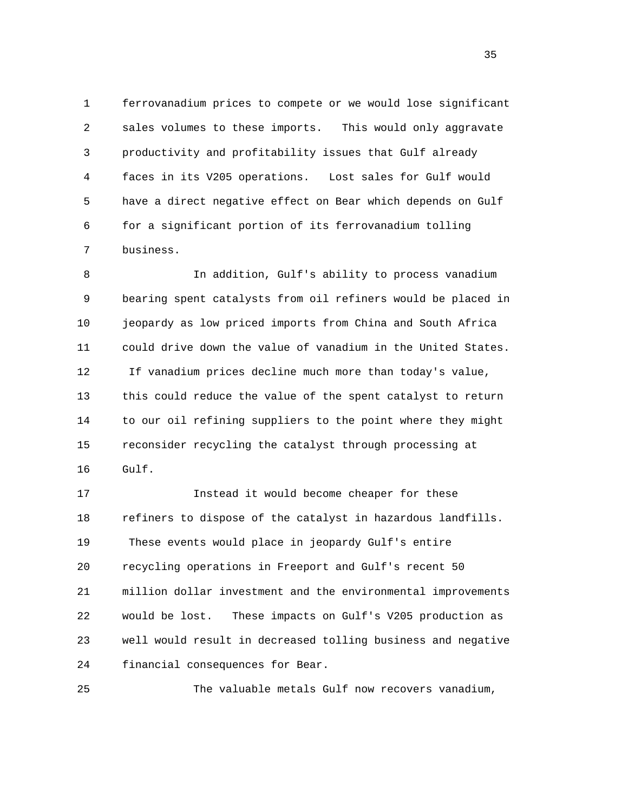1 ferrovanadium prices to compete or we would lose significant 2 sales volumes to these imports. This would only aggravate 3 productivity and profitability issues that Gulf already 4 faces in its V205 operations. Lost sales for Gulf would 5 have a direct negative effect on Bear which depends on Gulf 6 for a significant portion of its ferrovanadium tolling 7 business.

 8 In addition, Gulf's ability to process vanadium 9 bearing spent catalysts from oil refiners would be placed in 10 jeopardy as low priced imports from China and South Africa 11 could drive down the value of vanadium in the United States. 12 If vanadium prices decline much more than today's value, 13 this could reduce the value of the spent catalyst to return 14 to our oil refining suppliers to the point where they might 15 reconsider recycling the catalyst through processing at 16 Gulf.

 17 Instead it would become cheaper for these 18 refiners to dispose of the catalyst in hazardous landfills. 19 These events would place in jeopardy Gulf's entire 20 recycling operations in Freeport and Gulf's recent 50 21 million dollar investment and the environmental improvements 22 would be lost. These impacts on Gulf's V205 production as 23 well would result in decreased tolling business and negative 24 financial consequences for Bear.

25 The valuable metals Gulf now recovers vanadium,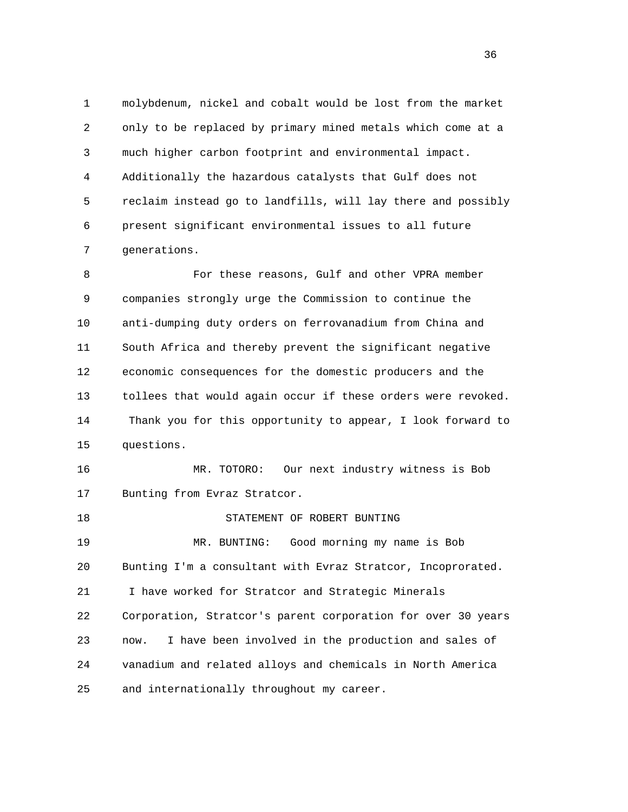1 molybdenum, nickel and cobalt would be lost from the market 2 only to be replaced by primary mined metals which come at a 3 much higher carbon footprint and environmental impact. 4 Additionally the hazardous catalysts that Gulf does not 5 reclaim instead go to landfills, will lay there and possibly 6 present significant environmental issues to all future 7 generations.

8 For these reasons, Gulf and other VPRA member 9 companies strongly urge the Commission to continue the 10 anti-dumping duty orders on ferrovanadium from China and 11 South Africa and thereby prevent the significant negative 12 economic consequences for the domestic producers and the 13 tollees that would again occur if these orders were revoked. 14 Thank you for this opportunity to appear, I look forward to 15 questions.

 16 MR. TOTORO: Our next industry witness is Bob 17 Bunting from Evraz Stratcor.

 18 STATEMENT OF ROBERT BUNTING 19 MR. BUNTING: Good morning my name is Bob 20 Bunting I'm a consultant with Evraz Stratcor, Incoprorated. 21 I have worked for Stratcor and Strategic Minerals 22 Corporation, Stratcor's parent corporation for over 30 years 23 now. I have been involved in the production and sales of

 24 vanadium and related alloys and chemicals in North America 25 and internationally throughout my career.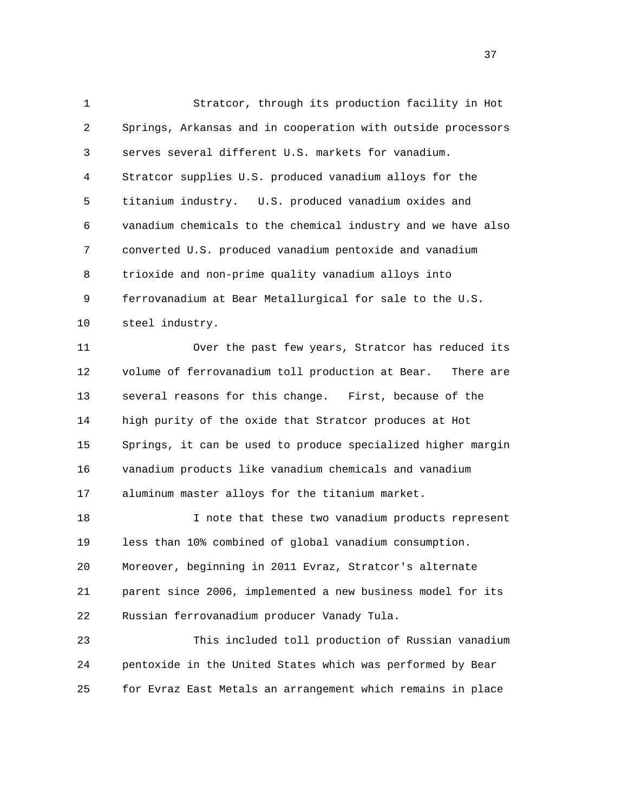1 Stratcor, through its production facility in Hot 2 Springs, Arkansas and in cooperation with outside processors 3 serves several different U.S. markets for vanadium. 4 Stratcor supplies U.S. produced vanadium alloys for the 5 titanium industry. U.S. produced vanadium oxides and 6 vanadium chemicals to the chemical industry and we have also 7 converted U.S. produced vanadium pentoxide and vanadium 8 trioxide and non-prime quality vanadium alloys into 9 ferrovanadium at Bear Metallurgical for sale to the U.S. 10 steel industry. 11 Over the past few years, Stratcor has reduced its 12 volume of ferrovanadium toll production at Bear. There are 13 several reasons for this change. First, because of the 14 high purity of the oxide that Stratcor produces at Hot 15 Springs, it can be used to produce specialized higher margin 16 vanadium products like vanadium chemicals and vanadium 17 aluminum master alloys for the titanium market. 18 I note that these two vanadium products represent 19 less than 10% combined of global vanadium consumption. 20 Moreover, beginning in 2011 Evraz, Stratcor's alternate 21 parent since 2006, implemented a new business model for its 22 Russian ferrovanadium producer Vanady Tula.

 23 This included toll production of Russian vanadium 24 pentoxide in the United States which was performed by Bear 25 for Evraz East Metals an arrangement which remains in place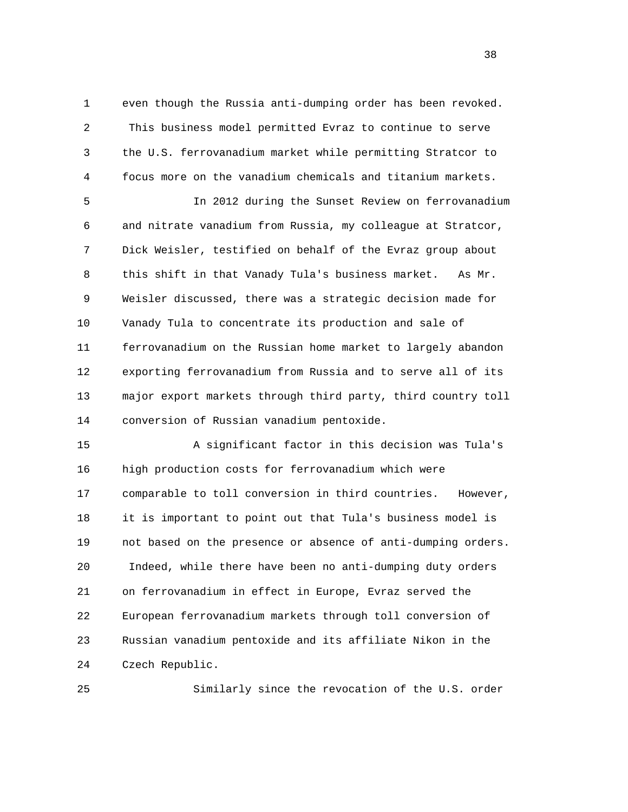1 even though the Russia anti-dumping order has been revoked. 2 This business model permitted Evraz to continue to serve 3 the U.S. ferrovanadium market while permitting Stratcor to 4 focus more on the vanadium chemicals and titanium markets.

 5 In 2012 during the Sunset Review on ferrovanadium 6 and nitrate vanadium from Russia, my colleague at Stratcor, 7 Dick Weisler, testified on behalf of the Evraz group about 8 this shift in that Vanady Tula's business market. As Mr. 9 Weisler discussed, there was a strategic decision made for 10 Vanady Tula to concentrate its production and sale of 11 ferrovanadium on the Russian home market to largely abandon 12 exporting ferrovanadium from Russia and to serve all of its 13 major export markets through third party, third country toll 14 conversion of Russian vanadium pentoxide.

 15 A significant factor in this decision was Tula's 16 high production costs for ferrovanadium which were 17 comparable to toll conversion in third countries. However, 18 it is important to point out that Tula's business model is 19 not based on the presence or absence of anti-dumping orders. 20 Indeed, while there have been no anti-dumping duty orders 21 on ferrovanadium in effect in Europe, Evraz served the 22 European ferrovanadium markets through toll conversion of 23 Russian vanadium pentoxide and its affiliate Nikon in the 24 Czech Republic.

25 Similarly since the revocation of the U.S. order

and the state of the state of the state of the state of the state of the state of the state of the state of the state of the state of the state of the state of the state of the state of the state of the state of the state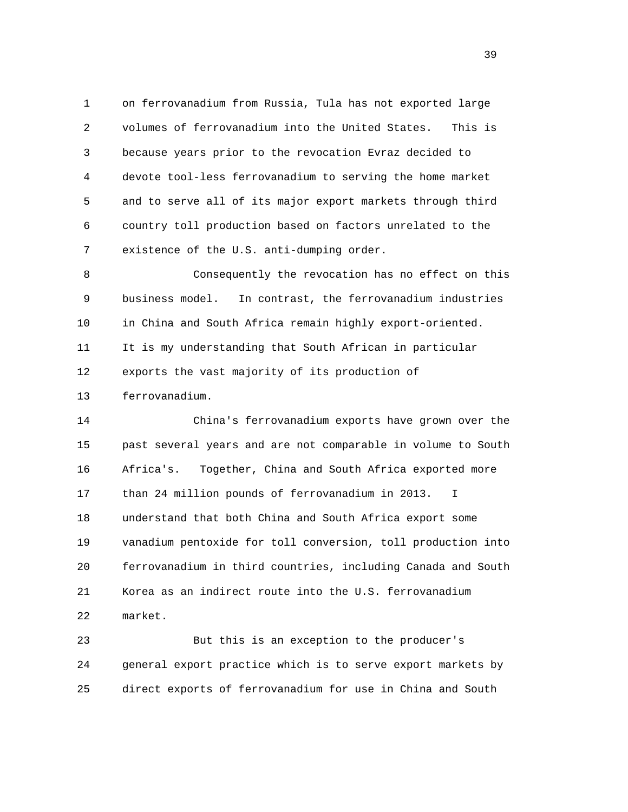1 on ferrovanadium from Russia, Tula has not exported large 2 volumes of ferrovanadium into the United States. This is 3 because years prior to the revocation Evraz decided to 4 devote tool-less ferrovanadium to serving the home market 5 and to serve all of its major export markets through third 6 country toll production based on factors unrelated to the 7 existence of the U.S. anti-dumping order.

 8 Consequently the revocation has no effect on this 9 business model. In contrast, the ferrovanadium industries 10 in China and South Africa remain highly export-oriented. 11 It is my understanding that South African in particular 12 exports the vast majority of its production of 13 ferrovanadium.

 14 China's ferrovanadium exports have grown over the 15 past several years and are not comparable in volume to South 16 Africa's. Together, China and South Africa exported more 17 than 24 million pounds of ferrovanadium in 2013. I 18 understand that both China and South Africa export some 19 vanadium pentoxide for toll conversion, toll production into 20 ferrovanadium in third countries, including Canada and South 21 Korea as an indirect route into the U.S. ferrovanadium 22 market.

 23 But this is an exception to the producer's 24 general export practice which is to serve export markets by 25 direct exports of ferrovanadium for use in China and South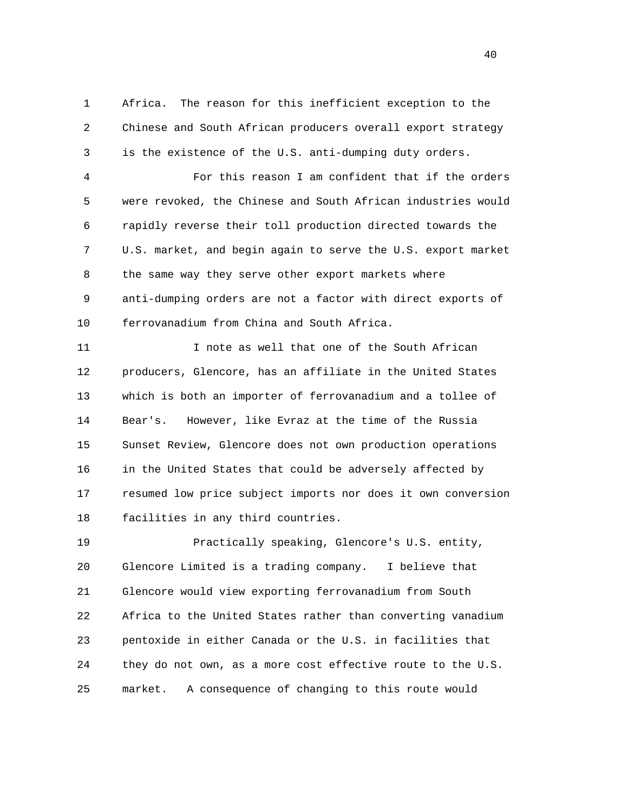1 Africa. The reason for this inefficient exception to the 2 Chinese and South African producers overall export strategy 3 is the existence of the U.S. anti-dumping duty orders.

 4 For this reason I am confident that if the orders 5 were revoked, the Chinese and South African industries would 6 rapidly reverse their toll production directed towards the 7 U.S. market, and begin again to serve the U.S. export market 8 the same way they serve other export markets where 9 anti-dumping orders are not a factor with direct exports of 10 ferrovanadium from China and South Africa.

11 11 I note as well that one of the South African 12 producers, Glencore, has an affiliate in the United States 13 which is both an importer of ferrovanadium and a tollee of 14 Bear's. However, like Evraz at the time of the Russia 15 Sunset Review, Glencore does not own production operations 16 in the United States that could be adversely affected by 17 resumed low price subject imports nor does it own conversion 18 facilities in any third countries.

 19 Practically speaking, Glencore's U.S. entity, 20 Glencore Limited is a trading company. I believe that 21 Glencore would view exporting ferrovanadium from South 22 Africa to the United States rather than converting vanadium 23 pentoxide in either Canada or the U.S. in facilities that 24 they do not own, as a more cost effective route to the U.S. 25 market. A consequence of changing to this route would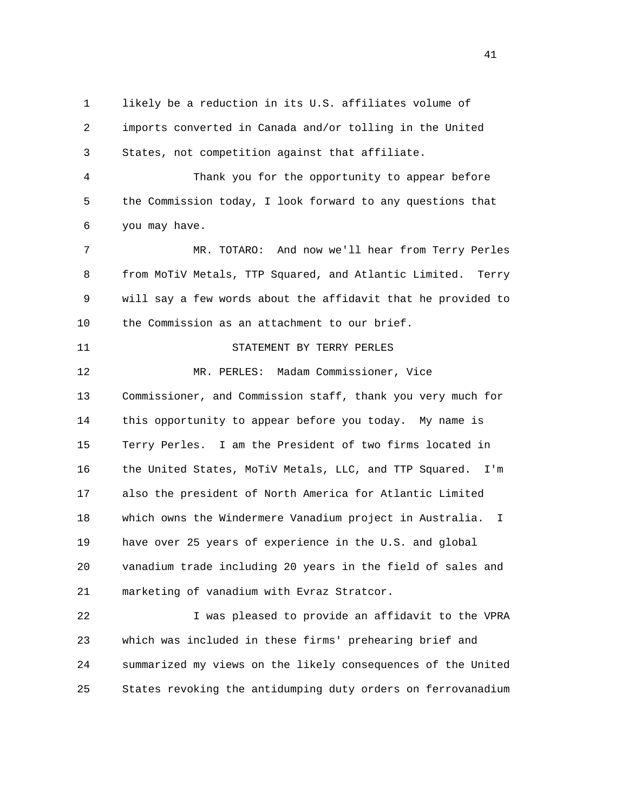1 likely be a reduction in its U.S. affiliates volume of 2 imports converted in Canada and/or tolling in the United 3 States, not competition against that affiliate.

 4 Thank you for the opportunity to appear before 5 the Commission today, I look forward to any questions that 6 you may have.

 7 MR. TOTARO: And now we'll hear from Terry Perles 8 from MoTiV Metals, TTP Squared, and Atlantic Limited. Terry 9 will say a few words about the affidavit that he provided to 10 the Commission as an attachment to our brief.

11 STATEMENT BY TERRY PERLES

 12 MR. PERLES: Madam Commissioner, Vice 13 Commissioner, and Commission staff, thank you very much for 14 this opportunity to appear before you today. My name is 15 Terry Perles. I am the President of two firms located in 16 the United States, MoTiV Metals, LLC, and TTP Squared. I'm 17 also the president of North America for Atlantic Limited 18 which owns the Windermere Vanadium project in Australia. I 19 have over 25 years of experience in the U.S. and global 20 vanadium trade including 20 years in the field of sales and 21 marketing of vanadium with Evraz Stratcor.

 22 I was pleased to provide an affidavit to the VPRA 23 which was included in these firms' prehearing brief and 24 summarized my views on the likely consequences of the United 25 States revoking the antidumping duty orders on ferrovanadium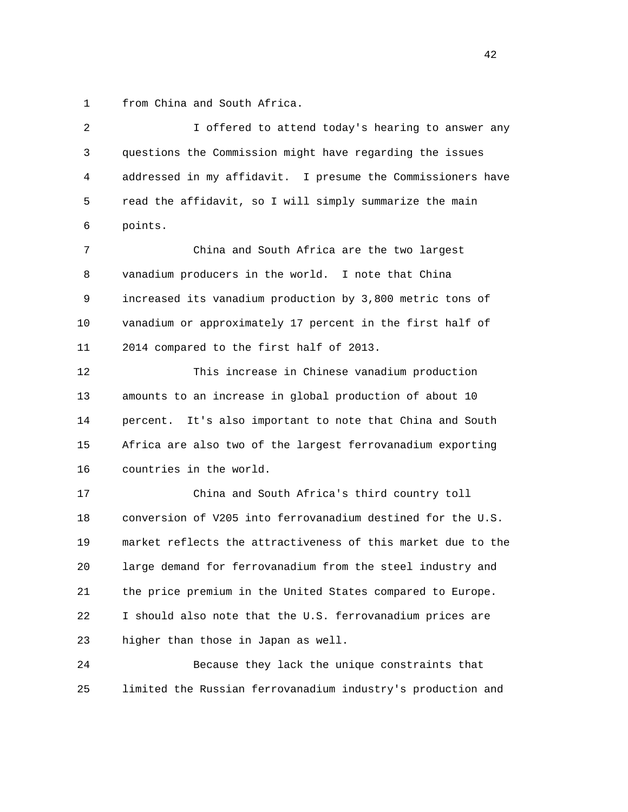1 from China and South Africa.

 2 I offered to attend today's hearing to answer any 3 questions the Commission might have regarding the issues 4 addressed in my affidavit. I presume the Commissioners have 5 read the affidavit, so I will simply summarize the main 6 points. 7 China and South Africa are the two largest 8 vanadium producers in the world. I note that China 9 increased its vanadium production by 3,800 metric tons of 10 vanadium or approximately 17 percent in the first half of 11 2014 compared to the first half of 2013. 12 This increase in Chinese vanadium production 13 amounts to an increase in global production of about 10

 14 percent. It's also important to note that China and South 15 Africa are also two of the largest ferrovanadium exporting 16 countries in the world.

 17 China and South Africa's third country toll 18 conversion of V205 into ferrovanadium destined for the U.S. 19 market reflects the attractiveness of this market due to the 20 large demand for ferrovanadium from the steel industry and 21 the price premium in the United States compared to Europe. 22 I should also note that the U.S. ferrovanadium prices are 23 higher than those in Japan as well.

 24 Because they lack the unique constraints that 25 limited the Russian ferrovanadium industry's production and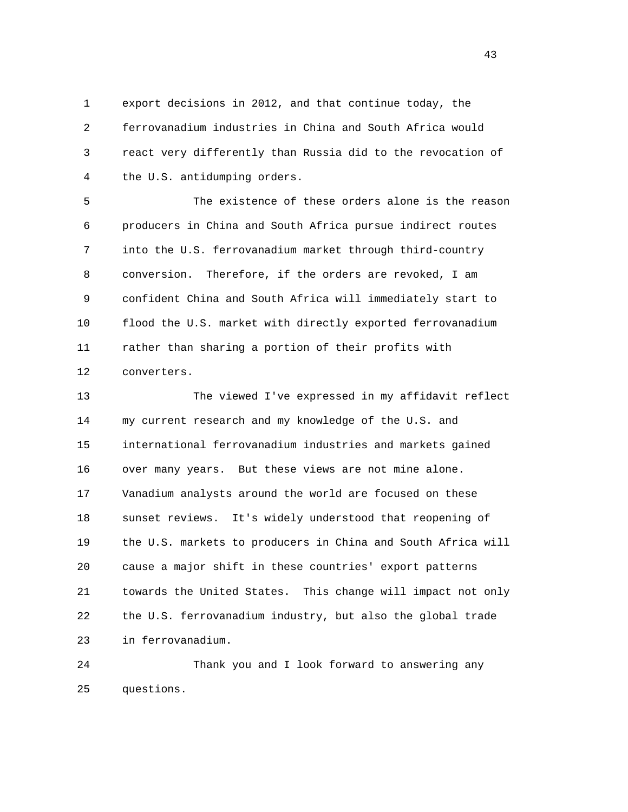1 export decisions in 2012, and that continue today, the 2 ferrovanadium industries in China and South Africa would 3 react very differently than Russia did to the revocation of 4 the U.S. antidumping orders.

 5 The existence of these orders alone is the reason 6 producers in China and South Africa pursue indirect routes 7 into the U.S. ferrovanadium market through third-country 8 conversion. Therefore, if the orders are revoked, I am 9 confident China and South Africa will immediately start to 10 flood the U.S. market with directly exported ferrovanadium 11 rather than sharing a portion of their profits with 12 converters.

 13 The viewed I've expressed in my affidavit reflect 14 my current research and my knowledge of the U.S. and 15 international ferrovanadium industries and markets gained 16 over many years. But these views are not mine alone. 17 Vanadium analysts around the world are focused on these 18 sunset reviews. It's widely understood that reopening of 19 the U.S. markets to producers in China and South Africa will 20 cause a major shift in these countries' export patterns 21 towards the United States. This change will impact not only 22 the U.S. ferrovanadium industry, but also the global trade 23 in ferrovanadium.

 24 Thank you and I look forward to answering any 25 questions.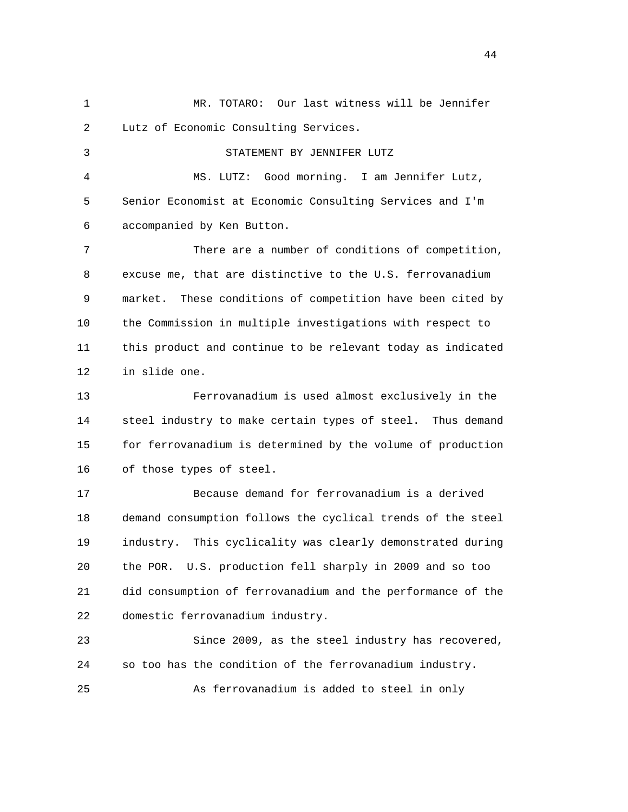1 MR. TOTARO: Our last witness will be Jennifer 2 Lutz of Economic Consulting Services. 3 STATEMENT BY JENNIFER LUTZ 4 MS. LUTZ: Good morning. I am Jennifer Lutz, 5 Senior Economist at Economic Consulting Services and I'm 6 accompanied by Ken Button. 7 There are a number of conditions of competition, 8 excuse me, that are distinctive to the U.S. ferrovanadium 9 market. These conditions of competition have been cited by 10 the Commission in multiple investigations with respect to 11 this product and continue to be relevant today as indicated 12 in slide one. 13 Ferrovanadium is used almost exclusively in the 14 steel industry to make certain types of steel. Thus demand 15 for ferrovanadium is determined by the volume of production 16 of those types of steel. 17 Because demand for ferrovanadium is a derived 18 demand consumption follows the cyclical trends of the steel 19 industry. This cyclicality was clearly demonstrated during 20 the POR. U.S. production fell sharply in 2009 and so too 21 did consumption of ferrovanadium and the performance of the 22 domestic ferrovanadium industry. 23 Since 2009, as the steel industry has recovered, 24 so too has the condition of the ferrovanadium industry. 25 As ferrovanadium is added to steel in only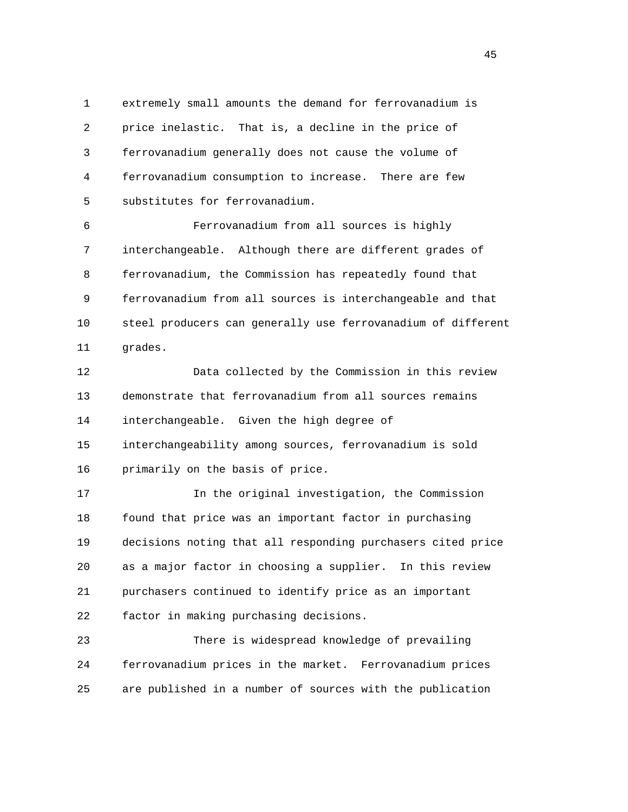1 extremely small amounts the demand for ferrovanadium is 2 price inelastic. That is, a decline in the price of 3 ferrovanadium generally does not cause the volume of 4 ferrovanadium consumption to increase. There are few 5 substitutes for ferrovanadium.

 6 Ferrovanadium from all sources is highly 7 interchangeable. Although there are different grades of 8 ferrovanadium, the Commission has repeatedly found that 9 ferrovanadium from all sources is interchangeable and that 10 steel producers can generally use ferrovanadium of different 11 grades.

 12 Data collected by the Commission in this review 13 demonstrate that ferrovanadium from all sources remains 14 interchangeable. Given the high degree of 15 interchangeability among sources, ferrovanadium is sold 16 primarily on the basis of price.

17 In the original investigation, the Commission

 18 found that price was an important factor in purchasing 19 decisions noting that all responding purchasers cited price 20 as a major factor in choosing a supplier. In this review 21 purchasers continued to identify price as an important 22 factor in making purchasing decisions.

 23 There is widespread knowledge of prevailing 24 ferrovanadium prices in the market. Ferrovanadium prices 25 are published in a number of sources with the publication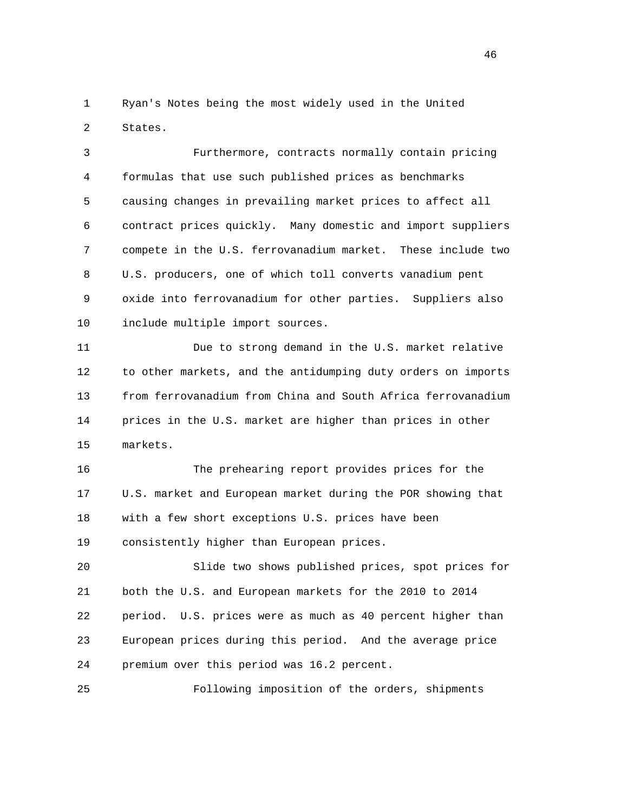1 Ryan's Notes being the most widely used in the United 2 States.

 3 Furthermore, contracts normally contain pricing 4 formulas that use such published prices as benchmarks 5 causing changes in prevailing market prices to affect all 6 contract prices quickly. Many domestic and import suppliers 7 compete in the U.S. ferrovanadium market. These include two 8 U.S. producers, one of which toll converts vanadium pent 9 oxide into ferrovanadium for other parties. Suppliers also 10 include multiple import sources.

 11 Due to strong demand in the U.S. market relative 12 to other markets, and the antidumping duty orders on imports 13 from ferrovanadium from China and South Africa ferrovanadium 14 prices in the U.S. market are higher than prices in other 15 markets.

 16 The prehearing report provides prices for the 17 U.S. market and European market during the POR showing that 18 with a few short exceptions U.S. prices have been 19 consistently higher than European prices.

 20 Slide two shows published prices, spot prices for 21 both the U.S. and European markets for the 2010 to 2014 22 period. U.S. prices were as much as 40 percent higher than 23 European prices during this period. And the average price 24 premium over this period was 16.2 percent.

25 Following imposition of the orders, shipments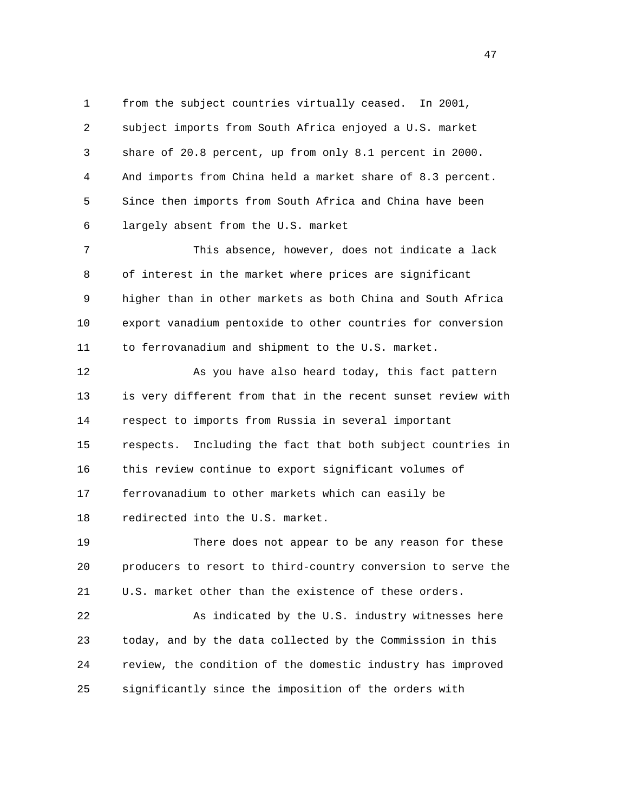1 from the subject countries virtually ceased. In 2001, 2 subject imports from South Africa enjoyed a U.S. market 3 share of 20.8 percent, up from only 8.1 percent in 2000. 4 And imports from China held a market share of 8.3 percent. 5 Since then imports from South Africa and China have been 6 largely absent from the U.S. market

 7 This absence, however, does not indicate a lack 8 of interest in the market where prices are significant 9 higher than in other markets as both China and South Africa 10 export vanadium pentoxide to other countries for conversion 11 to ferrovanadium and shipment to the U.S. market.

 12 As you have also heard today, this fact pattern 13 is very different from that in the recent sunset review with 14 respect to imports from Russia in several important 15 respects. Including the fact that both subject countries in 16 this review continue to export significant volumes of 17 ferrovanadium to other markets which can easily be 18 redirected into the U.S. market.

 19 There does not appear to be any reason for these 20 producers to resort to third-country conversion to serve the 21 U.S. market other than the existence of these orders.

 22 As indicated by the U.S. industry witnesses here 23 today, and by the data collected by the Commission in this 24 review, the condition of the domestic industry has improved 25 significantly since the imposition of the orders with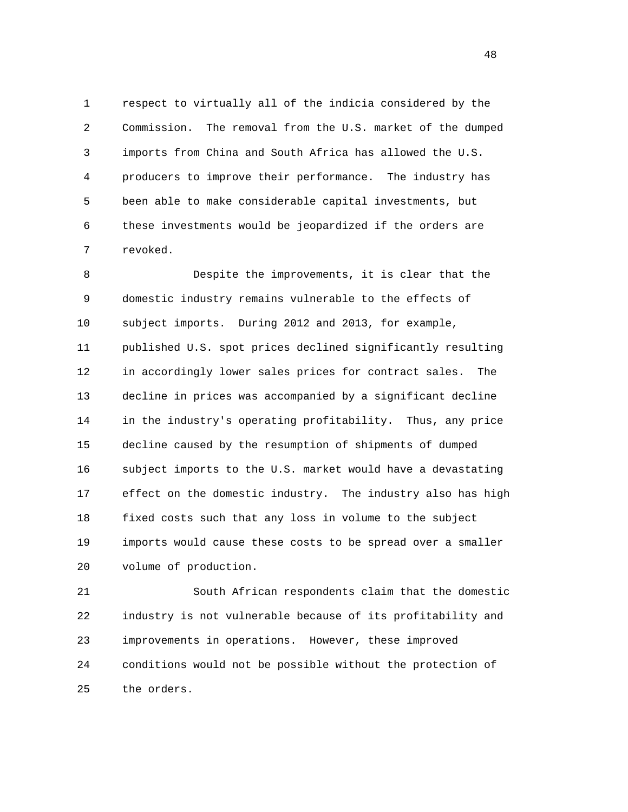1 respect to virtually all of the indicia considered by the 2 Commission. The removal from the U.S. market of the dumped 3 imports from China and South Africa has allowed the U.S. 4 producers to improve their performance. The industry has 5 been able to make considerable capital investments, but 6 these investments would be jeopardized if the orders are 7 revoked.

 8 Despite the improvements, it is clear that the 9 domestic industry remains vulnerable to the effects of 10 subject imports. During 2012 and 2013, for example, 11 published U.S. spot prices declined significantly resulting 12 in accordingly lower sales prices for contract sales. The 13 decline in prices was accompanied by a significant decline 14 in the industry's operating profitability. Thus, any price 15 decline caused by the resumption of shipments of dumped 16 subject imports to the U.S. market would have a devastating 17 effect on the domestic industry. The industry also has high 18 fixed costs such that any loss in volume to the subject 19 imports would cause these costs to be spread over a smaller 20 volume of production.

 21 South African respondents claim that the domestic 22 industry is not vulnerable because of its profitability and 23 improvements in operations. However, these improved 24 conditions would not be possible without the protection of 25 the orders.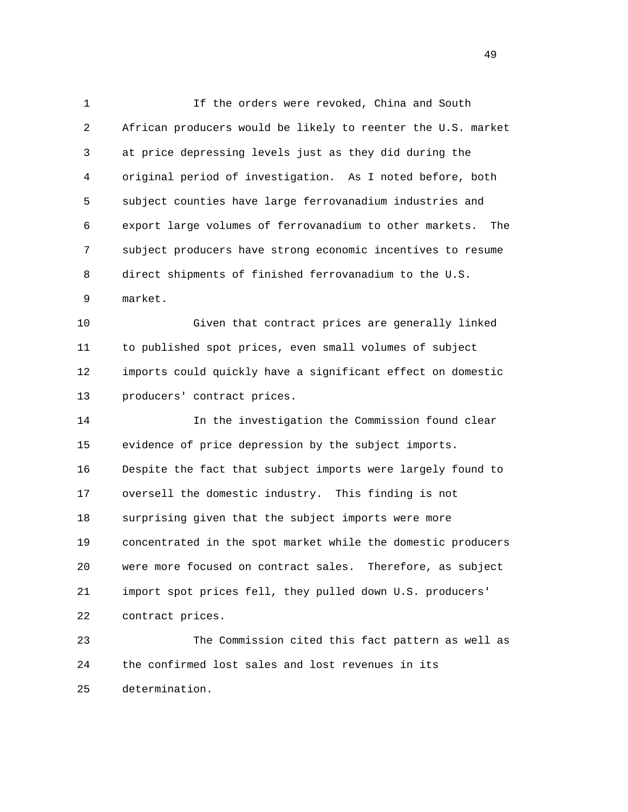1 If the orders were revoked, China and South 2 African producers would be likely to reenter the U.S. market 3 at price depressing levels just as they did during the 4 original period of investigation. As I noted before, both 5 subject counties have large ferrovanadium industries and 6 export large volumes of ferrovanadium to other markets. The 7 subject producers have strong economic incentives to resume 8 direct shipments of finished ferrovanadium to the U.S. 9 market.

 10 Given that contract prices are generally linked 11 to published spot prices, even small volumes of subject 12 imports could quickly have a significant effect on domestic 13 producers' contract prices.

 14 In the investigation the Commission found clear 15 evidence of price depression by the subject imports. 16 Despite the fact that subject imports were largely found to 17 oversell the domestic industry. This finding is not 18 surprising given that the subject imports were more 19 concentrated in the spot market while the domestic producers 20 were more focused on contract sales. Therefore, as subject 21 import spot prices fell, they pulled down U.S. producers' 22 contract prices.

 23 The Commission cited this fact pattern as well as 24 the confirmed lost sales and lost revenues in its 25 determination.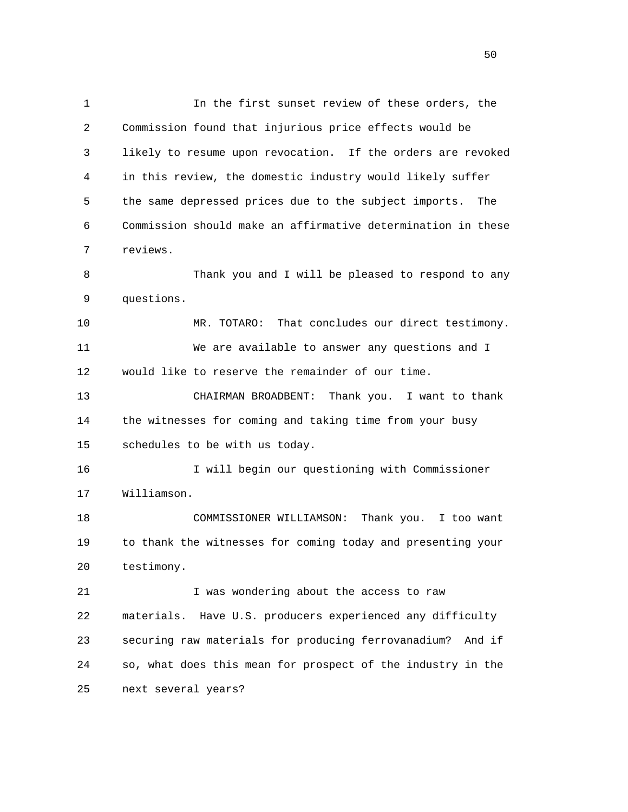1 In the first sunset review of these orders, the 2 Commission found that injurious price effects would be 3 likely to resume upon revocation. If the orders are revoked 4 in this review, the domestic industry would likely suffer 5 the same depressed prices due to the subject imports. The 6 Commission should make an affirmative determination in these 7 reviews. 8 Thank you and I will be pleased to respond to any 9 questions. 10 MR. TOTARO: That concludes our direct testimony. 11 We are available to answer any questions and I 12 would like to reserve the remainder of our time. 13 CHAIRMAN BROADBENT: Thank you. I want to thank 14 the witnesses for coming and taking time from your busy 15 schedules to be with us today. 16 I will begin our questioning with Commissioner 17 Williamson. 18 COMMISSIONER WILLIAMSON: Thank you. I too want 19 to thank the witnesses for coming today and presenting your 20 testimony. 21 I was wondering about the access to raw 22 materials. Have U.S. producers experienced any difficulty 23 securing raw materials for producing ferrovanadium? And if 24 so, what does this mean for prospect of the industry in the 25 next several years?

 $50<sub>50</sub>$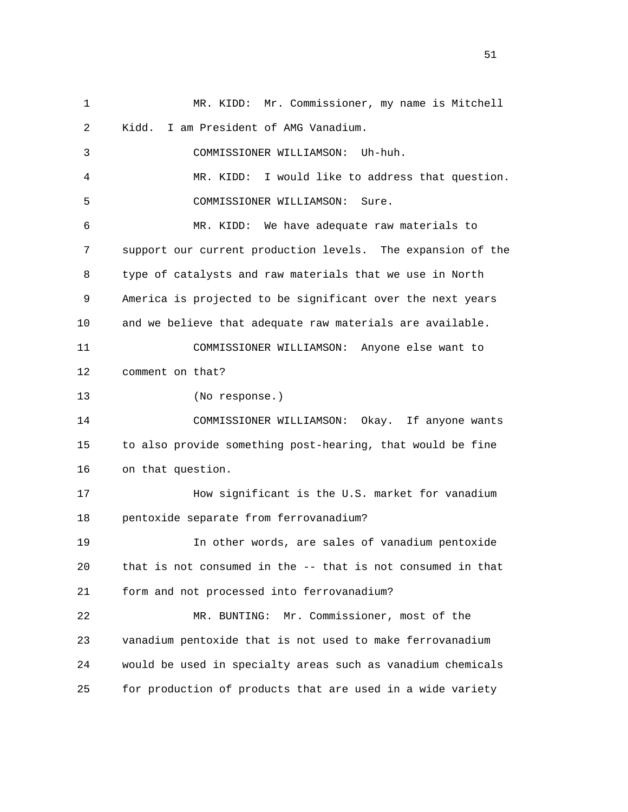1 MR. KIDD: Mr. Commissioner, my name is Mitchell 2 Kidd. I am President of AMG Vanadium. 3 COMMISSIONER WILLIAMSON: Uh-huh. 4 MR. KIDD: I would like to address that question. 5 COMMISSIONER WILLIAMSON: Sure. 6 MR. KIDD: We have adequate raw materials to 7 support our current production levels. The expansion of the 8 type of catalysts and raw materials that we use in North 9 America is projected to be significant over the next years 10 and we believe that adequate raw materials are available. 11 COMMISSIONER WILLIAMSON: Anyone else want to 12 comment on that? 13 (No response.) 14 COMMISSIONER WILLIAMSON: Okay. If anyone wants 15 to also provide something post-hearing, that would be fine 16 on that question. 17 How significant is the U.S. market for vanadium 18 pentoxide separate from ferrovanadium? 19 In other words, are sales of vanadium pentoxide 20 that is not consumed in the -- that is not consumed in that 21 form and not processed into ferrovanadium? 22 MR. BUNTING: Mr. Commissioner, most of the 23 vanadium pentoxide that is not used to make ferrovanadium 24 would be used in specialty areas such as vanadium chemicals 25 for production of products that are used in a wide variety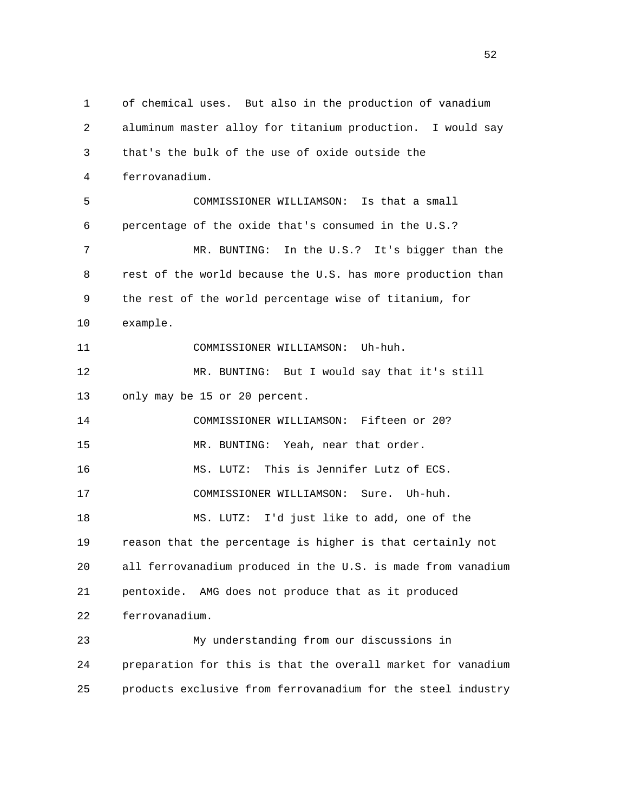1 of chemical uses. But also in the production of vanadium 2 aluminum master alloy for titanium production. I would say 3 that's the bulk of the use of oxide outside the 4 ferrovanadium. 5 COMMISSIONER WILLIAMSON: Is that a small 6 percentage of the oxide that's consumed in the U.S.? 7 MR. BUNTING: In the U.S.? It's bigger than the 8 rest of the world because the U.S. has more production than 9 the rest of the world percentage wise of titanium, for 10 example. 11 COMMISSIONER WILLIAMSON: Uh-huh. 12 MR. BUNTING: But I would say that it's still 13 only may be 15 or 20 percent. 14 COMMISSIONER WILLIAMSON: Fifteen or 20? 15 MR. BUNTING: Yeah, near that order. 16 MS. LUTZ: This is Jennifer Lutz of ECS. 17 COMMISSIONER WILLIAMSON: Sure. Uh-huh. 18 MS. LUTZ: I'd just like to add, one of the 19 reason that the percentage is higher is that certainly not 20 all ferrovanadium produced in the U.S. is made from vanadium 21 pentoxide. AMG does not produce that as it produced 22 ferrovanadium. 23 My understanding from our discussions in 24 preparation for this is that the overall market for vanadium 25 products exclusive from ferrovanadium for the steel industry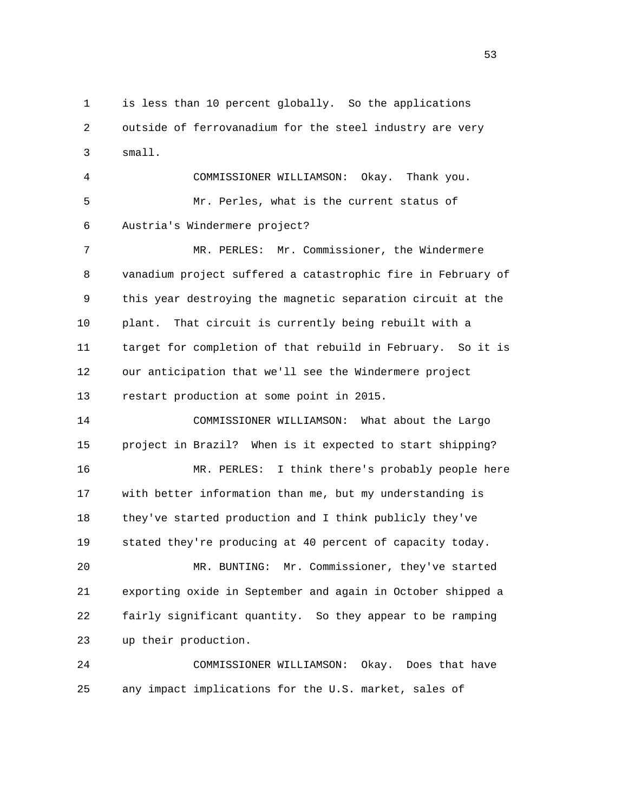1 is less than 10 percent globally. So the applications 2 outside of ferrovanadium for the steel industry are very 3 small.

 4 COMMISSIONER WILLIAMSON: Okay. Thank you. 5 Mr. Perles, what is the current status of 6 Austria's Windermere project?

 7 MR. PERLES: Mr. Commissioner, the Windermere 8 vanadium project suffered a catastrophic fire in February of 9 this year destroying the magnetic separation circuit at the 10 plant. That circuit is currently being rebuilt with a 11 target for completion of that rebuild in February. So it is 12 our anticipation that we'll see the Windermere project 13 restart production at some point in 2015.

 14 COMMISSIONER WILLIAMSON: What about the Largo 15 project in Brazil? When is it expected to start shipping? 16 MR. PERLES: I think there's probably people here 17 with better information than me, but my understanding is 18 they've started production and I think publicly they've 19 stated they're producing at 40 percent of capacity today.

 20 MR. BUNTING: Mr. Commissioner, they've started 21 exporting oxide in September and again in October shipped a 22 fairly significant quantity. So they appear to be ramping 23 up their production.

 24 COMMISSIONER WILLIAMSON: Okay. Does that have 25 any impact implications for the U.S. market, sales of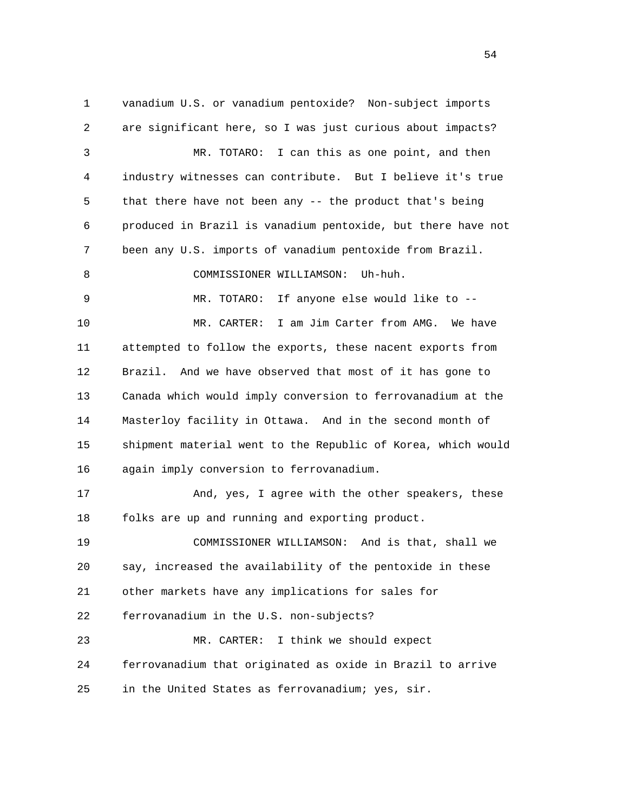1 vanadium U.S. or vanadium pentoxide? Non-subject imports 2 are significant here, so I was just curious about impacts? 3 MR. TOTARO: I can this as one point, and then 4 industry witnesses can contribute. But I believe it's true 5 that there have not been any -- the product that's being 6 produced in Brazil is vanadium pentoxide, but there have not 7 been any U.S. imports of vanadium pentoxide from Brazil. 8 COMMISSIONER WILLIAMSON: Uh-huh. 9 MR. TOTARO: If anyone else would like to -- 10 MR. CARTER: I am Jim Carter from AMG. We have 11 attempted to follow the exports, these nacent exports from 12 Brazil. And we have observed that most of it has gone to 13 Canada which would imply conversion to ferrovanadium at the 14 Masterloy facility in Ottawa. And in the second month of 15 shipment material went to the Republic of Korea, which would 16 again imply conversion to ferrovanadium. 17 And, yes, I agree with the other speakers, these 18 folks are up and running and exporting product. 19 COMMISSIONER WILLIAMSON: And is that, shall we 20 say, increased the availability of the pentoxide in these 21 other markets have any implications for sales for 22 ferrovanadium in the U.S. non-subjects? 23 MR. CARTER: I think we should expect 24 ferrovanadium that originated as oxide in Brazil to arrive 25 in the United States as ferrovanadium; yes, sir.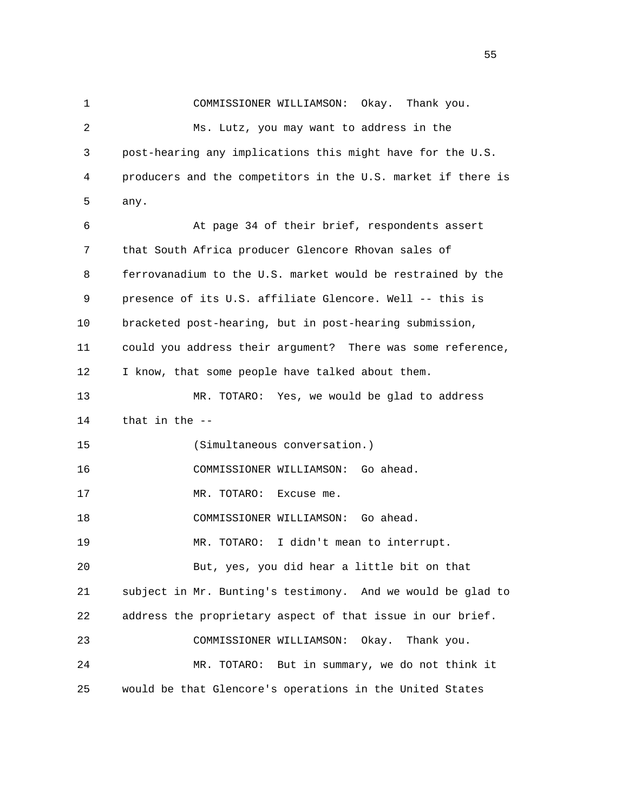1 COMMISSIONER WILLIAMSON: Okay. Thank you. 2 Ms. Lutz, you may want to address in the 3 post-hearing any implications this might have for the U.S. 4 producers and the competitors in the U.S. market if there is 5 any. 6 At page 34 of their brief, respondents assert 7 that South Africa producer Glencore Rhovan sales of 8 ferrovanadium to the U.S. market would be restrained by the 9 presence of its U.S. affiliate Glencore. Well -- this is 10 bracketed post-hearing, but in post-hearing submission, 11 could you address their argument? There was some reference, 12 I know, that some people have talked about them. 13 MR. TOTARO: Yes, we would be glad to address 14 that in the -- 15 (Simultaneous conversation.) 16 COMMISSIONER WILLIAMSON: Go ahead. 17 MR. TOTARO: Excuse me. 18 COMMISSIONER WILLIAMSON: Go ahead. 19 MR. TOTARO: I didn't mean to interrupt. 20 But, yes, you did hear a little bit on that 21 subject in Mr. Bunting's testimony. And we would be glad to 22 address the proprietary aspect of that issue in our brief. 23 COMMISSIONER WILLIAMSON: Okay. Thank you. 24 MR. TOTARO: But in summary, we do not think it 25 would be that Glencore's operations in the United States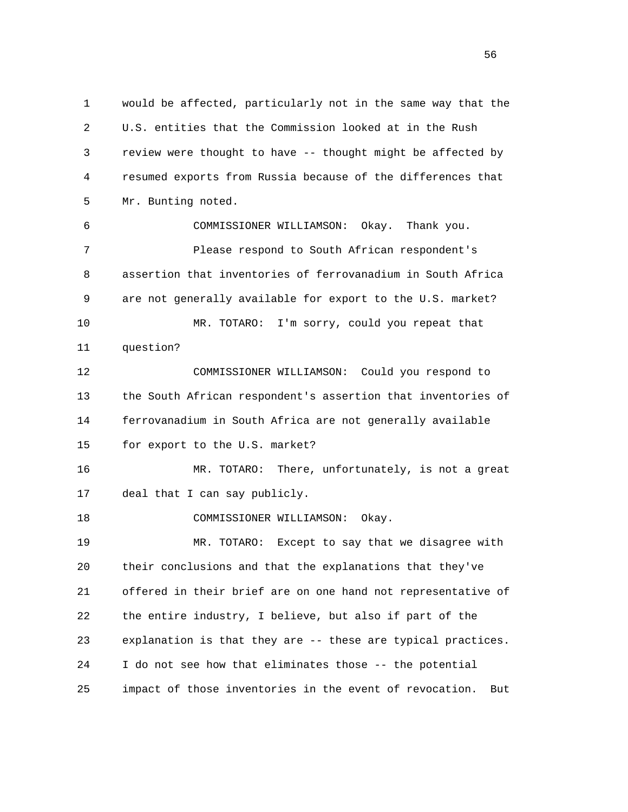1 would be affected, particularly not in the same way that the 2 U.S. entities that the Commission looked at in the Rush 3 review were thought to have -- thought might be affected by 4 resumed exports from Russia because of the differences that 5 Mr. Bunting noted. 6 COMMISSIONER WILLIAMSON: Okay. Thank you. 7 Please respond to South African respondent's 8 assertion that inventories of ferrovanadium in South Africa 9 are not generally available for export to the U.S. market? 10 MR. TOTARO: I'm sorry, could you repeat that 11 question? 12 COMMISSIONER WILLIAMSON: Could you respond to 13 the South African respondent's assertion that inventories of 14 ferrovanadium in South Africa are not generally available 15 for export to the U.S. market? 16 MR. TOTARO: There, unfortunately, is not a great 17 deal that I can say publicly. 18 COMMISSIONER WILLIAMSON: Okay. 19 MR. TOTARO: Except to say that we disagree with 20 their conclusions and that the explanations that they've 21 offered in their brief are on one hand not representative of 22 the entire industry, I believe, but also if part of the 23 explanation is that they are -- these are typical practices. 24 I do not see how that eliminates those -- the potential

25 impact of those inventories in the event of revocation. But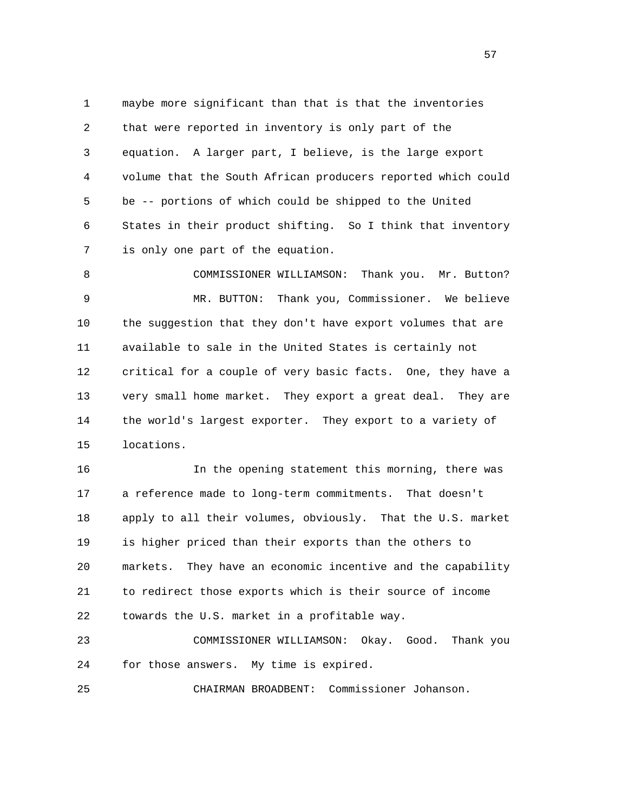1 maybe more significant than that is that the inventories 2 that were reported in inventory is only part of the 3 equation. A larger part, I believe, is the large export 4 volume that the South African producers reported which could 5 be -- portions of which could be shipped to the United 6 States in their product shifting. So I think that inventory 7 is only one part of the equation.

8 COMMISSIONER WILLIAMSON: Thank you. Mr. Button? 9 MR. BUTTON: Thank you, Commissioner. We believe 10 the suggestion that they don't have export volumes that are 11 available to sale in the United States is certainly not 12 critical for a couple of very basic facts. One, they have a 13 very small home market. They export a great deal. They are 14 the world's largest exporter. They export to a variety of 15 locations.

 16 In the opening statement this morning, there was 17 a reference made to long-term commitments. That doesn't 18 apply to all their volumes, obviously. That the U.S. market 19 is higher priced than their exports than the others to 20 markets. They have an economic incentive and the capability 21 to redirect those exports which is their source of income 22 towards the U.S. market in a profitable way.

 23 COMMISSIONER WILLIAMSON: Okay. Good. Thank you 24 for those answers. My time is expired.

25 CHAIRMAN BROADBENT: Commissioner Johanson.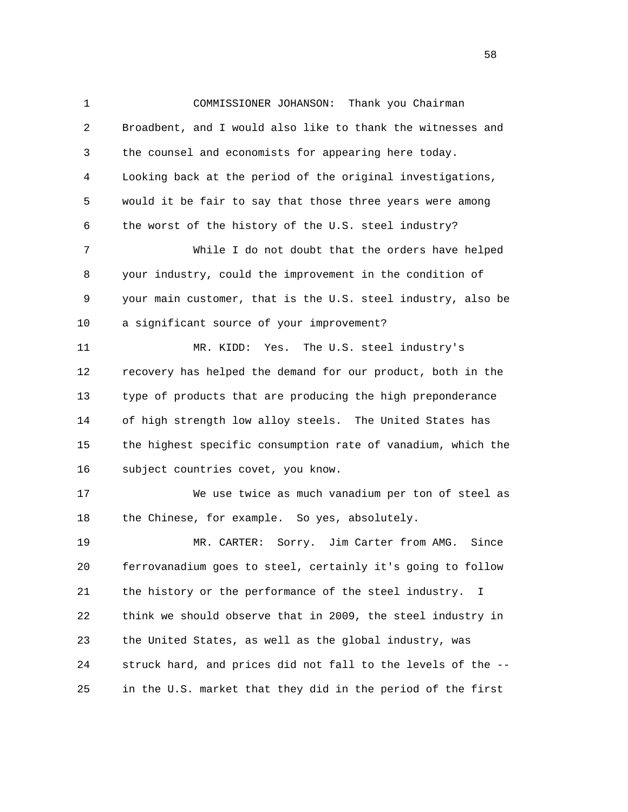1 COMMISSIONER JOHANSON: Thank you Chairman 2 Broadbent, and I would also like to thank the witnesses and 3 the counsel and economists for appearing here today. 4 Looking back at the period of the original investigations, 5 would it be fair to say that those three years were among 6 the worst of the history of the U.S. steel industry? 7 While I do not doubt that the orders have helped 8 your industry, could the improvement in the condition of 9 your main customer, that is the U.S. steel industry, also be 10 a significant source of your improvement? 11 MR. KIDD: Yes. The U.S. steel industry's 12 recovery has helped the demand for our product, both in the 13 type of products that are producing the high preponderance 14 of high strength low alloy steels. The United States has 15 the highest specific consumption rate of vanadium, which the 16 subject countries covet, you know. 17 We use twice as much vanadium per ton of steel as 18 the Chinese, for example. So yes, absolutely. 19 MR. CARTER: Sorry. Jim Carter from AMG. Since 20 ferrovanadium goes to steel, certainly it's going to follow 21 the history or the performance of the steel industry. I 22 think we should observe that in 2009, the steel industry in 23 the United States, as well as the global industry, was 24 struck hard, and prices did not fall to the levels of the -- 25 in the U.S. market that they did in the period of the first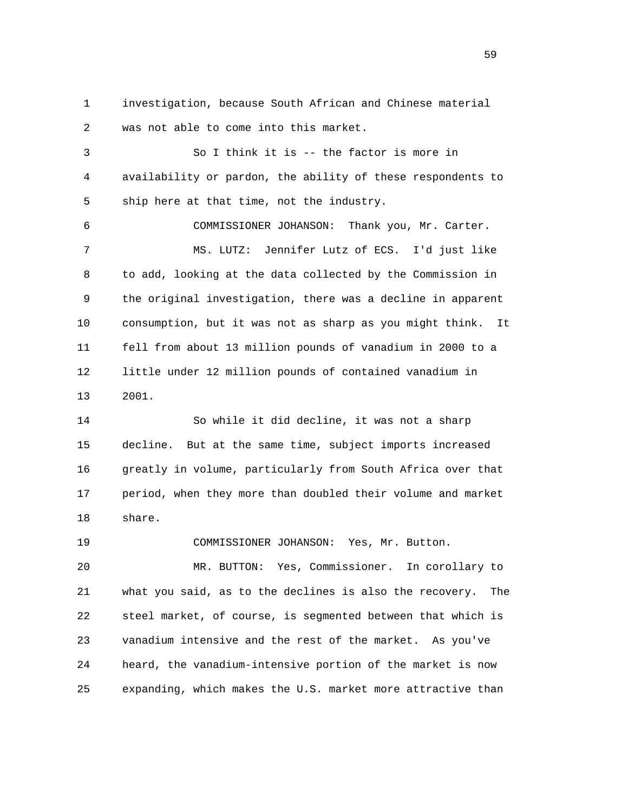1 investigation, because South African and Chinese material 2 was not able to come into this market. 3 So I think it is -- the factor is more in 4 availability or pardon, the ability of these respondents to 5 ship here at that time, not the industry. 6 COMMISSIONER JOHANSON: Thank you, Mr. Carter. 7 MS. LUTZ: Jennifer Lutz of ECS. I'd just like 8 to add, looking at the data collected by the Commission in 9 the original investigation, there was a decline in apparent 10 consumption, but it was not as sharp as you might think. It 11 fell from about 13 million pounds of vanadium in 2000 to a 12 little under 12 million pounds of contained vanadium in 13 2001. 14 So while it did decline, it was not a sharp

 15 decline. But at the same time, subject imports increased 16 greatly in volume, particularly from South Africa over that 17 period, when they more than doubled their volume and market 18 share.

 19 COMMISSIONER JOHANSON: Yes, Mr. Button. 20 MR. BUTTON: Yes, Commissioner. In corollary to 21 what you said, as to the declines is also the recovery. The 22 steel market, of course, is segmented between that which is 23 vanadium intensive and the rest of the market. As you've 24 heard, the vanadium-intensive portion of the market is now 25 expanding, which makes the U.S. market more attractive than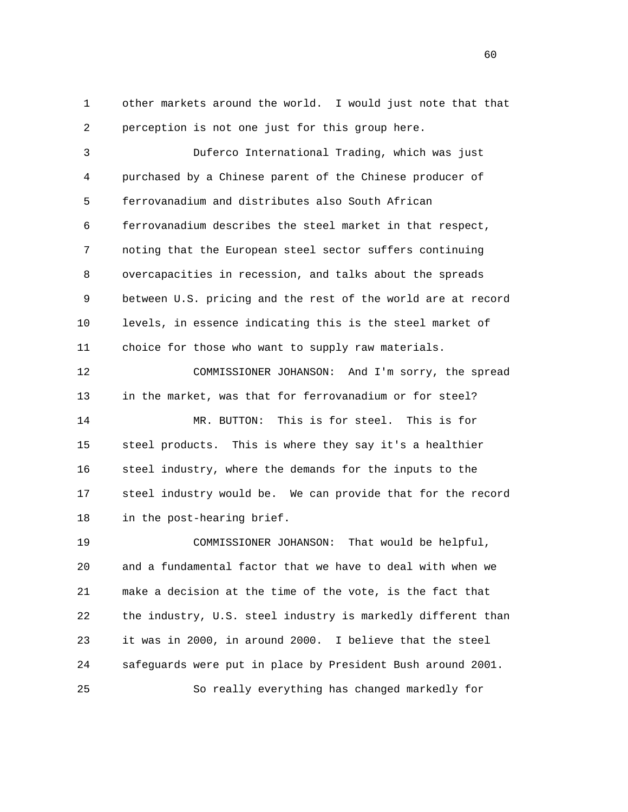1 other markets around the world. I would just note that that 2 perception is not one just for this group here.

 3 Duferco International Trading, which was just 4 purchased by a Chinese parent of the Chinese producer of 5 ferrovanadium and distributes also South African 6 ferrovanadium describes the steel market in that respect, 7 noting that the European steel sector suffers continuing 8 overcapacities in recession, and talks about the spreads 9 between U.S. pricing and the rest of the world are at record 10 levels, in essence indicating this is the steel market of 11 choice for those who want to supply raw materials.

 12 COMMISSIONER JOHANSON: And I'm sorry, the spread 13 in the market, was that for ferrovanadium or for steel? 14 MR. BUTTON: This is for steel. This is for 15 steel products. This is where they say it's a healthier 16 steel industry, where the demands for the inputs to the 17 steel industry would be. We can provide that for the record 18 in the post-hearing brief.

 19 COMMISSIONER JOHANSON: That would be helpful, 20 and a fundamental factor that we have to deal with when we 21 make a decision at the time of the vote, is the fact that 22 the industry, U.S. steel industry is markedly different than 23 it was in 2000, in around 2000. I believe that the steel 24 safeguards were put in place by President Bush around 2001. 25 So really everything has changed markedly for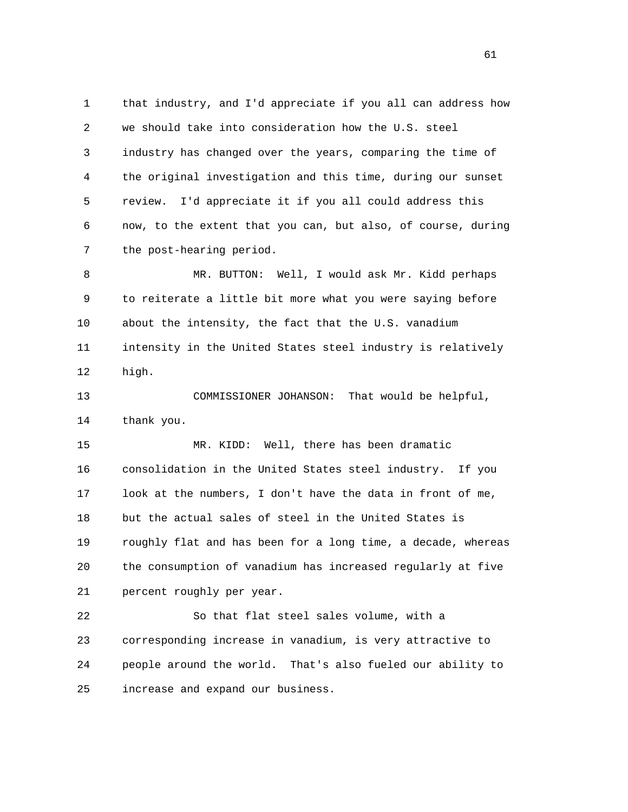1 that industry, and I'd appreciate if you all can address how 2 we should take into consideration how the U.S. steel 3 industry has changed over the years, comparing the time of 4 the original investigation and this time, during our sunset 5 review. I'd appreciate it if you all could address this 6 now, to the extent that you can, but also, of course, during 7 the post-hearing period.

 8 MR. BUTTON: Well, I would ask Mr. Kidd perhaps 9 to reiterate a little bit more what you were saying before 10 about the intensity, the fact that the U.S. vanadium 11 intensity in the United States steel industry is relatively 12 high.

 13 COMMISSIONER JOHANSON: That would be helpful, 14 thank you.

 15 MR. KIDD: Well, there has been dramatic 16 consolidation in the United States steel industry. If you 17 look at the numbers, I don't have the data in front of me, 18 but the actual sales of steel in the United States is 19 roughly flat and has been for a long time, a decade, whereas 20 the consumption of vanadium has increased regularly at five 21 percent roughly per year.

 22 So that flat steel sales volume, with a 23 corresponding increase in vanadium, is very attractive to 24 people around the world. That's also fueled our ability to 25 increase and expand our business.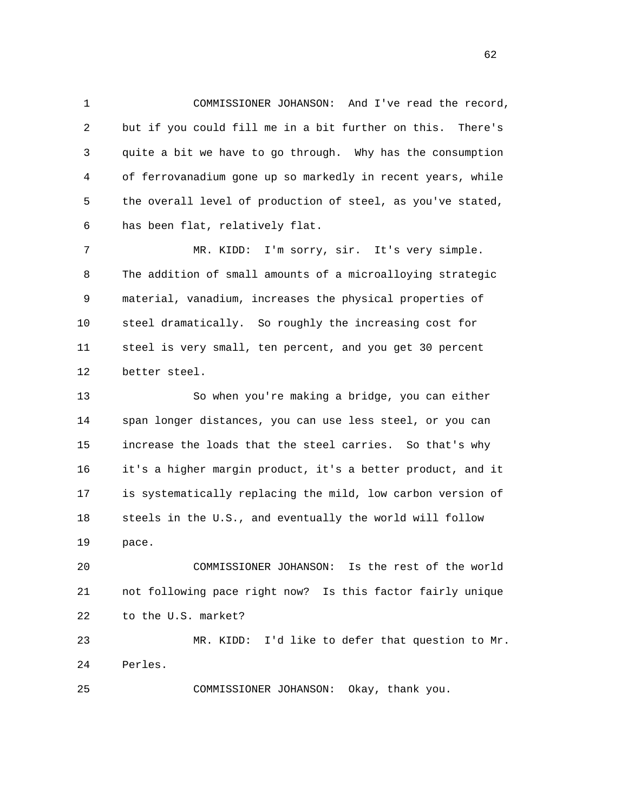1 COMMISSIONER JOHANSON: And I've read the record, 2 but if you could fill me in a bit further on this. There's 3 quite a bit we have to go through. Why has the consumption 4 of ferrovanadium gone up so markedly in recent years, while 5 the overall level of production of steel, as you've stated, 6 has been flat, relatively flat.

 7 MR. KIDD: I'm sorry, sir. It's very simple. 8 The addition of small amounts of a microalloying strategic 9 material, vanadium, increases the physical properties of 10 steel dramatically. So roughly the increasing cost for 11 steel is very small, ten percent, and you get 30 percent 12 better steel.

 13 So when you're making a bridge, you can either 14 span longer distances, you can use less steel, or you can 15 increase the loads that the steel carries. So that's why 16 it's a higher margin product, it's a better product, and it 17 is systematically replacing the mild, low carbon version of 18 steels in the U.S., and eventually the world will follow 19 pace.

 20 COMMISSIONER JOHANSON: Is the rest of the world 21 not following pace right now? Is this factor fairly unique 22 to the U.S. market?

 23 MR. KIDD: I'd like to defer that question to Mr. 24 Perles.

25 COMMISSIONER JOHANSON: Okay, thank you.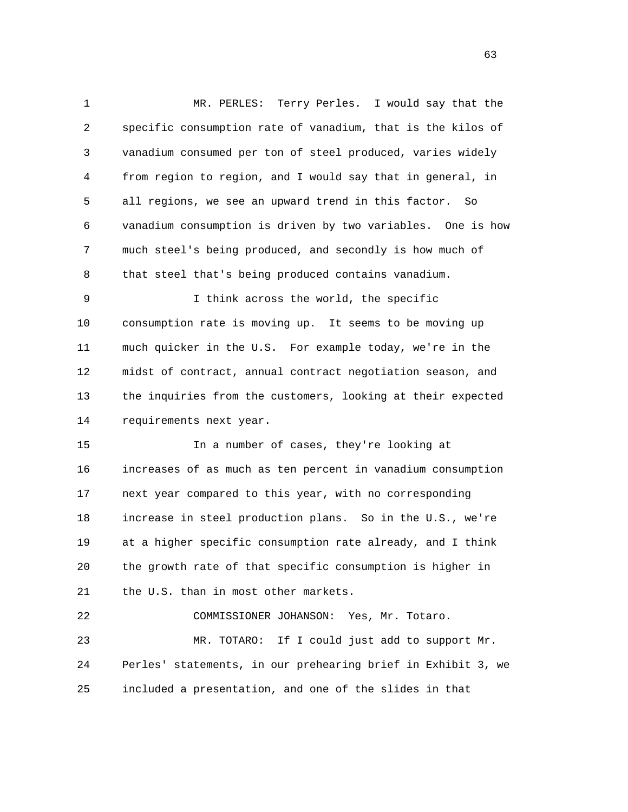1 MR. PERLES: Terry Perles. I would say that the 2 specific consumption rate of vanadium, that is the kilos of 3 vanadium consumed per ton of steel produced, varies widely 4 from region to region, and I would say that in general, in 5 all regions, we see an upward trend in this factor. So 6 vanadium consumption is driven by two variables. One is how 7 much steel's being produced, and secondly is how much of 8 that steel that's being produced contains vanadium. 9 I think across the world, the specific

 10 consumption rate is moving up. It seems to be moving up 11 much quicker in the U.S. For example today, we're in the 12 midst of contract, annual contract negotiation season, and 13 the inquiries from the customers, looking at their expected 14 requirements next year.

 15 In a number of cases, they're looking at 16 increases of as much as ten percent in vanadium consumption 17 next year compared to this year, with no corresponding 18 increase in steel production plans. So in the U.S., we're 19 at a higher specific consumption rate already, and I think 20 the growth rate of that specific consumption is higher in 21 the U.S. than in most other markets.

 22 COMMISSIONER JOHANSON: Yes, Mr. Totaro. 23 MR. TOTARO: If I could just add to support Mr. 24 Perles' statements, in our prehearing brief in Exhibit 3, we 25 included a presentation, and one of the slides in that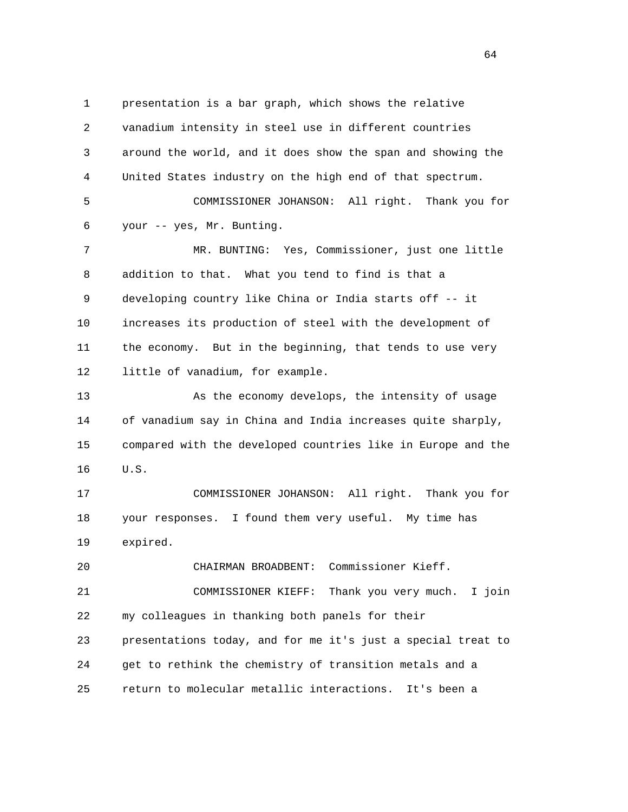1 presentation is a bar graph, which shows the relative 2 vanadium intensity in steel use in different countries 3 around the world, and it does show the span and showing the 4 United States industry on the high end of that spectrum. 5 COMMISSIONER JOHANSON: All right. Thank you for 6 your -- yes, Mr. Bunting. 7 MR. BUNTING: Yes, Commissioner, just one little 8 addition to that. What you tend to find is that a 9 developing country like China or India starts off -- it 10 increases its production of steel with the development of 11 the economy. But in the beginning, that tends to use very 12 little of vanadium, for example. 13 As the economy develops, the intensity of usage 14 of vanadium say in China and India increases quite sharply, 15 compared with the developed countries like in Europe and the 16 U.S. 17 COMMISSIONER JOHANSON: All right. Thank you for 18 your responses. I found them very useful. My time has 19 expired. 20 CHAIRMAN BROADBENT: Commissioner Kieff. 21 COMMISSIONER KIEFF: Thank you very much. I join 22 my colleagues in thanking both panels for their 23 presentations today, and for me it's just a special treat to 24 get to rethink the chemistry of transition metals and a 25 return to molecular metallic interactions. It's been a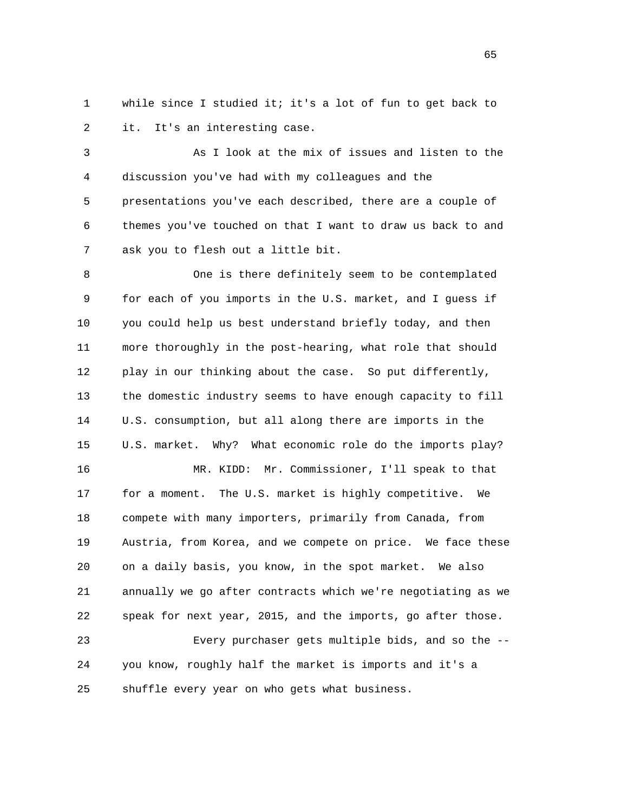1 while since I studied it; it's a lot of fun to get back to 2 it. It's an interesting case.

 3 As I look at the mix of issues and listen to the 4 discussion you've had with my colleagues and the 5 presentations you've each described, there are a couple of 6 themes you've touched on that I want to draw us back to and 7 ask you to flesh out a little bit.

 8 One is there definitely seem to be contemplated 9 for each of you imports in the U.S. market, and I guess if 10 you could help us best understand briefly today, and then 11 more thoroughly in the post-hearing, what role that should 12 play in our thinking about the case. So put differently, 13 the domestic industry seems to have enough capacity to fill 14 U.S. consumption, but all along there are imports in the 15 U.S. market. Why? What economic role do the imports play? 16 MR. KIDD: Mr. Commissioner, I'll speak to that 17 for a moment. The U.S. market is highly competitive. We 18 compete with many importers, primarily from Canada, from 19 Austria, from Korea, and we compete on price. We face these

 21 annually we go after contracts which we're negotiating as we 22 speak for next year, 2015, and the imports, go after those.

20 on a daily basis, you know, in the spot market. We also

 23 Every purchaser gets multiple bids, and so the -- 24 you know, roughly half the market is imports and it's a 25 shuffle every year on who gets what business.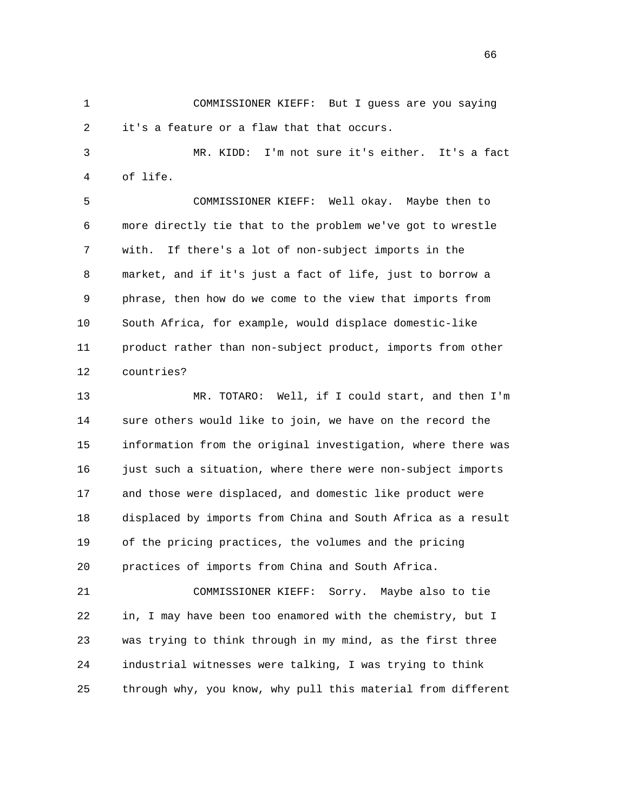1 COMMISSIONER KIEFF: But I guess are you saying 2 it's a feature or a flaw that that occurs.

 3 MR. KIDD: I'm not sure it's either. It's a fact 4 of life.

 5 COMMISSIONER KIEFF: Well okay. Maybe then to 6 more directly tie that to the problem we've got to wrestle 7 with. If there's a lot of non-subject imports in the 8 market, and if it's just a fact of life, just to borrow a 9 phrase, then how do we come to the view that imports from 10 South Africa, for example, would displace domestic-like 11 product rather than non-subject product, imports from other 12 countries?

 13 MR. TOTARO: Well, if I could start, and then I'm 14 sure others would like to join, we have on the record the 15 information from the original investigation, where there was 16 just such a situation, where there were non-subject imports 17 and those were displaced, and domestic like product were 18 displaced by imports from China and South Africa as a result 19 of the pricing practices, the volumes and the pricing 20 practices of imports from China and South Africa.

 21 COMMISSIONER KIEFF: Sorry. Maybe also to tie 22 in, I may have been too enamored with the chemistry, but I 23 was trying to think through in my mind, as the first three 24 industrial witnesses were talking, I was trying to think 25 through why, you know, why pull this material from different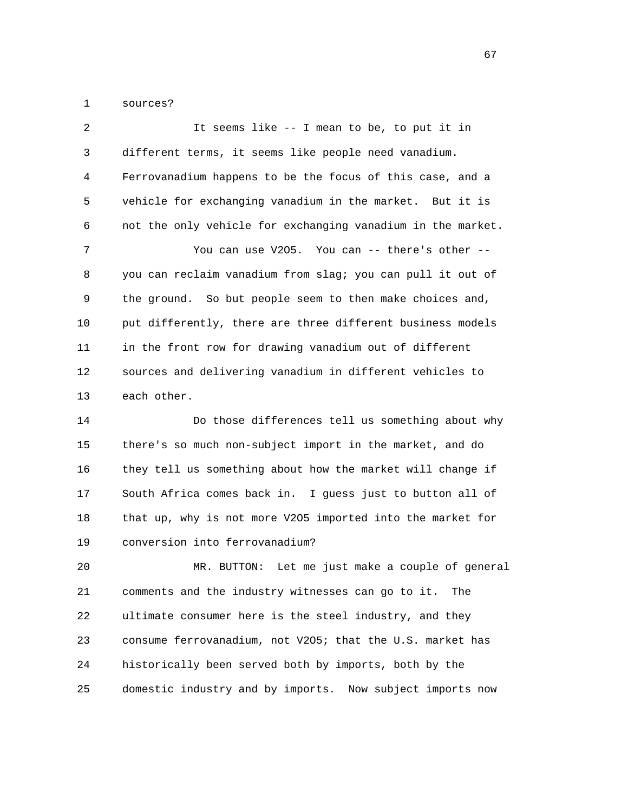1 sources?

| 2  | It seems like -- I mean to be, to put it in                 |
|----|-------------------------------------------------------------|
| 3  | different terms, it seems like people need vanadium.        |
| 4  | Ferrovanadium happens to be the focus of this case, and a   |
| 5  | vehicle for exchanging vanadium in the market. But it is    |
| 6  | not the only vehicle for exchanging vanadium in the market. |
| 7  | You can use V205. You can -- there's other --               |
| 8  | you can reclaim vanadium from slag; you can pull it out of  |
| 9  | the ground. So but people seem to then make choices and,    |
| 10 | put differently, there are three different business models  |
| 11 | in the front row for drawing vanadium out of different      |
| 12 | sources and delivering vanadium in different vehicles to    |
| 13 | each other.                                                 |
| 14 | Do those differences tell us something about why            |
| 15 | there's so much non-subject import in the market, and do    |

 16 they tell us something about how the market will change if 17 South Africa comes back in. I guess just to button all of 18 that up, why is not more V2O5 imported into the market for 19 conversion into ferrovanadium?

 20 MR. BUTTON: Let me just make a couple of general 21 comments and the industry witnesses can go to it. The 22 ultimate consumer here is the steel industry, and they 23 consume ferrovanadium, not V2O5; that the U.S. market has 24 historically been served both by imports, both by the 25 domestic industry and by imports. Now subject imports now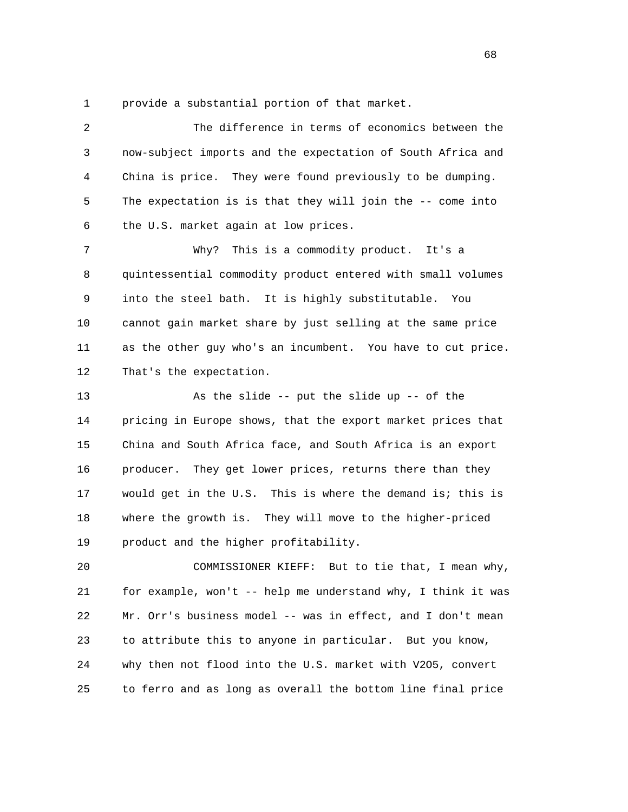1 provide a substantial portion of that market.

 2 The difference in terms of economics between the 3 now-subject imports and the expectation of South Africa and 4 China is price. They were found previously to be dumping. 5 The expectation is is that they will join the -- come into 6 the U.S. market again at low prices. 7 Why? This is a commodity product. It's a 8 quintessential commodity product entered with small volumes 9 into the steel bath. It is highly substitutable. You 10 cannot gain market share by just selling at the same price 11 as the other guy who's an incumbent. You have to cut price. 12 That's the expectation. 13 As the slide -- put the slide up -- of the 14 pricing in Europe shows, that the export market prices that 15 China and South Africa face, and South Africa is an export 16 producer. They get lower prices, returns there than they 17 would get in the U.S. This is where the demand is; this is 18 where the growth is. They will move to the higher-priced 19 product and the higher profitability. 20 COMMISSIONER KIEFF: But to tie that, I mean why, 21 for example, won't -- help me understand why, I think it was

 22 Mr. Orr's business model -- was in effect, and I don't mean 23 to attribute this to anyone in particular. But you know, 24 why then not flood into the U.S. market with V2O5, convert 25 to ferro and as long as overall the bottom line final price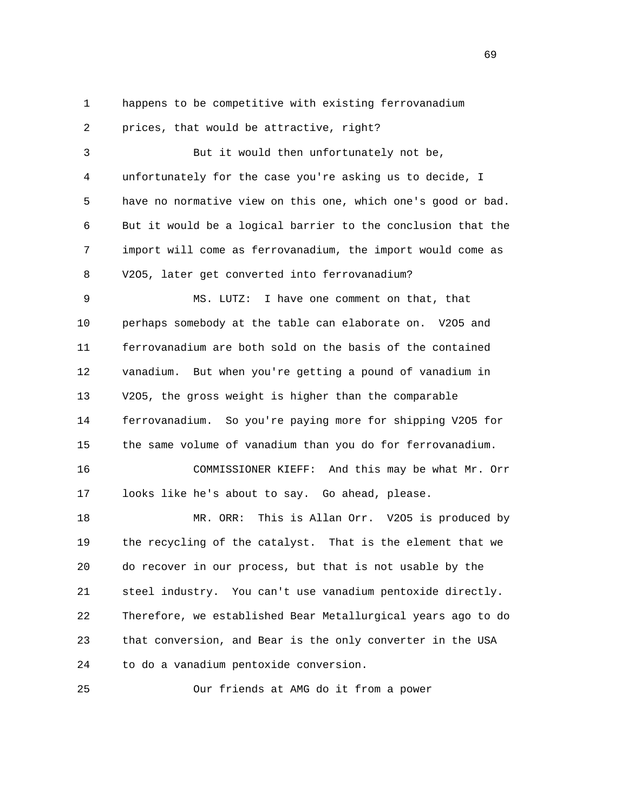1 happens to be competitive with existing ferrovanadium

2 prices, that would be attractive, right?

 3 But it would then unfortunately not be, 4 unfortunately for the case you're asking us to decide, I 5 have no normative view on this one, which one's good or bad. 6 But it would be a logical barrier to the conclusion that the 7 import will come as ferrovanadium, the import would come as 8 V2O5, later get converted into ferrovanadium?

 9 MS. LUTZ: I have one comment on that, that 10 perhaps somebody at the table can elaborate on. V2O5 and 11 ferrovanadium are both sold on the basis of the contained 12 vanadium. But when you're getting a pound of vanadium in 13 V2O5, the gross weight is higher than the comparable 14 ferrovanadium. So you're paying more for shipping V2O5 for 15 the same volume of vanadium than you do for ferrovanadium.

 16 COMMISSIONER KIEFF: And this may be what Mr. Orr 17 looks like he's about to say. Go ahead, please.

 18 MR. ORR: This is Allan Orr. V2O5 is produced by 19 the recycling of the catalyst. That is the element that we 20 do recover in our process, but that is not usable by the 21 steel industry. You can't use vanadium pentoxide directly. 22 Therefore, we established Bear Metallurgical years ago to do 23 that conversion, and Bear is the only converter in the USA 24 to do a vanadium pentoxide conversion.

25 Our friends at AMG do it from a power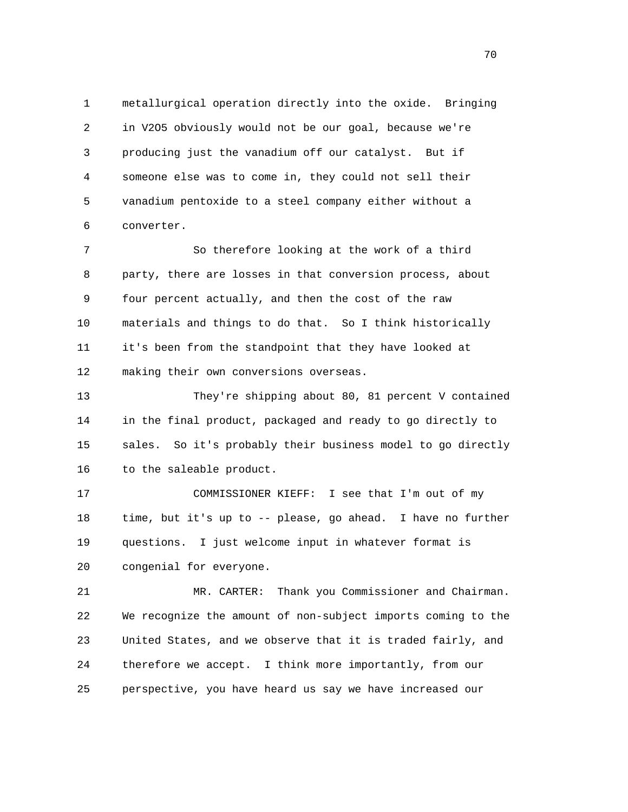1 metallurgical operation directly into the oxide. Bringing 2 in V2O5 obviously would not be our goal, because we're 3 producing just the vanadium off our catalyst. But if 4 someone else was to come in, they could not sell their 5 vanadium pentoxide to a steel company either without a 6 converter.

 7 So therefore looking at the work of a third 8 party, there are losses in that conversion process, about 9 four percent actually, and then the cost of the raw 10 materials and things to do that. So I think historically 11 it's been from the standpoint that they have looked at 12 making their own conversions overseas.

 13 They're shipping about 80, 81 percent V contained 14 in the final product, packaged and ready to go directly to 15 sales. So it's probably their business model to go directly 16 to the saleable product.

 17 COMMISSIONER KIEFF: I see that I'm out of my 18 time, but it's up to -- please, go ahead. I have no further 19 questions. I just welcome input in whatever format is 20 congenial for everyone.

 21 MR. CARTER: Thank you Commissioner and Chairman. 22 We recognize the amount of non-subject imports coming to the 23 United States, and we observe that it is traded fairly, and 24 therefore we accept. I think more importantly, from our 25 perspective, you have heard us say we have increased our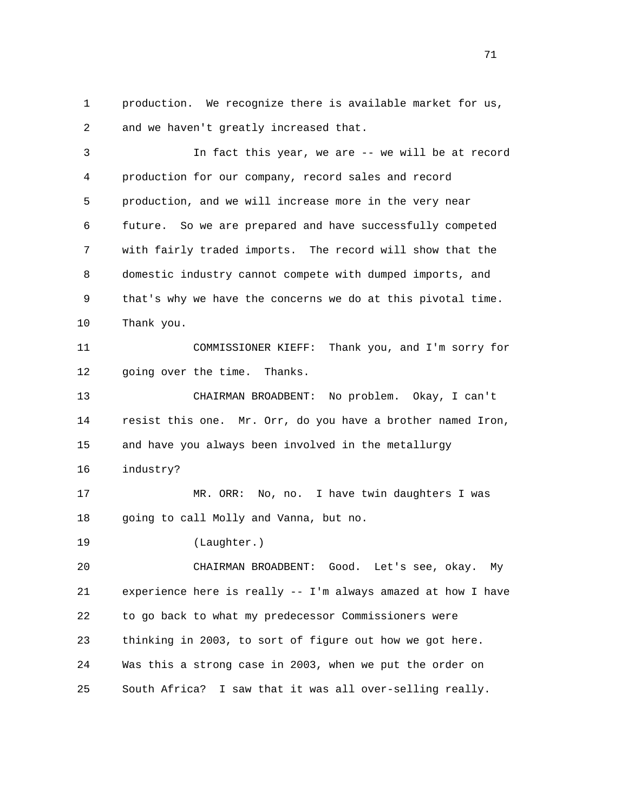1 production. We recognize there is available market for us, 2 and we haven't greatly increased that.

 3 In fact this year, we are -- we will be at record 4 production for our company, record sales and record 5 production, and we will increase more in the very near 6 future. So we are prepared and have successfully competed 7 with fairly traded imports. The record will show that the 8 domestic industry cannot compete with dumped imports, and 9 that's why we have the concerns we do at this pivotal time. 10 Thank you. 11 COMMISSIONER KIEFF: Thank you, and I'm sorry for 12 going over the time. Thanks. 13 CHAIRMAN BROADBENT: No problem. Okay, I can't 14 resist this one. Mr. Orr, do you have a brother named Iron, 15 and have you always been involved in the metallurgy 16 industry? 17 MR. ORR: No, no. I have twin daughters I was 18 going to call Molly and Vanna, but no. 19 (Laughter.) 20 CHAIRMAN BROADBENT: Good. Let's see, okay. My 21 experience here is really -- I'm always amazed at how I have 22 to go back to what my predecessor Commissioners were 23 thinking in 2003, to sort of figure out how we got here. 24 Was this a strong case in 2003, when we put the order on 25 South Africa? I saw that it was all over-selling really.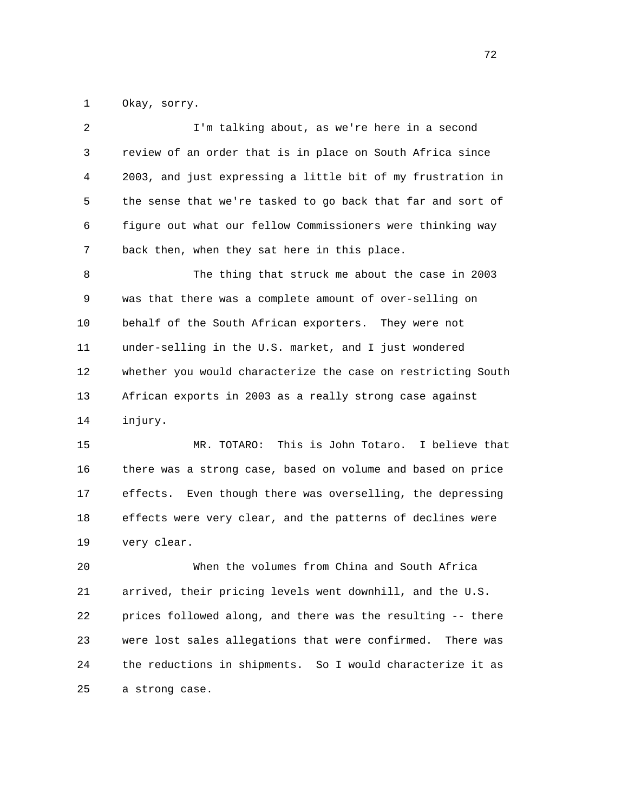1 Okay, sorry.

| 2  | I'm talking about, as we're here in a second                 |
|----|--------------------------------------------------------------|
| 3  | review of an order that is in place on South Africa since    |
| 4  | 2003, and just expressing a little bit of my frustration in  |
| 5  | the sense that we're tasked to go back that far and sort of  |
| 6  | figure out what our fellow Commissioners were thinking way   |
| 7  | back then, when they sat here in this place.                 |
| 8  | The thing that struck me about the case in 2003              |
| 9  | was that there was a complete amount of over-selling on      |
| 10 | behalf of the South African exporters. They were not         |
| 11 | under-selling in the U.S. market, and I just wondered        |
| 12 | whether you would characterize the case on restricting South |
| 13 | African exports in 2003 as a really strong case against      |
| 14 | injury.                                                      |
| 15 | MR. TOTARO: This is John Totaro. I believe that              |
| 16 | there was a strong case, based on volume and based on price  |

 17 effects. Even though there was overselling, the depressing 18 effects were very clear, and the patterns of declines were 19 very clear.

 20 When the volumes from China and South Africa 21 arrived, their pricing levels went downhill, and the U.S. 22 prices followed along, and there was the resulting -- there 23 were lost sales allegations that were confirmed. There was 24 the reductions in shipments. So I would characterize it as 25 a strong case.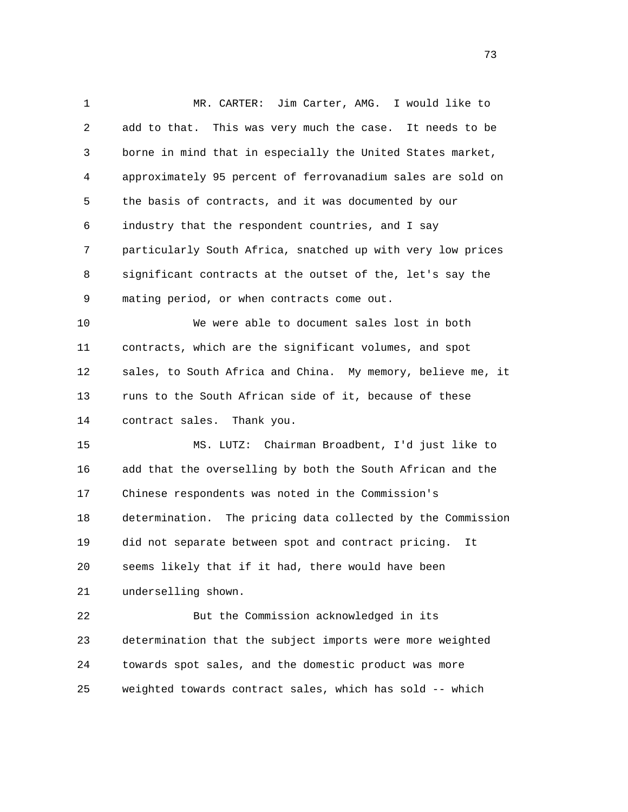1 MR. CARTER: Jim Carter, AMG. I would like to 2 add to that. This was very much the case. It needs to be 3 borne in mind that in especially the United States market, 4 approximately 95 percent of ferrovanadium sales are sold on 5 the basis of contracts, and it was documented by our 6 industry that the respondent countries, and I say 7 particularly South Africa, snatched up with very low prices 8 significant contracts at the outset of the, let's say the 9 mating period, or when contracts come out. 10 We were able to document sales lost in both 11 contracts, which are the significant volumes, and spot 12 sales, to South Africa and China. My memory, believe me, it 13 runs to the South African side of it, because of these 14 contract sales. Thank you. 15 MS. LUTZ: Chairman Broadbent, I'd just like to 16 add that the overselling by both the South African and the 17 Chinese respondents was noted in the Commission's 18 determination. The pricing data collected by the Commission 19 did not separate between spot and contract pricing. It 20 seems likely that if it had, there would have been 21 underselling shown. 22 But the Commission acknowledged in its 23 determination that the subject imports were more weighted 24 towards spot sales, and the domestic product was more

25 weighted towards contract sales, which has sold -- which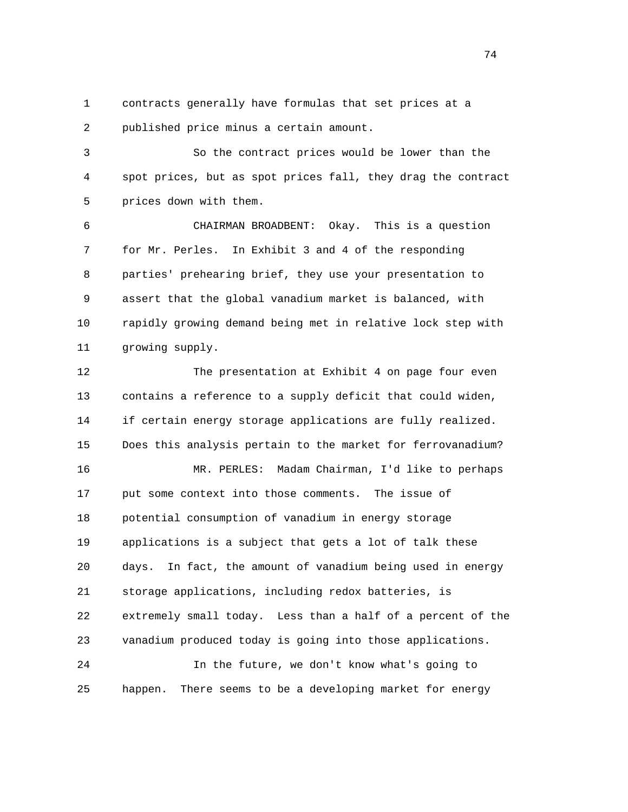1 contracts generally have formulas that set prices at a 2 published price minus a certain amount.

 3 So the contract prices would be lower than the 4 spot prices, but as spot prices fall, they drag the contract 5 prices down with them.

 6 CHAIRMAN BROADBENT: Okay. This is a question 7 for Mr. Perles. In Exhibit 3 and 4 of the responding 8 parties' prehearing brief, they use your presentation to 9 assert that the global vanadium market is balanced, with 10 rapidly growing demand being met in relative lock step with 11 growing supply.

 12 The presentation at Exhibit 4 on page four even 13 contains a reference to a supply deficit that could widen, 14 if certain energy storage applications are fully realized. 15 Does this analysis pertain to the market for ferrovanadium? 16 MR. PERLES: Madam Chairman, I'd like to perhaps 17 put some context into those comments. The issue of 18 potential consumption of vanadium in energy storage 19 applications is a subject that gets a lot of talk these 20 days. In fact, the amount of vanadium being used in energy 21 storage applications, including redox batteries, is 22 extremely small today. Less than a half of a percent of the 23 vanadium produced today is going into those applications. 24 In the future, we don't know what's going to

25 happen. There seems to be a developing market for energy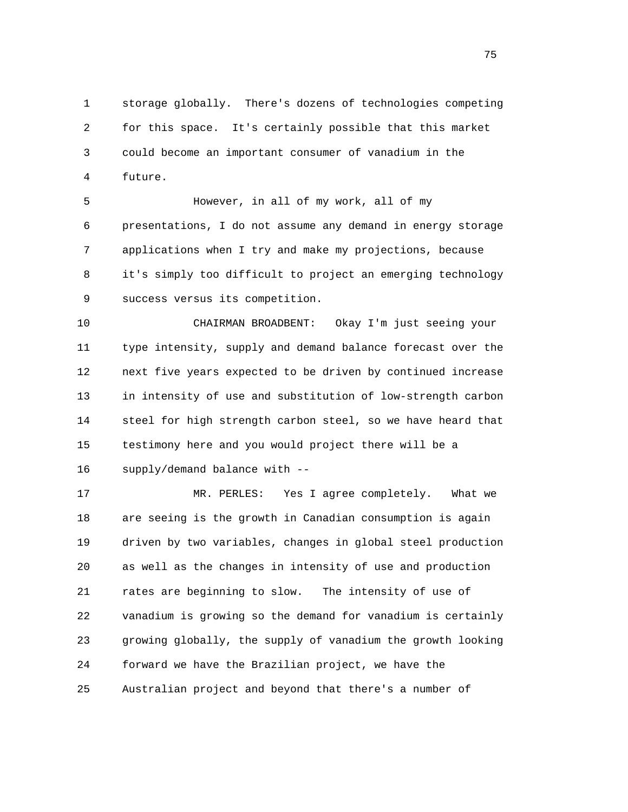1 storage globally. There's dozens of technologies competing 2 for this space. It's certainly possible that this market 3 could become an important consumer of vanadium in the 4 future.

 5 However, in all of my work, all of my 6 presentations, I do not assume any demand in energy storage 7 applications when I try and make my projections, because 8 it's simply too difficult to project an emerging technology 9 success versus its competition.

 10 CHAIRMAN BROADBENT: Okay I'm just seeing your 11 type intensity, supply and demand balance forecast over the 12 next five years expected to be driven by continued increase 13 in intensity of use and substitution of low-strength carbon 14 steel for high strength carbon steel, so we have heard that 15 testimony here and you would project there will be a 16 supply/demand balance with --

 17 MR. PERLES: Yes I agree completely. What we 18 are seeing is the growth in Canadian consumption is again 19 driven by two variables, changes in global steel production 20 as well as the changes in intensity of use and production 21 rates are beginning to slow. The intensity of use of 22 vanadium is growing so the demand for vanadium is certainly 23 growing globally, the supply of vanadium the growth looking 24 forward we have the Brazilian project, we have the 25 Australian project and beyond that there's a number of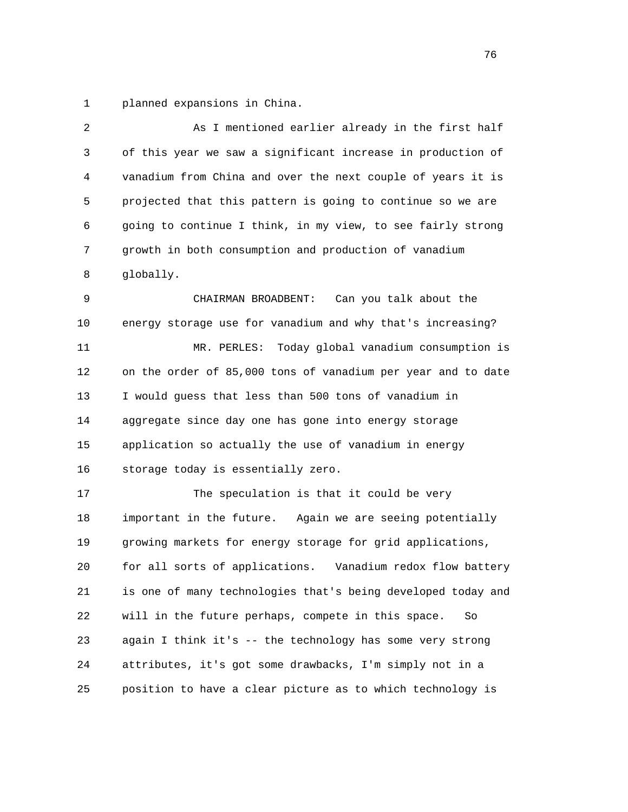1 planned expansions in China.

| $\overline{2}$ | As I mentioned earlier already in the first half              |
|----------------|---------------------------------------------------------------|
| 3              | of this year we saw a significant increase in production of   |
| 4              | vanadium from China and over the next couple of years it is   |
| 5              | projected that this pattern is going to continue so we are    |
| 6              | going to continue I think, in my view, to see fairly strong   |
| 7              | growth in both consumption and production of vanadium         |
| 8              | globally.                                                     |
| 9              | CHAIRMAN BROADBENT:<br>Can you talk about the                 |
| 10             | energy storage use for vanadium and why that's increasing?    |
| 11             | MR. PERLES: Today global vanadium consumption is              |
| 12             | on the order of 85,000 tons of vanadium per year and to date  |
| 13             | I would guess that less than 500 tons of vanadium in          |
| 14             | aggregate since day one has gone into energy storage          |
| 15             | application so actually the use of vanadium in energy         |
| 16             | storage today is essentially zero.                            |
| 17             | The speculation is that it could be very                      |
| 18             | Again we are seeing potentially<br>important in the future.   |
| 19             | growing markets for energy storage for grid applications,     |
| 20             | for all sorts of applications.<br>Vanadium redox flow battery |
| 21             | is one of many technologies that's being developed today and  |
| 22             | will in the future perhaps, compete in this space.<br>So      |
| 23             | again I think it's -- the technology has some very strong     |
| 24             | attributes, it's got some drawbacks, I'm simply not in a      |
| 25             | position to have a clear picture as to which technology is    |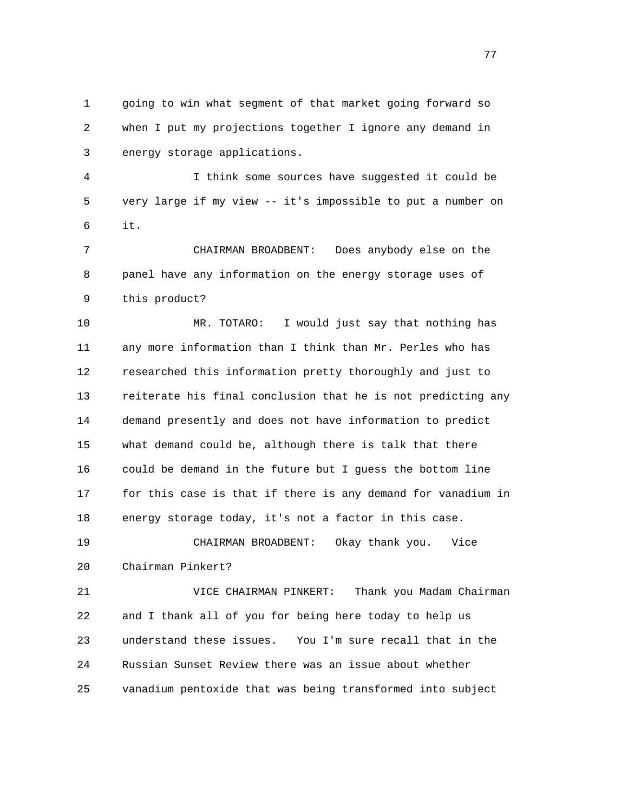1 going to win what segment of that market going forward so 2 when I put my projections together I ignore any demand in 3 energy storage applications.

 4 I think some sources have suggested it could be 5 very large if my view -- it's impossible to put a number on 6 it.

 7 CHAIRMAN BROADBENT: Does anybody else on the 8 panel have any information on the energy storage uses of 9 this product?

 10 MR. TOTARO: I would just say that nothing has 11 any more information than I think than Mr. Perles who has 12 researched this information pretty thoroughly and just to 13 reiterate his final conclusion that he is not predicting any 14 demand presently and does not have information to predict 15 what demand could be, although there is talk that there 16 could be demand in the future but I guess the bottom line 17 for this case is that if there is any demand for vanadium in 18 energy storage today, it's not a factor in this case.

 19 CHAIRMAN BROADBENT: Okay thank you. Vice 20 Chairman Pinkert?

 21 VICE CHAIRMAN PINKERT: Thank you Madam Chairman 22 and I thank all of you for being here today to help us 23 understand these issues. You I'm sure recall that in the 24 Russian Sunset Review there was an issue about whether 25 vanadium pentoxide that was being transformed into subject

na na matsay na matsay na matsay na matsay na matsay na matsay na matsay na matsay na matsay na matsay na mats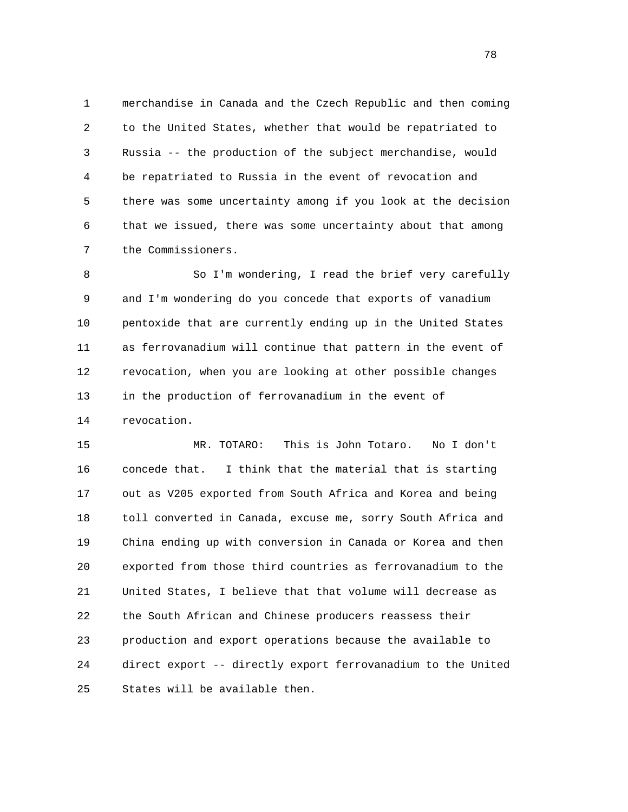1 merchandise in Canada and the Czech Republic and then coming 2 to the United States, whether that would be repatriated to 3 Russia -- the production of the subject merchandise, would 4 be repatriated to Russia in the event of revocation and 5 there was some uncertainty among if you look at the decision 6 that we issued, there was some uncertainty about that among 7 the Commissioners.

 8 So I'm wondering, I read the brief very carefully 9 and I'm wondering do you concede that exports of vanadium 10 pentoxide that are currently ending up in the United States 11 as ferrovanadium will continue that pattern in the event of 12 revocation, when you are looking at other possible changes 13 in the production of ferrovanadium in the event of 14 revocation.

 15 MR. TOTARO: This is John Totaro. No I don't 16 concede that. I think that the material that is starting 17 out as V205 exported from South Africa and Korea and being 18 toll converted in Canada, excuse me, sorry South Africa and 19 China ending up with conversion in Canada or Korea and then 20 exported from those third countries as ferrovanadium to the 21 United States, I believe that that volume will decrease as 22 the South African and Chinese producers reassess their 23 production and export operations because the available to 24 direct export -- directly export ferrovanadium to the United 25 States will be available then.

n and the state of the state of the state of the state of the state of the state of the state of the state of the state of the state of the state of the state of the state of the state of the state of the state of the stat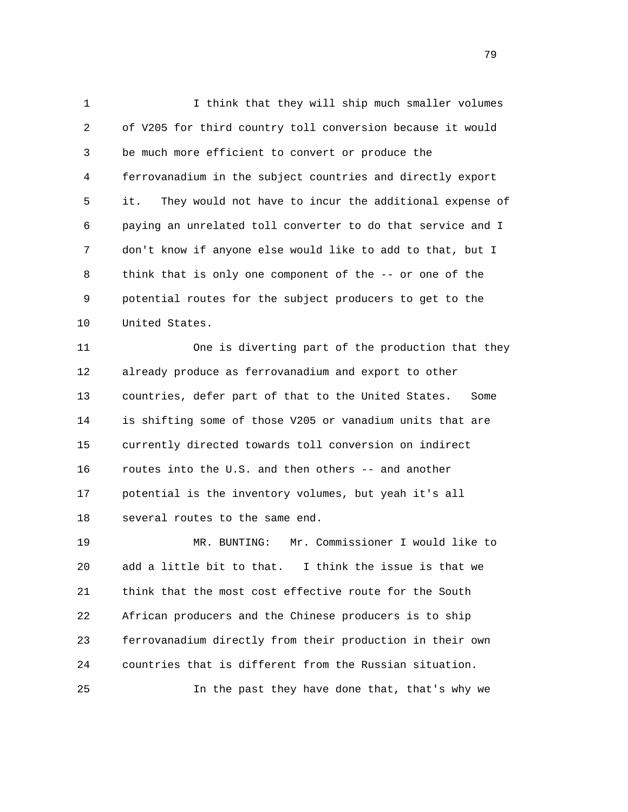1 I think that they will ship much smaller volumes 2 of V205 for third country toll conversion because it would 3 be much more efficient to convert or produce the 4 ferrovanadium in the subject countries and directly export 5 it. They would not have to incur the additional expense of 6 paying an unrelated toll converter to do that service and I 7 don't know if anyone else would like to add to that, but I 8 think that is only one component of the -- or one of the 9 potential routes for the subject producers to get to the 10 United States.

 11 One is diverting part of the production that they 12 already produce as ferrovanadium and export to other 13 countries, defer part of that to the United States. Some 14 is shifting some of those V205 or vanadium units that are 15 currently directed towards toll conversion on indirect 16 routes into the U.S. and then others -- and another 17 potential is the inventory volumes, but yeah it's all 18 several routes to the same end.

 19 MR. BUNTING: Mr. Commissioner I would like to 20 add a little bit to that. I think the issue is that we 21 think that the most cost effective route for the South 22 African producers and the Chinese producers is to ship 23 ferrovanadium directly from their production in their own 24 countries that is different from the Russian situation. 25 In the past they have done that, that's why we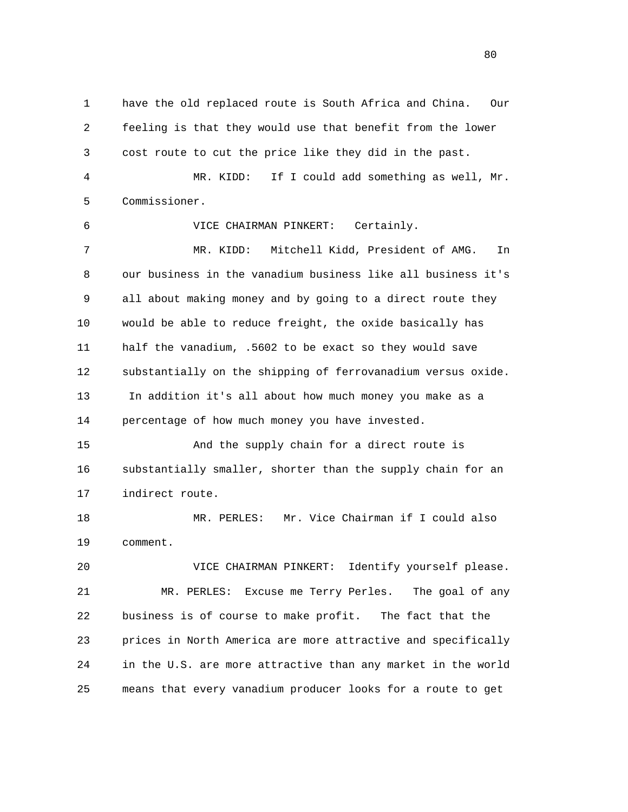1 have the old replaced route is South Africa and China. Our 2 feeling is that they would use that benefit from the lower 3 cost route to cut the price like they did in the past. 4 MR. KIDD: If I could add something as well, Mr. 5 Commissioner. 6 VICE CHAIRMAN PINKERT: Certainly. 7 MR. KIDD: Mitchell Kidd, President of AMG. In 8 our business in the vanadium business like all business it's 9 all about making money and by going to a direct route they 10 would be able to reduce freight, the oxide basically has 11 half the vanadium, .5602 to be exact so they would save 12 substantially on the shipping of ferrovanadium versus oxide. 13 In addition it's all about how much money you make as a 14 percentage of how much money you have invested. 15 And the supply chain for a direct route is 16 substantially smaller, shorter than the supply chain for an 17 indirect route. 18 MR. PERLES: Mr. Vice Chairman if I could also 19 comment. 20 VICE CHAIRMAN PINKERT: Identify yourself please. 21 MR. PERLES: Excuse me Terry Perles. The goal of any 22 business is of course to make profit. The fact that the 23 prices in North America are more attractive and specifically 24 in the U.S. are more attractive than any market in the world

25 means that every vanadium producer looks for a route to get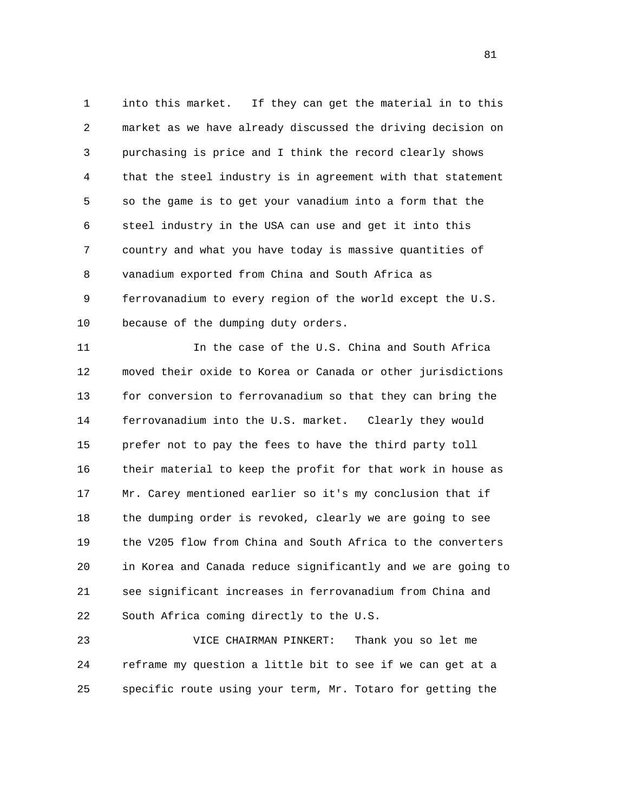1 into this market. If they can get the material in to this 2 market as we have already discussed the driving decision on 3 purchasing is price and I think the record clearly shows 4 that the steel industry is in agreement with that statement 5 so the game is to get your vanadium into a form that the 6 steel industry in the USA can use and get it into this 7 country and what you have today is massive quantities of 8 vanadium exported from China and South Africa as 9 ferrovanadium to every region of the world except the U.S. 10 because of the dumping duty orders.

 11 In the case of the U.S. China and South Africa 12 moved their oxide to Korea or Canada or other jurisdictions 13 for conversion to ferrovanadium so that they can bring the 14 ferrovanadium into the U.S. market. Clearly they would 15 prefer not to pay the fees to have the third party toll 16 their material to keep the profit for that work in house as 17 Mr. Carey mentioned earlier so it's my conclusion that if 18 the dumping order is revoked, clearly we are going to see 19 the V205 flow from China and South Africa to the converters 20 in Korea and Canada reduce significantly and we are going to 21 see significant increases in ferrovanadium from China and 22 South Africa coming directly to the U.S.

 23 VICE CHAIRMAN PINKERT: Thank you so let me 24 reframe my question a little bit to see if we can get at a 25 specific route using your term, Mr. Totaro for getting the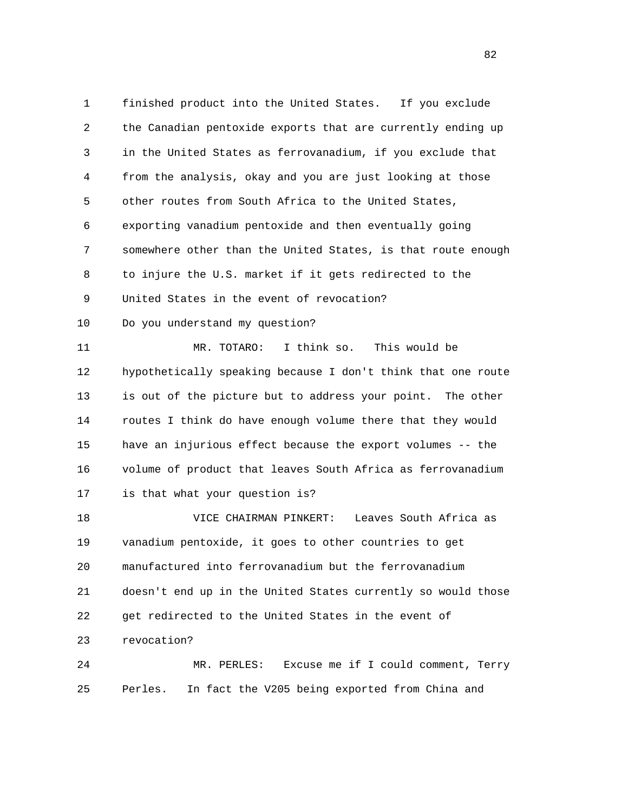1 finished product into the United States. If you exclude 2 the Canadian pentoxide exports that are currently ending up 3 in the United States as ferrovanadium, if you exclude that 4 from the analysis, okay and you are just looking at those 5 other routes from South Africa to the United States, 6 exporting vanadium pentoxide and then eventually going 7 somewhere other than the United States, is that route enough 8 to injure the U.S. market if it gets redirected to the 9 United States in the event of revocation? 10 Do you understand my question? 11 MR. TOTARO: I think so. This would be 12 hypothetically speaking because I don't think that one route 13 is out of the picture but to address your point. The other 14 routes I think do have enough volume there that they would 15 have an injurious effect because the export volumes -- the 16 volume of product that leaves South Africa as ferrovanadium 17 is that what your question is? 18 VICE CHAIRMAN PINKERT: Leaves South Africa as 19 vanadium pentoxide, it goes to other countries to get 20 manufactured into ferrovanadium but the ferrovanadium

 21 doesn't end up in the United States currently so would those 22 get redirected to the United States in the event of 23 revocation?

 24 MR. PERLES: Excuse me if I could comment, Terry 25 Perles. In fact the V205 being exported from China and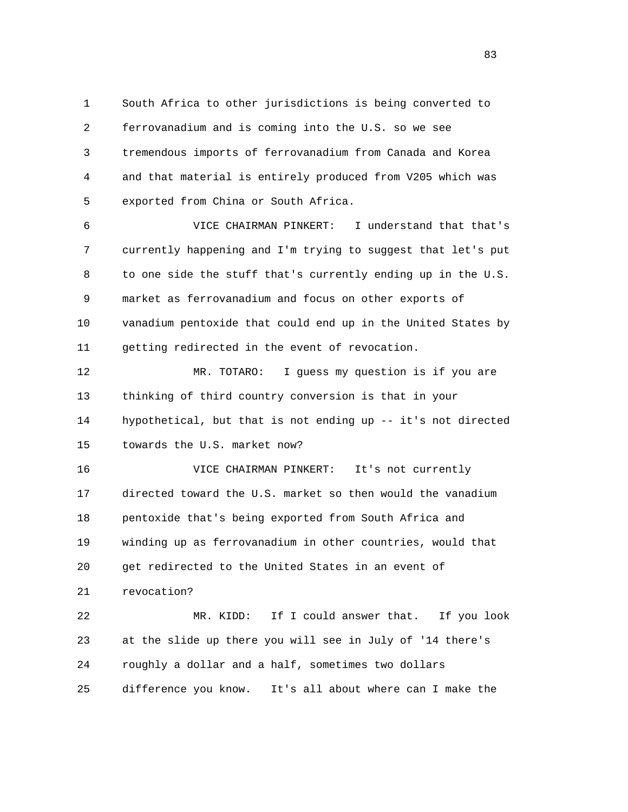1 South Africa to other jurisdictions is being converted to 2 ferrovanadium and is coming into the U.S. so we see 3 tremendous imports of ferrovanadium from Canada and Korea 4 and that material is entirely produced from V205 which was 5 exported from China or South Africa.

 6 VICE CHAIRMAN PINKERT: I understand that that's 7 currently happening and I'm trying to suggest that let's put 8 to one side the stuff that's currently ending up in the U.S. 9 market as ferrovanadium and focus on other exports of 10 vanadium pentoxide that could end up in the United States by 11 getting redirected in the event of revocation.

 12 MR. TOTARO: I guess my question is if you are 13 thinking of third country conversion is that in your 14 hypothetical, but that is not ending up -- it's not directed 15 towards the U.S. market now?

 16 VICE CHAIRMAN PINKERT: It's not currently 17 directed toward the U.S. market so then would the vanadium 18 pentoxide that's being exported from South Africa and 19 winding up as ferrovanadium in other countries, would that 20 get redirected to the United States in an event of 21 revocation?

 22 MR. KIDD: If I could answer that. If you look 23 at the slide up there you will see in July of '14 there's 24 roughly a dollar and a half, sometimes two dollars 25 difference you know. It's all about where can I make the

<u>83</u>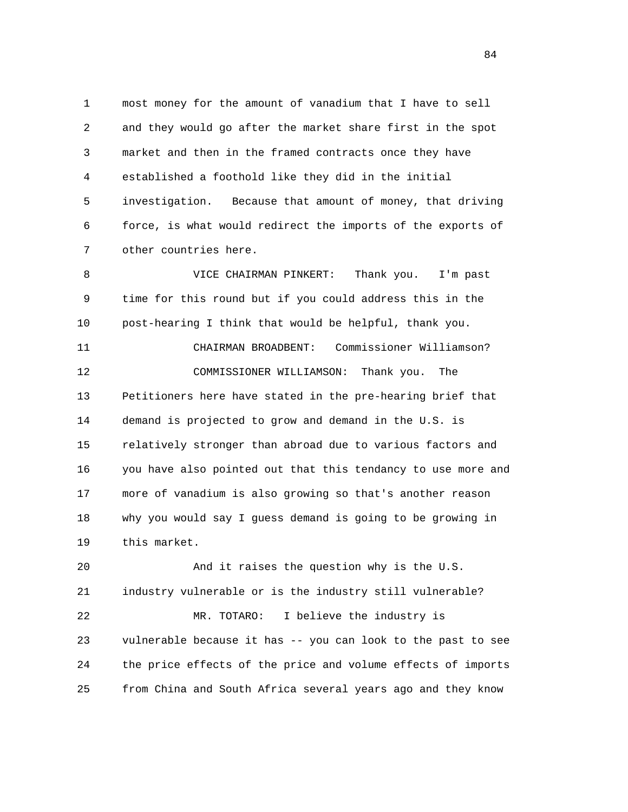1 most money for the amount of vanadium that I have to sell 2 and they would go after the market share first in the spot 3 market and then in the framed contracts once they have 4 established a foothold like they did in the initial 5 investigation. Because that amount of money, that driving 6 force, is what would redirect the imports of the exports of 7 other countries here.

 8 VICE CHAIRMAN PINKERT: Thank you. I'm past 9 time for this round but if you could address this in the 10 post-hearing I think that would be helpful, thank you.

 11 CHAIRMAN BROADBENT: Commissioner Williamson? 12 COMMISSIONER WILLIAMSON: Thank you. The 13 Petitioners here have stated in the pre-hearing brief that 14 demand is projected to grow and demand in the U.S. is 15 relatively stronger than abroad due to various factors and 16 you have also pointed out that this tendancy to use more and 17 more of vanadium is also growing so that's another reason 18 why you would say I guess demand is going to be growing in 19 this market.

 20 And it raises the question why is the U.S. 21 industry vulnerable or is the industry still vulnerable? 22 MR. TOTARO: I believe the industry is 23 vulnerable because it has -- you can look to the past to see 24 the price effects of the price and volume effects of imports 25 from China and South Africa several years ago and they know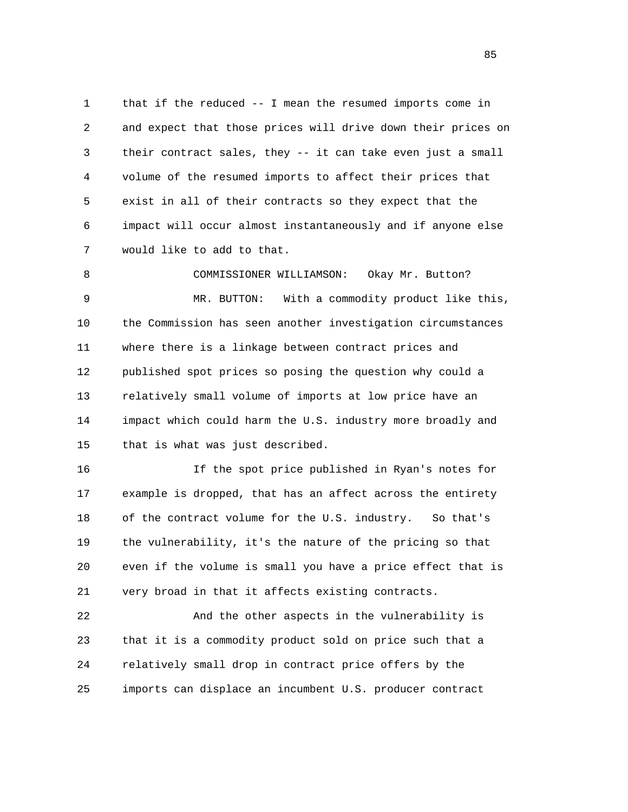1 that if the reduced -- I mean the resumed imports come in 2 and expect that those prices will drive down their prices on 3 their contract sales, they -- it can take even just a small 4 volume of the resumed imports to affect their prices that 5 exist in all of their contracts so they expect that the 6 impact will occur almost instantaneously and if anyone else 7 would like to add to that.

 8 COMMISSIONER WILLIAMSON: Okay Mr. Button? 9 MR. BUTTON: With a commodity product like this, 10 the Commission has seen another investigation circumstances 11 where there is a linkage between contract prices and 12 published spot prices so posing the question why could a 13 relatively small volume of imports at low price have an 14 impact which could harm the U.S. industry more broadly and 15 that is what was just described.

 16 If the spot price published in Ryan's notes for 17 example is dropped, that has an affect across the entirety 18 of the contract volume for the U.S. industry. So that's 19 the vulnerability, it's the nature of the pricing so that 20 even if the volume is small you have a price effect that is 21 very broad in that it affects existing contracts.

 22 And the other aspects in the vulnerability is 23 that it is a commodity product sold on price such that a 24 relatively small drop in contract price offers by the 25 imports can displace an incumbent U.S. producer contract

<u>85</u>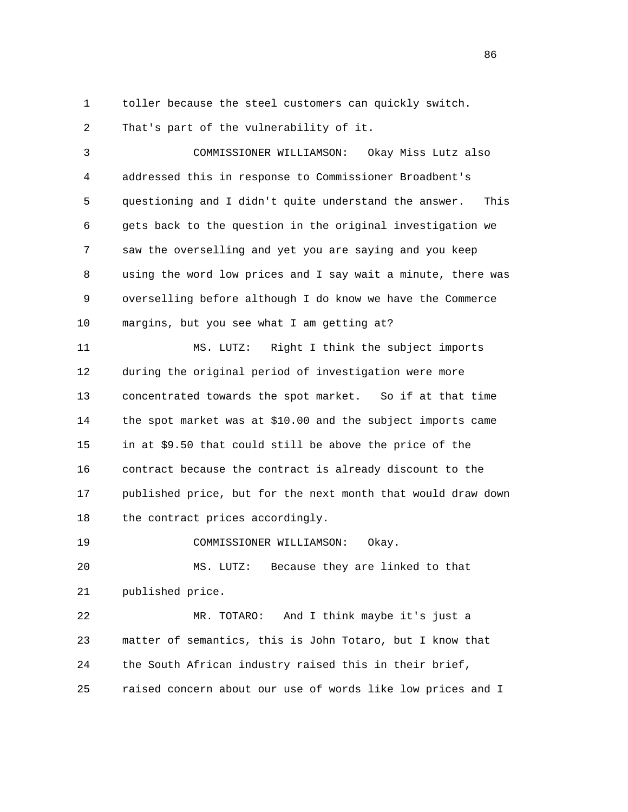1 toller because the steel customers can quickly switch.

2 That's part of the vulnerability of it.

 3 COMMISSIONER WILLIAMSON: Okay Miss Lutz also 4 addressed this in response to Commissioner Broadbent's 5 questioning and I didn't quite understand the answer. This 6 gets back to the question in the original investigation we 7 saw the overselling and yet you are saying and you keep 8 using the word low prices and I say wait a minute, there was 9 overselling before although I do know we have the Commerce 10 margins, but you see what I am getting at?

 11 MS. LUTZ: Right I think the subject imports 12 during the original period of investigation were more 13 concentrated towards the spot market. So if at that time 14 the spot market was at \$10.00 and the subject imports came 15 in at \$9.50 that could still be above the price of the 16 contract because the contract is already discount to the 17 published price, but for the next month that would draw down 18 the contract prices accordingly.

19 COMMISSIONER WILLIAMSON: Okay.

 20 MS. LUTZ: Because they are linked to that 21 published price.

 22 MR. TOTARO: And I think maybe it's just a 23 matter of semantics, this is John Totaro, but I know that 24 the South African industry raised this in their brief, 25 raised concern about our use of words like low prices and I

<u>86 and 2001 and 2002 and 2003 and 2003 and 2003 and 2003 and 2003 and 2003 and 2003 and 2003 and 2003 and 200</u>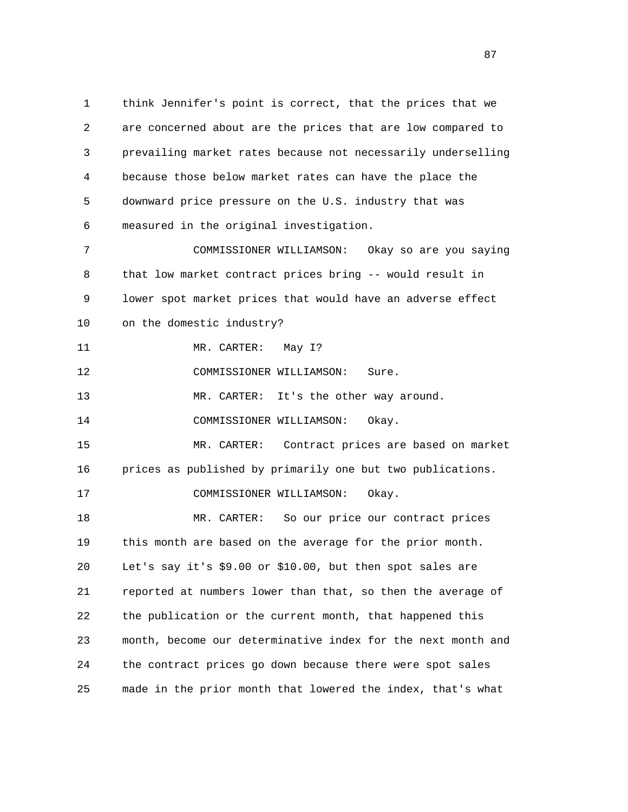1 think Jennifer's point is correct, that the prices that we 2 are concerned about are the prices that are low compared to 3 prevailing market rates because not necessarily underselling 4 because those below market rates can have the place the 5 downward price pressure on the U.S. industry that was 6 measured in the original investigation. 7 COMMISSIONER WILLIAMSON: Okay so are you saying 8 that low market contract prices bring -- would result in 9 lower spot market prices that would have an adverse effect 10 on the domestic industry? 11 MR. CARTER: May 1? 12 COMMISSIONER WILLIAMSON: Sure. 13 MR. CARTER: It's the other way around. 14 COMMISSIONER WILLIAMSON: Okay. 15 MR. CARTER: Contract prices are based on market 16 prices as published by primarily one but two publications. 17 COMMISSIONER WILLIAMSON: Okay. 18 MR. CARTER: So our price our contract prices 19 this month are based on the average for the prior month. 20 Let's say it's \$9.00 or \$10.00, but then spot sales are 21 reported at numbers lower than that, so then the average of 22 the publication or the current month, that happened this 23 month, become our determinative index for the next month and 24 the contract prices go down because there were spot sales 25 made in the prior month that lowered the index, that's what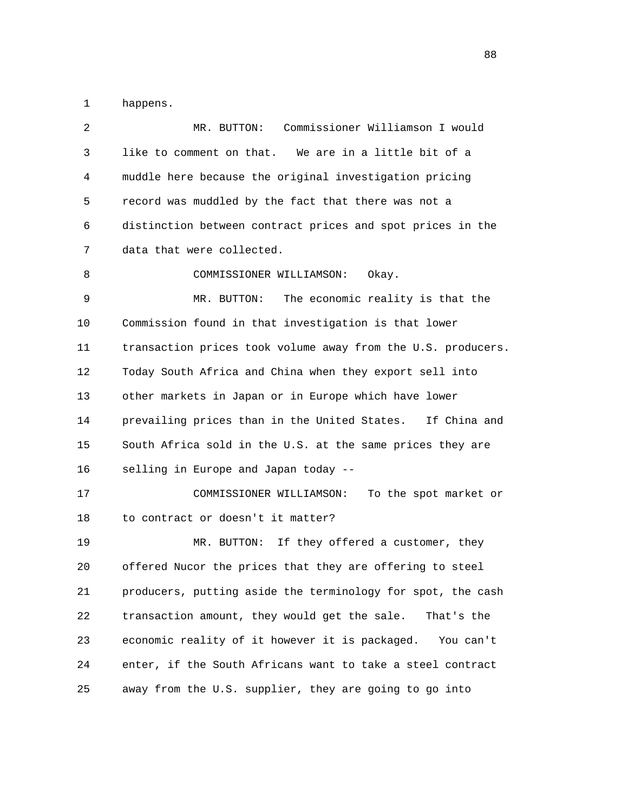1 happens.

| 2  | Commissioner Williamson I would<br>MR. BUTTON:               |
|----|--------------------------------------------------------------|
| 3  | like to comment on that. We are in a little bit of a         |
| 4  | muddle here because the original investigation pricing       |
| 5  | record was muddled by the fact that there was not a          |
| 6  | distinction between contract prices and spot prices in the   |
| 7  | data that were collected.                                    |
| 8  | COMMISSIONER WILLIAMSON:<br>Okay.                            |
| 9  | The economic reality is that the<br>MR. BUTTON:              |
| 10 | Commission found in that investigation is that lower         |
| 11 | transaction prices took volume away from the U.S. producers. |
| 12 | Today South Africa and China when they export sell into      |
| 13 | other markets in Japan or in Europe which have lower         |
| 14 | prevailing prices than in the United States. If China and    |
| 15 | South Africa sold in the U.S. at the same prices they are    |
| 16 | selling in Europe and Japan today --                         |
| 17 | COMMISSIONER WILLIAMSON:<br>To the spot market or            |
| 18 | to contract or doesn't it matter?                            |
| 19 | MR. BUTTON: If they offered a customer, they                 |
| 20 | offered Nucor the prices that they are offering to steel     |
| 21 | producers, putting aside the terminology for spot, the cash  |
| 22 | transaction amount, they would get the sale.<br>That's the   |
| 23 | economic reality of it however it is packaged.<br>You can't  |
| 24 | enter, if the South Africans want to take a steel contract   |
| 25 | away from the U.S. supplier, they are going to go into       |
|    |                                                              |

en and the state of the state of the state of the state of the state of the state of the state of the state of the state of the state of the state of the state of the state of the state of the state of the state of the sta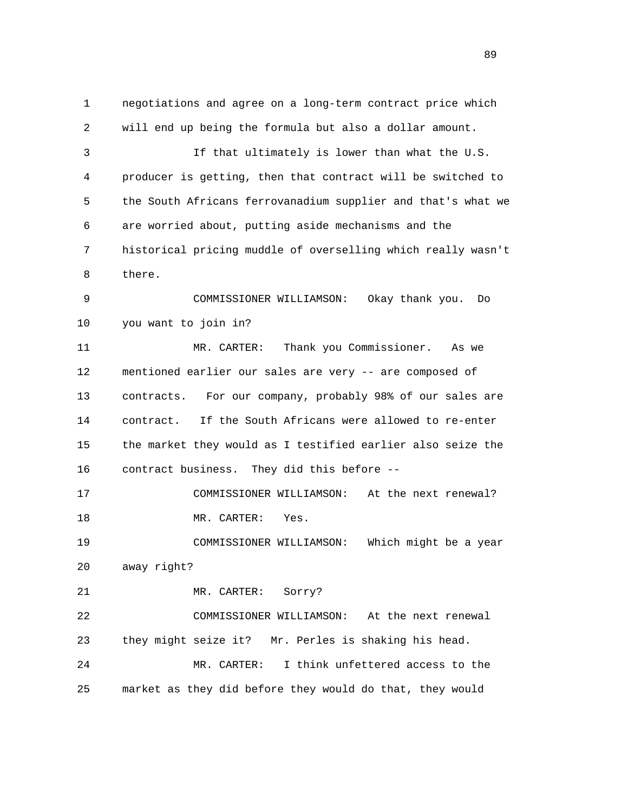1 negotiations and agree on a long-term contract price which 2 will end up being the formula but also a dollar amount. 3 If that ultimately is lower than what the U.S. 4 producer is getting, then that contract will be switched to 5 the South Africans ferrovanadium supplier and that's what we 6 are worried about, putting aside mechanisms and the 7 historical pricing muddle of overselling which really wasn't 8 there. 9 COMMISSIONER WILLIAMSON: Okay thank you. Do 10 you want to join in? 11 MR. CARTER: Thank you Commissioner. As we 12 mentioned earlier our sales are very -- are composed of 13 contracts. For our company, probably 98% of our sales are 14 contract. If the South Africans were allowed to re-enter 15 the market they would as I testified earlier also seize the 16 contract business. They did this before -- 17 COMMISSIONER WILLIAMSON: At the next renewal? 18 MR. CARTER: Yes. 19 COMMISSIONER WILLIAMSON: Which might be a year 20 away right? 21 MR. CARTER: Sorry? 22 COMMISSIONER WILLIAMSON: At the next renewal 23 they might seize it? Mr. Perles is shaking his head. 24 MR. CARTER: I think unfettered access to the 25 market as they did before they would do that, they would

89 and the state of the state of the state of the state of the state of the state of the state of the state of the state of the state of the state of the state of the state of the state of the state of the state of the sta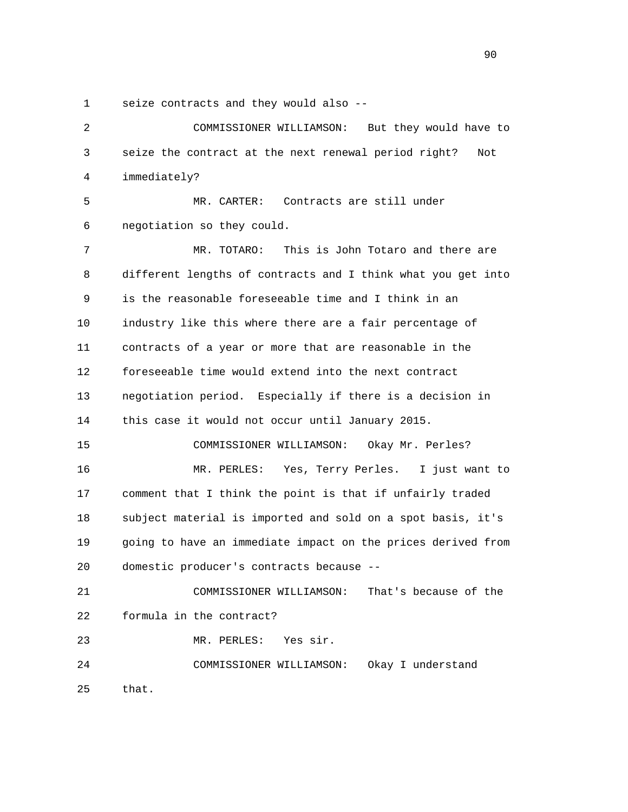1 seize contracts and they would also --

 2 COMMISSIONER WILLIAMSON: But they would have to 3 seize the contract at the next renewal period right? Not 4 immediately? 5 MR. CARTER: Contracts are still under 6 negotiation so they could. 7 MR. TOTARO: This is John Totaro and there are 8 different lengths of contracts and I think what you get into 9 is the reasonable foreseeable time and I think in an 10 industry like this where there are a fair percentage of 11 contracts of a year or more that are reasonable in the 12 foreseeable time would extend into the next contract 13 negotiation period. Especially if there is a decision in 14 this case it would not occur until January 2015. 15 COMMISSIONER WILLIAMSON: Okay Mr. Perles? 16 MR. PERLES: Yes, Terry Perles. I just want to 17 comment that I think the point is that if unfairly traded 18 subject material is imported and sold on a spot basis, it's 19 going to have an immediate impact on the prices derived from 20 domestic producer's contracts because -- 21 COMMISSIONER WILLIAMSON: That's because of the 22 formula in the contract? 23 MR. PERLES: Yes sir. 24 COMMISSIONER WILLIAMSON: Okay I understand 25 that.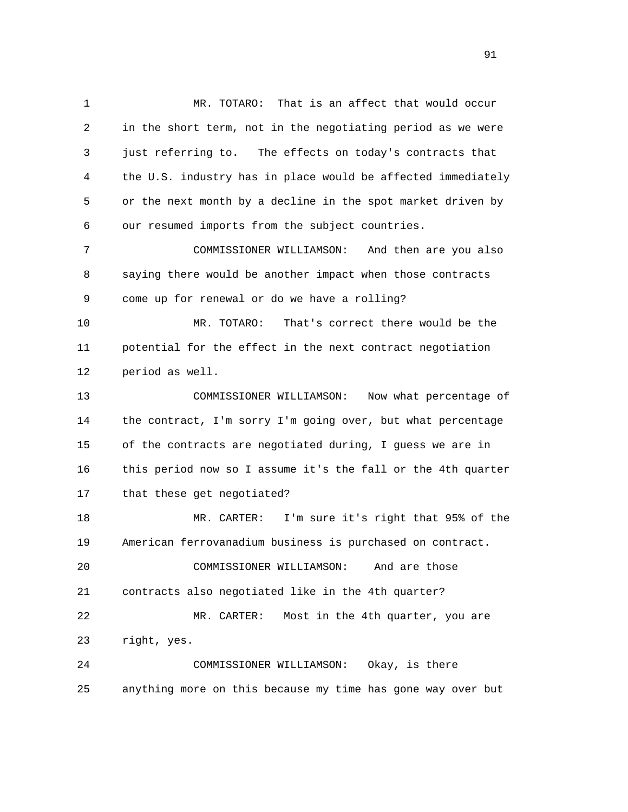1 MR. TOTARO: That is an affect that would occur 2 in the short term, not in the negotiating period as we were 3 just referring to. The effects on today's contracts that 4 the U.S. industry has in place would be affected immediately 5 or the next month by a decline in the spot market driven by 6 our resumed imports from the subject countries. 7 COMMISSIONER WILLIAMSON: And then are you also 8 saying there would be another impact when those contracts 9 come up for renewal or do we have a rolling? 10 MR. TOTARO: That's correct there would be the 11 potential for the effect in the next contract negotiation 12 period as well. 13 COMMISSIONER WILLIAMSON: Now what percentage of 14 the contract, I'm sorry I'm going over, but what percentage 15 of the contracts are negotiated during, I guess we are in

 16 this period now so I assume it's the fall or the 4th quarter 17 that these get negotiated?

 18 MR. CARTER: I'm sure it's right that 95% of the 19 American ferrovanadium business is purchased on contract. 20 COMMISSIONER WILLIAMSON: And are those 21 contracts also negotiated like in the 4th quarter? 22 MR. CARTER: Most in the 4th quarter, you are 23 right, yes. 24 COMMISSIONER WILLIAMSON: Okay, is there

25 anything more on this because my time has gone way over but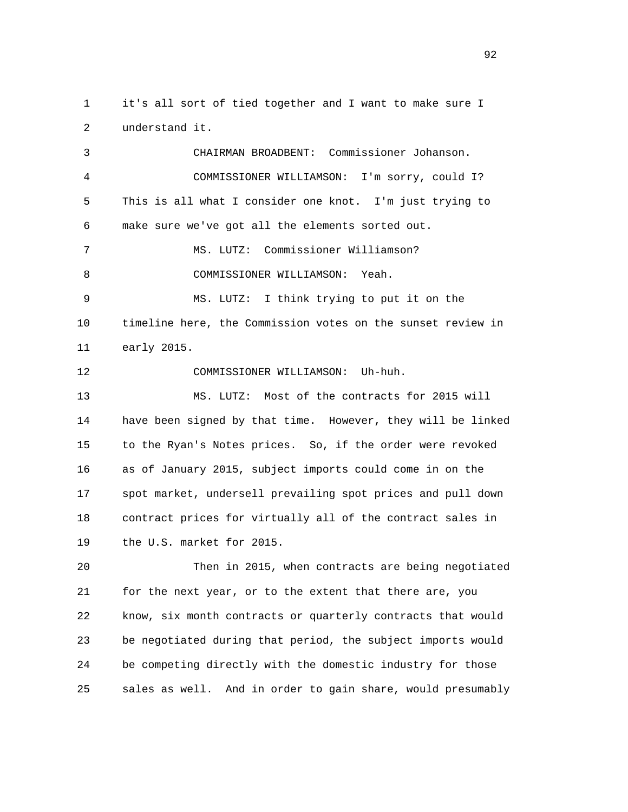1 it's all sort of tied together and I want to make sure I 2 understand it.

 3 CHAIRMAN BROADBENT: Commissioner Johanson. 4 COMMISSIONER WILLIAMSON: I'm sorry, could I? 5 This is all what I consider one knot. I'm just trying to 6 make sure we've got all the elements sorted out. 7 MS. LUTZ: Commissioner Williamson? 8 COMMISSIONER WILLIAMSON: Yeah. 9 MS. LUTZ: I think trying to put it on the 10 timeline here, the Commission votes on the sunset review in 11 early 2015. 12 COMMISSIONER WILLIAMSON: Uh-huh. 13 MS. LUTZ: Most of the contracts for 2015 will 14 have been signed by that time. However, they will be linked 15 to the Ryan's Notes prices. So, if the order were revoked 16 as of January 2015, subject imports could come in on the 17 spot market, undersell prevailing spot prices and pull down

 18 contract prices for virtually all of the contract sales in 19 the U.S. market for 2015.

 20 Then in 2015, when contracts are being negotiated 21 for the next year, or to the extent that there are, you 22 know, six month contracts or quarterly contracts that would 23 be negotiated during that period, the subject imports would 24 be competing directly with the domestic industry for those 25 sales as well. And in order to gain share, would presumably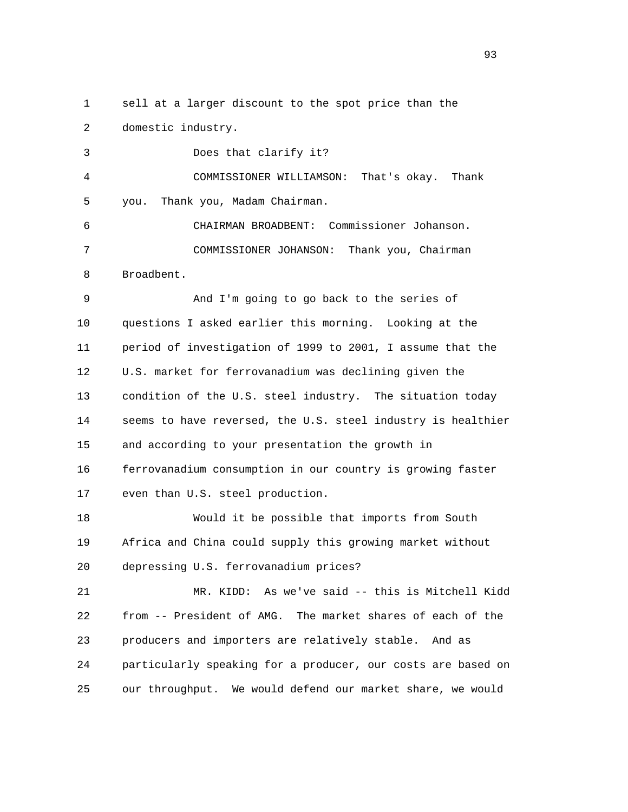1 sell at a larger discount to the spot price than the 2 domestic industry.

 3 Does that clarify it? 4 COMMISSIONER WILLIAMSON: That's okay. Thank 5 you. Thank you, Madam Chairman. 6 CHAIRMAN BROADBENT: Commissioner Johanson. 7 COMMISSIONER JOHANSON: Thank you, Chairman 8 Broadbent. 9 And I'm going to go back to the series of 10 questions I asked earlier this morning. Looking at the 11 period of investigation of 1999 to 2001, I assume that the 12 U.S. market for ferrovanadium was declining given the 13 condition of the U.S. steel industry. The situation today 14 seems to have reversed, the U.S. steel industry is healthier 15 and according to your presentation the growth in 16 ferrovanadium consumption in our country is growing faster 17 even than U.S. steel production.

 18 Would it be possible that imports from South 19 Africa and China could supply this growing market without 20 depressing U.S. ferrovanadium prices?

 21 MR. KIDD: As we've said -- this is Mitchell Kidd 22 from -- President of AMG. The market shares of each of the 23 producers and importers are relatively stable. And as 24 particularly speaking for a producer, our costs are based on 25 our throughput. We would defend our market share, we would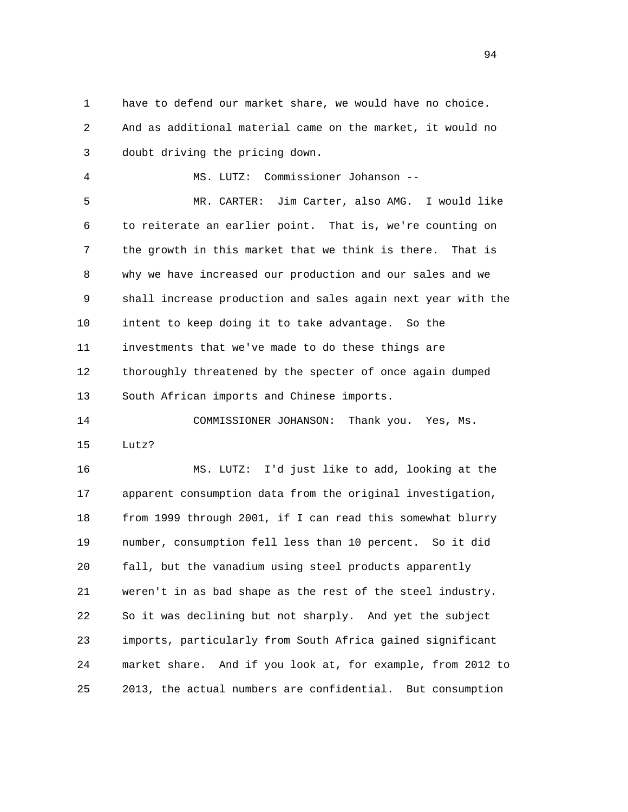1 have to defend our market share, we would have no choice. 2 And as additional material came on the market, it would no 3 doubt driving the pricing down.

 4 MS. LUTZ: Commissioner Johanson -- 5 MR. CARTER: Jim Carter, also AMG. I would like 6 to reiterate an earlier point. That is, we're counting on 7 the growth in this market that we think is there. That is 8 why we have increased our production and our sales and we 9 shall increase production and sales again next year with the 10 intent to keep doing it to take advantage. So the 11 investments that we've made to do these things are 12 thoroughly threatened by the specter of once again dumped 13 South African imports and Chinese imports.

 14 COMMISSIONER JOHANSON: Thank you. Yes, Ms. 15 Lutz?

 16 MS. LUTZ: I'd just like to add, looking at the 17 apparent consumption data from the original investigation, 18 from 1999 through 2001, if I can read this somewhat blurry 19 number, consumption fell less than 10 percent. So it did 20 fall, but the vanadium using steel products apparently 21 weren't in as bad shape as the rest of the steel industry. 22 So it was declining but not sharply. And yet the subject 23 imports, particularly from South Africa gained significant 24 market share. And if you look at, for example, from 2012 to 25 2013, the actual numbers are confidential. But consumption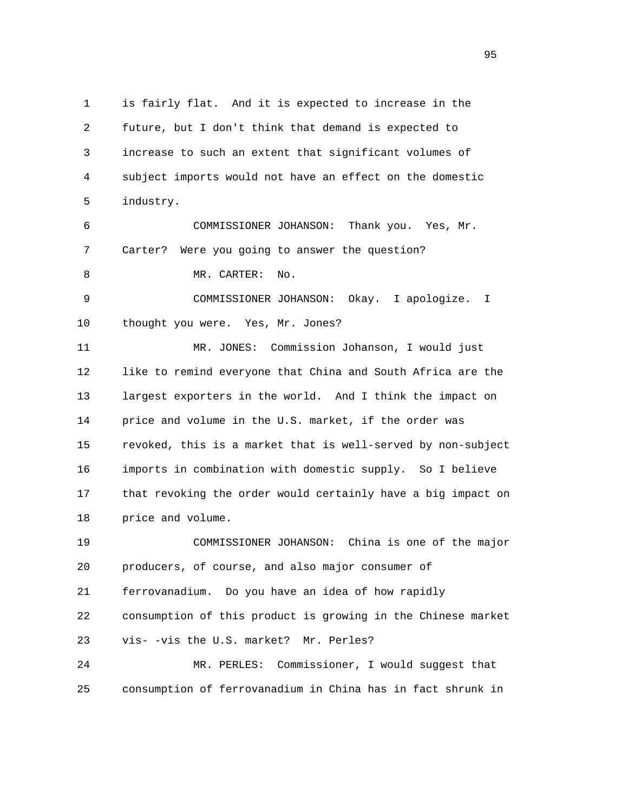1 is fairly flat. And it is expected to increase in the 2 future, but I don't think that demand is expected to 3 increase to such an extent that significant volumes of 4 subject imports would not have an effect on the domestic 5 industry. 6 COMMISSIONER JOHANSON: Thank you. Yes, Mr. 7 Carter? Were you going to answer the question? 8 MR. CARTER: No. 9 COMMISSIONER JOHANSON: Okay. I apologize. I 10 thought you were. Yes, Mr. Jones? 11 MR. JONES: Commission Johanson, I would just 12 like to remind everyone that China and South Africa are the 13 largest exporters in the world. And I think the impact on 14 price and volume in the U.S. market, if the order was 15 revoked, this is a market that is well-served by non-subject 16 imports in combination with domestic supply. So I believe 17 that revoking the order would certainly have a big impact on 18 price and volume. 19 COMMISSIONER JOHANSON: China is one of the major 20 producers, of course, and also major consumer of 21 ferrovanadium. Do you have an idea of how rapidly 22 consumption of this product is growing in the Chinese market 23 vis- -vis the U.S. market? Mr. Perles? 24 MR. PERLES: Commissioner, I would suggest that 25 consumption of ferrovanadium in China has in fact shrunk in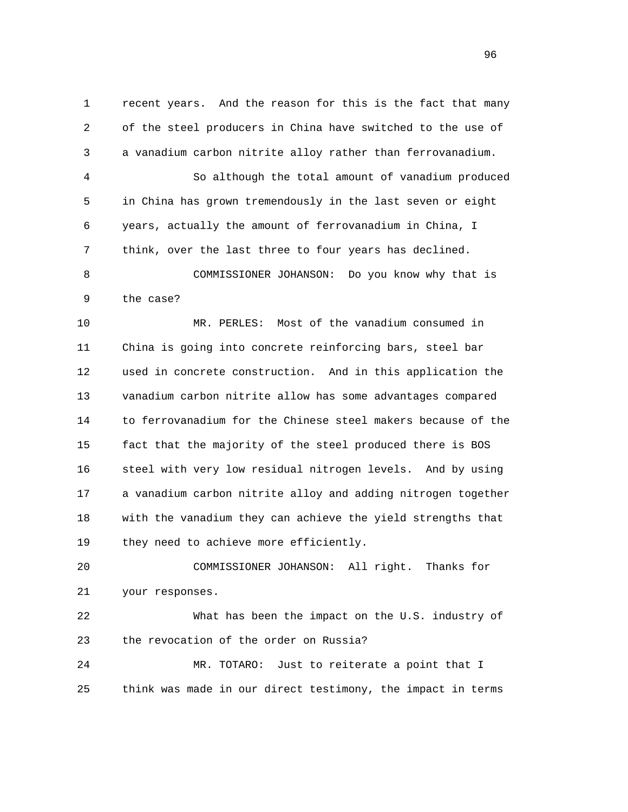1 recent years. And the reason for this is the fact that many 2 of the steel producers in China have switched to the use of 3 a vanadium carbon nitrite alloy rather than ferrovanadium.

 4 So although the total amount of vanadium produced 5 in China has grown tremendously in the last seven or eight 6 years, actually the amount of ferrovanadium in China, I 7 think, over the last three to four years has declined. 8 COMMISSIONER JOHANSON: Do you know why that is 9 the case?

 10 MR. PERLES: Most of the vanadium consumed in 11 China is going into concrete reinforcing bars, steel bar 12 used in concrete construction. And in this application the 13 vanadium carbon nitrite allow has some advantages compared 14 to ferrovanadium for the Chinese steel makers because of the 15 fact that the majority of the steel produced there is BOS 16 steel with very low residual nitrogen levels. And by using 17 a vanadium carbon nitrite alloy and adding nitrogen together 18 with the vanadium they can achieve the yield strengths that 19 they need to achieve more efficiently.

 20 COMMISSIONER JOHANSON: All right. Thanks for 21 your responses.

 22 What has been the impact on the U.S. industry of 23 the revocation of the order on Russia?

 24 MR. TOTARO: Just to reiterate a point that I 25 think was made in our direct testimony, the impact in terms

<u>96</u>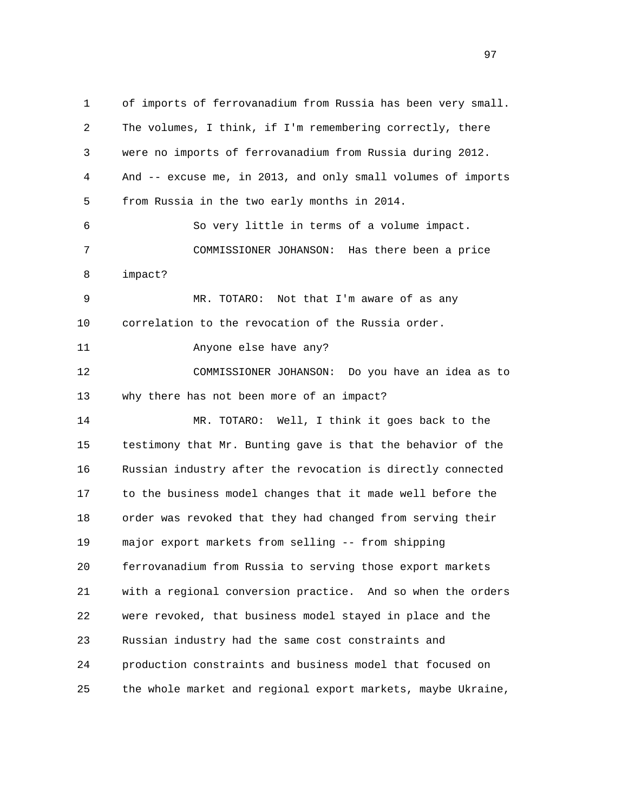1 of imports of ferrovanadium from Russia has been very small. 2 The volumes, I think, if I'm remembering correctly, there 3 were no imports of ferrovanadium from Russia during 2012. 4 And -- excuse me, in 2013, and only small volumes of imports 5 from Russia in the two early months in 2014. 6 So very little in terms of a volume impact. 7 COMMISSIONER JOHANSON: Has there been a price 8 impact? 9 MR. TOTARO: Not that I'm aware of as any 10 correlation to the revocation of the Russia order. 11 Anyone else have any? 12 COMMISSIONER JOHANSON: Do you have an idea as to 13 why there has not been more of an impact? 14 MR. TOTARO: Well, I think it goes back to the 15 testimony that Mr. Bunting gave is that the behavior of the 16 Russian industry after the revocation is directly connected 17 to the business model changes that it made well before the 18 order was revoked that they had changed from serving their 19 major export markets from selling -- from shipping 20 ferrovanadium from Russia to serving those export markets 21 with a regional conversion practice. And so when the orders 22 were revoked, that business model stayed in place and the 23 Russian industry had the same cost constraints and 24 production constraints and business model that focused on 25 the whole market and regional export markets, maybe Ukraine,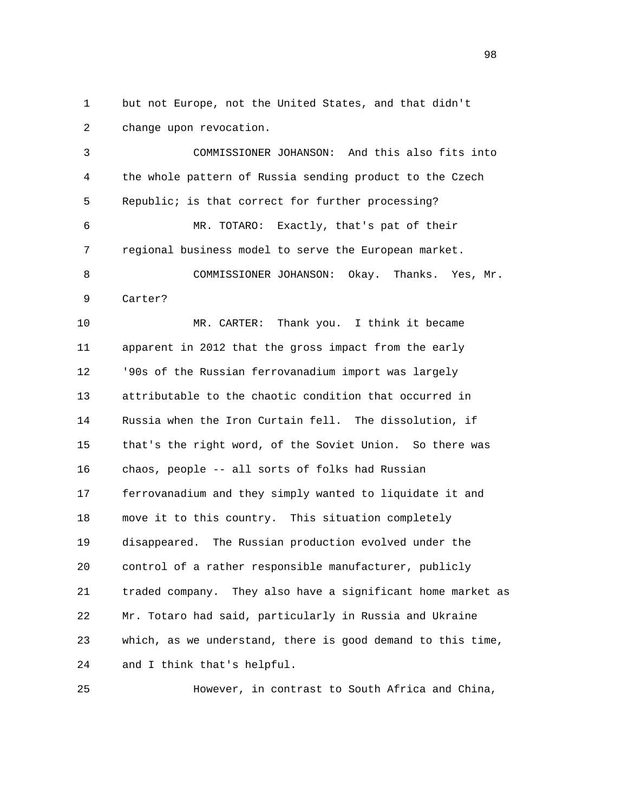1 but not Europe, not the United States, and that didn't 2 change upon revocation.

 3 COMMISSIONER JOHANSON: And this also fits into 4 the whole pattern of Russia sending product to the Czech 5 Republic; is that correct for further processing? 6 MR. TOTARO: Exactly, that's pat of their 7 regional business model to serve the European market. 8 COMMISSIONER JOHANSON: Okay. Thanks. Yes, Mr. 9 Carter? 10 MR. CARTER: Thank you. I think it became 11 apparent in 2012 that the gross impact from the early 12 '90s of the Russian ferrovanadium import was largely 13 attributable to the chaotic condition that occurred in 14 Russia when the Iron Curtain fell. The dissolution, if 15 that's the right word, of the Soviet Union. So there was 16 chaos, people -- all sorts of folks had Russian 17 ferrovanadium and they simply wanted to liquidate it and 18 move it to this country. This situation completely 19 disappeared. The Russian production evolved under the 20 control of a rather responsible manufacturer, publicly 21 traded company. They also have a significant home market as 22 Mr. Totaro had said, particularly in Russia and Ukraine 23 which, as we understand, there is good demand to this time, 24 and I think that's helpful.

25 However, in contrast to South Africa and China,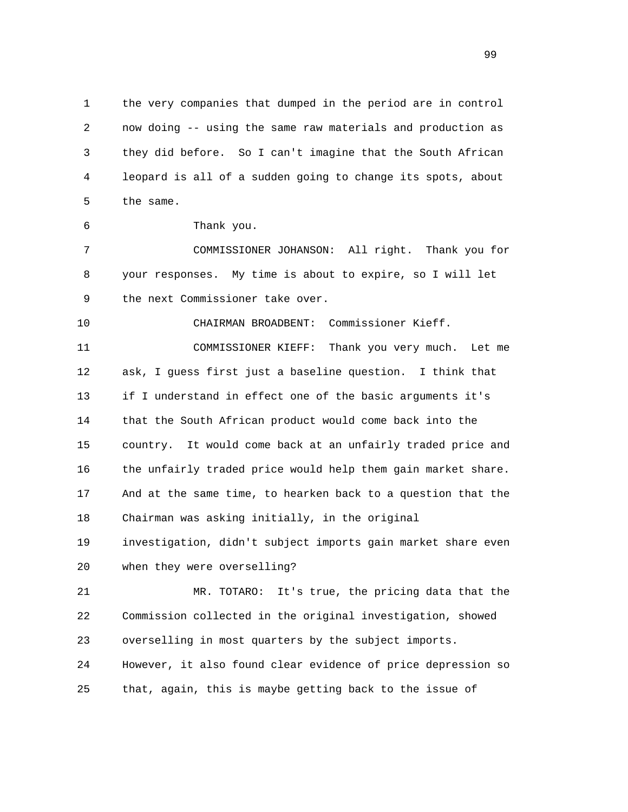1 the very companies that dumped in the period are in control 2 now doing -- using the same raw materials and production as 3 they did before. So I can't imagine that the South African 4 leopard is all of a sudden going to change its spots, about 5 the same.

6 Thank you.

 7 COMMISSIONER JOHANSON: All right. Thank you for 8 your responses. My time is about to expire, so I will let 9 the next Commissioner take over.

10 CHAIRMAN BROADBENT: Commissioner Kieff.

 11 COMMISSIONER KIEFF: Thank you very much. Let me 12 ask, I guess first just a baseline question. I think that 13 if I understand in effect one of the basic arguments it's 14 that the South African product would come back into the 15 country. It would come back at an unfairly traded price and 16 the unfairly traded price would help them gain market share. 17 And at the same time, to hearken back to a question that the 18 Chairman was asking initially, in the original 19 investigation, didn't subject imports gain market share even

20 when they were overselling?

 21 MR. TOTARO: It's true, the pricing data that the 22 Commission collected in the original investigation, showed 23 overselling in most quarters by the subject imports. 24 However, it also found clear evidence of price depression so 25 that, again, this is maybe getting back to the issue of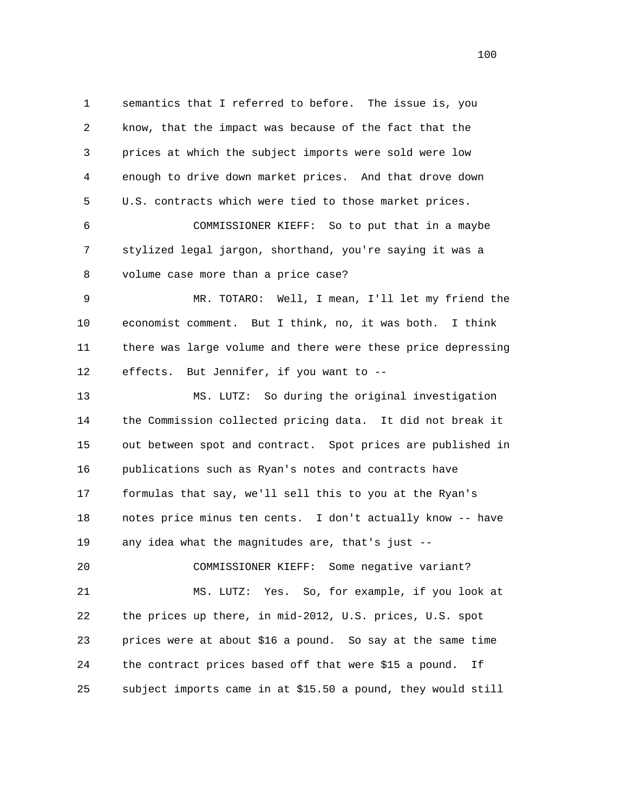1 semantics that I referred to before. The issue is, you 2 know, that the impact was because of the fact that the 3 prices at which the subject imports were sold were low 4 enough to drive down market prices. And that drove down 5 U.S. contracts which were tied to those market prices. 6 COMMISSIONER KIEFF: So to put that in a maybe 7 stylized legal jargon, shorthand, you're saying it was a 8 volume case more than a price case? 9 MR. TOTARO: Well, I mean, I'll let my friend the 10 economist comment. But I think, no, it was both. I think 11 there was large volume and there were these price depressing 12 effects. But Jennifer, if you want to -- 13 MS. LUTZ: So during the original investigation 14 the Commission collected pricing data. It did not break it 15 out between spot and contract. Spot prices are published in 16 publications such as Ryan's notes and contracts have 17 formulas that say, we'll sell this to you at the Ryan's 18 notes price minus ten cents. I don't actually know -- have 19 any idea what the magnitudes are, that's just -- 20 COMMISSIONER KIEFF: Some negative variant? 21 MS. LUTZ: Yes. So, for example, if you look at 22 the prices up there, in mid-2012, U.S. prices, U.S. spot 23 prices were at about \$16 a pound. So say at the same time 24 the contract prices based off that were \$15 a pound. If 25 subject imports came in at \$15.50 a pound, they would still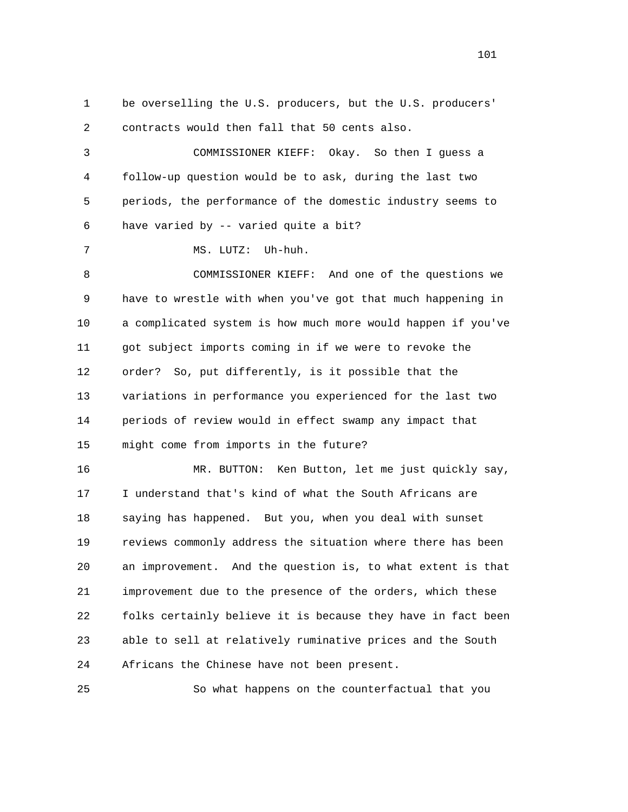1 be overselling the U.S. producers, but the U.S. producers' 2 contracts would then fall that 50 cents also. 3 COMMISSIONER KIEFF: Okay. So then I guess a 4 follow-up question would be to ask, during the last two 5 periods, the performance of the domestic industry seems to 6 have varied by -- varied quite a bit? 7 MS. LUTZ: Uh-huh. 8 COMMISSIONER KIEFF: And one of the questions we 9 have to wrestle with when you've got that much happening in 10 a complicated system is how much more would happen if you've 11 got subject imports coming in if we were to revoke the 12 order? So, put differently, is it possible that the 13 variations in performance you experienced for the last two 14 periods of review would in effect swamp any impact that 15 might come from imports in the future? 16 MR. BUTTON: Ken Button, let me just quickly say, 17 I understand that's kind of what the South Africans are 18 saying has happened. But you, when you deal with sunset 19 reviews commonly address the situation where there has been 20 an improvement. And the question is, to what extent is that 21 improvement due to the presence of the orders, which these 22 folks certainly believe it is because they have in fact been 23 able to sell at relatively ruminative prices and the South 24 Africans the Chinese have not been present.

25 So what happens on the counterfactual that you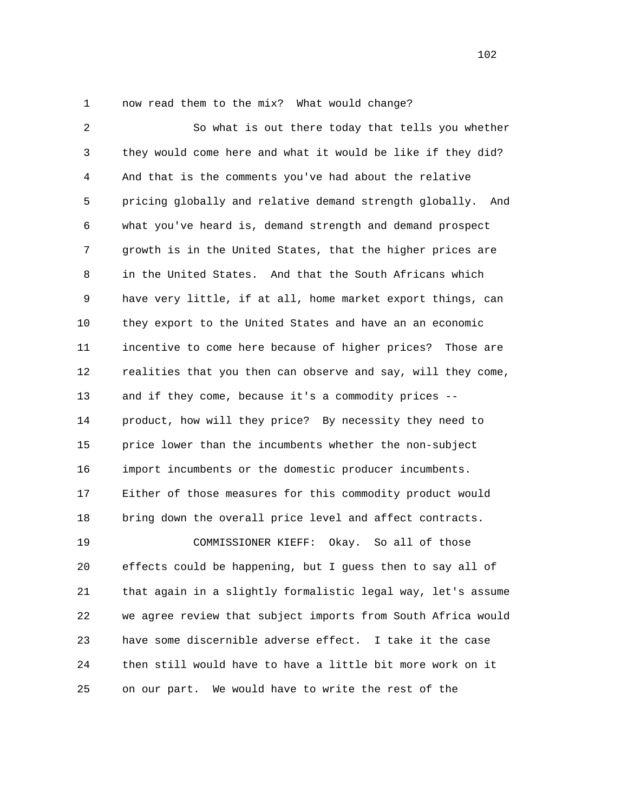1 now read them to the mix? What would change?

 2 So what is out there today that tells you whether 3 they would come here and what it would be like if they did? 4 And that is the comments you've had about the relative 5 pricing globally and relative demand strength globally. And 6 what you've heard is, demand strength and demand prospect 7 growth is in the United States, that the higher prices are 8 in the United States. And that the South Africans which 9 have very little, if at all, home market export things, can 10 they export to the United States and have an an economic 11 incentive to come here because of higher prices? Those are 12 realities that you then can observe and say, will they come, 13 and if they come, because it's a commodity prices -- 14 product, how will they price? By necessity they need to 15 price lower than the incumbents whether the non-subject 16 import incumbents or the domestic producer incumbents. 17 Either of those measures for this commodity product would 18 bring down the overall price level and affect contracts. 19 COMMISSIONER KIEFF: Okay. So all of those 20 effects could be happening, but I guess then to say all of 21 that again in a slightly formalistic legal way, let's assume 22 we agree review that subject imports from South Africa would 23 have some discernible adverse effect. I take it the case 24 then still would have to have a little bit more work on it 25 on our part. We would have to write the rest of the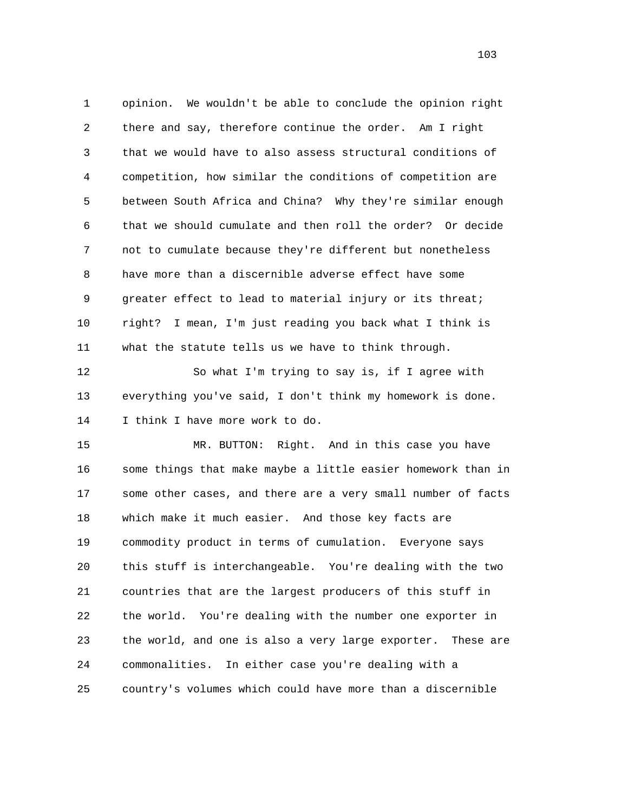1 opinion. We wouldn't be able to conclude the opinion right 2 there and say, therefore continue the order. Am I right 3 that we would have to also assess structural conditions of 4 competition, how similar the conditions of competition are 5 between South Africa and China? Why they're similar enough 6 that we should cumulate and then roll the order? Or decide 7 not to cumulate because they're different but nonetheless 8 have more than a discernible adverse effect have some 9 greater effect to lead to material injury or its threat; 10 right? I mean, I'm just reading you back what I think is 11 what the statute tells us we have to think through.

 12 So what I'm trying to say is, if I agree with 13 everything you've said, I don't think my homework is done. 14 I think I have more work to do.

 15 MR. BUTTON: Right. And in this case you have 16 some things that make maybe a little easier homework than in 17 some other cases, and there are a very small number of facts 18 which make it much easier. And those key facts are 19 commodity product in terms of cumulation. Everyone says 20 this stuff is interchangeable. You're dealing with the two 21 countries that are the largest producers of this stuff in 22 the world. You're dealing with the number one exporter in 23 the world, and one is also a very large exporter. These are 24 commonalities. In either case you're dealing with a 25 country's volumes which could have more than a discernible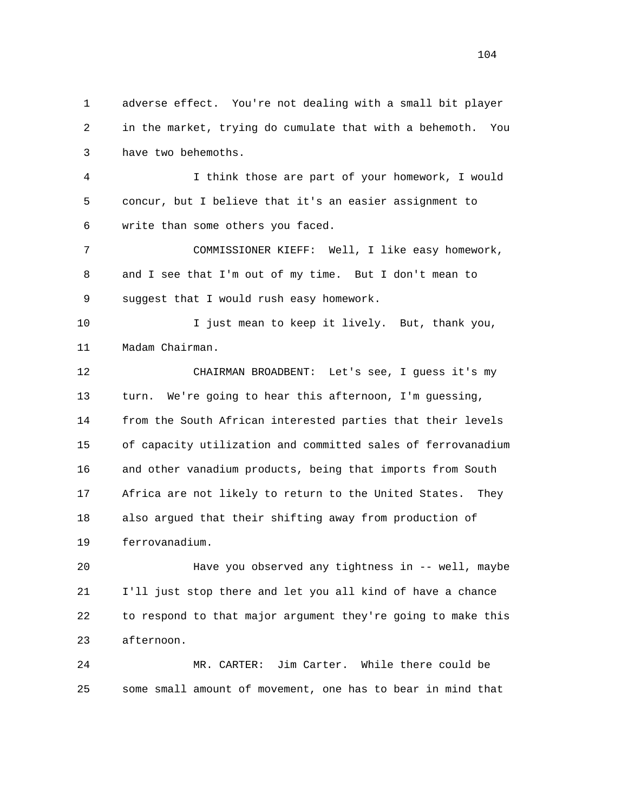1 adverse effect. You're not dealing with a small bit player 2 in the market, trying do cumulate that with a behemoth. You 3 have two behemoths.

 4 I think those are part of your homework, I would 5 concur, but I believe that it's an easier assignment to 6 write than some others you faced.

 7 COMMISSIONER KIEFF: Well, I like easy homework, 8 and I see that I'm out of my time. But I don't mean to 9 suggest that I would rush easy homework.

 10 I just mean to keep it lively. But, thank you, 11 Madam Chairman.

 12 CHAIRMAN BROADBENT: Let's see, I guess it's my 13 turn. We're going to hear this afternoon, I'm guessing, 14 from the South African interested parties that their levels 15 of capacity utilization and committed sales of ferrovanadium 16 and other vanadium products, being that imports from South 17 Africa are not likely to return to the United States. They 18 also argued that their shifting away from production of 19 ferrovanadium.

 20 Have you observed any tightness in -- well, maybe 21 I'll just stop there and let you all kind of have a chance 22 to respond to that major argument they're going to make this 23 afternoon.

 24 MR. CARTER: Jim Carter. While there could be 25 some small amount of movement, one has to bear in mind that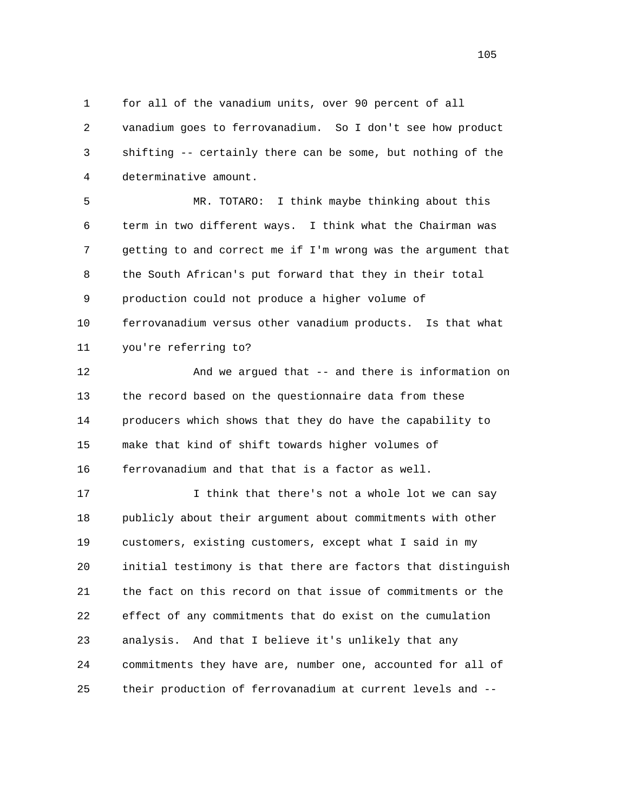1 for all of the vanadium units, over 90 percent of all 2 vanadium goes to ferrovanadium. So I don't see how product 3 shifting -- certainly there can be some, but nothing of the 4 determinative amount.

 5 MR. TOTARO: I think maybe thinking about this 6 term in two different ways. I think what the Chairman was 7 getting to and correct me if I'm wrong was the argument that 8 the South African's put forward that they in their total 9 production could not produce a higher volume of 10 ferrovanadium versus other vanadium products. Is that what 11 you're referring to?

 12 And we argued that -- and there is information on 13 the record based on the questionnaire data from these 14 producers which shows that they do have the capability to 15 make that kind of shift towards higher volumes of 16 ferrovanadium and that that is a factor as well.

 17 I think that there's not a whole lot we can say 18 publicly about their argument about commitments with other 19 customers, existing customers, except what I said in my 20 initial testimony is that there are factors that distinguish 21 the fact on this record on that issue of commitments or the 22 effect of any commitments that do exist on the cumulation 23 analysis. And that I believe it's unlikely that any 24 commitments they have are, number one, accounted for all of 25 their production of ferrovanadium at current levels and --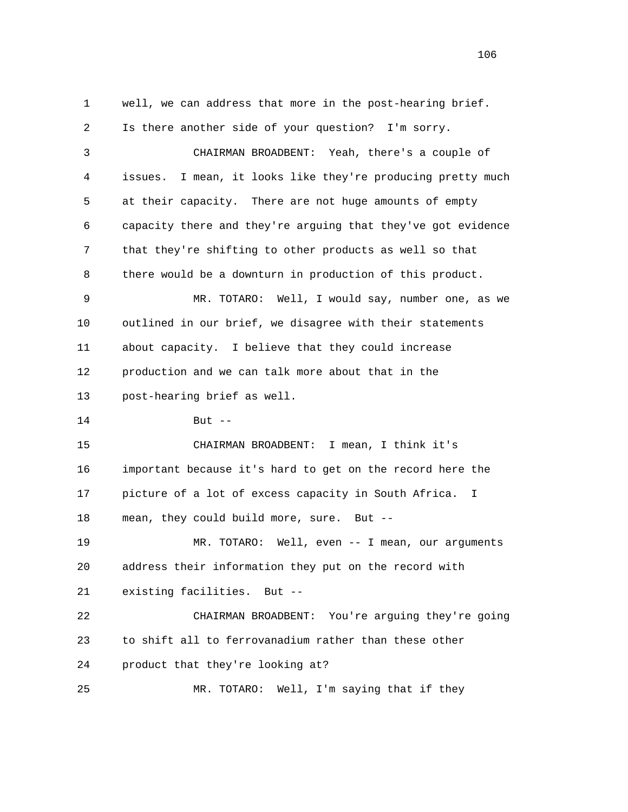1 well, we can address that more in the post-hearing brief. 2 Is there another side of your question? I'm sorry. 3 CHAIRMAN BROADBENT: Yeah, there's a couple of 4 issues. I mean, it looks like they're producing pretty much 5 at their capacity. There are not huge amounts of empty 6 capacity there and they're arguing that they've got evidence 7 that they're shifting to other products as well so that 8 there would be a downturn in production of this product. 9 MR. TOTARO: Well, I would say, number one, as we 10 outlined in our brief, we disagree with their statements 11 about capacity. I believe that they could increase 12 production and we can talk more about that in the 13 post-hearing brief as well. 14 But -- 15 CHAIRMAN BROADBENT: I mean, I think it's 16 important because it's hard to get on the record here the 17 picture of a lot of excess capacity in South Africa. I 18 mean, they could build more, sure. But -- 19 MR. TOTARO: Well, even -- I mean, our arguments 20 address their information they put on the record with 21 existing facilities. But -- 22 CHAIRMAN BROADBENT: You're arguing they're going 23 to shift all to ferrovanadium rather than these other 24 product that they're looking at? 25 MR. TOTARO: Well, I'm saying that if they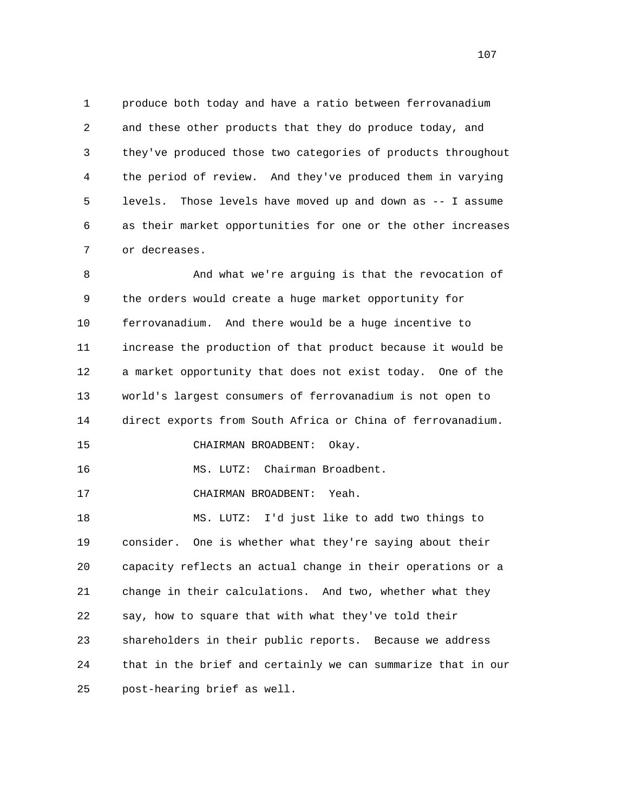1 produce both today and have a ratio between ferrovanadium 2 and these other products that they do produce today, and 3 they've produced those two categories of products throughout 4 the period of review. And they've produced them in varying 5 levels. Those levels have moved up and down as -- I assume 6 as their market opportunities for one or the other increases 7 or decreases.

 8 And what we're arguing is that the revocation of 9 the orders would create a huge market opportunity for 10 ferrovanadium. And there would be a huge incentive to 11 increase the production of that product because it would be 12 a market opportunity that does not exist today. One of the 13 world's largest consumers of ferrovanadium is not open to 14 direct exports from South Africa or China of ferrovanadium. 15 CHAIRMAN BROADBENT: Okay. 16 MS. LUTZ: Chairman Broadbent. 17 CHAIRMAN BROADBENT: Yeah. 18 MS. LUTZ: I'd just like to add two things to 19 consider. One is whether what they're saying about their 20 capacity reflects an actual change in their operations or a 21 change in their calculations. And two, whether what they 22 say, how to square that with what they've told their 23 shareholders in their public reports. Because we address

24 that in the brief and certainly we can summarize that in our

25 post-hearing brief as well.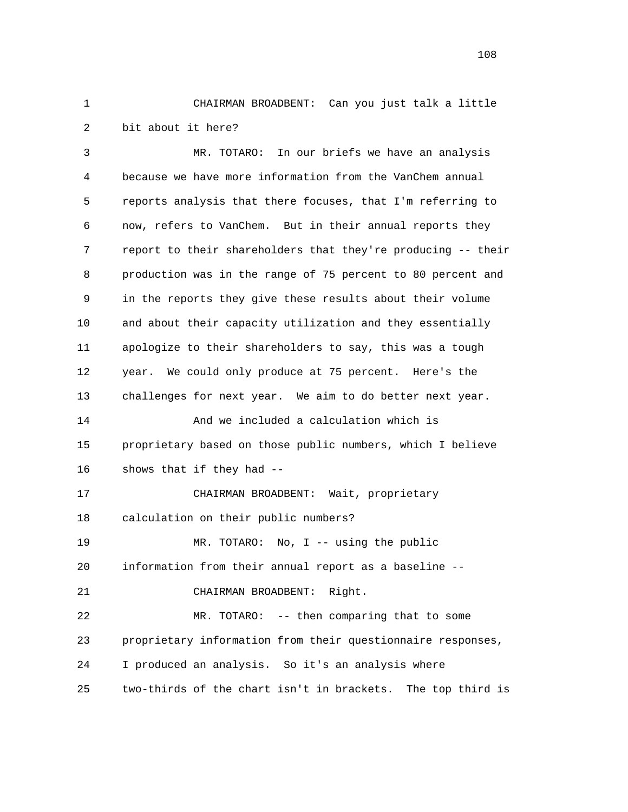1 CHAIRMAN BROADBENT: Can you just talk a little 2 bit about it here?

 3 MR. TOTARO: In our briefs we have an analysis 4 because we have more information from the VanChem annual 5 reports analysis that there focuses, that I'm referring to 6 now, refers to VanChem. But in their annual reports they 7 report to their shareholders that they're producing -- their 8 production was in the range of 75 percent to 80 percent and 9 in the reports they give these results about their volume 10 and about their capacity utilization and they essentially 11 apologize to their shareholders to say, this was a tough 12 year. We could only produce at 75 percent. Here's the 13 challenges for next year. We aim to do better next year. 14 And we included a calculation which is 15 proprietary based on those public numbers, which I believe 16 shows that if they had -- 17 CHAIRMAN BROADBENT: Wait, proprietary 18 calculation on their public numbers? 19 MR. TOTARO: No, I -- using the public 20 information from their annual report as a baseline -- 21 CHAIRMAN BROADBENT: Right. 22 MR. TOTARO: -- then comparing that to some 23 proprietary information from their questionnaire responses, 24 I produced an analysis. So it's an analysis where 25 two-thirds of the chart isn't in brackets. The top third is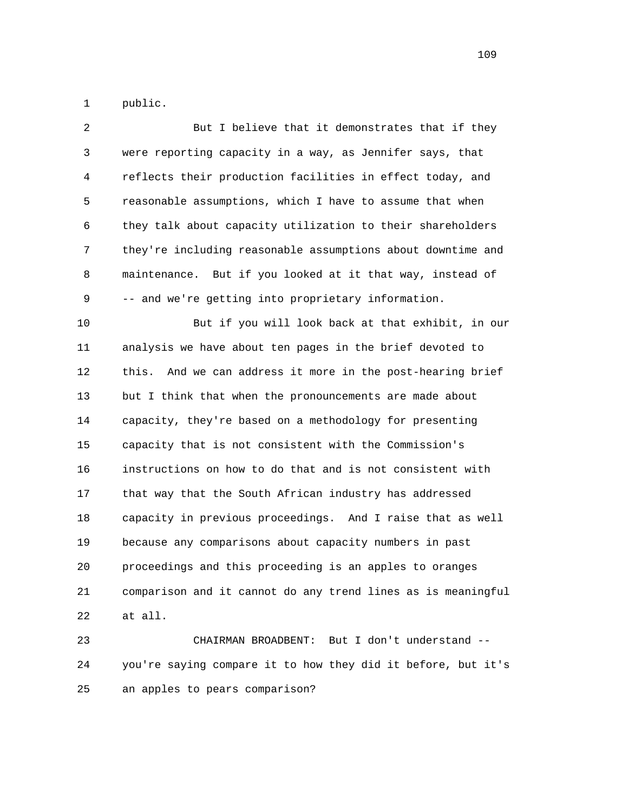1 public.

|      | 2            | But I believe that it demonstrates that if they               |
|------|--------------|---------------------------------------------------------------|
|      | $\mathsf{3}$ | were reporting capacity in a way, as Jennifer says, that      |
|      | 4            | reflects their production facilities in effect today, and     |
|      | 5            | reasonable assumptions, which I have to assume that when      |
|      | 6            | they talk about capacity utilization to their shareholders    |
|      | 7            | they're including reasonable assumptions about downtime and   |
|      | 8            | maintenance. But if you looked at it that way, instead of     |
|      | 9            | -- and we're getting into proprietary information.            |
| $10$ |              | But if you will look back at that exhibit, in our             |
| 11   |              | analysis we have about ten pages in the brief devoted to      |
| 12   |              | this.<br>And we can address it more in the post-hearing brief |
| 13   |              | but I think that when the pronouncements are made about       |
| 14   |              | capacity, they're based on a methodology for presenting       |
| 15   |              | capacity that is not consistent with the Commission's         |
| 16   |              | instructions on how to do that and is not consistent with     |
| 17   |              | that way that the South African industry has addressed        |
| 18   |              | capacity in previous proceedings. And I raise that as well    |
| 19   |              | because any comparisons about capacity numbers in past        |
| 20   |              | proceedings and this proceeding is an apples to oranges       |
| 21   |              | comparison and it cannot do any trend lines as is meaningful  |
| 22   |              | at all.                                                       |
|      |              |                                                               |

 23 CHAIRMAN BROADBENT: But I don't understand -- 24 you're saying compare it to how they did it before, but it's 25 an apples to pears comparison?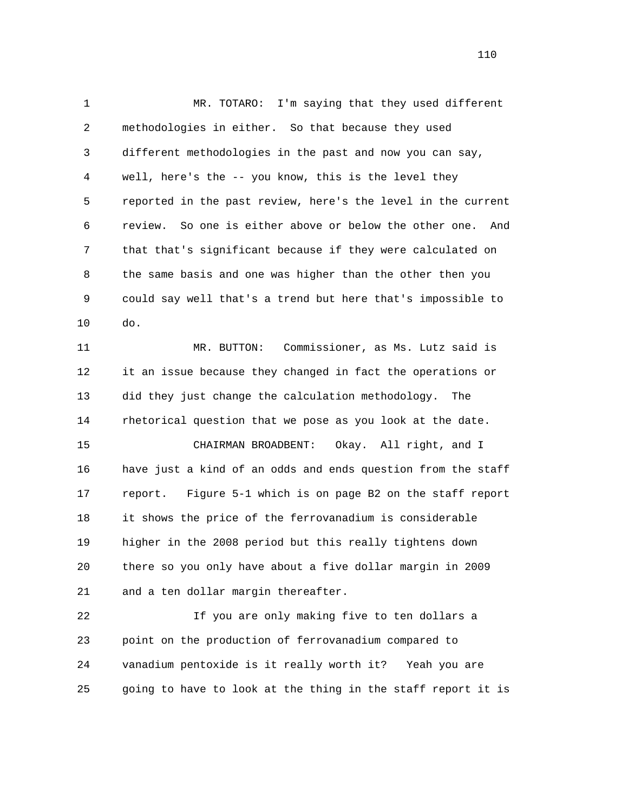1 MR. TOTARO: I'm saying that they used different 2 methodologies in either. So that because they used 3 different methodologies in the past and now you can say, 4 well, here's the -- you know, this is the level they 5 reported in the past review, here's the level in the current 6 review. So one is either above or below the other one. And 7 that that's significant because if they were calculated on 8 the same basis and one was higher than the other then you 9 could say well that's a trend but here that's impossible to 10 do. 11 MR. BUTTON: Commissioner, as Ms. Lutz said is 12 it an issue because they changed in fact the operations or 13 did they just change the calculation methodology. The 14 rhetorical question that we pose as you look at the date. 15 CHAIRMAN BROADBENT: Okay. All right, and I

 16 have just a kind of an odds and ends question from the staff 17 report. Figure 5-1 which is on page B2 on the staff report 18 it shows the price of the ferrovanadium is considerable 19 higher in the 2008 period but this really tightens down 20 there so you only have about a five dollar margin in 2009 21 and a ten dollar margin thereafter.

 22 If you are only making five to ten dollars a 23 point on the production of ferrovanadium compared to 24 vanadium pentoxide is it really worth it? Yeah you are 25 going to have to look at the thing in the staff report it is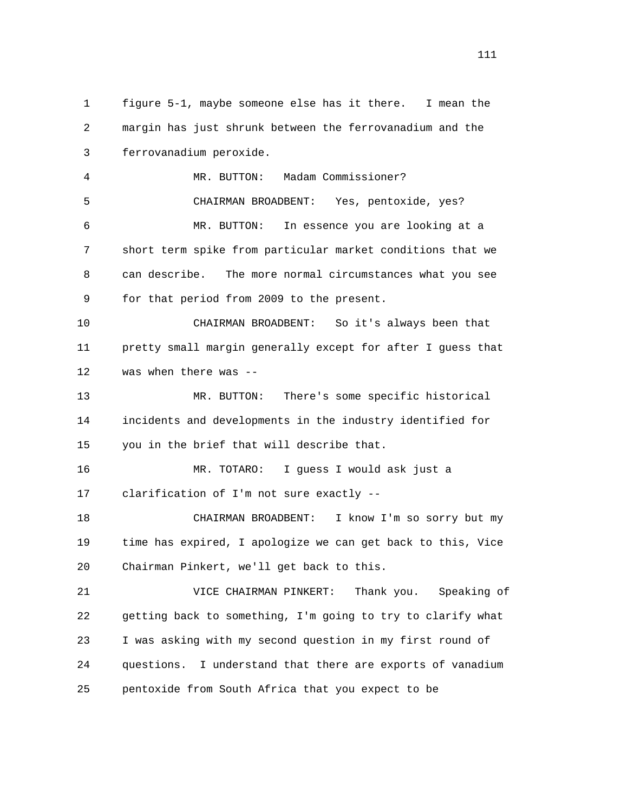1 figure 5-1, maybe someone else has it there. I mean the 2 margin has just shrunk between the ferrovanadium and the 3 ferrovanadium peroxide. 4 MR. BUTTON: Madam Commissioner? 5 CHAIRMAN BROADBENT: Yes, pentoxide, yes? 6 MR. BUTTON: In essence you are looking at a 7 short term spike from particular market conditions that we 8 can describe. The more normal circumstances what you see 9 for that period from 2009 to the present. 10 CHAIRMAN BROADBENT: So it's always been that 11 pretty small margin generally except for after I guess that 12 was when there was -- 13 MR. BUTTON: There's some specific historical 14 incidents and developments in the industry identified for 15 you in the brief that will describe that. 16 MR. TOTARO: I guess I would ask just a 17 clarification of I'm not sure exactly -- 18 CHAIRMAN BROADBENT: I know I'm so sorry but my 19 time has expired, I apologize we can get back to this, Vice 20 Chairman Pinkert, we'll get back to this. 21 VICE CHAIRMAN PINKERT: Thank you. Speaking of 22 getting back to something, I'm going to try to clarify what 23 I was asking with my second question in my first round of 24 questions. I understand that there are exports of vanadium 25 pentoxide from South Africa that you expect to be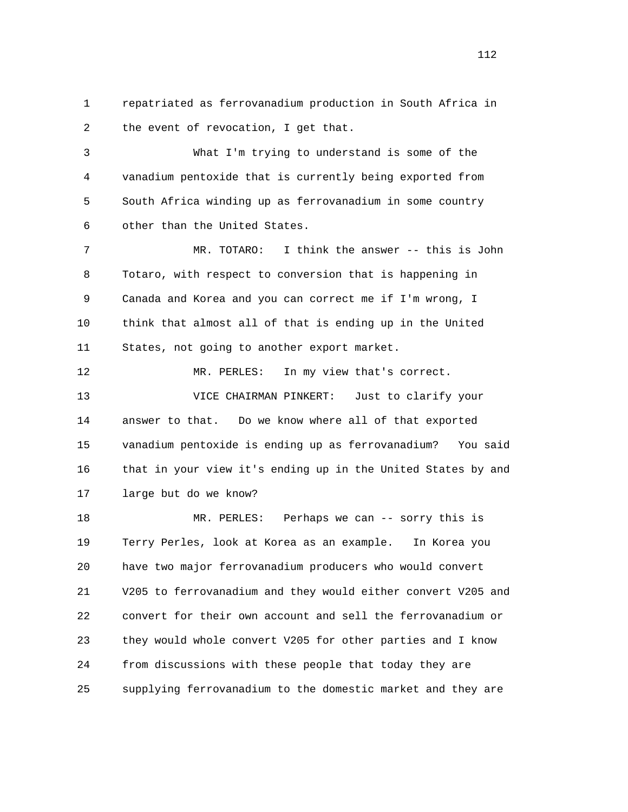1 repatriated as ferrovanadium production in South Africa in 2 the event of revocation, I get that.

 3 What I'm trying to understand is some of the 4 vanadium pentoxide that is currently being exported from 5 South Africa winding up as ferrovanadium in some country 6 other than the United States.

 7 MR. TOTARO: I think the answer -- this is John 8 Totaro, with respect to conversion that is happening in 9 Canada and Korea and you can correct me if I'm wrong, I 10 think that almost all of that is ending up in the United 11 States, not going to another export market.

12 MR. PERLES: In my view that's correct. 13 VICE CHAIRMAN PINKERT: Just to clarify your 14 answer to that. Do we know where all of that exported 15 vanadium pentoxide is ending up as ferrovanadium? You said 16 that in your view it's ending up in the United States by and 17 large but do we know?

 18 MR. PERLES: Perhaps we can -- sorry this is 19 Terry Perles, look at Korea as an example. In Korea you 20 have two major ferrovanadium producers who would convert 21 V205 to ferrovanadium and they would either convert V205 and 22 convert for their own account and sell the ferrovanadium or 23 they would whole convert V205 for other parties and I know 24 from discussions with these people that today they are 25 supplying ferrovanadium to the domestic market and they are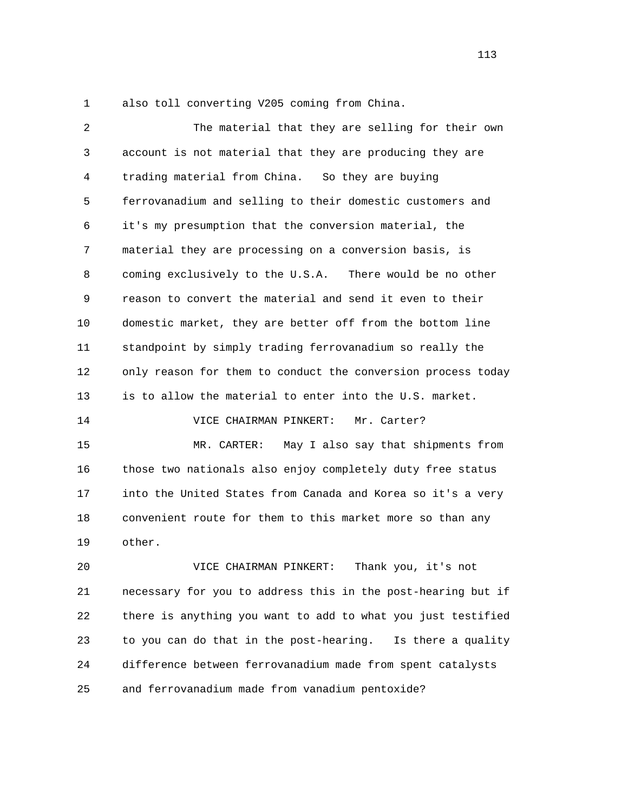1 also toll converting V205 coming from China.

 2 The material that they are selling for their own 3 account is not material that they are producing they are 4 trading material from China. So they are buying 5 ferrovanadium and selling to their domestic customers and 6 it's my presumption that the conversion material, the 7 material they are processing on a conversion basis, is 8 coming exclusively to the U.S.A. There would be no other 9 reason to convert the material and send it even to their 10 domestic market, they are better off from the bottom line 11 standpoint by simply trading ferrovanadium so really the 12 only reason for them to conduct the conversion process today 13 is to allow the material to enter into the U.S. market. 14 VICE CHAIRMAN PINKERT: Mr. Carter? 15 MR. CARTER: May I also say that shipments from 16 those two nationals also enjoy completely duty free status 17 into the United States from Canada and Korea so it's a very

 18 convenient route for them to this market more so than any 19 other.

 20 VICE CHAIRMAN PINKERT: Thank you, it's not 21 necessary for you to address this in the post-hearing but if 22 there is anything you want to add to what you just testified 23 to you can do that in the post-hearing. Is there a quality 24 difference between ferrovanadium made from spent catalysts 25 and ferrovanadium made from vanadium pentoxide?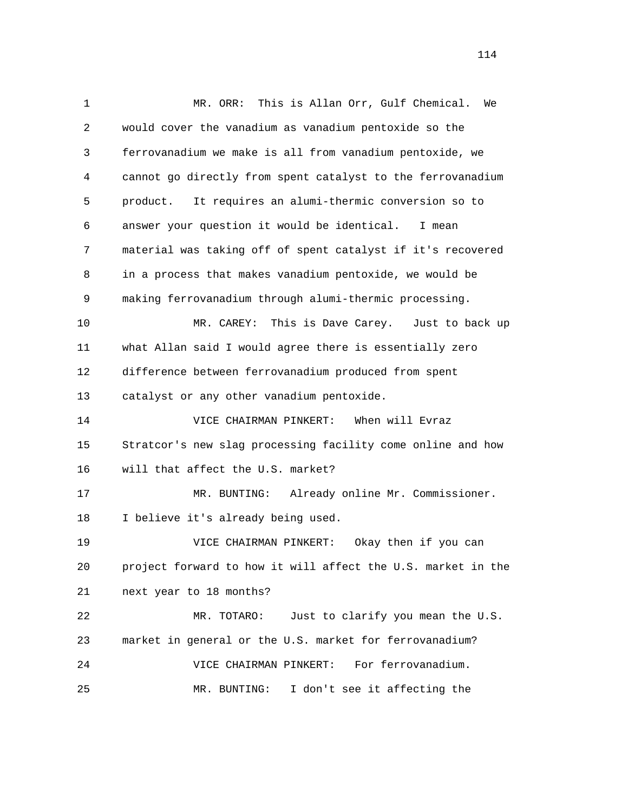1 MR. ORR: This is Allan Orr, Gulf Chemical. We 2 would cover the vanadium as vanadium pentoxide so the 3 ferrovanadium we make is all from vanadium pentoxide, we 4 cannot go directly from spent catalyst to the ferrovanadium 5 product. It requires an alumi-thermic conversion so to 6 answer your question it would be identical. I mean 7 material was taking off of spent catalyst if it's recovered 8 in a process that makes vanadium pentoxide, we would be 9 making ferrovanadium through alumi-thermic processing. 10 MR. CAREY: This is Dave Carey. Just to back up 11 what Allan said I would agree there is essentially zero 12 difference between ferrovanadium produced from spent 13 catalyst or any other vanadium pentoxide. 14 VICE CHAIRMAN PINKERT: When will Evraz 15 Stratcor's new slag processing facility come online and how 16 will that affect the U.S. market? 17 MR. BUNTING: Already online Mr. Commissioner. 18 I believe it's already being used. 19 VICE CHAIRMAN PINKERT: Okay then if you can 20 project forward to how it will affect the U.S. market in the 21 next year to 18 months? 22 MR. TOTARO: Just to clarify you mean the U.S. 23 market in general or the U.S. market for ferrovanadium? 24 VICE CHAIRMAN PINKERT: For ferrovanadium. 25 MR. BUNTING: I don't see it affecting the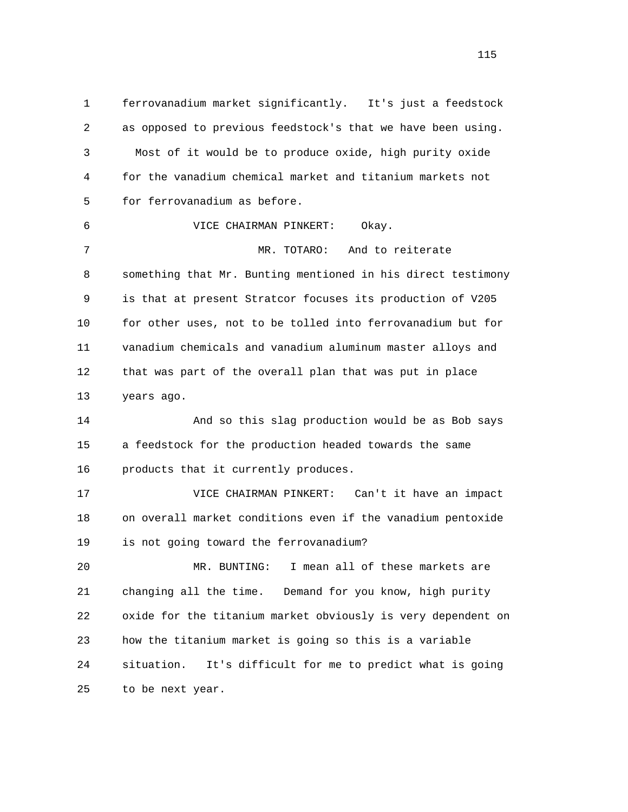1 ferrovanadium market significantly. It's just a feedstock 2 as opposed to previous feedstock's that we have been using. 3 Most of it would be to produce oxide, high purity oxide 4 for the vanadium chemical market and titanium markets not 5 for ferrovanadium as before. 6 VICE CHAIRMAN PINKERT: Okay. 7 MR. TOTARO: And to reiterate 8 something that Mr. Bunting mentioned in his direct testimony 9 is that at present Stratcor focuses its production of V205 10 for other uses, not to be tolled into ferrovanadium but for 11 vanadium chemicals and vanadium aluminum master alloys and 12 that was part of the overall plan that was put in place 13 years ago. 14 And so this slag production would be as Bob says 15 a feedstock for the production headed towards the same 16 products that it currently produces. 17 VICE CHAIRMAN PINKERT: Can't it have an impact 18 on overall market conditions even if the vanadium pentoxide 19 is not going toward the ferrovanadium? 20 MR. BUNTING: I mean all of these markets are 21 changing all the time. Demand for you know, high purity 22 oxide for the titanium market obviously is very dependent on 23 how the titanium market is going so this is a variable 24 situation. It's difficult for me to predict what is going 25 to be next year.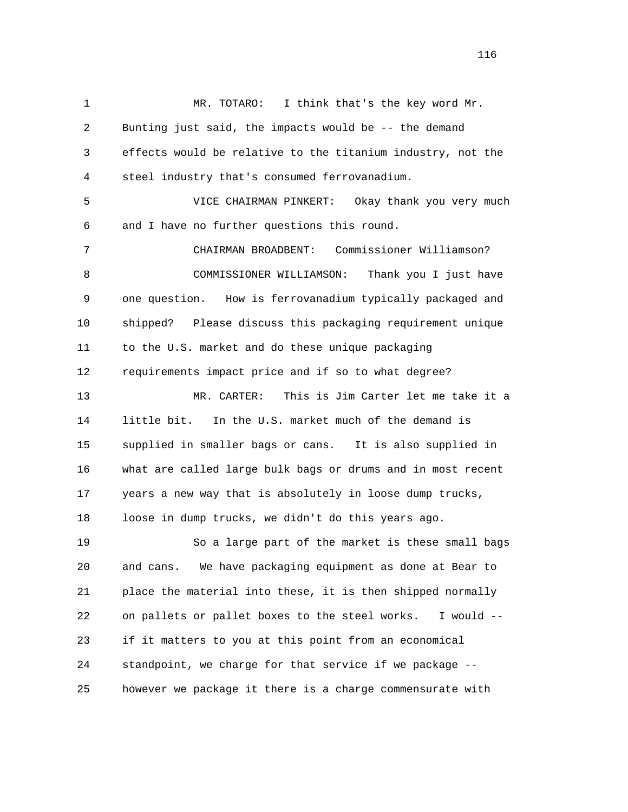1 MR. TOTARO: I think that's the key word Mr. 2 Bunting just said, the impacts would be -- the demand 3 effects would be relative to the titanium industry, not the 4 steel industry that's consumed ferrovanadium. 5 VICE CHAIRMAN PINKERT: Okay thank you very much 6 and I have no further questions this round. 7 CHAIRMAN BROADBENT: Commissioner Williamson? 8 COMMISSIONER WILLIAMSON: Thank you I just have 9 one question. How is ferrovanadium typically packaged and 10 shipped? Please discuss this packaging requirement unique 11 to the U.S. market and do these unique packaging 12 requirements impact price and if so to what degree? 13 MR. CARTER: This is Jim Carter let me take it a 14 little bit. In the U.S. market much of the demand is 15 supplied in smaller bags or cans. It is also supplied in 16 what are called large bulk bags or drums and in most recent 17 years a new way that is absolutely in loose dump trucks, 18 loose in dump trucks, we didn't do this years ago. 19 So a large part of the market is these small bags 20 and cans. We have packaging equipment as done at Bear to 21 place the material into these, it is then shipped normally 22 on pallets or pallet boxes to the steel works. I would -- 23 if it matters to you at this point from an economical 24 standpoint, we charge for that service if we package -- 25 however we package it there is a charge commensurate with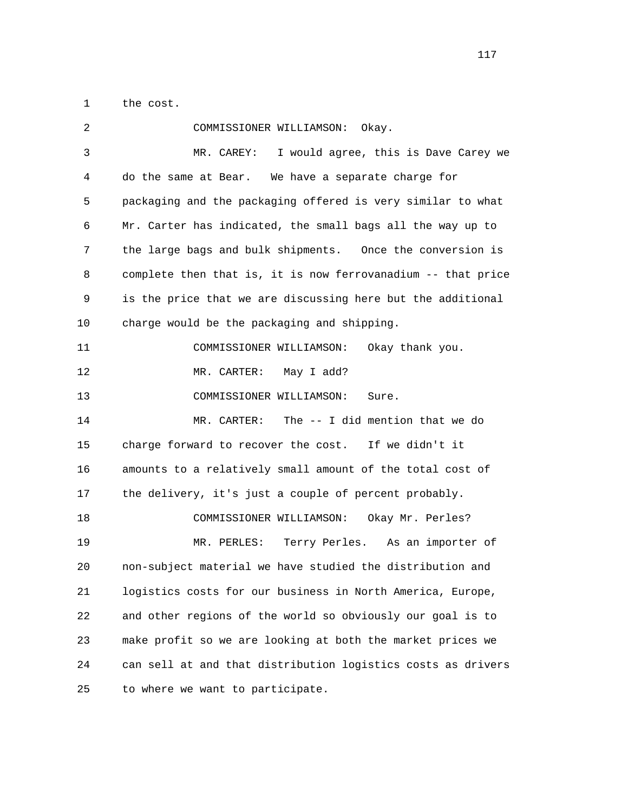1 the cost.

| 2  | COMMISSIONER WILLIAMSON:<br>Okay.                            |
|----|--------------------------------------------------------------|
| 3  | I would agree, this is Dave Carey we<br>MR. CAREY:           |
| 4  | do the same at Bear.<br>We have a separate charge for        |
| 5  | packaging and the packaging offered is very similar to what  |
| 6  | Mr. Carter has indicated, the small bags all the way up to   |
| 7  | the large bags and bulk shipments. Once the conversion is    |
| 8  | complete then that is, it is now ferrovanadium -- that price |
| 9  | is the price that we are discussing here but the additional  |
| 10 | charge would be the packaging and shipping.                  |
| 11 | COMMISSIONER WILLIAMSON:<br>Okay thank you.                  |
| 12 | MR. CARTER:<br>May I add?                                    |
| 13 | COMMISSIONER WILLIAMSON:<br>Sure.                            |
| 14 | The -- I did mention that we do<br>MR. CARTER:               |
| 15 | charge forward to recover the cost. If we didn't it          |
| 16 | amounts to a relatively small amount of the total cost of    |
| 17 | the delivery, it's just a couple of percent probably.        |
| 18 | COMMISSIONER WILLIAMSON:<br>Okay Mr. Perles?                 |
| 19 | MR. PERLES:<br>Terry Perles. As an importer of               |
| 20 | non-subject material we have studied the distribution and    |
| 21 | logistics costs for our business in North America, Europe,   |
| 22 | and other regions of the world so obviously our goal is to   |
| 23 | make profit so we are looking at both the market prices we   |
| 24 | can sell at and that distribution logistics costs as drivers |
| 25 | to where we want to participate.                             |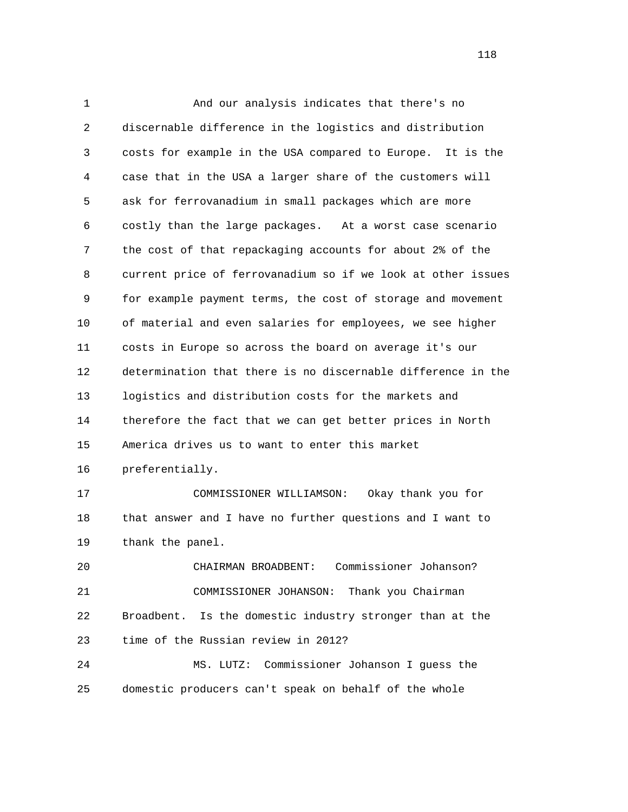1 And our analysis indicates that there's no 2 discernable difference in the logistics and distribution 3 costs for example in the USA compared to Europe. It is the 4 case that in the USA a larger share of the customers will 5 ask for ferrovanadium in small packages which are more 6 costly than the large packages. At a worst case scenario 7 the cost of that repackaging accounts for about 2% of the 8 current price of ferrovanadium so if we look at other issues 9 for example payment terms, the cost of storage and movement 10 of material and even salaries for employees, we see higher 11 costs in Europe so across the board on average it's our 12 determination that there is no discernable difference in the 13 logistics and distribution costs for the markets and 14 therefore the fact that we can get better prices in North 15 America drives us to want to enter this market 16 preferentially. 17 COMMISSIONER WILLIAMSON: Okay thank you for 18 that answer and I have no further questions and I want to 19 thank the panel. 20 CHAIRMAN BROADBENT: Commissioner Johanson? 21 COMMISSIONER JOHANSON: Thank you Chairman 22 Broadbent. Is the domestic industry stronger than at the 23 time of the Russian review in 2012? 24 MS. LUTZ: Commissioner Johanson I guess the 25 domestic producers can't speak on behalf of the whole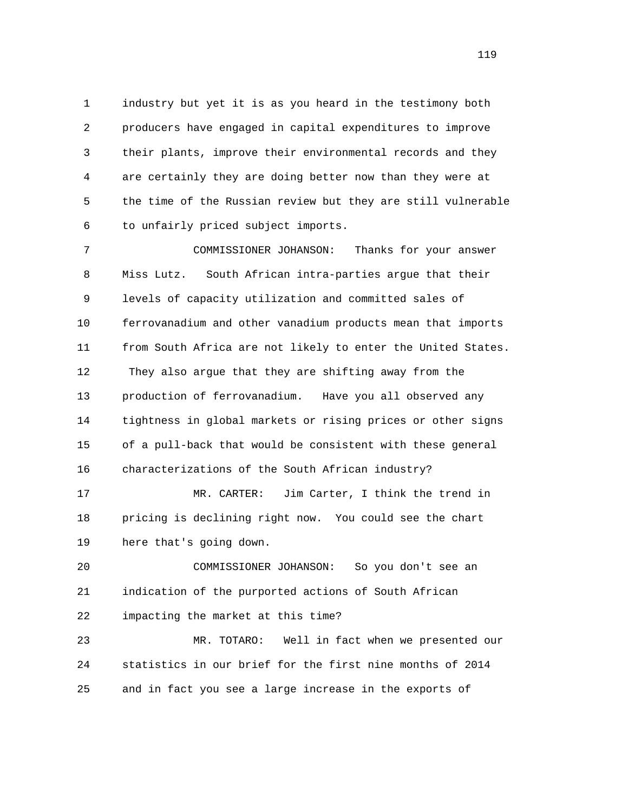1 industry but yet it is as you heard in the testimony both 2 producers have engaged in capital expenditures to improve 3 their plants, improve their environmental records and they 4 are certainly they are doing better now than they were at 5 the time of the Russian review but they are still vulnerable 6 to unfairly priced subject imports.

 7 COMMISSIONER JOHANSON: Thanks for your answer 8 Miss Lutz. South African intra-parties argue that their 9 levels of capacity utilization and committed sales of 10 ferrovanadium and other vanadium products mean that imports 11 from South Africa are not likely to enter the United States. 12 They also argue that they are shifting away from the 13 production of ferrovanadium. Have you all observed any 14 tightness in global markets or rising prices or other signs 15 of a pull-back that would be consistent with these general 16 characterizations of the South African industry?

 17 MR. CARTER: Jim Carter, I think the trend in 18 pricing is declining right now. You could see the chart 19 here that's going down.

 20 COMMISSIONER JOHANSON: So you don't see an 21 indication of the purported actions of South African 22 impacting the market at this time?

 23 MR. TOTARO: Well in fact when we presented our 24 statistics in our brief for the first nine months of 2014 25 and in fact you see a large increase in the exports of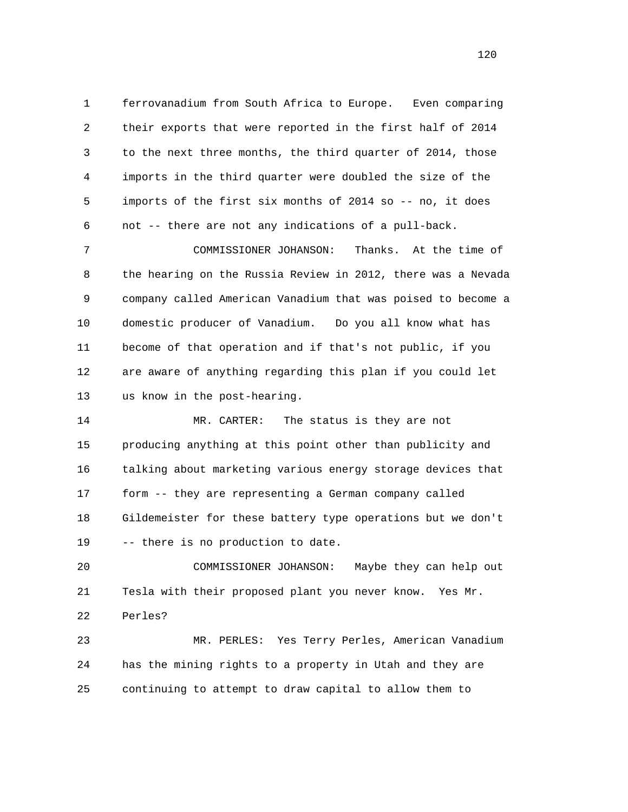1 ferrovanadium from South Africa to Europe. Even comparing 2 their exports that were reported in the first half of 2014 3 to the next three months, the third quarter of 2014, those 4 imports in the third quarter were doubled the size of the 5 imports of the first six months of 2014 so -- no, it does 6 not -- there are not any indications of a pull-back.

 7 COMMISSIONER JOHANSON: Thanks. At the time of 8 the hearing on the Russia Review in 2012, there was a Nevada 9 company called American Vanadium that was poised to become a 10 domestic producer of Vanadium. Do you all know what has 11 become of that operation and if that's not public, if you 12 are aware of anything regarding this plan if you could let 13 us know in the post-hearing.

 14 MR. CARTER: The status is they are not 15 producing anything at this point other than publicity and 16 talking about marketing various energy storage devices that 17 form -- they are representing a German company called 18 Gildemeister for these battery type operations but we don't 19 -- there is no production to date.

 20 COMMISSIONER JOHANSON: Maybe they can help out 21 Tesla with their proposed plant you never know. Yes Mr. 22 Perles?

 23 MR. PERLES: Yes Terry Perles, American Vanadium 24 has the mining rights to a property in Utah and they are 25 continuing to attempt to draw capital to allow them to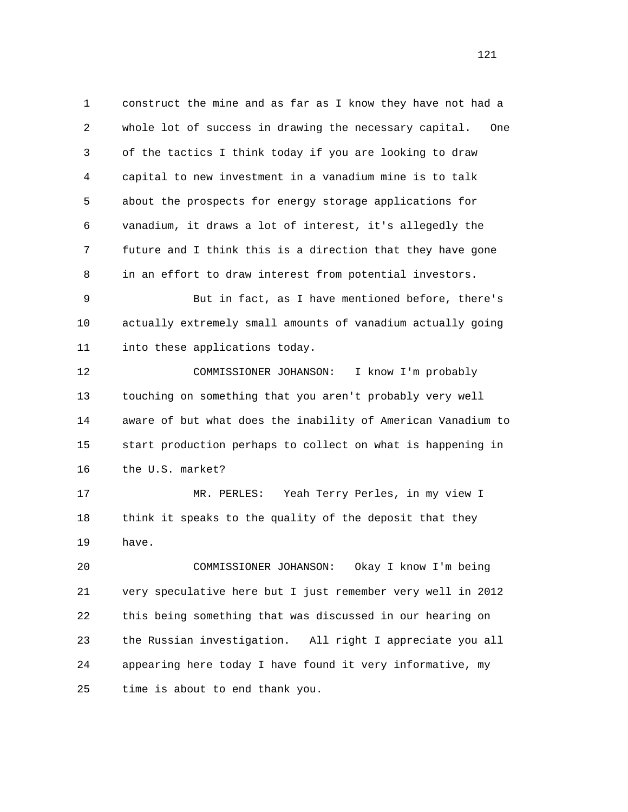1 construct the mine and as far as I know they have not had a 2 whole lot of success in drawing the necessary capital. One 3 of the tactics I think today if you are looking to draw 4 capital to new investment in a vanadium mine is to talk 5 about the prospects for energy storage applications for 6 vanadium, it draws a lot of interest, it's allegedly the 7 future and I think this is a direction that they have gone 8 in an effort to draw interest from potential investors.

 9 But in fact, as I have mentioned before, there's 10 actually extremely small amounts of vanadium actually going 11 into these applications today.

 12 COMMISSIONER JOHANSON: I know I'm probably 13 touching on something that you aren't probably very well 14 aware of but what does the inability of American Vanadium to 15 start production perhaps to collect on what is happening in 16 the U.S. market?

 17 MR. PERLES: Yeah Terry Perles, in my view I 18 think it speaks to the quality of the deposit that they 19 have.

 20 COMMISSIONER JOHANSON: Okay I know I'm being 21 very speculative here but I just remember very well in 2012 22 this being something that was discussed in our hearing on 23 the Russian investigation. All right I appreciate you all 24 appearing here today I have found it very informative, my 25 time is about to end thank you.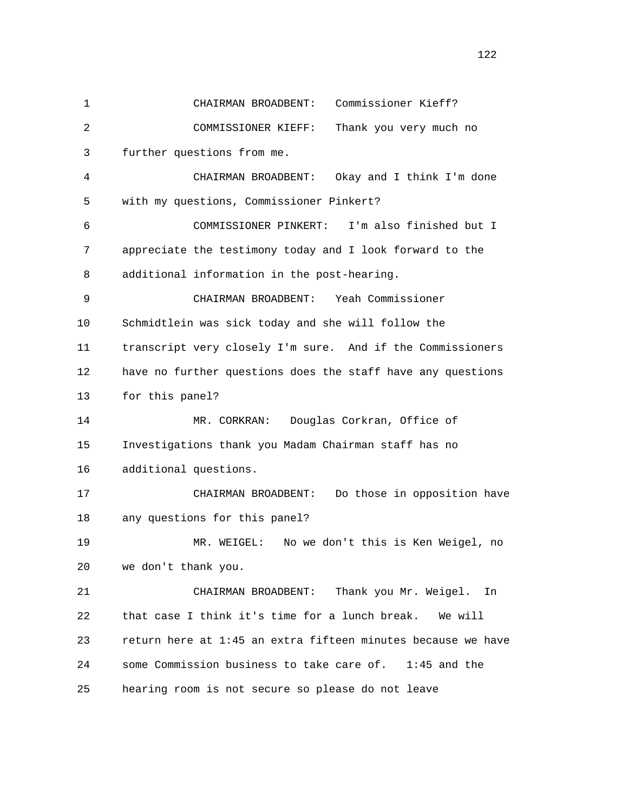| $\mathbf 1$ | Commissioner Kieff?<br>CHAIRMAN BROADBENT:                   |
|-------------|--------------------------------------------------------------|
| 2           | Thank you very much no<br>COMMISSIONER KIEFF:                |
| 3           | further questions from me.                                   |
| 4           | CHAIRMAN BROADBENT:<br>Okay and I think I'm done             |
| 5           | with my questions, Commissioner Pinkert?                     |
| 6           | I'm also finished but I<br>COMMISSIONER PINKERT:             |
| 7           | appreciate the testimony today and I look forward to the     |
| 8           | additional information in the post-hearing.                  |
| 9           | Yeah Commissioner<br>CHAIRMAN BROADBENT:                     |
| 10          | Schmidtlein was sick today and she will follow the           |
| 11          | transcript very closely I'm sure. And if the Commissioners   |
| 12          | have no further questions does the staff have any questions  |
| 13          | for this panel?                                              |
| 14          | Douglas Corkran, Office of<br>MR. CORKRAN:                   |
| 15          | Investigations thank you Madam Chairman staff has no         |
| 16          | additional questions.                                        |
| 17          | Do those in opposition have<br>CHAIRMAN BROADBENT:           |
| 18          | any questions for this panel?                                |
| 19          | MR. WEIGEL:<br>No we don't this is Ken Weigel, no            |
| 20          | we don't thank you.                                          |
| 21          | Thank you Mr. Weigel.<br>CHAIRMAN BROADBENT:<br>In           |
| 22          | that case I think it's time for a lunch break.<br>We will    |
| 23          | return here at 1:45 an extra fifteen minutes because we have |
| 24          | some Commission business to take care of. 1:45 and the       |
| 25          | hearing room is not secure so please do not leave            |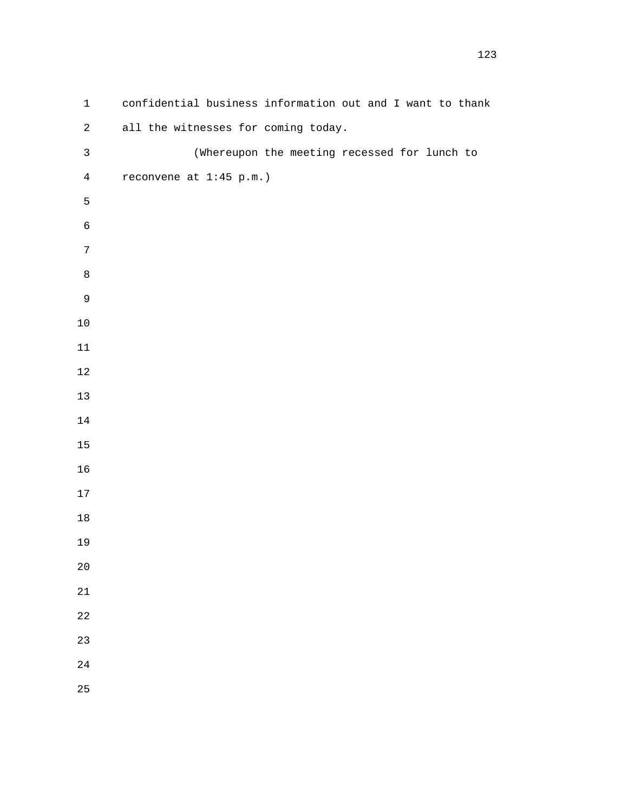| $\mathbf 1$      | confidential business information out and I want to thank |
|------------------|-----------------------------------------------------------|
| $\sqrt{2}$       | all the witnesses for coming today.                       |
| $\mathsf{3}$     | (Whereupon the meeting recessed for lunch to              |
| $\overline{4}$   | reconvene at 1:45 p.m.)                                   |
| 5                |                                                           |
| $\epsilon$       |                                                           |
| $\boldsymbol{7}$ |                                                           |
| $\,8\,$          |                                                           |
| $\mathsf 9$      |                                                           |
| $10\,$           |                                                           |
| $11\,$           |                                                           |
| $12\,$           |                                                           |
| $13$             |                                                           |
| $14\,$           |                                                           |
| $15\,$           |                                                           |
| 16               |                                                           |
| $17\,$           |                                                           |
| $18\,$           |                                                           |
| 19               |                                                           |
| $2\,0$           |                                                           |
| $21\,$           |                                                           |
| $2\sqrt{2}$      |                                                           |
| 23               |                                                           |
| 24               |                                                           |
| 25               |                                                           |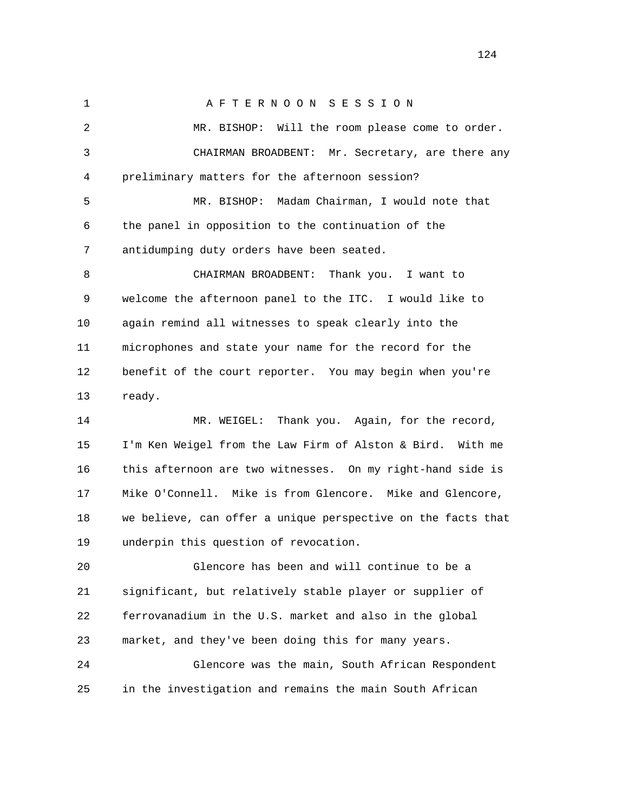1 A F T E R N O O N S E S S I O N 2 MR. BISHOP: Will the room please come to order. 3 CHAIRMAN BROADBENT: Mr. Secretary, are there any 4 preliminary matters for the afternoon session? 5 MR. BISHOP: Madam Chairman, I would note that 6 the panel in opposition to the continuation of the 7 antidumping duty orders have been seated. 8 CHAIRMAN BROADBENT: Thank you. I want to 9 welcome the afternoon panel to the ITC. I would like to 10 again remind all witnesses to speak clearly into the 11 microphones and state your name for the record for the 12 benefit of the court reporter. You may begin when you're 13 ready. 14 MR. WEIGEL: Thank you. Again, for the record, 15 I'm Ken Weigel from the Law Firm of Alston & Bird. With me 16 this afternoon are two witnesses. On my right-hand side is 17 Mike O'Connell. Mike is from Glencore. Mike and Glencore, 18 we believe, can offer a unique perspective on the facts that 19 underpin this question of revocation. 20 Glencore has been and will continue to be a 21 significant, but relatively stable player or supplier of 22 ferrovanadium in the U.S. market and also in the global 23 market, and they've been doing this for many years. 24 Glencore was the main, South African Respondent

25 in the investigation and remains the main South African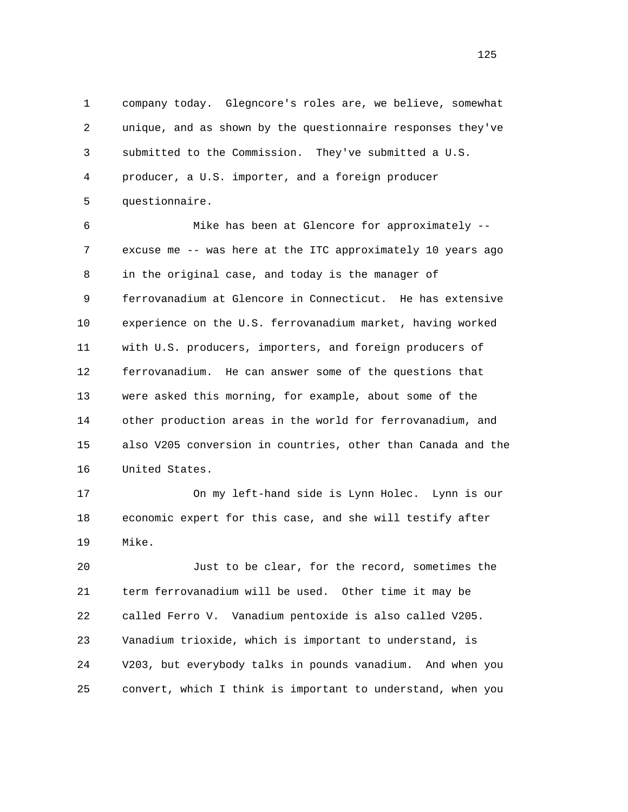1 company today. Glegncore's roles are, we believe, somewhat 2 unique, and as shown by the questionnaire responses they've 3 submitted to the Commission. They've submitted a U.S. 4 producer, a U.S. importer, and a foreign producer 5 questionnaire.

 6 Mike has been at Glencore for approximately -- 7 excuse me -- was here at the ITC approximately 10 years ago 8 in the original case, and today is the manager of 9 ferrovanadium at Glencore in Connecticut. He has extensive 10 experience on the U.S. ferrovanadium market, having worked 11 with U.S. producers, importers, and foreign producers of 12 ferrovanadium. He can answer some of the questions that 13 were asked this morning, for example, about some of the 14 other production areas in the world for ferrovanadium, and 15 also V205 conversion in countries, other than Canada and the 16 United States.

 17 On my left-hand side is Lynn Holec. Lynn is our 18 economic expert for this case, and she will testify after 19 Mike.

 20 Just to be clear, for the record, sometimes the 21 term ferrovanadium will be used. Other time it may be 22 called Ferro V. Vanadium pentoxide is also called V205. 23 Vanadium trioxide, which is important to understand, is 24 V203, but everybody talks in pounds vanadium. And when you 25 convert, which I think is important to understand, when you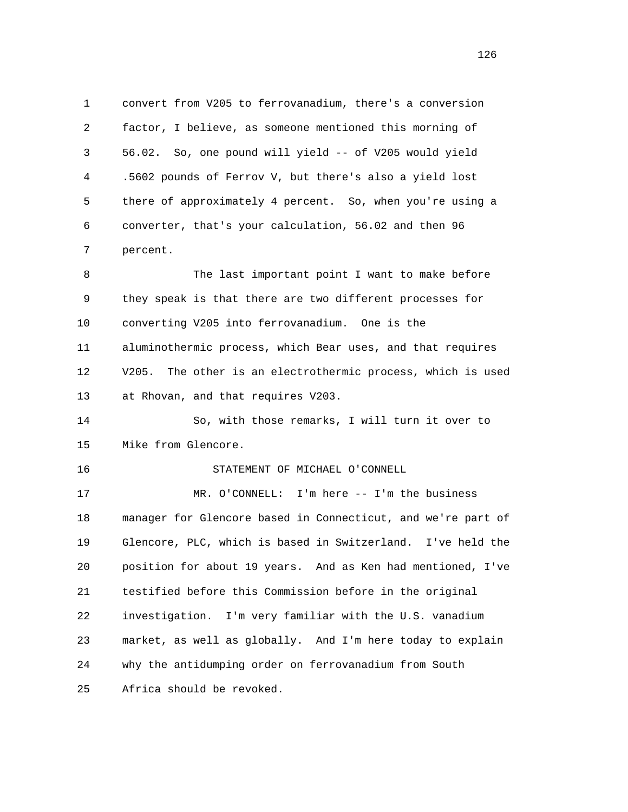1 convert from V205 to ferrovanadium, there's a conversion 2 factor, I believe, as someone mentioned this morning of 3 56.02. So, one pound will yield -- of V205 would yield 4 .5602 pounds of Ferrov V, but there's also a yield lost 5 there of approximately 4 percent. So, when you're using a 6 converter, that's your calculation, 56.02 and then 96 7 percent.

8 The last important point I want to make before 9 they speak is that there are two different processes for 10 converting V205 into ferrovanadium. One is the 11 aluminothermic process, which Bear uses, and that requires 12 V205. The other is an electrothermic process, which is used 13 at Rhovan, and that requires V203.

 14 So, with those remarks, I will turn it over to 15 Mike from Glencore.

## 16 STATEMENT OF MICHAEL O'CONNELL

 17 MR. O'CONNELL: I'm here -- I'm the business 18 manager for Glencore based in Connecticut, and we're part of 19 Glencore, PLC, which is based in Switzerland. I've held the 20 position for about 19 years. And as Ken had mentioned, I've 21 testified before this Commission before in the original 22 investigation. I'm very familiar with the U.S. vanadium 23 market, as well as globally. And I'm here today to explain 24 why the antidumping order on ferrovanadium from South 25 Africa should be revoked.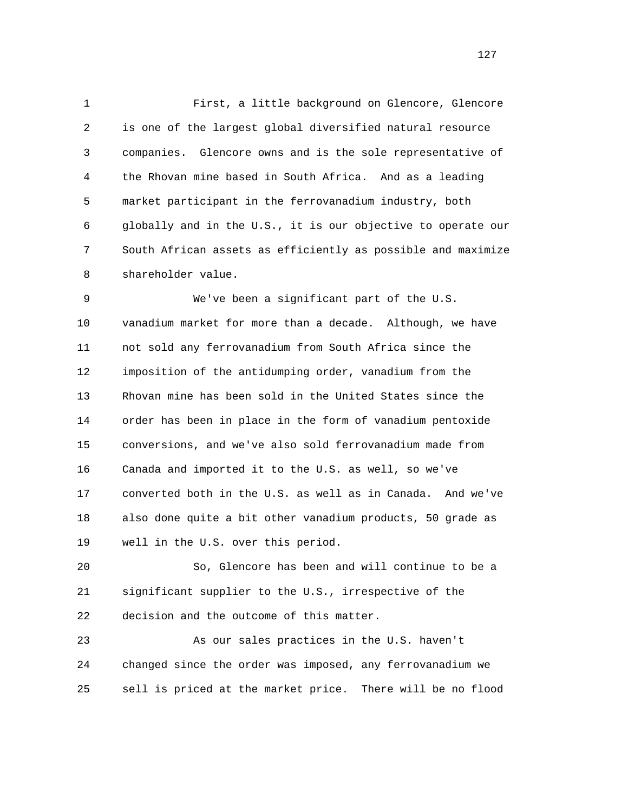1 First, a little background on Glencore, Glencore 2 is one of the largest global diversified natural resource 3 companies. Glencore owns and is the sole representative of 4 the Rhovan mine based in South Africa. And as a leading 5 market participant in the ferrovanadium industry, both 6 globally and in the U.S., it is our objective to operate our 7 South African assets as efficiently as possible and maximize 8 shareholder value.

 9 We've been a significant part of the U.S. 10 vanadium market for more than a decade. Although, we have 11 not sold any ferrovanadium from South Africa since the 12 imposition of the antidumping order, vanadium from the 13 Rhovan mine has been sold in the United States since the 14 order has been in place in the form of vanadium pentoxide 15 conversions, and we've also sold ferrovanadium made from 16 Canada and imported it to the U.S. as well, so we've 17 converted both in the U.S. as well as in Canada. And we've 18 also done quite a bit other vanadium products, 50 grade as 19 well in the U.S. over this period.

 20 So, Glencore has been and will continue to be a 21 significant supplier to the U.S., irrespective of the 22 decision and the outcome of this matter.

 23 As our sales practices in the U.S. haven't 24 changed since the order was imposed, any ferrovanadium we 25 sell is priced at the market price. There will be no flood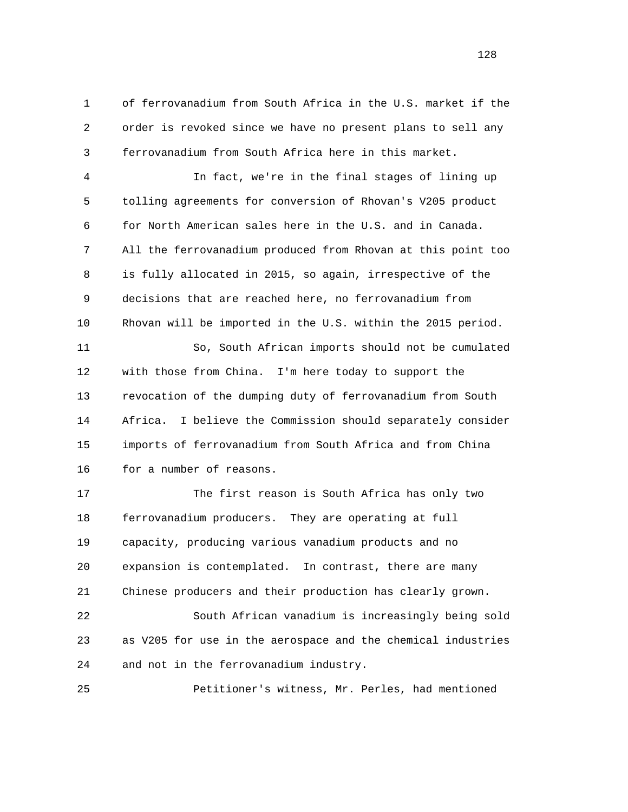1 of ferrovanadium from South Africa in the U.S. market if the 2 order is revoked since we have no present plans to sell any 3 ferrovanadium from South Africa here in this market.

 4 In fact, we're in the final stages of lining up 5 tolling agreements for conversion of Rhovan's V205 product 6 for North American sales here in the U.S. and in Canada. 7 All the ferrovanadium produced from Rhovan at this point too 8 is fully allocated in 2015, so again, irrespective of the 9 decisions that are reached here, no ferrovanadium from 10 Rhovan will be imported in the U.S. within the 2015 period.

 11 So, South African imports should not be cumulated 12 with those from China. I'm here today to support the 13 revocation of the dumping duty of ferrovanadium from South 14 Africa. I believe the Commission should separately consider 15 imports of ferrovanadium from South Africa and from China 16 for a number of reasons.

 17 The first reason is South Africa has only two 18 ferrovanadium producers. They are operating at full 19 capacity, producing various vanadium products and no 20 expansion is contemplated. In contrast, there are many 21 Chinese producers and their production has clearly grown.

 22 South African vanadium is increasingly being sold 23 as V205 for use in the aerospace and the chemical industries 24 and not in the ferrovanadium industry.

25 Petitioner's witness, Mr. Perles, had mentioned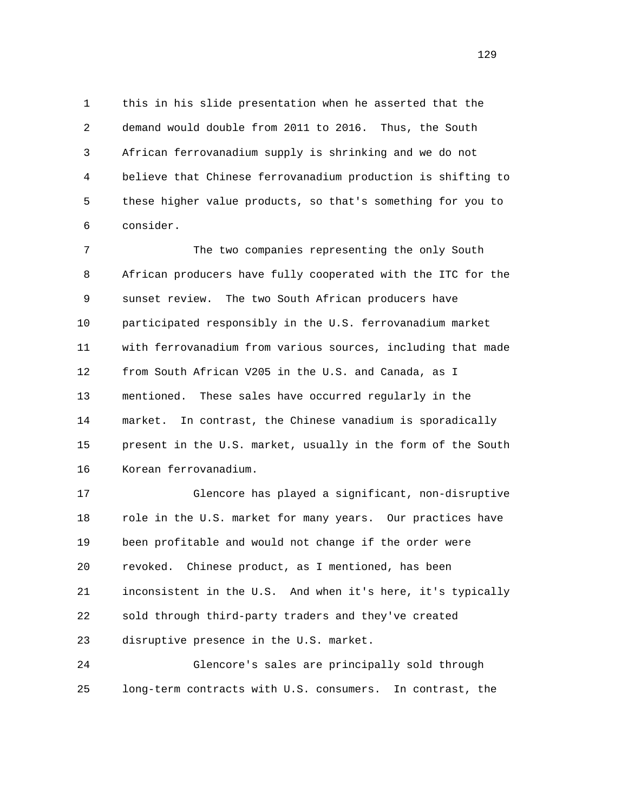1 this in his slide presentation when he asserted that the 2 demand would double from 2011 to 2016. Thus, the South 3 African ferrovanadium supply is shrinking and we do not 4 believe that Chinese ferrovanadium production is shifting to 5 these higher value products, so that's something for you to 6 consider.

 7 The two companies representing the only South 8 African producers have fully cooperated with the ITC for the 9 sunset review. The two South African producers have 10 participated responsibly in the U.S. ferrovanadium market 11 with ferrovanadium from various sources, including that made 12 from South African V205 in the U.S. and Canada, as I 13 mentioned. These sales have occurred regularly in the 14 market. In contrast, the Chinese vanadium is sporadically 15 present in the U.S. market, usually in the form of the South 16 Korean ferrovanadium.

 17 Glencore has played a significant, non-disruptive 18 role in the U.S. market for many years. Our practices have 19 been profitable and would not change if the order were 20 revoked. Chinese product, as I mentioned, has been 21 inconsistent in the U.S. And when it's here, it's typically 22 sold through third-party traders and they've created 23 disruptive presence in the U.S. market.

 24 Glencore's sales are principally sold through 25 long-term contracts with U.S. consumers. In contrast, the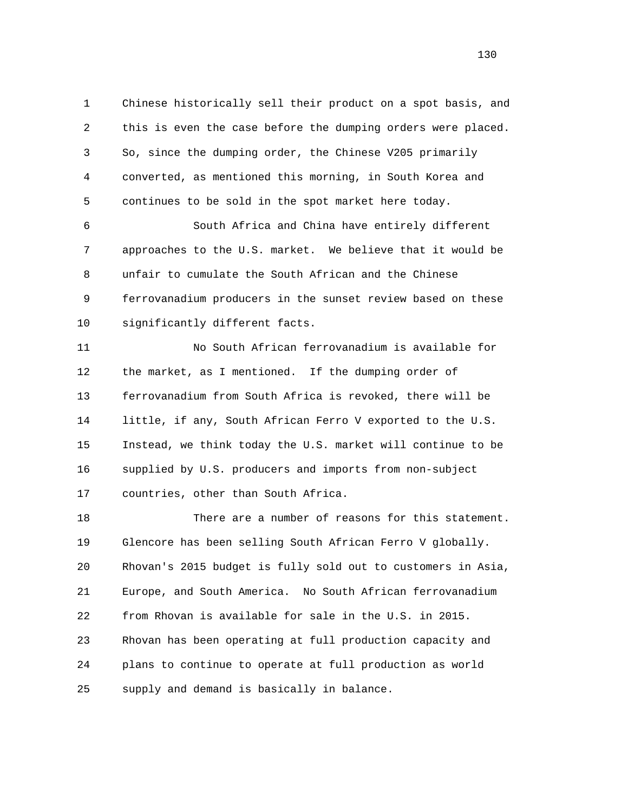1 Chinese historically sell their product on a spot basis, and 2 this is even the case before the dumping orders were placed. 3 So, since the dumping order, the Chinese V205 primarily 4 converted, as mentioned this morning, in South Korea and 5 continues to be sold in the spot market here today.

 6 South Africa and China have entirely different 7 approaches to the U.S. market. We believe that it would be 8 unfair to cumulate the South African and the Chinese 9 ferrovanadium producers in the sunset review based on these 10 significantly different facts.

 11 No South African ferrovanadium is available for 12 the market, as I mentioned. If the dumping order of 13 ferrovanadium from South Africa is revoked, there will be 14 little, if any, South African Ferro V exported to the U.S. 15 Instead, we think today the U.S. market will continue to be 16 supplied by U.S. producers and imports from non-subject 17 countries, other than South Africa.

 18 There are a number of reasons for this statement. 19 Glencore has been selling South African Ferro V globally. 20 Rhovan's 2015 budget is fully sold out to customers in Asia, 21 Europe, and South America. No South African ferrovanadium 22 from Rhovan is available for sale in the U.S. in 2015. 23 Rhovan has been operating at full production capacity and 24 plans to continue to operate at full production as world 25 supply and demand is basically in balance.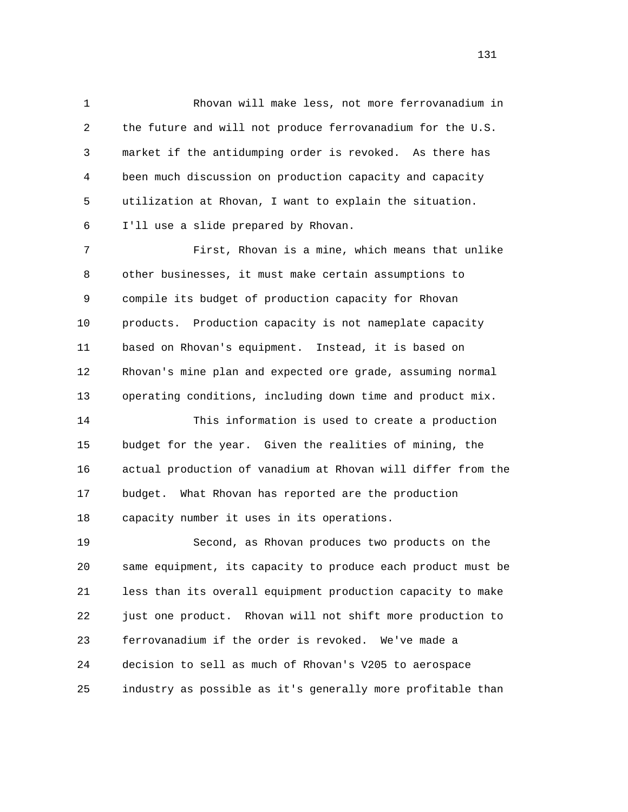1 Rhovan will make less, not more ferrovanadium in 2 the future and will not produce ferrovanadium for the U.S. 3 market if the antidumping order is revoked. As there has 4 been much discussion on production capacity and capacity 5 utilization at Rhovan, I want to explain the situation. 6 I'll use a slide prepared by Rhovan.

 7 First, Rhovan is a mine, which means that unlike 8 other businesses, it must make certain assumptions to 9 compile its budget of production capacity for Rhovan 10 products. Production capacity is not nameplate capacity 11 based on Rhovan's equipment. Instead, it is based on 12 Rhovan's mine plan and expected ore grade, assuming normal 13 operating conditions, including down time and product mix.

 14 This information is used to create a production 15 budget for the year. Given the realities of mining, the 16 actual production of vanadium at Rhovan will differ from the 17 budget. What Rhovan has reported are the production 18 capacity number it uses in its operations.

 19 Second, as Rhovan produces two products on the 20 same equipment, its capacity to produce each product must be 21 less than its overall equipment production capacity to make 22 just one product. Rhovan will not shift more production to 23 ferrovanadium if the order is revoked. We've made a 24 decision to sell as much of Rhovan's V205 to aerospace 25 industry as possible as it's generally more profitable than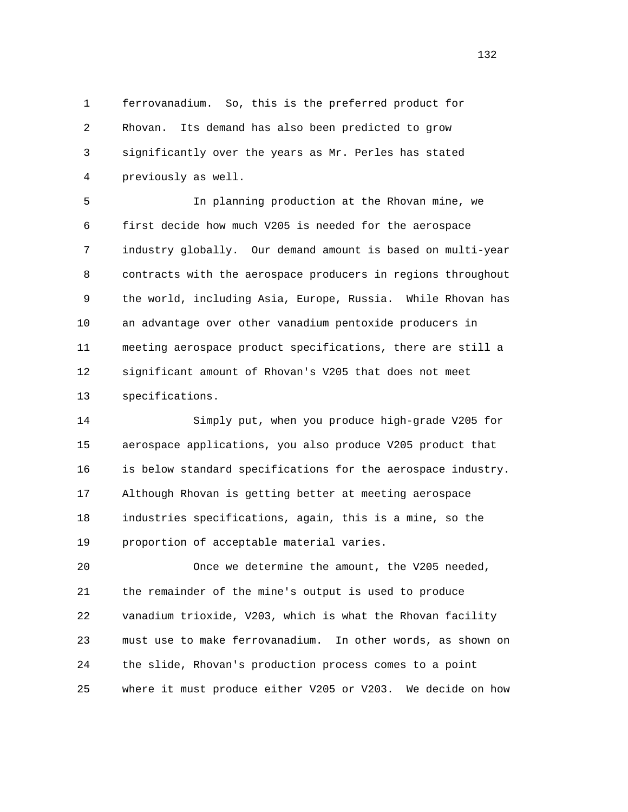1 ferrovanadium. So, this is the preferred product for 2 Rhovan. Its demand has also been predicted to grow 3 significantly over the years as Mr. Perles has stated 4 previously as well.

 5 In planning production at the Rhovan mine, we 6 first decide how much V205 is needed for the aerospace 7 industry globally. Our demand amount is based on multi-year 8 contracts with the aerospace producers in regions throughout 9 the world, including Asia, Europe, Russia. While Rhovan has 10 an advantage over other vanadium pentoxide producers in 11 meeting aerospace product specifications, there are still a 12 significant amount of Rhovan's V205 that does not meet 13 specifications.

 14 Simply put, when you produce high-grade V205 for 15 aerospace applications, you also produce V205 product that 16 is below standard specifications for the aerospace industry. 17 Although Rhovan is getting better at meeting aerospace 18 industries specifications, again, this is a mine, so the 19 proportion of acceptable material varies.

 20 Once we determine the amount, the V205 needed, 21 the remainder of the mine's output is used to produce 22 vanadium trioxide, V203, which is what the Rhovan facility 23 must use to make ferrovanadium. In other words, as shown on 24 the slide, Rhovan's production process comes to a point 25 where it must produce either V205 or V203. We decide on how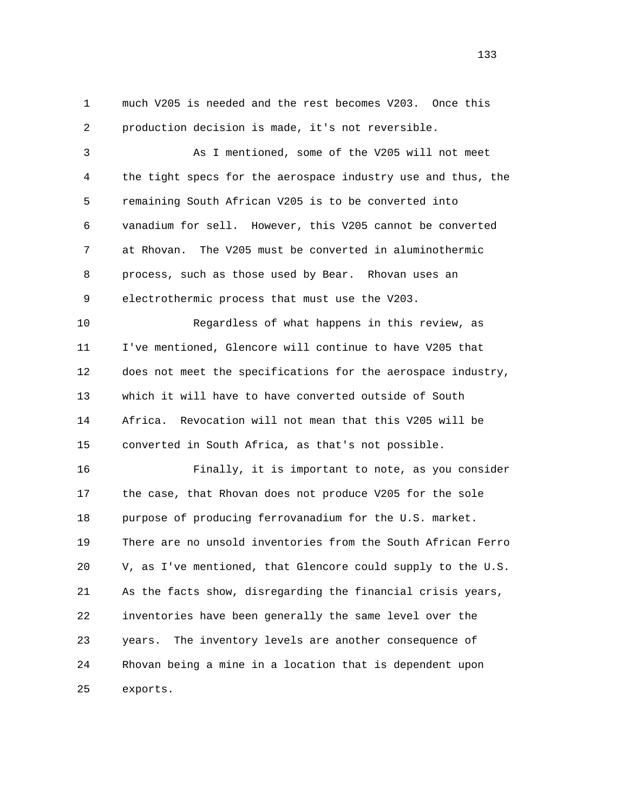1 much V205 is needed and the rest becomes V203. Once this 2 production decision is made, it's not reversible.

 3 As I mentioned, some of the V205 will not meet 4 the tight specs for the aerospace industry use and thus, the 5 remaining South African V205 is to be converted into 6 vanadium for sell. However, this V205 cannot be converted 7 at Rhovan. The V205 must be converted in aluminothermic 8 process, such as those used by Bear. Rhovan uses an 9 electrothermic process that must use the V203.

 10 Regardless of what happens in this review, as 11 I've mentioned, Glencore will continue to have V205 that 12 does not meet the specifications for the aerospace industry, 13 which it will have to have converted outside of South 14 Africa. Revocation will not mean that this V205 will be 15 converted in South Africa, as that's not possible.

 16 Finally, it is important to note, as you consider 17 the case, that Rhovan does not produce V205 for the sole 18 purpose of producing ferrovanadium for the U.S. market. 19 There are no unsold inventories from the South African Ferro 20 V, as I've mentioned, that Glencore could supply to the U.S. 21 As the facts show, disregarding the financial crisis years, 22 inventories have been generally the same level over the 23 years. The inventory levels are another consequence of 24 Rhovan being a mine in a location that is dependent upon 25 exports.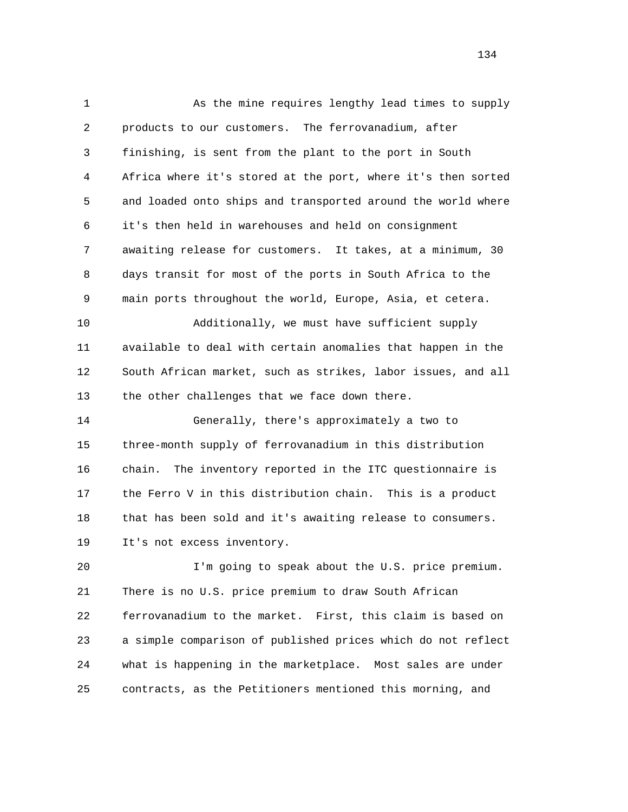1 As the mine requires lengthy lead times to supply 2 products to our customers. The ferrovanadium, after 3 finishing, is sent from the plant to the port in South 4 Africa where it's stored at the port, where it's then sorted 5 and loaded onto ships and transported around the world where 6 it's then held in warehouses and held on consignment 7 awaiting release for customers. It takes, at a minimum, 30 8 days transit for most of the ports in South Africa to the 9 main ports throughout the world, Europe, Asia, et cetera. 10 Additionally, we must have sufficient supply 11 available to deal with certain anomalies that happen in the 12 South African market, such as strikes, labor issues, and all 13 the other challenges that we face down there. 14 Generally, there's approximately a two to 15 three-month supply of ferrovanadium in this distribution 16 chain. The inventory reported in the ITC questionnaire is 17 the Ferro V in this distribution chain. This is a product 18 that has been sold and it's awaiting release to consumers. 19 It's not excess inventory. 20 I'm going to speak about the U.S. price premium. 21 There is no U.S. price premium to draw South African 22 ferrovanadium to the market. First, this claim is based on 23 a simple comparison of published prices which do not reflect

25 contracts, as the Petitioners mentioned this morning, and

24 what is happening in the marketplace. Most sales are under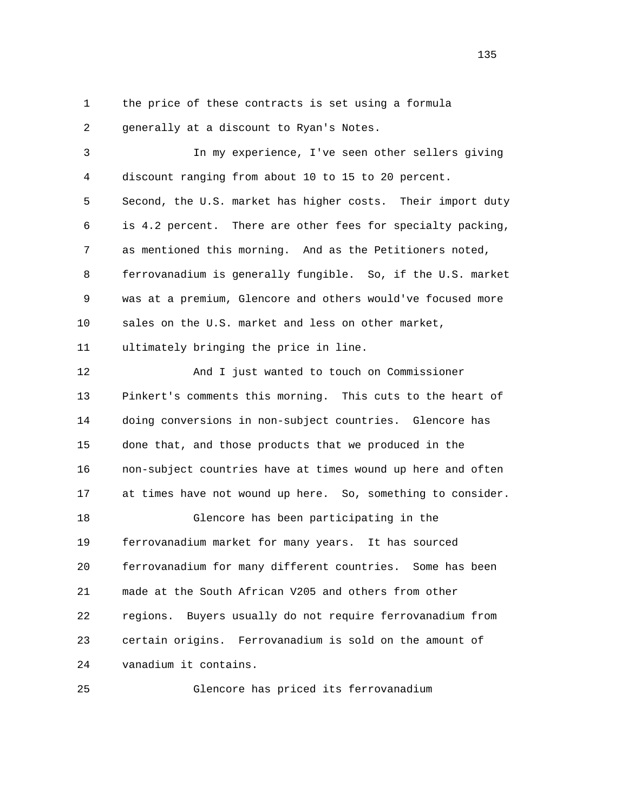1 the price of these contracts is set using a formula

2 generally at a discount to Ryan's Notes.

 3 In my experience, I've seen other sellers giving 4 discount ranging from about 10 to 15 to 20 percent. 5 Second, the U.S. market has higher costs. Their import duty 6 is 4.2 percent. There are other fees for specialty packing, 7 as mentioned this morning. And as the Petitioners noted, 8 ferrovanadium is generally fungible. So, if the U.S. market 9 was at a premium, Glencore and others would've focused more 10 sales on the U.S. market and less on other market, 11 ultimately bringing the price in line. 12 And I just wanted to touch on Commissioner 13 Pinkert's comments this morning. This cuts to the heart of 14 doing conversions in non-subject countries. Glencore has 15 done that, and those products that we produced in the 16 non-subject countries have at times wound up here and often 17 at times have not wound up here. So, something to consider. 18 Glencore has been participating in the 19 ferrovanadium market for many years. It has sourced 20 ferrovanadium for many different countries. Some has been 21 made at the South African V205 and others from other 22 regions. Buyers usually do not require ferrovanadium from 23 certain origins. Ferrovanadium is sold on the amount of 24 vanadium it contains.

25 Glencore has priced its ferrovanadium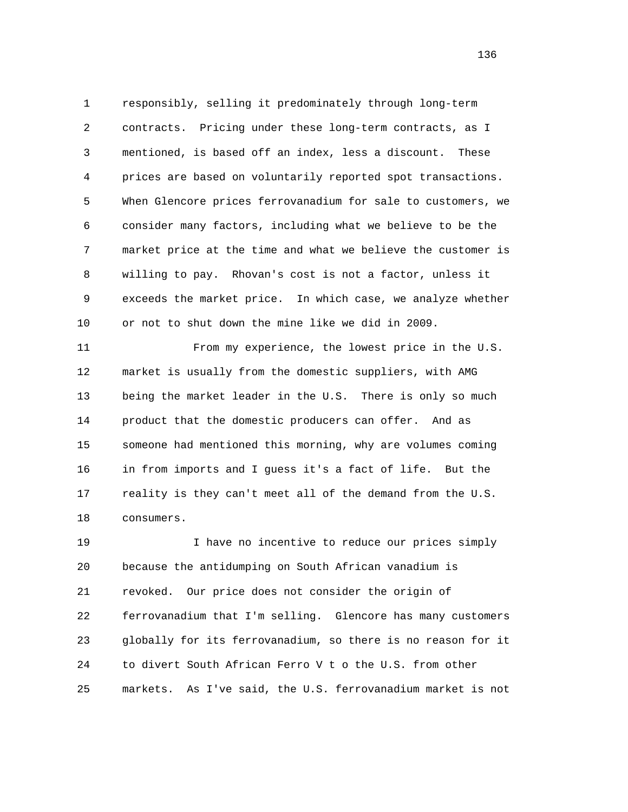1 responsibly, selling it predominately through long-term 2 contracts. Pricing under these long-term contracts, as I 3 mentioned, is based off an index, less a discount. These 4 prices are based on voluntarily reported spot transactions. 5 When Glencore prices ferrovanadium for sale to customers, we 6 consider many factors, including what we believe to be the 7 market price at the time and what we believe the customer is 8 willing to pay. Rhovan's cost is not a factor, unless it 9 exceeds the market price. In which case, we analyze whether 10 or not to shut down the mine like we did in 2009.

 11 From my experience, the lowest price in the U.S. 12 market is usually from the domestic suppliers, with AMG 13 being the market leader in the U.S. There is only so much 14 product that the domestic producers can offer. And as 15 someone had mentioned this morning, why are volumes coming 16 in from imports and I guess it's a fact of life. But the 17 reality is they can't meet all of the demand from the U.S. 18 consumers.

 19 I have no incentive to reduce our prices simply 20 because the antidumping on South African vanadium is 21 revoked. Our price does not consider the origin of 22 ferrovanadium that I'm selling. Glencore has many customers 23 globally for its ferrovanadium, so there is no reason for it 24 to divert South African Ferro V t o the U.S. from other 25 markets. As I've said, the U.S. ferrovanadium market is not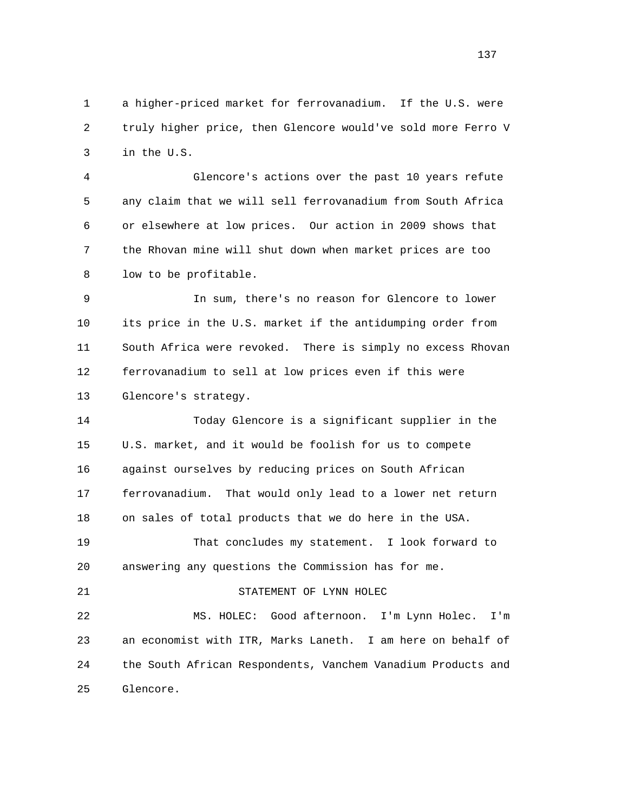1 a higher-priced market for ferrovanadium. If the U.S. were 2 truly higher price, then Glencore would've sold more Ferro V 3 in the U.S.

 4 Glencore's actions over the past 10 years refute 5 any claim that we will sell ferrovanadium from South Africa 6 or elsewhere at low prices. Our action in 2009 shows that 7 the Rhovan mine will shut down when market prices are too 8 low to be profitable.

 9 In sum, there's no reason for Glencore to lower 10 its price in the U.S. market if the antidumping order from 11 South Africa were revoked. There is simply no excess Rhovan 12 ferrovanadium to sell at low prices even if this were 13 Glencore's strategy.

 14 Today Glencore is a significant supplier in the 15 U.S. market, and it would be foolish for us to compete 16 against ourselves by reducing prices on South African 17 ferrovanadium. That would only lead to a lower net return 18 on sales of total products that we do here in the USA. 19 That concludes my statement. I look forward to 20 answering any questions the Commission has for me. 21 STATEMENT OF LYNN HOLEC 22 MS. HOLEC: Good afternoon. I'm Lynn Holec. I'm

 23 an economist with ITR, Marks Laneth. I am here on behalf of 24 the South African Respondents, Vanchem Vanadium Products and 25 Glencore.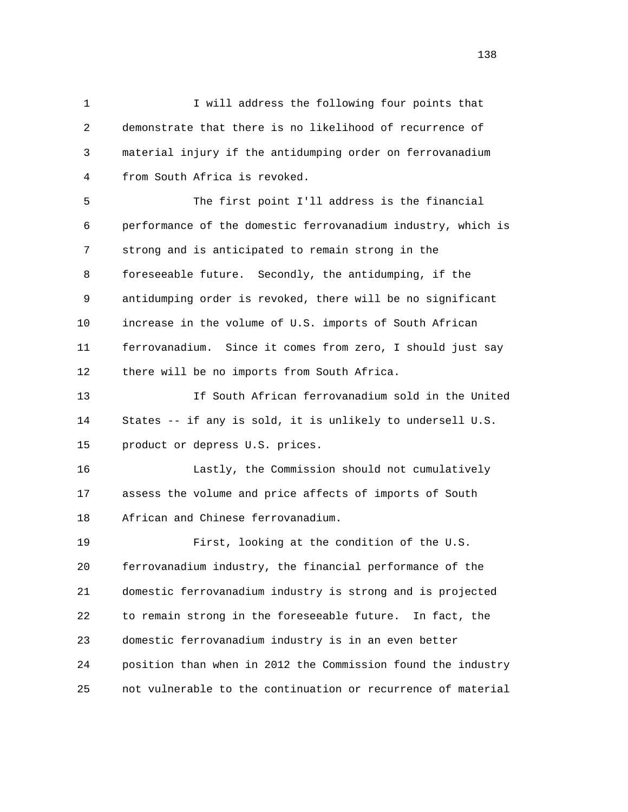1 I will address the following four points that 2 demonstrate that there is no likelihood of recurrence of 3 material injury if the antidumping order on ferrovanadium 4 from South Africa is revoked.

 5 The first point I'll address is the financial 6 performance of the domestic ferrovanadium industry, which is 7 strong and is anticipated to remain strong in the 8 foreseeable future. Secondly, the antidumping, if the 9 antidumping order is revoked, there will be no significant 10 increase in the volume of U.S. imports of South African 11 ferrovanadium. Since it comes from zero, I should just say 12 there will be no imports from South Africa.

 13 If South African ferrovanadium sold in the United 14 States -- if any is sold, it is unlikely to undersell U.S. 15 product or depress U.S. prices.

 16 Lastly, the Commission should not cumulatively 17 assess the volume and price affects of imports of South 18 African and Chinese ferrovanadium.

 19 First, looking at the condition of the U.S. 20 ferrovanadium industry, the financial performance of the 21 domestic ferrovanadium industry is strong and is projected 22 to remain strong in the foreseeable future. In fact, the 23 domestic ferrovanadium industry is in an even better 24 position than when in 2012 the Commission found the industry 25 not vulnerable to the continuation or recurrence of material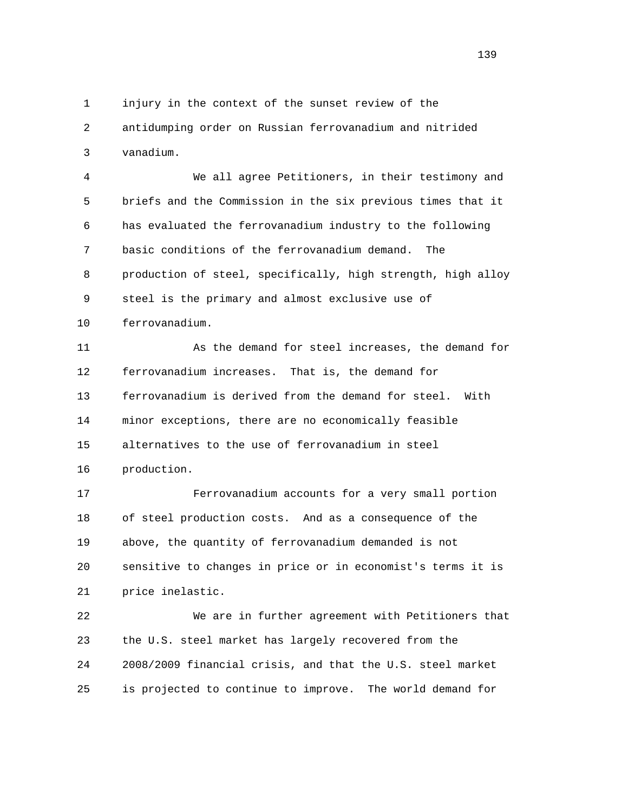1 injury in the context of the sunset review of the 2 antidumping order on Russian ferrovanadium and nitrided 3 vanadium.

 4 We all agree Petitioners, in their testimony and 5 briefs and the Commission in the six previous times that it 6 has evaluated the ferrovanadium industry to the following 7 basic conditions of the ferrovanadium demand. The 8 production of steel, specifically, high strength, high alloy 9 steel is the primary and almost exclusive use of 10 ferrovanadium.

 11 As the demand for steel increases, the demand for 12 ferrovanadium increases. That is, the demand for 13 ferrovanadium is derived from the demand for steel. With 14 minor exceptions, there are no economically feasible 15 alternatives to the use of ferrovanadium in steel 16 production.

 17 Ferrovanadium accounts for a very small portion 18 of steel production costs. And as a consequence of the 19 above, the quantity of ferrovanadium demanded is not 20 sensitive to changes in price or in economist's terms it is 21 price inelastic.

 22 We are in further agreement with Petitioners that 23 the U.S. steel market has largely recovered from the 24 2008/2009 financial crisis, and that the U.S. steel market 25 is projected to continue to improve. The world demand for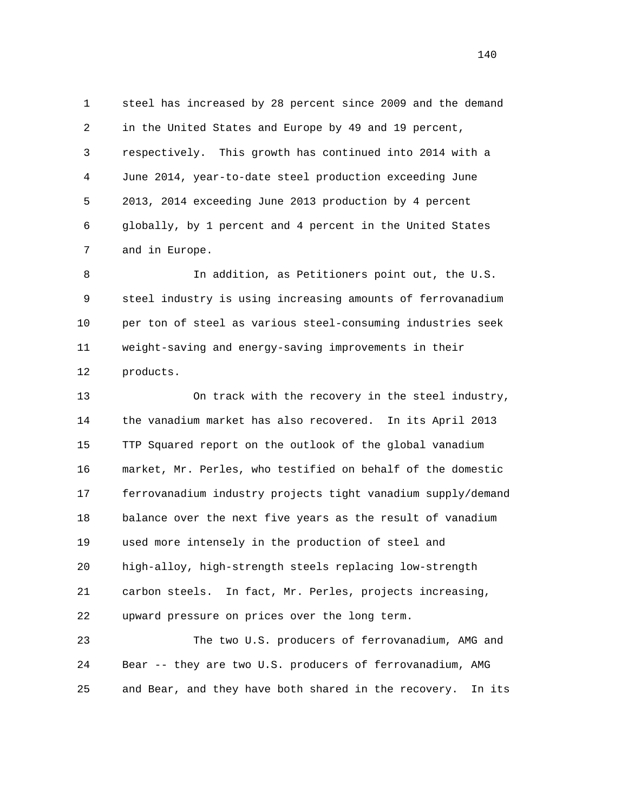1 steel has increased by 28 percent since 2009 and the demand 2 in the United States and Europe by 49 and 19 percent, 3 respectively. This growth has continued into 2014 with a 4 June 2014, year-to-date steel production exceeding June 5 2013, 2014 exceeding June 2013 production by 4 percent 6 globally, by 1 percent and 4 percent in the United States 7 and in Europe.

 8 In addition, as Petitioners point out, the U.S. 9 steel industry is using increasing amounts of ferrovanadium 10 per ton of steel as various steel-consuming industries seek 11 weight-saving and energy-saving improvements in their 12 products.

 13 On track with the recovery in the steel industry, 14 the vanadium market has also recovered. In its April 2013 15 TTP Squared report on the outlook of the global vanadium 16 market, Mr. Perles, who testified on behalf of the domestic 17 ferrovanadium industry projects tight vanadium supply/demand 18 balance over the next five years as the result of vanadium 19 used more intensely in the production of steel and 20 high-alloy, high-strength steels replacing low-strength 21 carbon steels. In fact, Mr. Perles, projects increasing, 22 upward pressure on prices over the long term.

 23 The two U.S. producers of ferrovanadium, AMG and 24 Bear -- they are two U.S. producers of ferrovanadium, AMG 25 and Bear, and they have both shared in the recovery. In its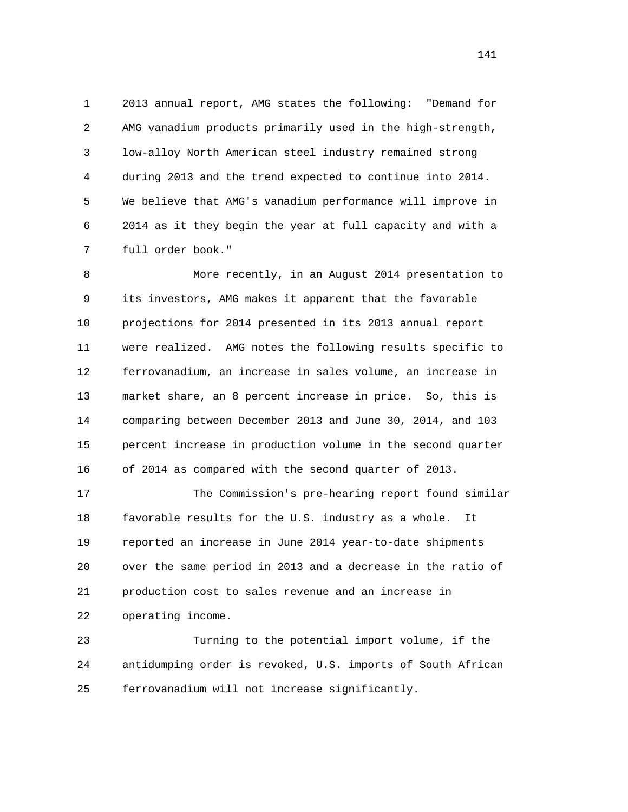1 2013 annual report, AMG states the following: "Demand for 2 AMG vanadium products primarily used in the high-strength, 3 low-alloy North American steel industry remained strong 4 during 2013 and the trend expected to continue into 2014. 5 We believe that AMG's vanadium performance will improve in 6 2014 as it they begin the year at full capacity and with a 7 full order book."

 8 More recently, in an August 2014 presentation to 9 its investors, AMG makes it apparent that the favorable 10 projections for 2014 presented in its 2013 annual report 11 were realized. AMG notes the following results specific to 12 ferrovanadium, an increase in sales volume, an increase in 13 market share, an 8 percent increase in price. So, this is 14 comparing between December 2013 and June 30, 2014, and 103 15 percent increase in production volume in the second quarter 16 of 2014 as compared with the second quarter of 2013.

 17 The Commission's pre-hearing report found similar 18 favorable results for the U.S. industry as a whole. It 19 reported an increase in June 2014 year-to-date shipments 20 over the same period in 2013 and a decrease in the ratio of 21 production cost to sales revenue and an increase in 22 operating income.

 23 Turning to the potential import volume, if the 24 antidumping order is revoked, U.S. imports of South African 25 ferrovanadium will not increase significantly.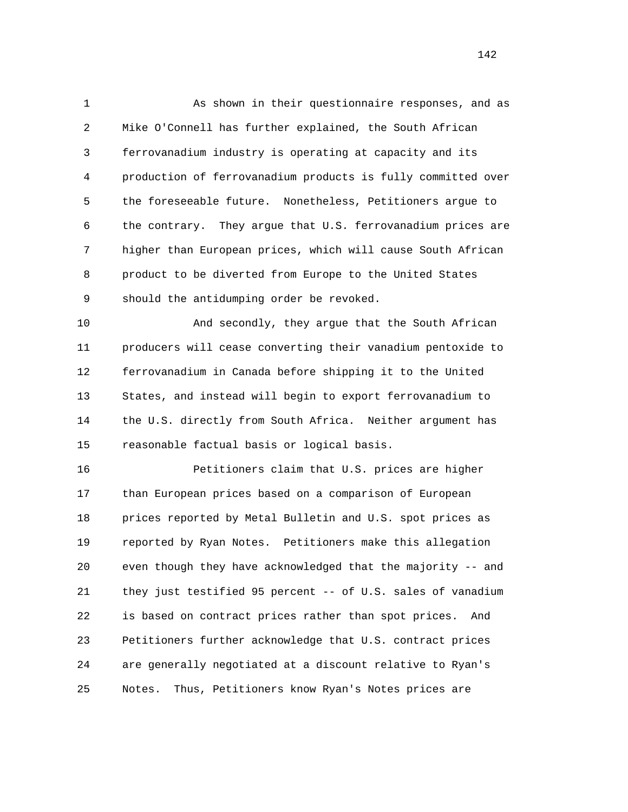1 As shown in their questionnaire responses, and as 2 Mike O'Connell has further explained, the South African 3 ferrovanadium industry is operating at capacity and its 4 production of ferrovanadium products is fully committed over 5 the foreseeable future. Nonetheless, Petitioners argue to 6 the contrary. They argue that U.S. ferrovanadium prices are 7 higher than European prices, which will cause South African 8 product to be diverted from Europe to the United States 9 should the antidumping order be revoked.

10 And secondly, they argue that the South African 11 producers will cease converting their vanadium pentoxide to 12 ferrovanadium in Canada before shipping it to the United 13 States, and instead will begin to export ferrovanadium to 14 the U.S. directly from South Africa. Neither argument has 15 reasonable factual basis or logical basis.

 16 Petitioners claim that U.S. prices are higher 17 than European prices based on a comparison of European 18 prices reported by Metal Bulletin and U.S. spot prices as 19 reported by Ryan Notes. Petitioners make this allegation 20 even though they have acknowledged that the majority -- and 21 they just testified 95 percent -- of U.S. sales of vanadium 22 is based on contract prices rather than spot prices. And 23 Petitioners further acknowledge that U.S. contract prices 24 are generally negotiated at a discount relative to Ryan's 25 Notes. Thus, Petitioners know Ryan's Notes prices are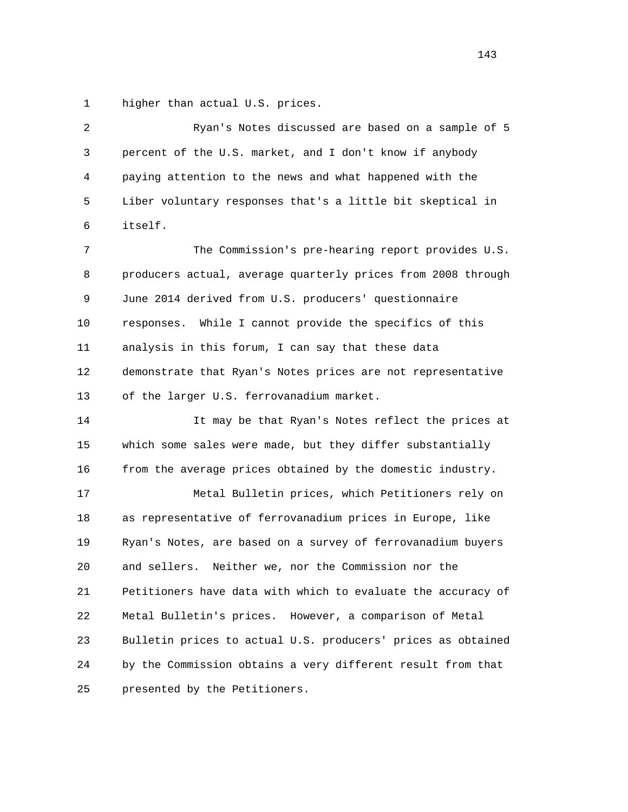1 higher than actual U.S. prices.

 2 Ryan's Notes discussed are based on a sample of 5 3 percent of the U.S. market, and I don't know if anybody 4 paying attention to the news and what happened with the 5 Liber voluntary responses that's a little bit skeptical in 6 itself. 7 The Commission's pre-hearing report provides U.S. 8 producers actual, average quarterly prices from 2008 through 9 June 2014 derived from U.S. producers' questionnaire 10 responses. While I cannot provide the specifics of this 11 analysis in this forum, I can say that these data 12 demonstrate that Ryan's Notes prices are not representative 13 of the larger U.S. ferrovanadium market. 14 It may be that Ryan's Notes reflect the prices at 15 which some sales were made, but they differ substantially 16 from the average prices obtained by the domestic industry. 17 Metal Bulletin prices, which Petitioners rely on 18 as representative of ferrovanadium prices in Europe, like 19 Ryan's Notes, are based on a survey of ferrovanadium buyers 20 and sellers. Neither we, nor the Commission nor the 21 Petitioners have data with which to evaluate the accuracy of 22 Metal Bulletin's prices. However, a comparison of Metal 23 Bulletin prices to actual U.S. producers' prices as obtained 24 by the Commission obtains a very different result from that 25 presented by the Petitioners.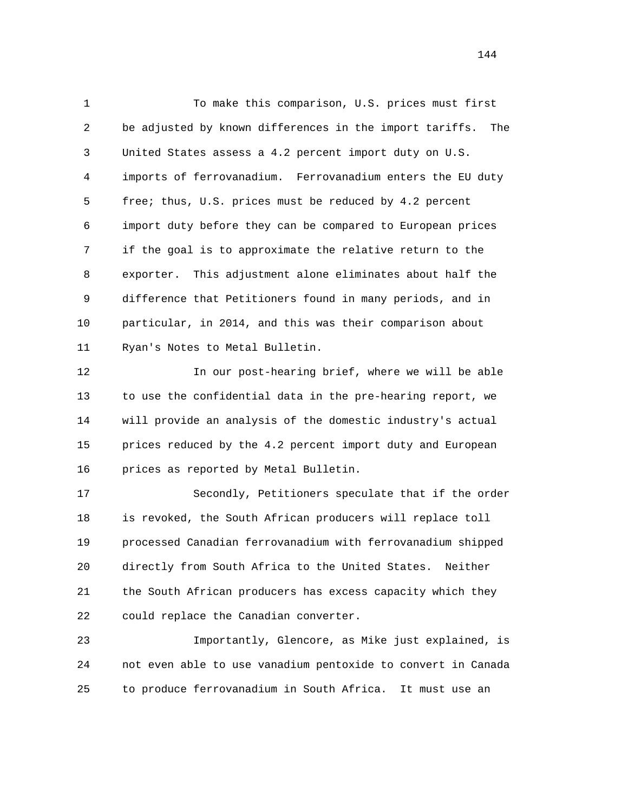1 To make this comparison, U.S. prices must first 2 be adjusted by known differences in the import tariffs. The 3 United States assess a 4.2 percent import duty on U.S. 4 imports of ferrovanadium. Ferrovanadium enters the EU duty 5 free; thus, U.S. prices must be reduced by 4.2 percent 6 import duty before they can be compared to European prices 7 if the goal is to approximate the relative return to the 8 exporter. This adjustment alone eliminates about half the 9 difference that Petitioners found in many periods, and in 10 particular, in 2014, and this was their comparison about 11 Ryan's Notes to Metal Bulletin.

 12 In our post-hearing brief, where we will be able 13 to use the confidential data in the pre-hearing report, we 14 will provide an analysis of the domestic industry's actual 15 prices reduced by the 4.2 percent import duty and European 16 prices as reported by Metal Bulletin.

 17 Secondly, Petitioners speculate that if the order 18 is revoked, the South African producers will replace toll 19 processed Canadian ferrovanadium with ferrovanadium shipped 20 directly from South Africa to the United States. Neither 21 the South African producers has excess capacity which they 22 could replace the Canadian converter.

 23 Importantly, Glencore, as Mike just explained, is 24 not even able to use vanadium pentoxide to convert in Canada 25 to produce ferrovanadium in South Africa. It must use an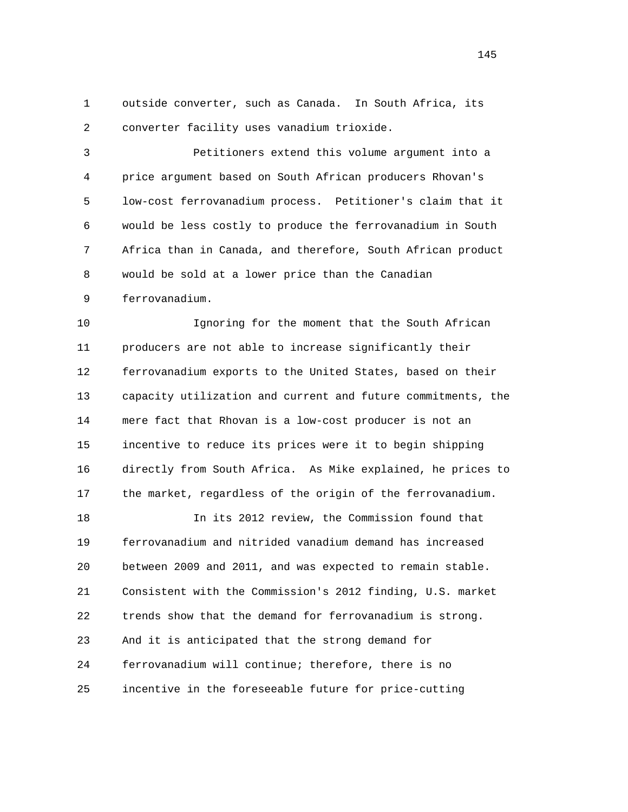1 outside converter, such as Canada. In South Africa, its 2 converter facility uses vanadium trioxide.

 3 Petitioners extend this volume argument into a 4 price argument based on South African producers Rhovan's 5 low-cost ferrovanadium process. Petitioner's claim that it 6 would be less costly to produce the ferrovanadium in South 7 Africa than in Canada, and therefore, South African product 8 would be sold at a lower price than the Canadian

9 ferrovanadium.

 10 Ignoring for the moment that the South African 11 producers are not able to increase significantly their 12 ferrovanadium exports to the United States, based on their 13 capacity utilization and current and future commitments, the 14 mere fact that Rhovan is a low-cost producer is not an 15 incentive to reduce its prices were it to begin shipping 16 directly from South Africa. As Mike explained, he prices to 17 the market, regardless of the origin of the ferrovanadium.

 18 In its 2012 review, the Commission found that 19 ferrovanadium and nitrided vanadium demand has increased 20 between 2009 and 2011, and was expected to remain stable. 21 Consistent with the Commission's 2012 finding, U.S. market 22 trends show that the demand for ferrovanadium is strong. 23 And it is anticipated that the strong demand for 24 ferrovanadium will continue; therefore, there is no 25 incentive in the foreseeable future for price-cutting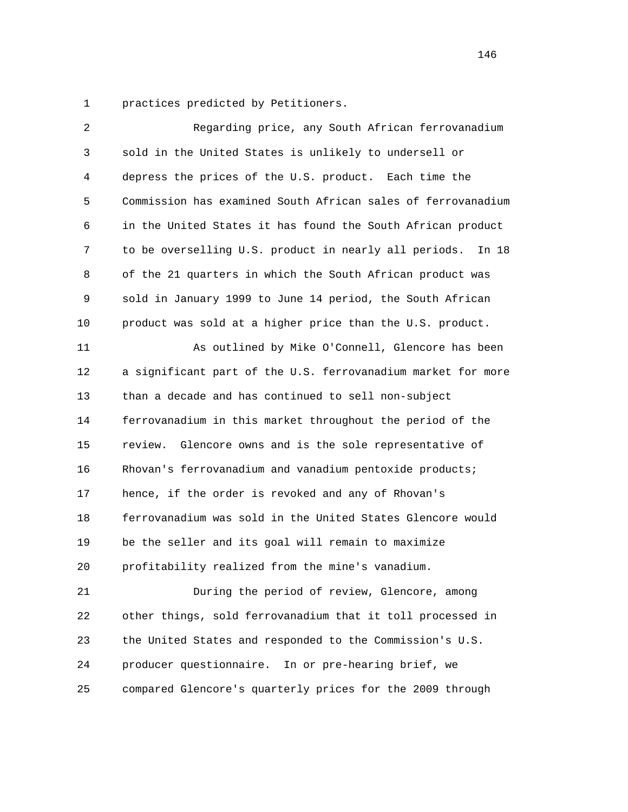1 practices predicted by Petitioners.

| $\overline{2}$ | Regarding price, any South African ferrovanadium               |
|----------------|----------------------------------------------------------------|
| 3              | sold in the United States is unlikely to undersell or          |
| 4              | depress the prices of the U.S. product. Each time the          |
| 5              | Commission has examined South African sales of ferrovanadium   |
| 6              | in the United States it has found the South African product    |
| 7              | to be overselling U.S. product in nearly all periods.<br>In 18 |
| 8              | of the 21 quarters in which the South African product was      |
| 9              | sold in January 1999 to June 14 period, the South African      |
| 10             | product was sold at a higher price than the U.S. product.      |
| 11             | As outlined by Mike O'Connell, Glencore has been               |
| 12             | a significant part of the U.S. ferrovanadium market for more   |
| 13             | than a decade and has continued to sell non-subject            |
| 14             | ferrovanadium in this market throughout the period of the      |
| 15             | Glencore owns and is the sole representative of<br>review.     |
| 16             | Rhovan's ferrovanadium and vanadium pentoxide products;        |
| 17             | hence, if the order is revoked and any of Rhovan's             |
| 18             | ferrovanadium was sold in the United States Glencore would     |
| 19             | be the seller and its goal will remain to maximize             |
| 20             | profitability realized from the mine's vanadium.               |
| 21             | During the period of review, Glencore, among                   |
| 22             | other things, sold ferrovanadium that it toll processed in     |
| 23             | the United States and responded to the Commission's U.S.       |
| 24             | producer questionnaire. In or pre-hearing brief, we            |
| 25             | compared Glencore's quarterly prices for the 2009 through      |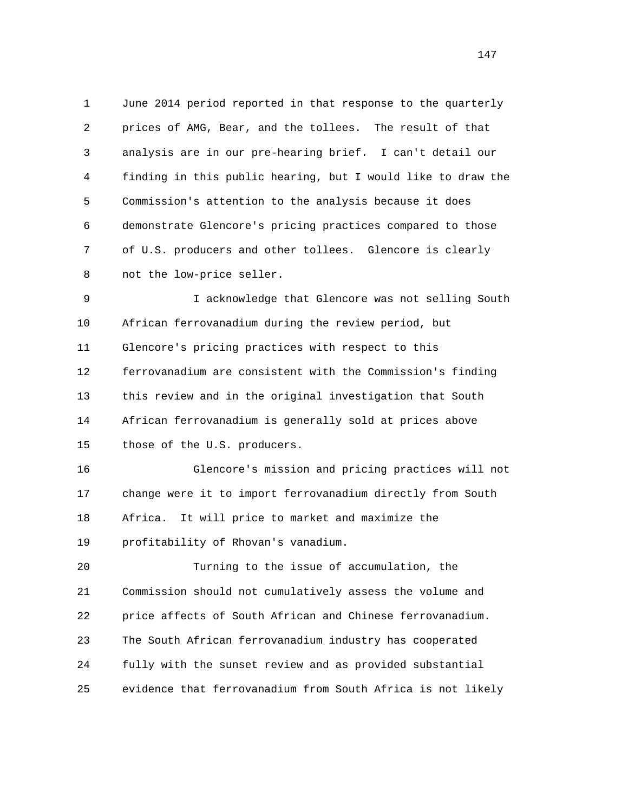1 June 2014 period reported in that response to the quarterly 2 prices of AMG, Bear, and the tollees. The result of that 3 analysis are in our pre-hearing brief. I can't detail our 4 finding in this public hearing, but I would like to draw the 5 Commission's attention to the analysis because it does 6 demonstrate Glencore's pricing practices compared to those 7 of U.S. producers and other tollees. Glencore is clearly 8 not the low-price seller.

 9 I acknowledge that Glencore was not selling South 10 African ferrovanadium during the review period, but 11 Glencore's pricing practices with respect to this 12 ferrovanadium are consistent with the Commission's finding 13 this review and in the original investigation that South 14 African ferrovanadium is generally sold at prices above 15 those of the U.S. producers.

 16 Glencore's mission and pricing practices will not 17 change were it to import ferrovanadium directly from South 18 Africa. It will price to market and maximize the 19 profitability of Rhovan's vanadium.

 20 Turning to the issue of accumulation, the 21 Commission should not cumulatively assess the volume and 22 price affects of South African and Chinese ferrovanadium. 23 The South African ferrovanadium industry has cooperated 24 fully with the sunset review and as provided substantial 25 evidence that ferrovanadium from South Africa is not likely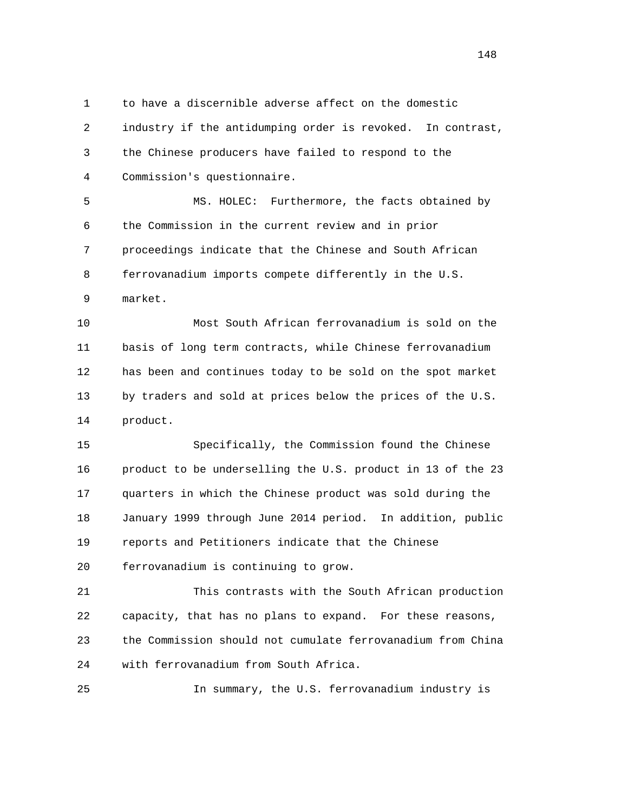1 to have a discernible adverse affect on the domestic 2 industry if the antidumping order is revoked. In contrast, 3 the Chinese producers have failed to respond to the 4 Commission's questionnaire.

 5 MS. HOLEC: Furthermore, the facts obtained by 6 the Commission in the current review and in prior 7 proceedings indicate that the Chinese and South African 8 ferrovanadium imports compete differently in the U.S. 9 market.

 10 Most South African ferrovanadium is sold on the 11 basis of long term contracts, while Chinese ferrovanadium 12 has been and continues today to be sold on the spot market 13 by traders and sold at prices below the prices of the U.S. 14 product.

 15 Specifically, the Commission found the Chinese 16 product to be underselling the U.S. product in 13 of the 23 17 quarters in which the Chinese product was sold during the 18 January 1999 through June 2014 period. In addition, public 19 reports and Petitioners indicate that the Chinese 20 ferrovanadium is continuing to grow.

 21 This contrasts with the South African production 22 capacity, that has no plans to expand. For these reasons, 23 the Commission should not cumulate ferrovanadium from China 24 with ferrovanadium from South Africa.

25 In summary, the U.S. ferrovanadium industry is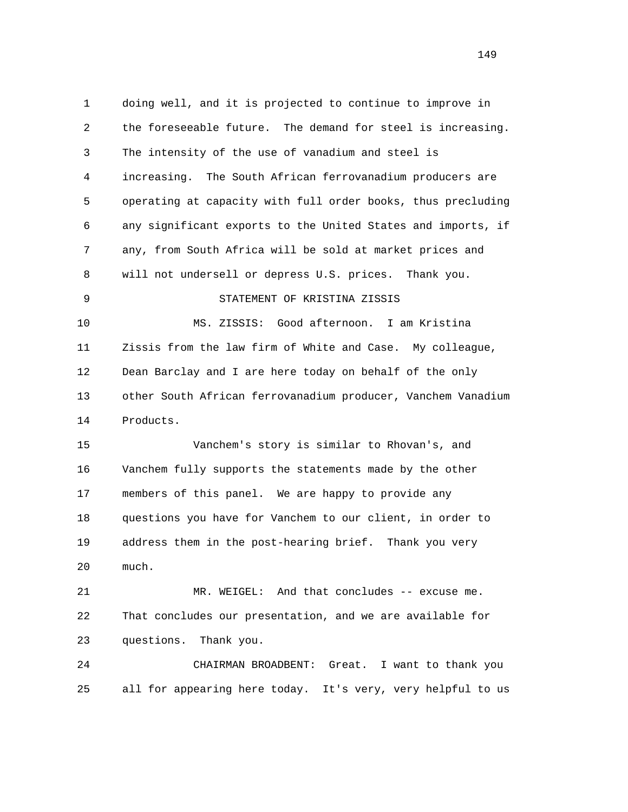1 doing well, and it is projected to continue to improve in 2 the foreseeable future. The demand for steel is increasing. 3 The intensity of the use of vanadium and steel is 4 increasing. The South African ferrovanadium producers are 5 operating at capacity with full order books, thus precluding 6 any significant exports to the United States and imports, if 7 any, from South Africa will be sold at market prices and 8 will not undersell or depress U.S. prices. Thank you. 9 STATEMENT OF KRISTINA ZISSIS 10 MS. ZISSIS: Good afternoon. I am Kristina 11 Zissis from the law firm of White and Case. My colleague, 12 Dean Barclay and I are here today on behalf of the only 13 other South African ferrovanadium producer, Vanchem Vanadium 14 Products. 15 Vanchem's story is similar to Rhovan's, and 16 Vanchem fully supports the statements made by the other 17 members of this panel. We are happy to provide any 18 questions you have for Vanchem to our client, in order to 19 address them in the post-hearing brief. Thank you very 20 much. 21 MR. WEIGEL: And that concludes -- excuse me. 22 That concludes our presentation, and we are available for 23 questions. Thank you. 24 CHAIRMAN BROADBENT: Great. I want to thank you 25 all for appearing here today. It's very, very helpful to us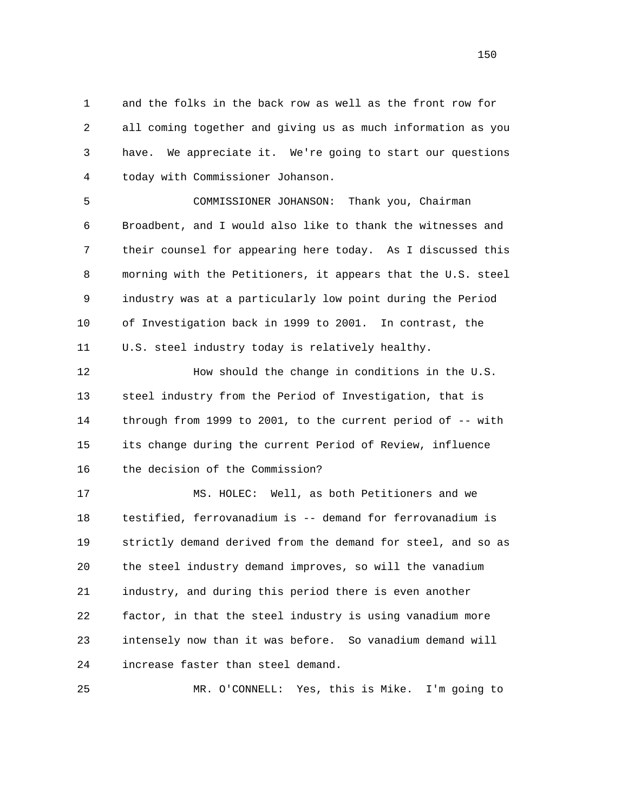1 and the folks in the back row as well as the front row for 2 all coming together and giving us as much information as you 3 have. We appreciate it. We're going to start our questions 4 today with Commissioner Johanson.

 5 COMMISSIONER JOHANSON: Thank you, Chairman 6 Broadbent, and I would also like to thank the witnesses and 7 their counsel for appearing here today. As I discussed this 8 morning with the Petitioners, it appears that the U.S. steel 9 industry was at a particularly low point during the Period 10 of Investigation back in 1999 to 2001. In contrast, the 11 U.S. steel industry today is relatively healthy.

 12 How should the change in conditions in the U.S. 13 steel industry from the Period of Investigation, that is 14 through from 1999 to 2001, to the current period of -- with 15 its change during the current Period of Review, influence 16 the decision of the Commission?

 17 MS. HOLEC: Well, as both Petitioners and we 18 testified, ferrovanadium is -- demand for ferrovanadium is 19 strictly demand derived from the demand for steel, and so as 20 the steel industry demand improves, so will the vanadium 21 industry, and during this period there is even another 22 factor, in that the steel industry is using vanadium more 23 intensely now than it was before. So vanadium demand will 24 increase faster than steel demand.

25 MR. O'CONNELL: Yes, this is Mike. I'm going to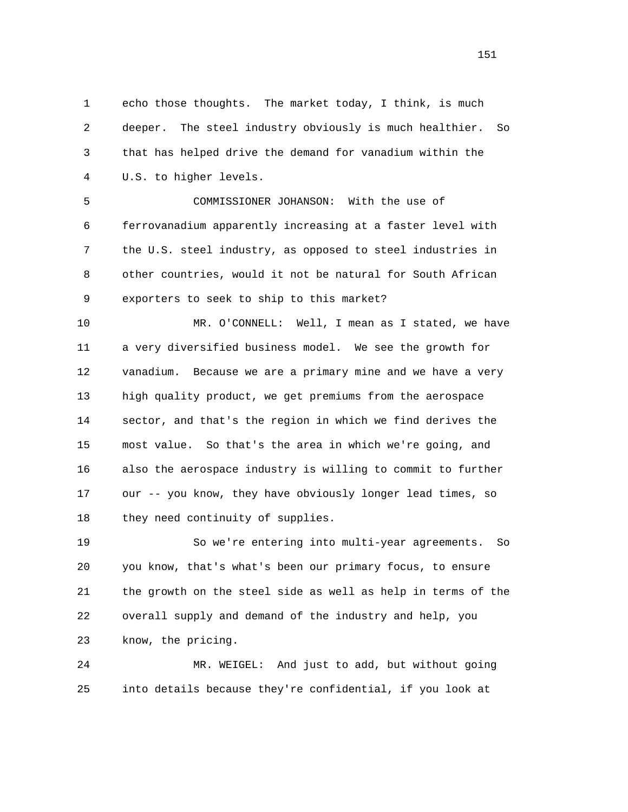1 echo those thoughts. The market today, I think, is much 2 deeper. The steel industry obviously is much healthier. So 3 that has helped drive the demand for vanadium within the 4 U.S. to higher levels.

 5 COMMISSIONER JOHANSON: With the use of 6 ferrovanadium apparently increasing at a faster level with 7 the U.S. steel industry, as opposed to steel industries in 8 other countries, would it not be natural for South African 9 exporters to seek to ship to this market?

 10 MR. O'CONNELL: Well, I mean as I stated, we have 11 a very diversified business model. We see the growth for 12 vanadium. Because we are a primary mine and we have a very 13 high quality product, we get premiums from the aerospace 14 sector, and that's the region in which we find derives the 15 most value. So that's the area in which we're going, and 16 also the aerospace industry is willing to commit to further 17 our -- you know, they have obviously longer lead times, so 18 they need continuity of supplies.

 19 So we're entering into multi-year agreements. So 20 you know, that's what's been our primary focus, to ensure 21 the growth on the steel side as well as help in terms of the 22 overall supply and demand of the industry and help, you 23 know, the pricing.

 24 MR. WEIGEL: And just to add, but without going 25 into details because they're confidential, if you look at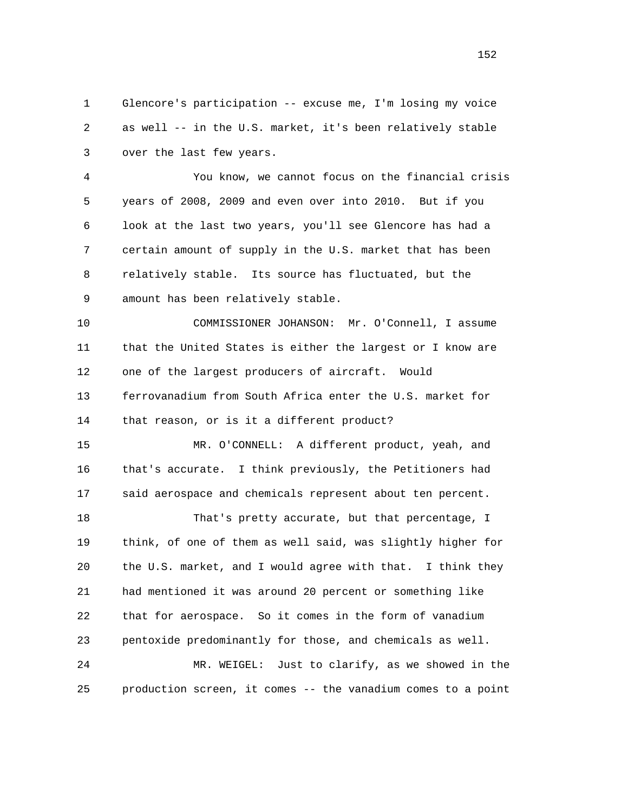1 Glencore's participation -- excuse me, I'm losing my voice 2 as well -- in the U.S. market, it's been relatively stable 3 over the last few years.

 4 You know, we cannot focus on the financial crisis 5 years of 2008, 2009 and even over into 2010. But if you 6 look at the last two years, you'll see Glencore has had a 7 certain amount of supply in the U.S. market that has been 8 relatively stable. Its source has fluctuated, but the 9 amount has been relatively stable.

 10 COMMISSIONER JOHANSON: Mr. O'Connell, I assume 11 that the United States is either the largest or I know are 12 one of the largest producers of aircraft. Would 13 ferrovanadium from South Africa enter the U.S. market for 14 that reason, or is it a different product?

 15 MR. O'CONNELL: A different product, yeah, and 16 that's accurate. I think previously, the Petitioners had 17 said aerospace and chemicals represent about ten percent.

 18 That's pretty accurate, but that percentage, I 19 think, of one of them as well said, was slightly higher for 20 the U.S. market, and I would agree with that. I think they 21 had mentioned it was around 20 percent or something like 22 that for aerospace. So it comes in the form of vanadium 23 pentoxide predominantly for those, and chemicals as well. 24 MR. WEIGEL: Just to clarify, as we showed in the

25 production screen, it comes -- the vanadium comes to a point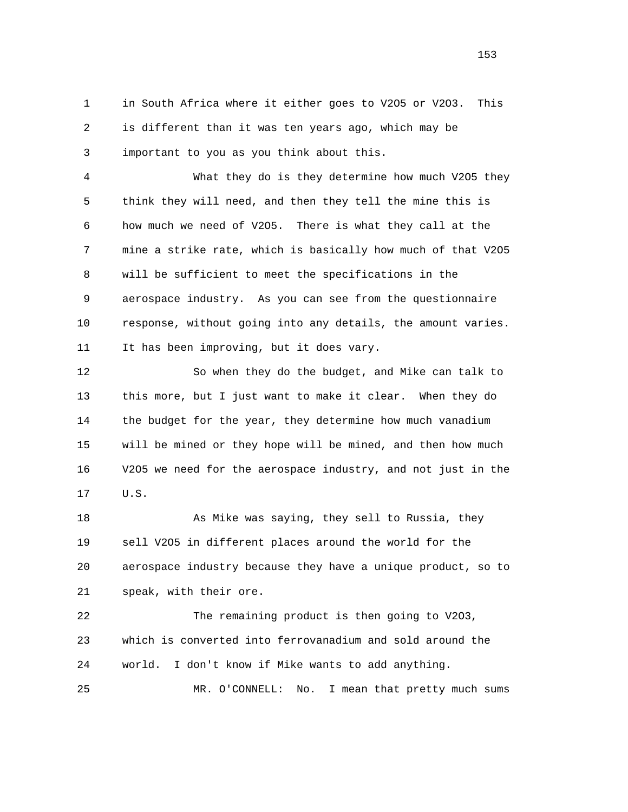1 in South Africa where it either goes to V2O5 or V2O3. This 2 is different than it was ten years ago, which may be 3 important to you as you think about this.

 4 What they do is they determine how much V2O5 they 5 think they will need, and then they tell the mine this is 6 how much we need of V2O5. There is what they call at the 7 mine a strike rate, which is basically how much of that V2O5 8 will be sufficient to meet the specifications in the 9 aerospace industry. As you can see from the questionnaire 10 response, without going into any details, the amount varies. 11 It has been improving, but it does vary.

 12 So when they do the budget, and Mike can talk to 13 this more, but I just want to make it clear. When they do 14 the budget for the year, they determine how much vanadium 15 will be mined or they hope will be mined, and then how much 16 V2O5 we need for the aerospace industry, and not just in the 17 U.S.

18 As Mike was saying, they sell to Russia, they 19 sell V2O5 in different places around the world for the 20 aerospace industry because they have a unique product, so to 21 speak, with their ore.

 22 The remaining product is then going to V2O3, 23 which is converted into ferrovanadium and sold around the 24 world. I don't know if Mike wants to add anything. 25 MR. O'CONNELL: No. I mean that pretty much sums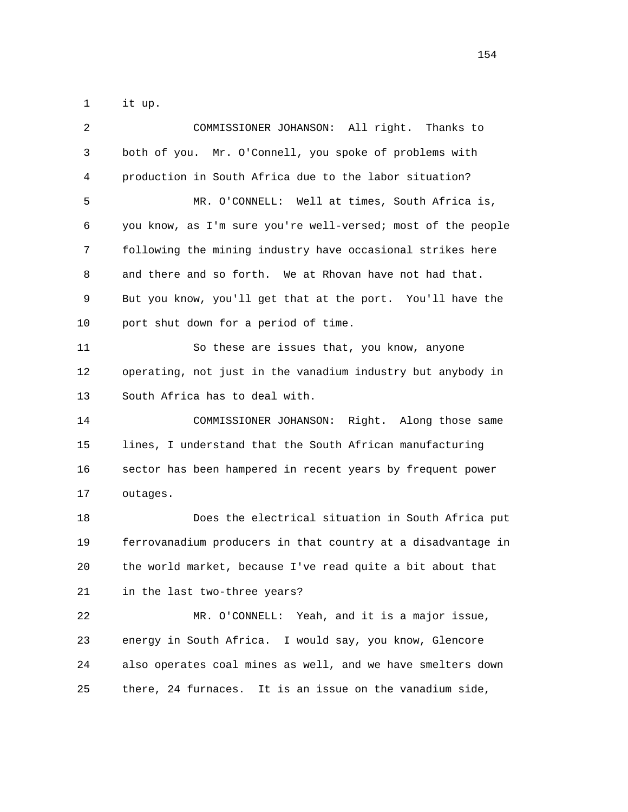1 it up.

| 2  | COMMISSIONER JOHANSON: All right. Thanks to                  |
|----|--------------------------------------------------------------|
| 3  | both of you. Mr. O'Connell, you spoke of problems with       |
| 4  | production in South Africa due to the labor situation?       |
| 5  | MR. O'CONNELL: Well at times, South Africa is,               |
| 6  | you know, as I'm sure you're well-versed; most of the people |
| 7  | following the mining industry have occasional strikes here   |
| 8  | and there and so forth. We at Rhovan have not had that.      |
| 9  | But you know, you'll get that at the port. You'll have the   |
| 10 | port shut down for a period of time.                         |
| 11 | So these are issues that, you know, anyone                   |
| 12 | operating, not just in the vanadium industry but anybody in  |
| 13 | South Africa has to deal with.                               |
| 14 | COMMISSIONER JOHANSON: Right. Along those same               |
| 15 | lines, I understand that the South African manufacturing     |
| 16 | sector has been hampered in recent years by frequent power   |
| 17 | outages.                                                     |
| 18 | Does the electrical situation in South Africa put            |
| 19 | ferrovanadium producers in that country at a disadvantage in |
| 20 | the world market, because I've read quite a bit about that   |
| 21 | in the last two-three years?                                 |
| 22 | MR. O'CONNELL: Yeah, and it is a major issue,                |
| 23 | energy in South Africa. I would say, you know, Glencore      |
| 24 | also operates coal mines as well, and we have smelters down  |
| 25 | there, 24 furnaces. It is an issue on the vanadium side,     |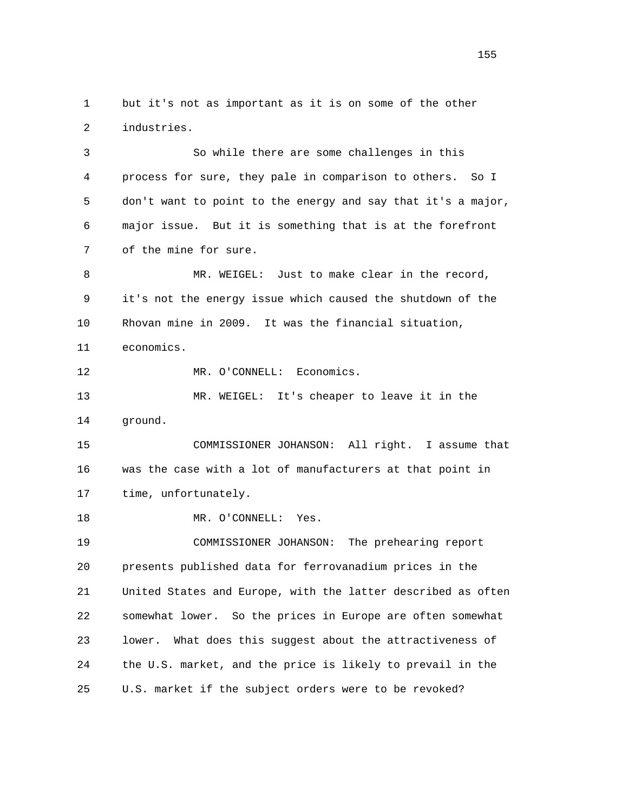1 but it's not as important as it is on some of the other 2 industries.

 3 So while there are some challenges in this 4 process for sure, they pale in comparison to others. So I 5 don't want to point to the energy and say that it's a major, 6 major issue. But it is something that is at the forefront 7 of the mine for sure.

8 MR. WEIGEL: Just to make clear in the record, 9 it's not the energy issue which caused the shutdown of the 10 Rhovan mine in 2009. It was the financial situation, 11 economics. 12 MR. O'CONNELL: Economics.

 13 MR. WEIGEL: It's cheaper to leave it in the 14 ground.

 15 COMMISSIONER JOHANSON: All right. I assume that 16 was the case with a lot of manufacturers at that point in 17 time, unfortunately.

18 MR. O'CONNELL: Yes.

 19 COMMISSIONER JOHANSON: The prehearing report 20 presents published data for ferrovanadium prices in the 21 United States and Europe, with the latter described as often 22 somewhat lower. So the prices in Europe are often somewhat 23 lower. What does this suggest about the attractiveness of 24 the U.S. market, and the price is likely to prevail in the 25 U.S. market if the subject orders were to be revoked?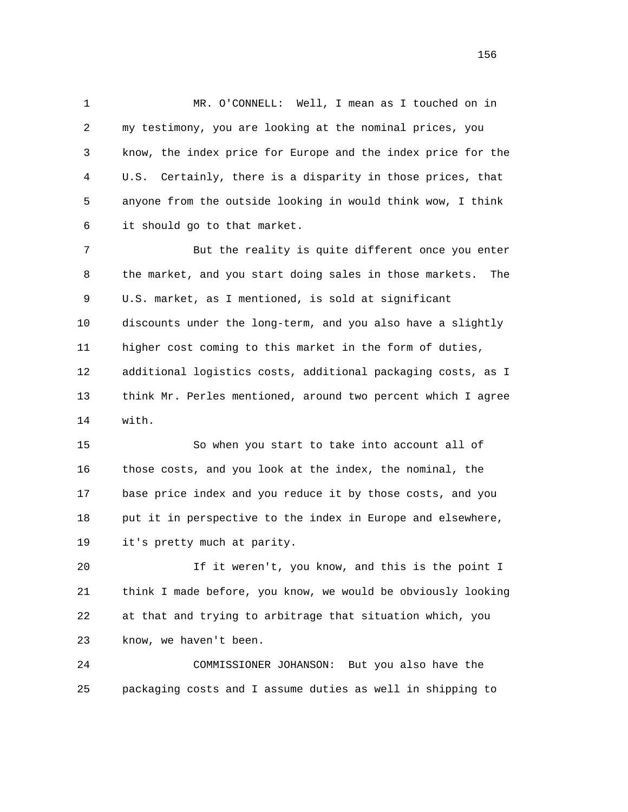1 MR. O'CONNELL: Well, I mean as I touched on in 2 my testimony, you are looking at the nominal prices, you 3 know, the index price for Europe and the index price for the 4 U.S. Certainly, there is a disparity in those prices, that 5 anyone from the outside looking in would think wow, I think 6 it should go to that market.

 7 But the reality is quite different once you enter 8 the market, and you start doing sales in those markets. The 9 U.S. market, as I mentioned, is sold at significant 10 discounts under the long-term, and you also have a slightly 11 higher cost coming to this market in the form of duties, 12 additional logistics costs, additional packaging costs, as I 13 think Mr. Perles mentioned, around two percent which I agree 14 with.

 15 So when you start to take into account all of 16 those costs, and you look at the index, the nominal, the 17 base price index and you reduce it by those costs, and you 18 put it in perspective to the index in Europe and elsewhere, 19 it's pretty much at parity.

 20 If it weren't, you know, and this is the point I 21 think I made before, you know, we would be obviously looking 22 at that and trying to arbitrage that situation which, you 23 know, we haven't been.

 24 COMMISSIONER JOHANSON: But you also have the 25 packaging costs and I assume duties as well in shipping to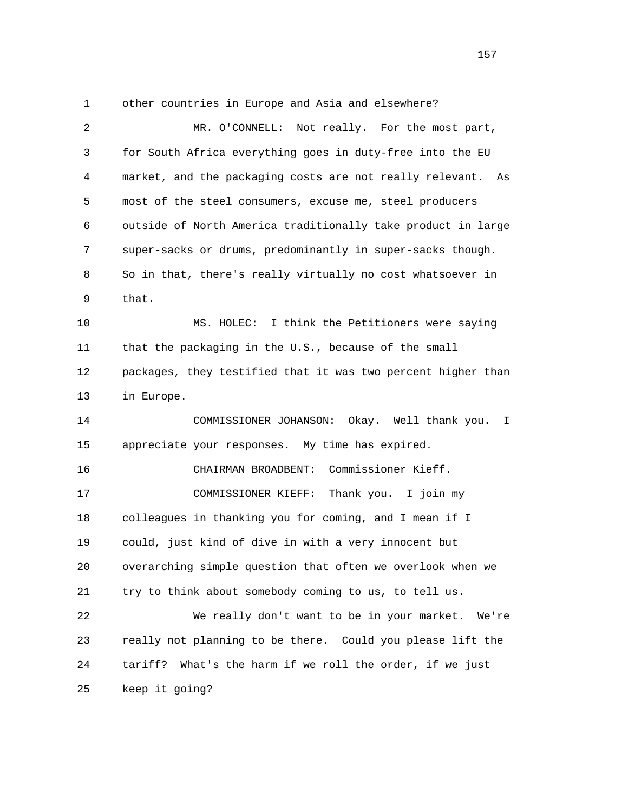1 other countries in Europe and Asia and elsewhere? 2 MR. O'CONNELL: Not really. For the most part, 3 for South Africa everything goes in duty-free into the EU 4 market, and the packaging costs are not really relevant. As 5 most of the steel consumers, excuse me, steel producers 6 outside of North America traditionally take product in large 7 super-sacks or drums, predominantly in super-sacks though. 8 So in that, there's really virtually no cost whatsoever in 9 that. 10 MS. HOLEC: I think the Petitioners were saying 11 that the packaging in the U.S., because of the small 12 packages, they testified that it was two percent higher than 13 in Europe. 14 COMMISSIONER JOHANSON: Okay. Well thank you. I 15 appreciate your responses. My time has expired. 16 CHAIRMAN BROADBENT: Commissioner Kieff. 17 COMMISSIONER KIEFF: Thank you. I join my 18 colleagues in thanking you for coming, and I mean if I 19 could, just kind of dive in with a very innocent but 20 overarching simple question that often we overlook when we 21 try to think about somebody coming to us, to tell us. 22 We really don't want to be in your market. We're 23 really not planning to be there. Could you please lift the 24 tariff? What's the harm if we roll the order, if we just 25 keep it going?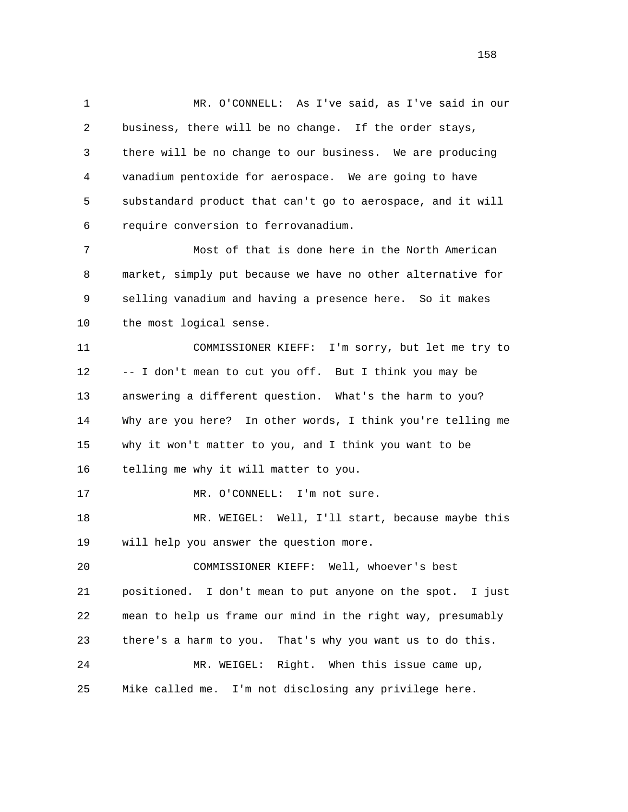1 MR. O'CONNELL: As I've said, as I've said in our 2 business, there will be no change. If the order stays, 3 there will be no change to our business. We are producing 4 vanadium pentoxide for aerospace. We are going to have 5 substandard product that can't go to aerospace, and it will 6 require conversion to ferrovanadium.

 7 Most of that is done here in the North American 8 market, simply put because we have no other alternative for 9 selling vanadium and having a presence here. So it makes 10 the most logical sense.

 11 COMMISSIONER KIEFF: I'm sorry, but let me try to 12 -- I don't mean to cut you off. But I think you may be 13 answering a different question. What's the harm to you? 14 Why are you here? In other words, I think you're telling me 15 why it won't matter to you, and I think you want to be 16 telling me why it will matter to you.

17 MR. O'CONNELL: I'm not sure.

18 MR. WEIGEL: Well, I'll start, because maybe this 19 will help you answer the question more.

 20 COMMISSIONER KIEFF: Well, whoever's best 21 positioned. I don't mean to put anyone on the spot. I just 22 mean to help us frame our mind in the right way, presumably 23 there's a harm to you. That's why you want us to do this. 24 MR. WEIGEL: Right. When this issue came up, 25 Mike called me. I'm not disclosing any privilege here.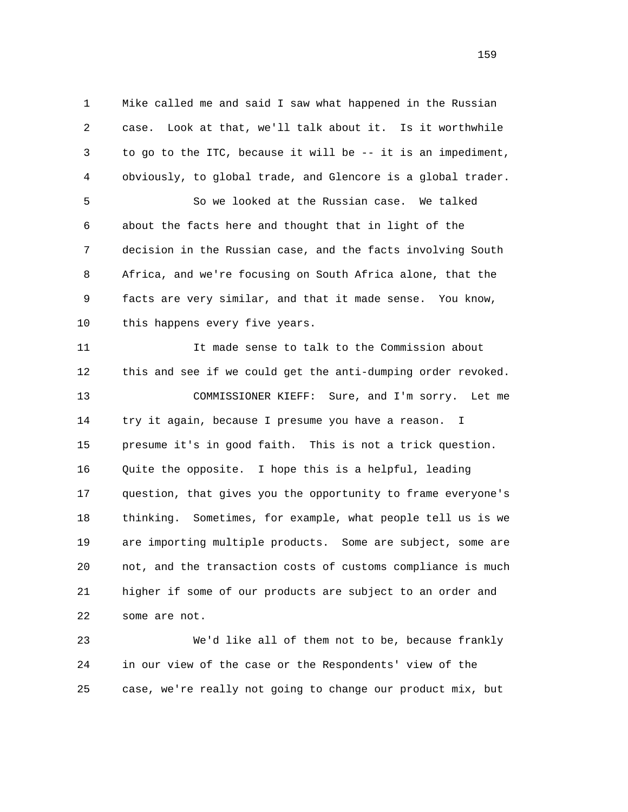1 Mike called me and said I saw what happened in the Russian 2 case. Look at that, we'll talk about it. Is it worthwhile 3 to go to the ITC, because it will be -- it is an impediment, 4 obviously, to global trade, and Glencore is a global trader. 5 So we looked at the Russian case. We talked 6 about the facts here and thought that in light of the 7 decision in the Russian case, and the facts involving South 8 Africa, and we're focusing on South Africa alone, that the 9 facts are very similar, and that it made sense. You know, 10 this happens every five years. 11 It made sense to talk to the Commission about 12 this and see if we could get the anti-dumping order revoked. 13 COMMISSIONER KIEFF: Sure, and I'm sorry. Let me 14 try it again, because I presume you have a reason. I 15 presume it's in good faith. This is not a trick question. 16 Quite the opposite. I hope this is a helpful, leading 17 question, that gives you the opportunity to frame everyone's 18 thinking. Sometimes, for example, what people tell us is we 19 are importing multiple products. Some are subject, some are 20 not, and the transaction costs of customs compliance is much 21 higher if some of our products are subject to an order and 22 some are not.

 23 We'd like all of them not to be, because frankly 24 in our view of the case or the Respondents' view of the 25 case, we're really not going to change our product mix, but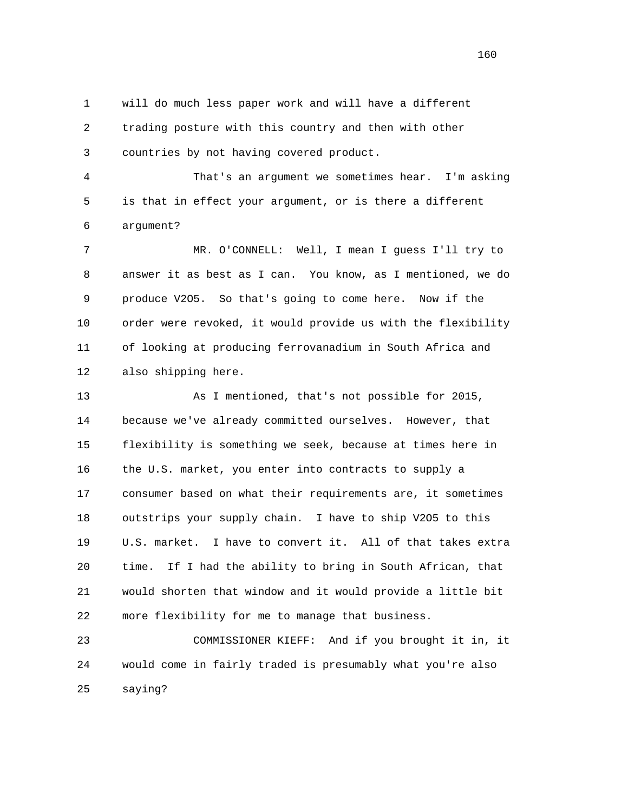1 will do much less paper work and will have a different 2 trading posture with this country and then with other 3 countries by not having covered product.

 4 That's an argument we sometimes hear. I'm asking 5 is that in effect your argument, or is there a different 6 argument?

 7 MR. O'CONNELL: Well, I mean I guess I'll try to 8 answer it as best as I can. You know, as I mentioned, we do 9 produce V2O5. So that's going to come here. Now if the 10 order were revoked, it would provide us with the flexibility 11 of looking at producing ferrovanadium in South Africa and 12 also shipping here.

 13 As I mentioned, that's not possible for 2015, 14 because we've already committed ourselves. However, that 15 flexibility is something we seek, because at times here in 16 the U.S. market, you enter into contracts to supply a 17 consumer based on what their requirements are, it sometimes 18 outstrips your supply chain. I have to ship V2O5 to this 19 U.S. market. I have to convert it. All of that takes extra 20 time. If I had the ability to bring in South African, that 21 would shorten that window and it would provide a little bit 22 more flexibility for me to manage that business.

 23 COMMISSIONER KIEFF: And if you brought it in, it 24 would come in fairly traded is presumably what you're also 25 saying?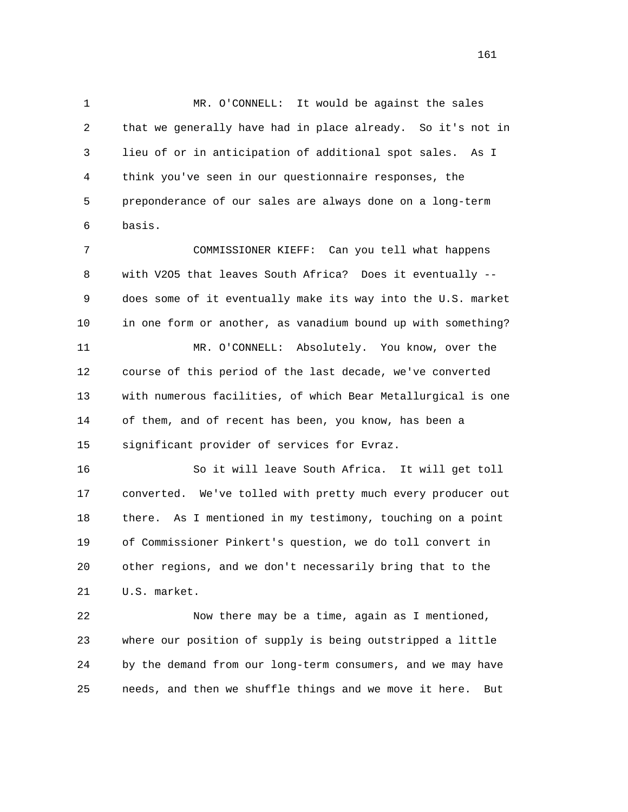1 MR. O'CONNELL: It would be against the sales 2 that we generally have had in place already. So it's not in 3 lieu of or in anticipation of additional spot sales. As I 4 think you've seen in our questionnaire responses, the 5 preponderance of our sales are always done on a long-term 6 basis.

 7 COMMISSIONER KIEFF: Can you tell what happens 8 with V2O5 that leaves South Africa? Does it eventually -- 9 does some of it eventually make its way into the U.S. market 10 in one form or another, as vanadium bound up with something? 11 MR. O'CONNELL: Absolutely. You know, over the 12 course of this period of the last decade, we've converted 13 with numerous facilities, of which Bear Metallurgical is one 14 of them, and of recent has been, you know, has been a 15 significant provider of services for Evraz.

 16 So it will leave South Africa. It will get toll 17 converted. We've tolled with pretty much every producer out 18 there. As I mentioned in my testimony, touching on a point 19 of Commissioner Pinkert's question, we do toll convert in 20 other regions, and we don't necessarily bring that to the 21 U.S. market.

 22 Now there may be a time, again as I mentioned, 23 where our position of supply is being outstripped a little 24 by the demand from our long-term consumers, and we may have 25 needs, and then we shuffle things and we move it here. But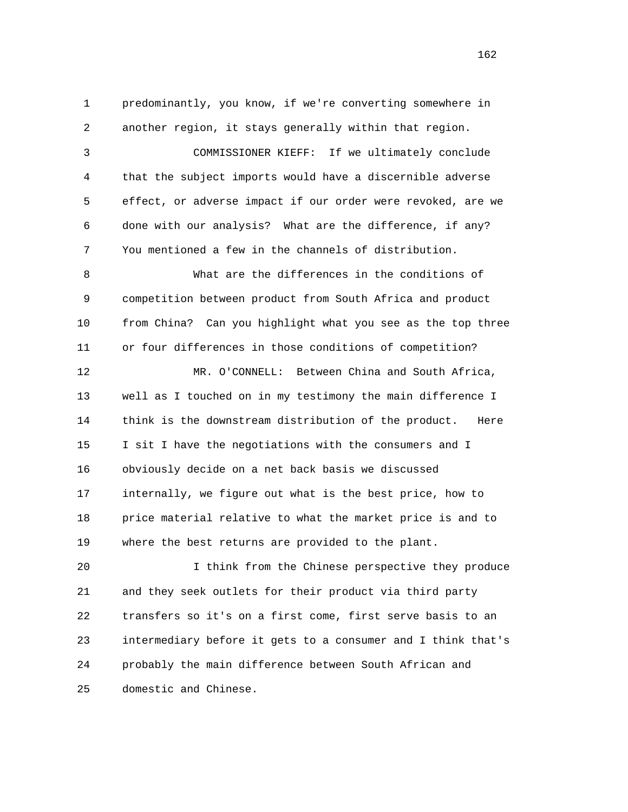1 predominantly, you know, if we're converting somewhere in 2 another region, it stays generally within that region. 3 COMMISSIONER KIEFF: If we ultimately conclude 4 that the subject imports would have a discernible adverse 5 effect, or adverse impact if our order were revoked, are we 6 done with our analysis? What are the difference, if any? 7 You mentioned a few in the channels of distribution. 8 What are the differences in the conditions of 9 competition between product from South Africa and product 10 from China? Can you highlight what you see as the top three 11 or four differences in those conditions of competition? 12 MR. O'CONNELL: Between China and South Africa, 13 well as I touched on in my testimony the main difference I 14 think is the downstream distribution of the product. Here 15 I sit I have the negotiations with the consumers and I 16 obviously decide on a net back basis we discussed 17 internally, we figure out what is the best price, how to 18 price material relative to what the market price is and to 19 where the best returns are provided to the plant. 20 I think from the Chinese perspective they produce 21 and they seek outlets for their product via third party 22 transfers so it's on a first come, first serve basis to an

24 probably the main difference between South African and

23 intermediary before it gets to a consumer and I think that's

25 domestic and Chinese.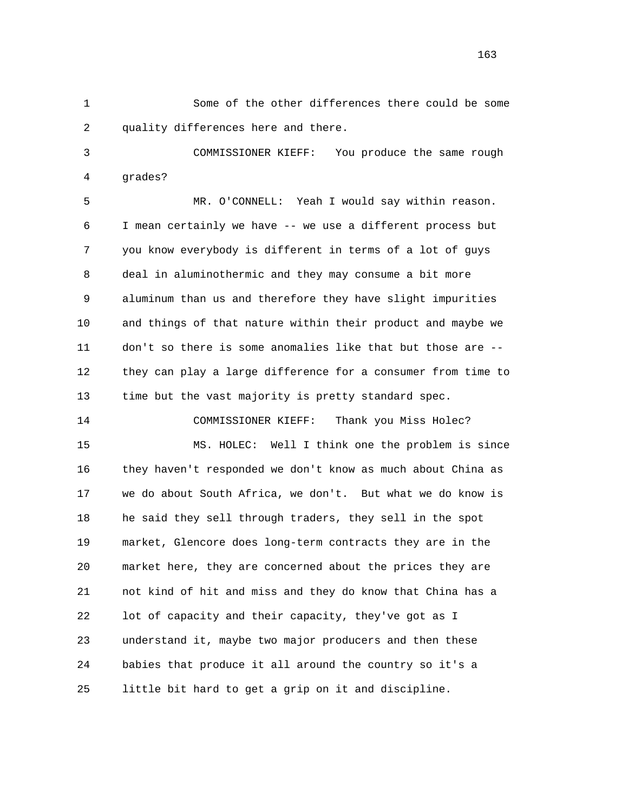1 Some of the other differences there could be some 2 quality differences here and there.

 3 COMMISSIONER KIEFF: You produce the same rough 4 grades?

 5 MR. O'CONNELL: Yeah I would say within reason. 6 I mean certainly we have -- we use a different process but 7 you know everybody is different in terms of a lot of guys 8 deal in aluminothermic and they may consume a bit more 9 aluminum than us and therefore they have slight impurities 10 and things of that nature within their product and maybe we 11 don't so there is some anomalies like that but those are -- 12 they can play a large difference for a consumer from time to 13 time but the vast majority is pretty standard spec.

14 COMMISSIONER KIEFF: Thank you Miss Holec?

 15 MS. HOLEC: Well I think one the problem is since 16 they haven't responded we don't know as much about China as 17 we do about South Africa, we don't. But what we do know is 18 he said they sell through traders, they sell in the spot 19 market, Glencore does long-term contracts they are in the 20 market here, they are concerned about the prices they are 21 not kind of hit and miss and they do know that China has a 22 lot of capacity and their capacity, they've got as I 23 understand it, maybe two major producers and then these 24 babies that produce it all around the country so it's a 25 little bit hard to get a grip on it and discipline.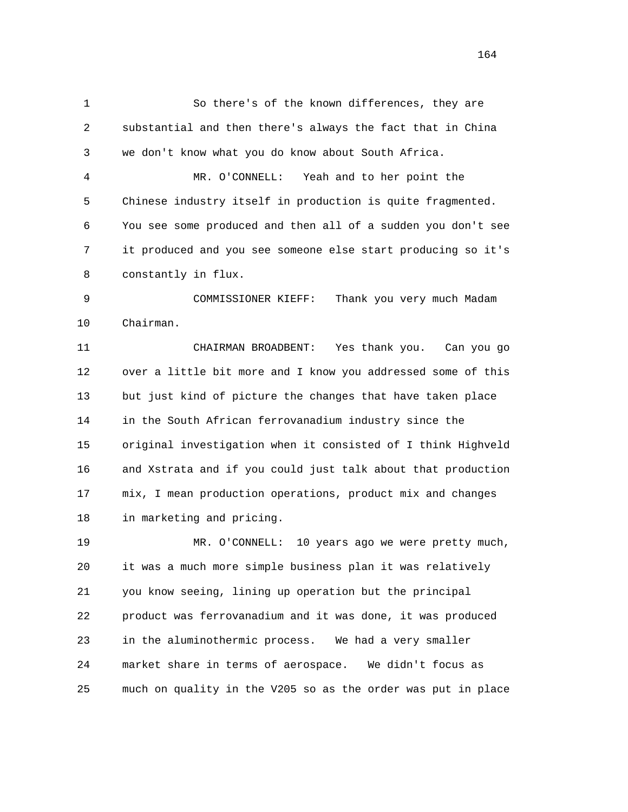1 So there's of the known differences, they are 2 substantial and then there's always the fact that in China 3 we don't know what you do know about South Africa. 4 MR. O'CONNELL: Yeah and to her point the 5 Chinese industry itself in production is quite fragmented. 6 You see some produced and then all of a sudden you don't see 7 it produced and you see someone else start producing so it's 8 constantly in flux. 9 COMMISSIONER KIEFF: Thank you very much Madam 10 Chairman. 11 CHAIRMAN BROADBENT: Yes thank you. Can you go 12 over a little bit more and I know you addressed some of this 13 but just kind of picture the changes that have taken place 14 in the South African ferrovanadium industry since the 15 original investigation when it consisted of I think Highveld 16 and Xstrata and if you could just talk about that production 17 mix, I mean production operations, product mix and changes 18 in marketing and pricing. 19 MR. O'CONNELL: 10 years ago we were pretty much, 20 it was a much more simple business plan it was relatively 21 you know seeing, lining up operation but the principal 22 product was ferrovanadium and it was done, it was produced 23 in the aluminothermic process. We had a very smaller 24 market share in terms of aerospace. We didn't focus as

25 much on quality in the V205 so as the order was put in place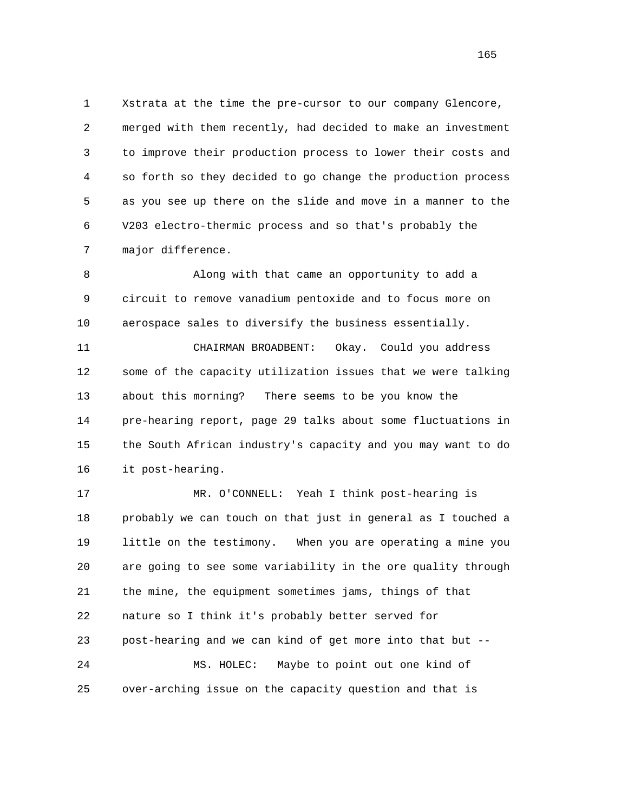1 Xstrata at the time the pre-cursor to our company Glencore, 2 merged with them recently, had decided to make an investment 3 to improve their production process to lower their costs and 4 so forth so they decided to go change the production process 5 as you see up there on the slide and move in a manner to the 6 V203 electro-thermic process and so that's probably the 7 major difference.

 8 Along with that came an opportunity to add a 9 circuit to remove vanadium pentoxide and to focus more on 10 aerospace sales to diversify the business essentially.

 11 CHAIRMAN BROADBENT: Okay. Could you address 12 some of the capacity utilization issues that we were talking 13 about this morning? There seems to be you know the 14 pre-hearing report, page 29 talks about some fluctuations in 15 the South African industry's capacity and you may want to do 16 it post-hearing.

 17 MR. O'CONNELL: Yeah I think post-hearing is 18 probably we can touch on that just in general as I touched a 19 little on the testimony. When you are operating a mine you 20 are going to see some variability in the ore quality through 21 the mine, the equipment sometimes jams, things of that 22 nature so I think it's probably better served for 23 post-hearing and we can kind of get more into that but -- 24 MS. HOLEC: Maybe to point out one kind of 25 over-arching issue on the capacity question and that is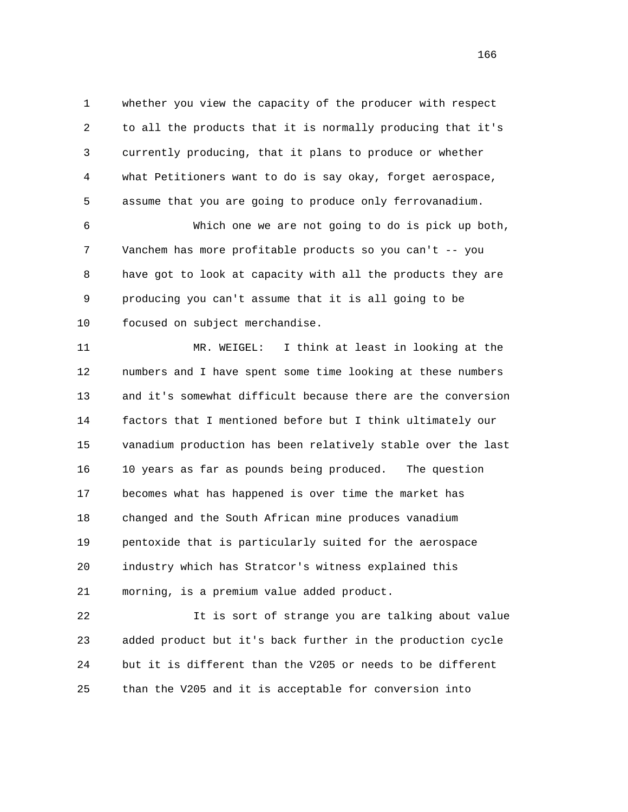1 whether you view the capacity of the producer with respect 2 to all the products that it is normally producing that it's 3 currently producing, that it plans to produce or whether 4 what Petitioners want to do is say okay, forget aerospace, 5 assume that you are going to produce only ferrovanadium.

 6 Which one we are not going to do is pick up both, 7 Vanchem has more profitable products so you can't -- you 8 have got to look at capacity with all the products they are 9 producing you can't assume that it is all going to be 10 focused on subject merchandise.

 11 MR. WEIGEL: I think at least in looking at the 12 numbers and I have spent some time looking at these numbers 13 and it's somewhat difficult because there are the conversion 14 factors that I mentioned before but I think ultimately our 15 vanadium production has been relatively stable over the last 16 10 years as far as pounds being produced. The question 17 becomes what has happened is over time the market has 18 changed and the South African mine produces vanadium 19 pentoxide that is particularly suited for the aerospace 20 industry which has Stratcor's witness explained this 21 morning, is a premium value added product.

 22 It is sort of strange you are talking about value 23 added product but it's back further in the production cycle 24 but it is different than the V205 or needs to be different 25 than the V205 and it is acceptable for conversion into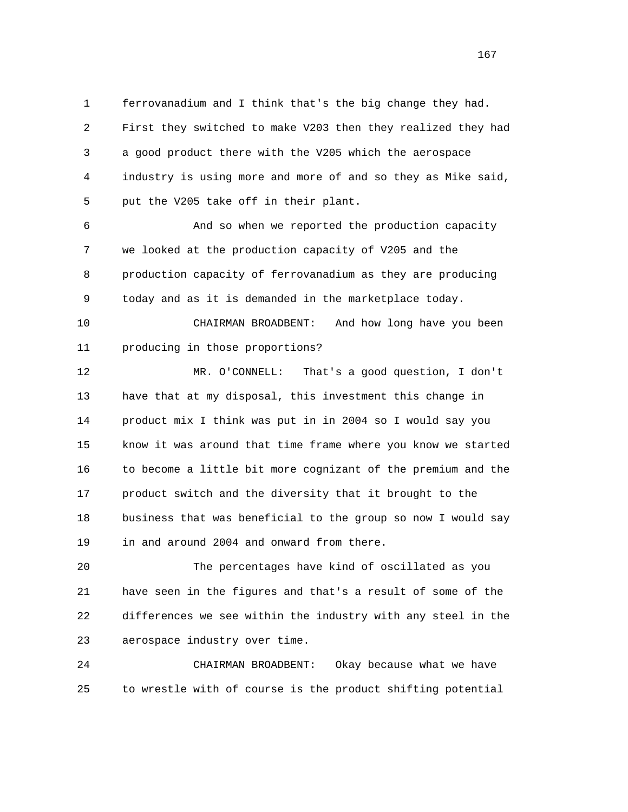1 ferrovanadium and I think that's the big change they had. 2 First they switched to make V203 then they realized they had 3 a good product there with the V205 which the aerospace 4 industry is using more and more of and so they as Mike said, 5 put the V205 take off in their plant.

 6 And so when we reported the production capacity 7 we looked at the production capacity of V205 and the 8 production capacity of ferrovanadium as they are producing 9 today and as it is demanded in the marketplace today.

 10 CHAIRMAN BROADBENT: And how long have you been 11 producing in those proportions?

 12 MR. O'CONNELL: That's a good question, I don't 13 have that at my disposal, this investment this change in 14 product mix I think was put in in 2004 so I would say you 15 know it was around that time frame where you know we started 16 to become a little bit more cognizant of the premium and the 17 product switch and the diversity that it brought to the 18 business that was beneficial to the group so now I would say 19 in and around 2004 and onward from there.

 20 The percentages have kind of oscillated as you 21 have seen in the figures and that's a result of some of the 22 differences we see within the industry with any steel in the 23 aerospace industry over time.

 24 CHAIRMAN BROADBENT: Okay because what we have 25 to wrestle with of course is the product shifting potential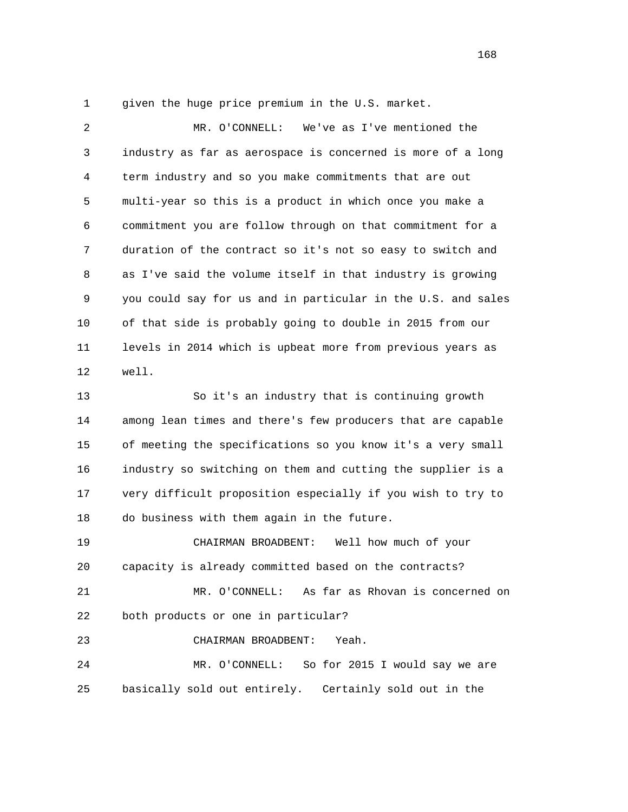1 given the huge price premium in the U.S. market.

 2 MR. O'CONNELL: We've as I've mentioned the 3 industry as far as aerospace is concerned is more of a long 4 term industry and so you make commitments that are out 5 multi-year so this is a product in which once you make a 6 commitment you are follow through on that commitment for a 7 duration of the contract so it's not so easy to switch and 8 as I've said the volume itself in that industry is growing 9 you could say for us and in particular in the U.S. and sales 10 of that side is probably going to double in 2015 from our 11 levels in 2014 which is upbeat more from previous years as 12 well.

 13 So it's an industry that is continuing growth 14 among lean times and there's few producers that are capable 15 of meeting the specifications so you know it's a very small 16 industry so switching on them and cutting the supplier is a 17 very difficult proposition especially if you wish to try to 18 do business with them again in the future.

 19 CHAIRMAN BROADBENT: Well how much of your 20 capacity is already committed based on the contracts?

 21 MR. O'CONNELL: As far as Rhovan is concerned on 22 both products or one in particular?

23 CHAIRMAN BROADBENT: Yeah.

 24 MR. O'CONNELL: So for 2015 I would say we are 25 basically sold out entirely. Certainly sold out in the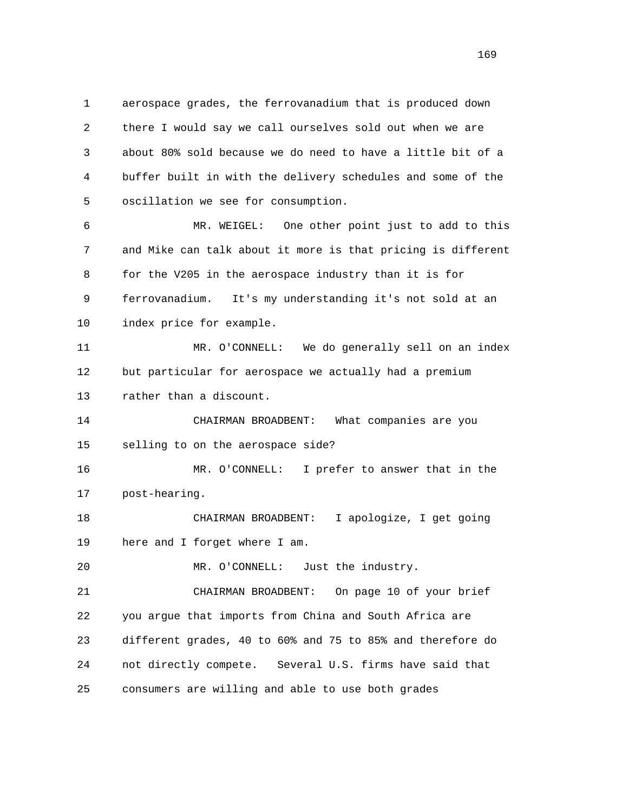1 aerospace grades, the ferrovanadium that is produced down 2 there I would say we call ourselves sold out when we are 3 about 80% sold because we do need to have a little bit of a 4 buffer built in with the delivery schedules and some of the 5 oscillation we see for consumption.

 6 MR. WEIGEL: One other point just to add to this 7 and Mike can talk about it more is that pricing is different 8 for the V205 in the aerospace industry than it is for 9 ferrovanadium. It's my understanding it's not sold at an 10 index price for example.

 11 MR. O'CONNELL: We do generally sell on an index 12 but particular for aerospace we actually had a premium 13 rather than a discount.

 14 CHAIRMAN BROADBENT: What companies are you 15 selling to on the aerospace side?

 16 MR. O'CONNELL: I prefer to answer that in the 17 post-hearing.

 18 CHAIRMAN BROADBENT: I apologize, I get going 19 here and I forget where I am.

20 MR. O'CONNELL: Just the industry.

 21 CHAIRMAN BROADBENT: On page 10 of your brief 22 you argue that imports from China and South Africa are 23 different grades, 40 to 60% and 75 to 85% and therefore do 24 not directly compete. Several U.S. firms have said that 25 consumers are willing and able to use both grades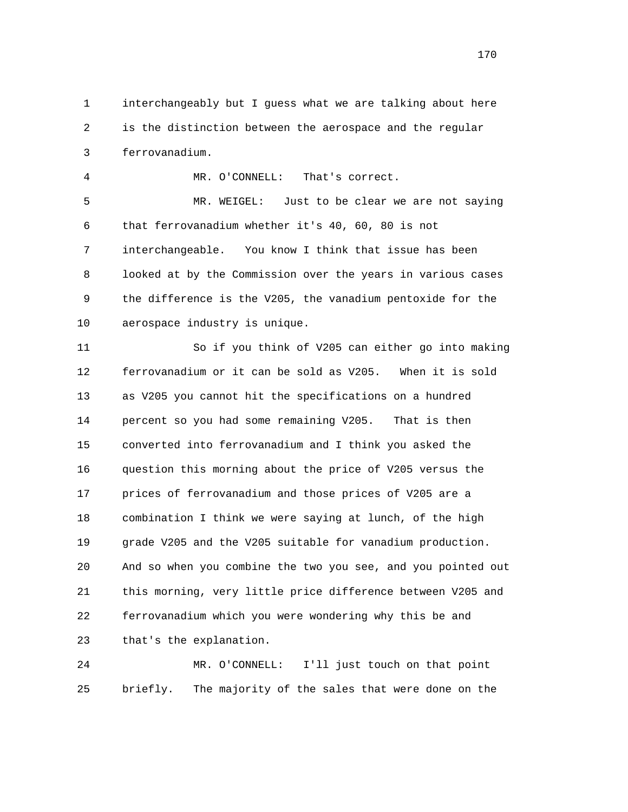1 interchangeably but I guess what we are talking about here 2 is the distinction between the aerospace and the regular 3 ferrovanadium.

4 MR. O'CONNELL: That's correct.

 5 MR. WEIGEL: Just to be clear we are not saying 6 that ferrovanadium whether it's 40, 60, 80 is not 7 interchangeable. You know I think that issue has been 8 looked at by the Commission over the years in various cases 9 the difference is the V205, the vanadium pentoxide for the 10 aerospace industry is unique.

 11 So if you think of V205 can either go into making 12 ferrovanadium or it can be sold as V205. When it is sold 13 as V205 you cannot hit the specifications on a hundred 14 percent so you had some remaining V205. That is then 15 converted into ferrovanadium and I think you asked the 16 question this morning about the price of V205 versus the 17 prices of ferrovanadium and those prices of V205 are a 18 combination I think we were saying at lunch, of the high 19 grade V205 and the V205 suitable for vanadium production. 20 And so when you combine the two you see, and you pointed out 21 this morning, very little price difference between V205 and 22 ferrovanadium which you were wondering why this be and 23 that's the explanation.

 24 MR. O'CONNELL: I'll just touch on that point 25 briefly. The majority of the sales that were done on the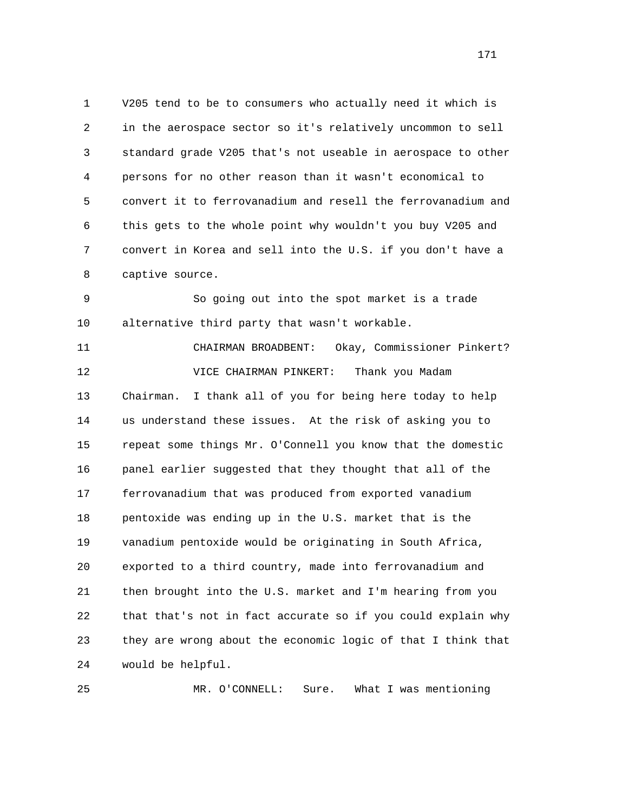1 V205 tend to be to consumers who actually need it which is 2 in the aerospace sector so it's relatively uncommon to sell 3 standard grade V205 that's not useable in aerospace to other 4 persons for no other reason than it wasn't economical to 5 convert it to ferrovanadium and resell the ferrovanadium and 6 this gets to the whole point why wouldn't you buy V205 and 7 convert in Korea and sell into the U.S. if you don't have a 8 captive source.

 9 So going out into the spot market is a trade 10 alternative third party that wasn't workable.

 11 CHAIRMAN BROADBENT: Okay, Commissioner Pinkert? 12 VICE CHAIRMAN PINKERT: Thank you Madam 13 Chairman. I thank all of you for being here today to help 14 us understand these issues. At the risk of asking you to 15 repeat some things Mr. O'Connell you know that the domestic 16 panel earlier suggested that they thought that all of the 17 ferrovanadium that was produced from exported vanadium 18 pentoxide was ending up in the U.S. market that is the 19 vanadium pentoxide would be originating in South Africa, 20 exported to a third country, made into ferrovanadium and 21 then brought into the U.S. market and I'm hearing from you 22 that that's not in fact accurate so if you could explain why 23 they are wrong about the economic logic of that I think that 24 would be helpful.

25 MR. O'CONNELL: Sure. What I was mentioning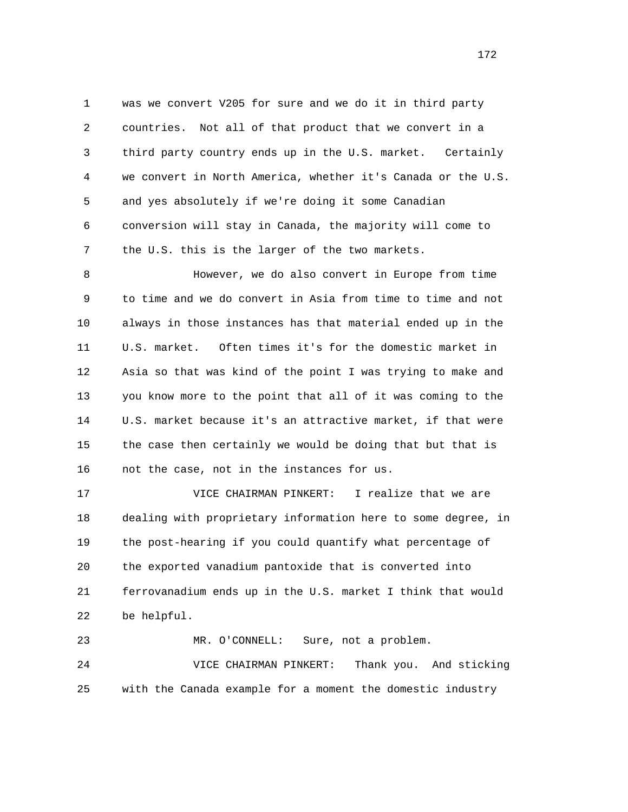1 was we convert V205 for sure and we do it in third party 2 countries. Not all of that product that we convert in a 3 third party country ends up in the U.S. market. Certainly 4 we convert in North America, whether it's Canada or the U.S. 5 and yes absolutely if we're doing it some Canadian 6 conversion will stay in Canada, the majority will come to 7 the U.S. this is the larger of the two markets.

 8 However, we do also convert in Europe from time 9 to time and we do convert in Asia from time to time and not 10 always in those instances has that material ended up in the 11 U.S. market. Often times it's for the domestic market in 12 Asia so that was kind of the point I was trying to make and 13 you know more to the point that all of it was coming to the 14 U.S. market because it's an attractive market, if that were 15 the case then certainly we would be doing that but that is 16 not the case, not in the instances for us.

 17 VICE CHAIRMAN PINKERT: I realize that we are 18 dealing with proprietary information here to some degree, in 19 the post-hearing if you could quantify what percentage of 20 the exported vanadium pantoxide that is converted into 21 ferrovanadium ends up in the U.S. market I think that would 22 be helpful.

 23 MR. O'CONNELL: Sure, not a problem. 24 VICE CHAIRMAN PINKERT: Thank you. And sticking 25 with the Canada example for a moment the domestic industry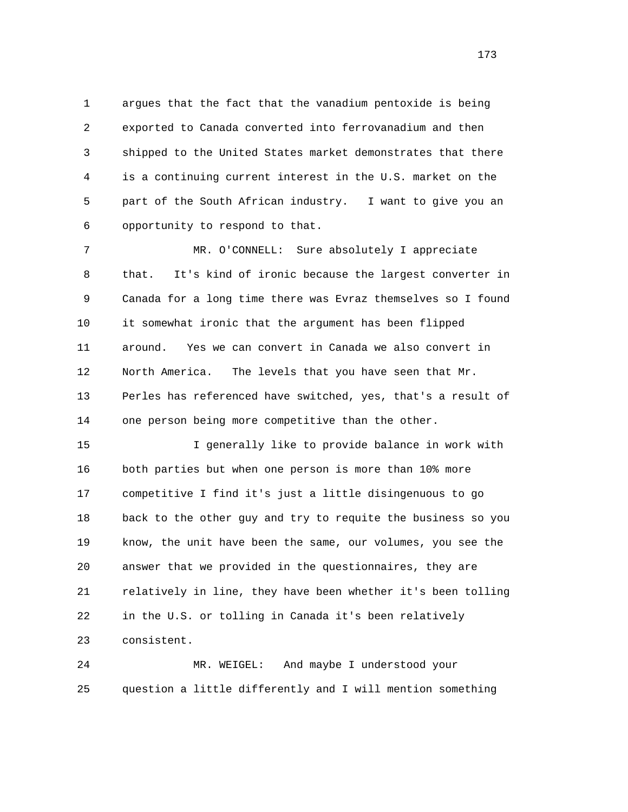1 argues that the fact that the vanadium pentoxide is being 2 exported to Canada converted into ferrovanadium and then 3 shipped to the United States market demonstrates that there 4 is a continuing current interest in the U.S. market on the 5 part of the South African industry. I want to give you an 6 opportunity to respond to that.

 7 MR. O'CONNELL: Sure absolutely I appreciate 8 that. It's kind of ironic because the largest converter in 9 Canada for a long time there was Evraz themselves so I found 10 it somewhat ironic that the argument has been flipped 11 around. Yes we can convert in Canada we also convert in 12 North America. The levels that you have seen that Mr. 13 Perles has referenced have switched, yes, that's a result of 14 one person being more competitive than the other.

 15 I generally like to provide balance in work with 16 both parties but when one person is more than 10% more 17 competitive I find it's just a little disingenuous to go 18 back to the other guy and try to requite the business so you 19 know, the unit have been the same, our volumes, you see the 20 answer that we provided in the questionnaires, they are 21 relatively in line, they have been whether it's been tolling 22 in the U.S. or tolling in Canada it's been relatively 23 consistent.

 24 MR. WEIGEL: And maybe I understood your 25 question a little differently and I will mention something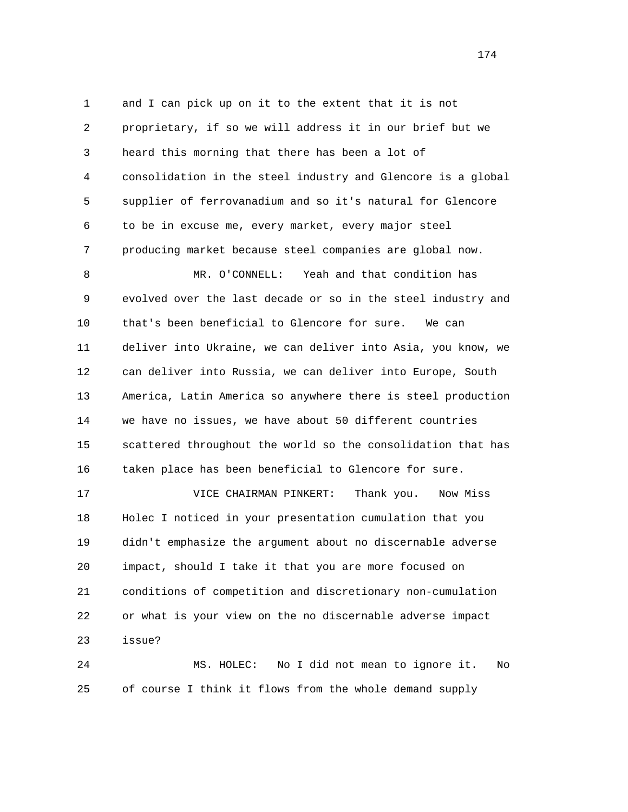1 and I can pick up on it to the extent that it is not 2 proprietary, if so we will address it in our brief but we 3 heard this morning that there has been a lot of 4 consolidation in the steel industry and Glencore is a global 5 supplier of ferrovanadium and so it's natural for Glencore 6 to be in excuse me, every market, every major steel 7 producing market because steel companies are global now. 8 MR. O'CONNELL: Yeah and that condition has 9 evolved over the last decade or so in the steel industry and 10 that's been beneficial to Glencore for sure. We can 11 deliver into Ukraine, we can deliver into Asia, you know, we 12 can deliver into Russia, we can deliver into Europe, South 13 America, Latin America so anywhere there is steel production 14 we have no issues, we have about 50 different countries 15 scattered throughout the world so the consolidation that has 16 taken place has been beneficial to Glencore for sure.

 17 VICE CHAIRMAN PINKERT: Thank you. Now Miss 18 Holec I noticed in your presentation cumulation that you 19 didn't emphasize the argument about no discernable adverse 20 impact, should I take it that you are more focused on 21 conditions of competition and discretionary non-cumulation 22 or what is your view on the no discernable adverse impact 23 issue?

 24 MS. HOLEC: No I did not mean to ignore it. No 25 of course I think it flows from the whole demand supply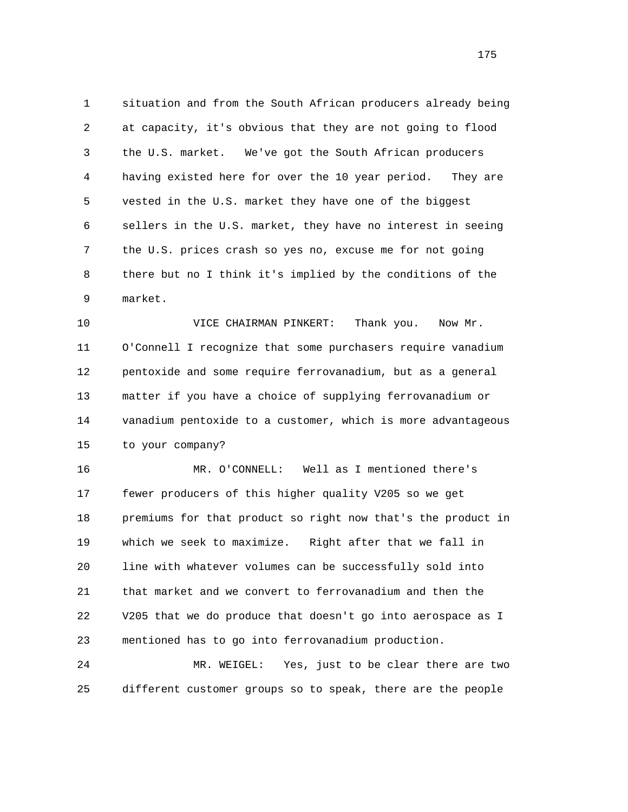1 situation and from the South African producers already being 2 at capacity, it's obvious that they are not going to flood 3 the U.S. market. We've got the South African producers 4 having existed here for over the 10 year period. They are 5 vested in the U.S. market they have one of the biggest 6 sellers in the U.S. market, they have no interest in seeing 7 the U.S. prices crash so yes no, excuse me for not going 8 there but no I think it's implied by the conditions of the 9 market.

 10 VICE CHAIRMAN PINKERT: Thank you. Now Mr. 11 O'Connell I recognize that some purchasers require vanadium 12 pentoxide and some require ferrovanadium, but as a general 13 matter if you have a choice of supplying ferrovanadium or 14 vanadium pentoxide to a customer, which is more advantageous 15 to your company?

 16 MR. O'CONNELL: Well as I mentioned there's 17 fewer producers of this higher quality V205 so we get 18 premiums for that product so right now that's the product in 19 which we seek to maximize. Right after that we fall in 20 line with whatever volumes can be successfully sold into 21 that market and we convert to ferrovanadium and then the 22 V205 that we do produce that doesn't go into aerospace as I 23 mentioned has to go into ferrovanadium production.

 24 MR. WEIGEL: Yes, just to be clear there are two 25 different customer groups so to speak, there are the people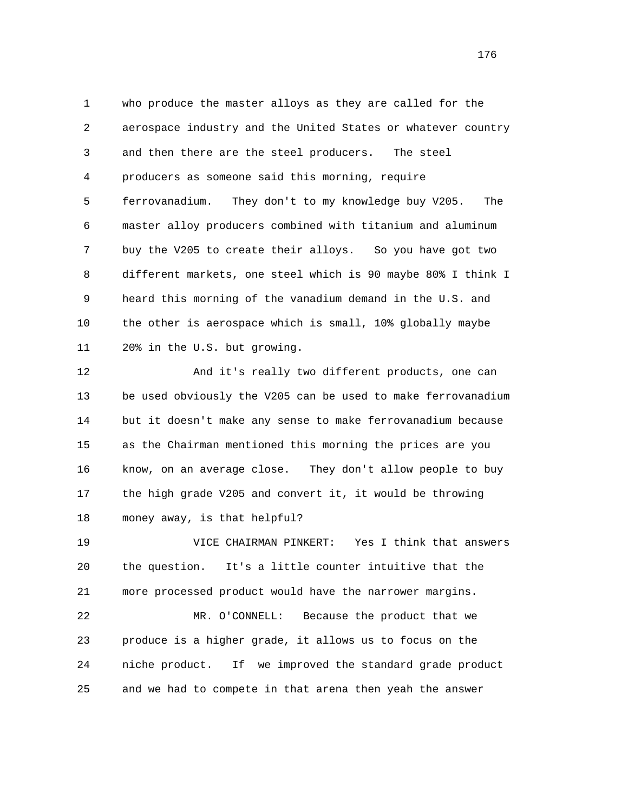1 who produce the master alloys as they are called for the 2 aerospace industry and the United States or whatever country 3 and then there are the steel producers. The steel 4 producers as someone said this morning, require 5 ferrovanadium. They don't to my knowledge buy V205. The 6 master alloy producers combined with titanium and aluminum 7 buy the V205 to create their alloys. So you have got two 8 different markets, one steel which is 90 maybe 80% I think I 9 heard this morning of the vanadium demand in the U.S. and 10 the other is aerospace which is small, 10% globally maybe 11 20% in the U.S. but growing.

 12 And it's really two different products, one can 13 be used obviously the V205 can be used to make ferrovanadium 14 but it doesn't make any sense to make ferrovanadium because 15 as the Chairman mentioned this morning the prices are you 16 know, on an average close. They don't allow people to buy 17 the high grade V205 and convert it, it would be throwing 18 money away, is that helpful?

 19 VICE CHAIRMAN PINKERT: Yes I think that answers 20 the question. It's a little counter intuitive that the 21 more processed product would have the narrower margins.

 22 MR. O'CONNELL: Because the product that we 23 produce is a higher grade, it allows us to focus on the 24 niche product. If we improved the standard grade product 25 and we had to compete in that arena then yeah the answer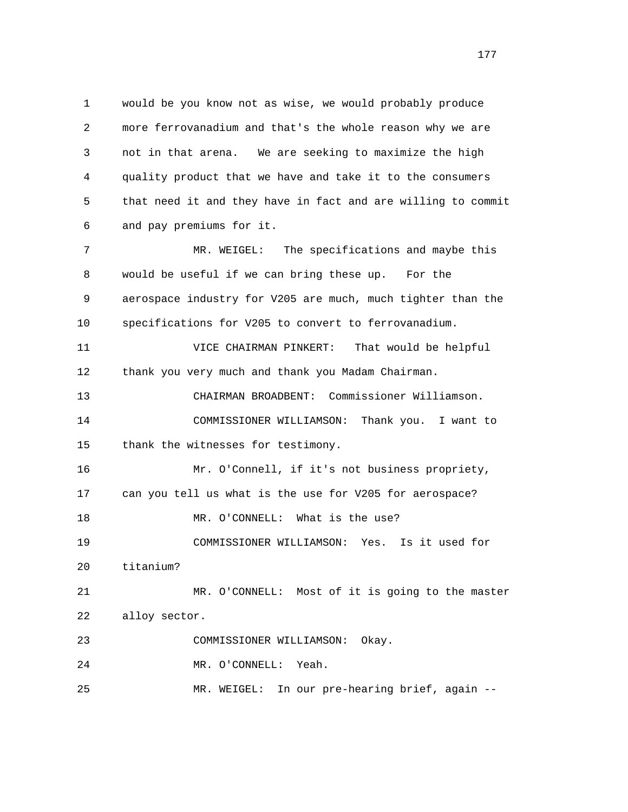1 would be you know not as wise, we would probably produce 2 more ferrovanadium and that's the whole reason why we are 3 not in that arena. We are seeking to maximize the high 4 quality product that we have and take it to the consumers 5 that need it and they have in fact and are willing to commit 6 and pay premiums for it. 7 MR. WEIGEL: The specifications and maybe this 8 would be useful if we can bring these up. For the 9 aerospace industry for V205 are much, much tighter than the 10 specifications for V205 to convert to ferrovanadium. 11 VICE CHAIRMAN PINKERT: That would be helpful 12 thank you very much and thank you Madam Chairman. 13 CHAIRMAN BROADBENT: Commissioner Williamson. 14 COMMISSIONER WILLIAMSON: Thank you. I want to 15 thank the witnesses for testimony. 16 Mr. O'Connell, if it's not business propriety, 17 can you tell us what is the use for V205 for aerospace? 18 MR. O'CONNELL: What is the use? 19 COMMISSIONER WILLIAMSON: Yes. Is it used for 20 titanium? 21 MR. O'CONNELL: Most of it is going to the master 22 alloy sector. 23 COMMISSIONER WILLIAMSON: Okay. 24 MR. O'CONNELL: Yeah. 25 MR. WEIGEL: In our pre-hearing brief, again --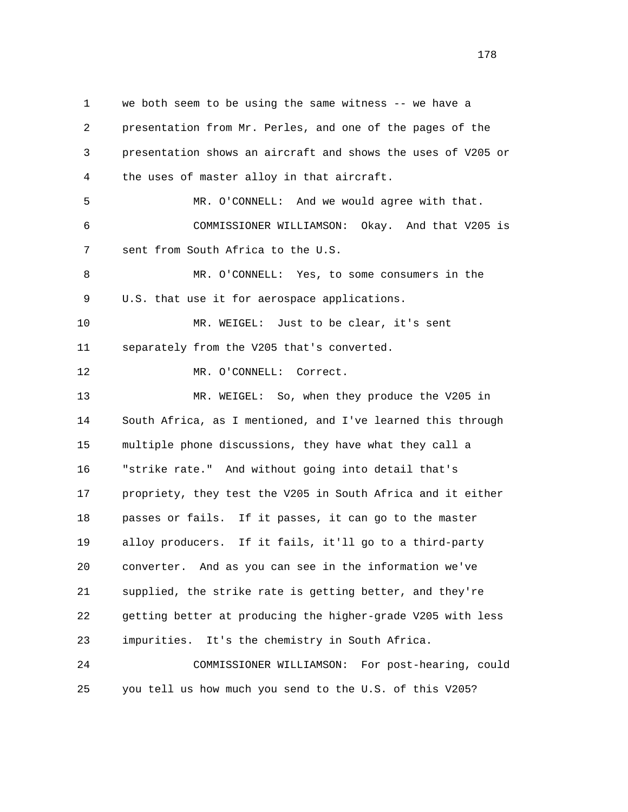1 we both seem to be using the same witness -- we have a 2 presentation from Mr. Perles, and one of the pages of the 3 presentation shows an aircraft and shows the uses of V205 or 4 the uses of master alloy in that aircraft. 5 MR. O'CONNELL: And we would agree with that. 6 COMMISSIONER WILLIAMSON: Okay. And that V205 is 7 sent from South Africa to the U.S. 8 MR. O'CONNELL: Yes, to some consumers in the 9 U.S. that use it for aerospace applications. 10 MR. WEIGEL: Just to be clear, it's sent 11 separately from the V205 that's converted. 12 MR. O'CONNELL: Correct. 13 MR. WEIGEL: So, when they produce the V205 in 14 South Africa, as I mentioned, and I've learned this through 15 multiple phone discussions, they have what they call a 16 "strike rate." And without going into detail that's 17 propriety, they test the V205 in South Africa and it either 18 passes or fails. If it passes, it can go to the master 19 alloy producers. If it fails, it'll go to a third-party 20 converter. And as you can see in the information we've 21 supplied, the strike rate is getting better, and they're 22 getting better at producing the higher-grade V205 with less 23 impurities. It's the chemistry in South Africa. 24 COMMISSIONER WILLIAMSON: For post-hearing, could 25 you tell us how much you send to the U.S. of this V205?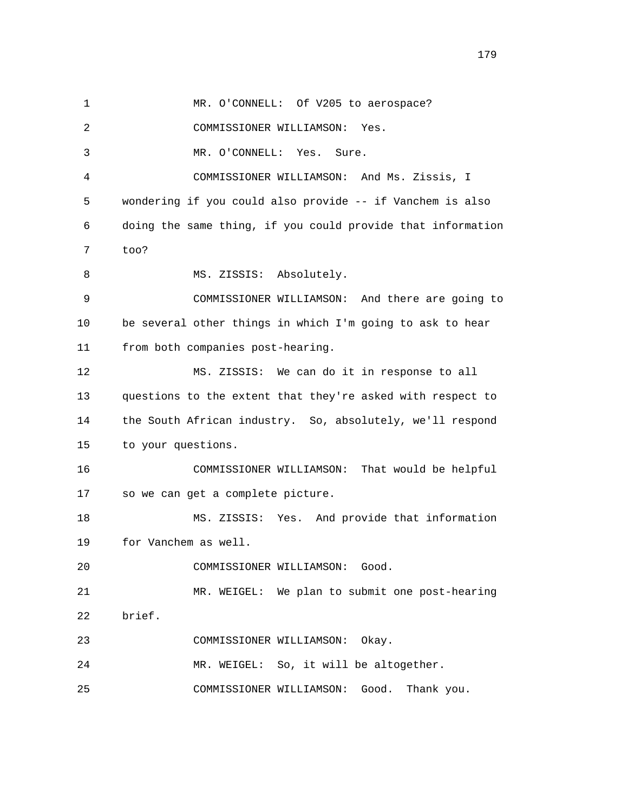1 MR. O'CONNELL: Of V205 to aerospace? 2 COMMISSIONER WILLIAMSON: Yes. 3 MR. O'CONNELL: Yes. Sure. 4 COMMISSIONER WILLIAMSON: And Ms. Zissis, I 5 wondering if you could also provide -- if Vanchem is also 6 doing the same thing, if you could provide that information 7 too? 8 MS. ZISSIS: Absolutely. 9 COMMISSIONER WILLIAMSON: And there are going to 10 be several other things in which I'm going to ask to hear 11 from both companies post-hearing. 12 MS. ZISSIS: We can do it in response to all 13 questions to the extent that they're asked with respect to 14 the South African industry. So, absolutely, we'll respond 15 to your questions. 16 COMMISSIONER WILLIAMSON: That would be helpful 17 so we can get a complete picture. 18 MS. ZISSIS: Yes. And provide that information 19 for Vanchem as well. 20 COMMISSIONER WILLIAMSON: Good. 21 MR. WEIGEL: We plan to submit one post-hearing 22 brief. 23 COMMISSIONER WILLIAMSON: Okay. 24 MR. WEIGEL: So, it will be altogether. 25 COMMISSIONER WILLIAMSON: Good. Thank you.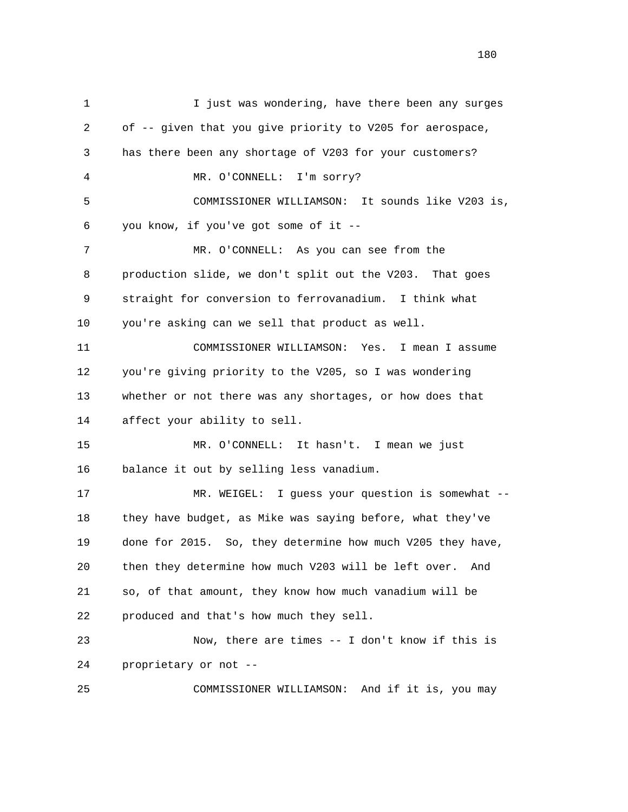1 I just was wondering, have there been any surges 2 of -- given that you give priority to V205 for aerospace, 3 has there been any shortage of V203 for your customers? 4 MR. O'CONNELL: I'm sorry? 5 COMMISSIONER WILLIAMSON: It sounds like V203 is, 6 you know, if you've got some of it -- 7 MR. O'CONNELL: As you can see from the 8 production slide, we don't split out the V203. That goes 9 straight for conversion to ferrovanadium. I think what 10 you're asking can we sell that product as well. 11 COMMISSIONER WILLIAMSON: Yes. I mean I assume 12 you're giving priority to the V205, so I was wondering 13 whether or not there was any shortages, or how does that 14 affect your ability to sell. 15 MR. O'CONNELL: It hasn't. I mean we just 16 balance it out by selling less vanadium. 17 MR. WEIGEL: I guess your question is somewhat -- 18 they have budget, as Mike was saying before, what they've 19 done for 2015. So, they determine how much V205 they have, 20 then they determine how much V203 will be left over. And 21 so, of that amount, they know how much vanadium will be 22 produced and that's how much they sell. 23 Now, there are times -- I don't know if this is 24 proprietary or not -- 25 COMMISSIONER WILLIAMSON: And if it is, you may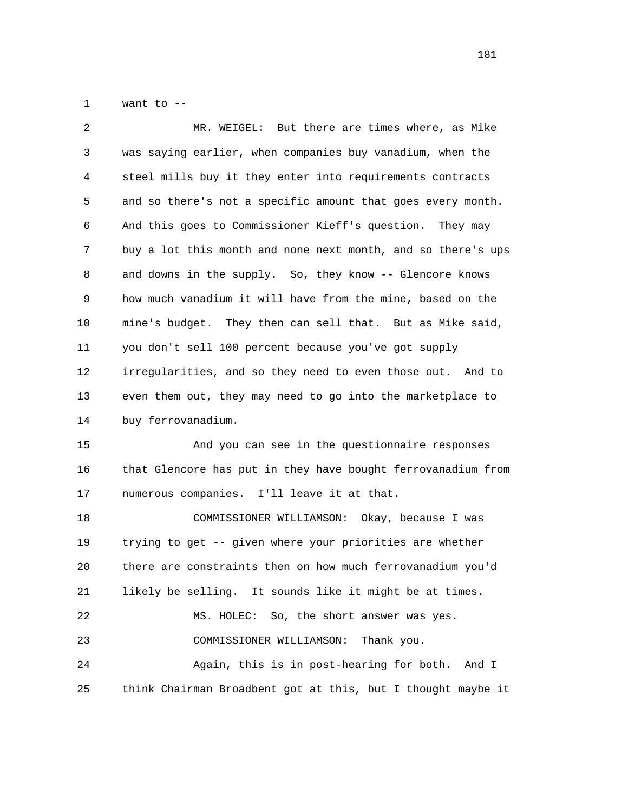1 want to --

| 2  | MR. WEIGEL: But there are times where, as Mike               |
|----|--------------------------------------------------------------|
| 3  | was saying earlier, when companies buy vanadium, when the    |
| 4  | steel mills buy it they enter into requirements contracts    |
| 5  | and so there's not a specific amount that goes every month.  |
| 6  | And this goes to Commissioner Kieff's question. They may     |
| 7  | buy a lot this month and none next month, and so there's ups |
| 8  | and downs in the supply. So, they know -- Glencore knows     |
| 9  | how much vanadium it will have from the mine, based on the   |
| 10 | mine's budget. They then can sell that. But as Mike said,    |
| 11 | you don't sell 100 percent because you've got supply         |
| 12 | irregularities, and so they need to even those out. And to   |
| 13 | even them out, they may need to go into the marketplace to   |
| 14 | buy ferrovanadium.                                           |
| 15 | And you can see in the questionnaire responses               |
| 16 | that Glencore has put in they have bought ferrovanadium from |
| 17 | numerous companies. I'll leave it at that.                   |
| 18 | COMMISSIONER WILLIAMSON: Okay, because I was                 |
| 19 | trying to get -- given where your priorities are whether     |
| 20 | there are constraints then on how much ferrovanadium you'd   |
| 21 | likely be selling. It sounds like it might be at times.      |
| 22 | MS. HOLEC:<br>So, the short answer was yes.                  |
| 23 | COMMISSIONER WILLIAMSON:<br>Thank you.                       |
| 24 | Again, this is in post-hearing for both. And I               |
| 25 | think Chairman Broadbent got at this, but I thought maybe it |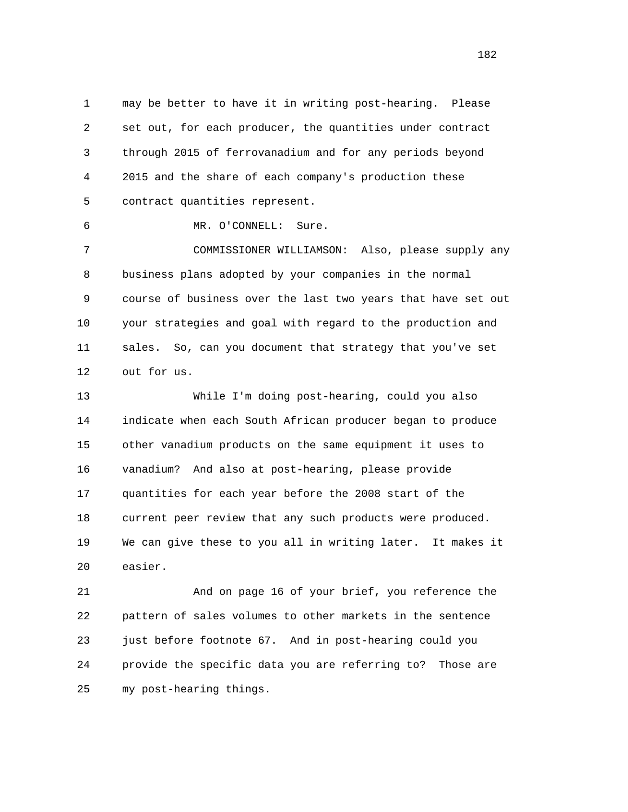1 may be better to have it in writing post-hearing. Please 2 set out, for each producer, the quantities under contract 3 through 2015 of ferrovanadium and for any periods beyond 4 2015 and the share of each company's production these 5 contract quantities represent.

6 MR. O'CONNELL: Sure.

 7 COMMISSIONER WILLIAMSON: Also, please supply any 8 business plans adopted by your companies in the normal 9 course of business over the last two years that have set out 10 your strategies and goal with regard to the production and 11 sales. So, can you document that strategy that you've set 12 out for us.

 13 While I'm doing post-hearing, could you also 14 indicate when each South African producer began to produce 15 other vanadium products on the same equipment it uses to 16 vanadium? And also at post-hearing, please provide 17 quantities for each year before the 2008 start of the 18 current peer review that any such products were produced. 19 We can give these to you all in writing later. It makes it 20 easier.

 21 And on page 16 of your brief, you reference the 22 pattern of sales volumes to other markets in the sentence 23 just before footnote 67. And in post-hearing could you 24 provide the specific data you are referring to? Those are 25 my post-hearing things.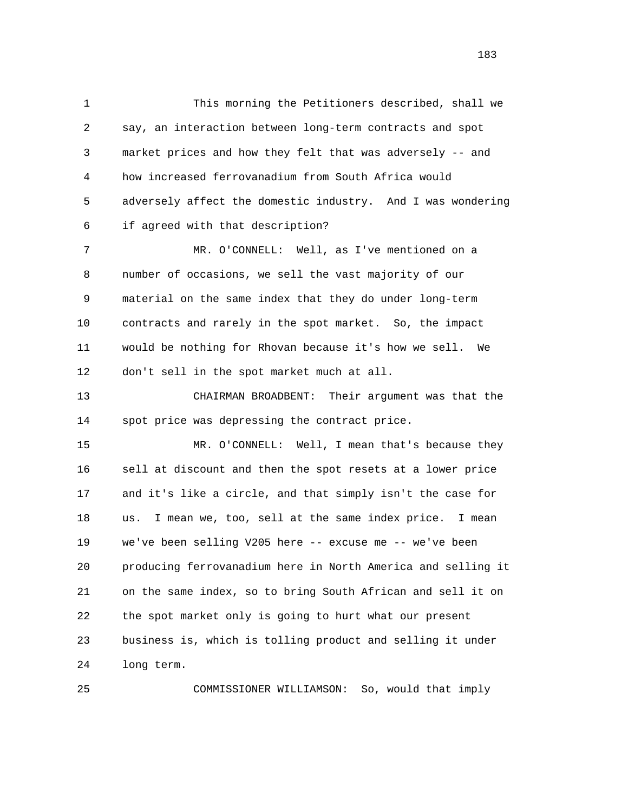1 This morning the Petitioners described, shall we 2 say, an interaction between long-term contracts and spot 3 market prices and how they felt that was adversely -- and 4 how increased ferrovanadium from South Africa would 5 adversely affect the domestic industry. And I was wondering 6 if agreed with that description?

 7 MR. O'CONNELL: Well, as I've mentioned on a 8 number of occasions, we sell the vast majority of our 9 material on the same index that they do under long-term 10 contracts and rarely in the spot market. So, the impact 11 would be nothing for Rhovan because it's how we sell. We 12 don't sell in the spot market much at all.

 13 CHAIRMAN BROADBENT: Their argument was that the 14 spot price was depressing the contract price.

 15 MR. O'CONNELL: Well, I mean that's because they 16 sell at discount and then the spot resets at a lower price 17 and it's like a circle, and that simply isn't the case for 18 us. I mean we, too, sell at the same index price. I mean 19 we've been selling V205 here -- excuse me -- we've been 20 producing ferrovanadium here in North America and selling it 21 on the same index, so to bring South African and sell it on 22 the spot market only is going to hurt what our present 23 business is, which is tolling product and selling it under 24 long term.

25 COMMISSIONER WILLIAMSON: So, would that imply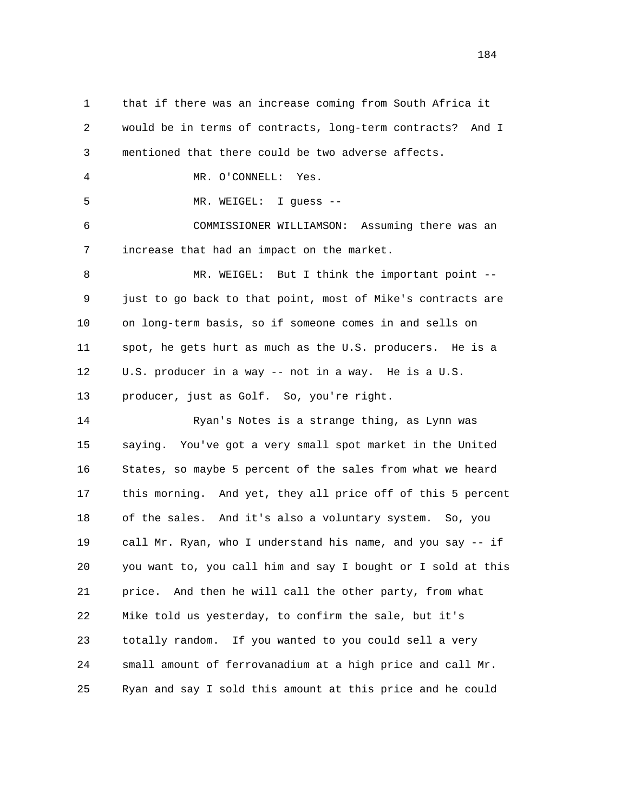1 that if there was an increase coming from South Africa it 2 would be in terms of contracts, long-term contracts? And I 3 mentioned that there could be two adverse affects. 4 MR. O'CONNELL: Yes. 5 MR. WEIGEL: I guess -- 6 COMMISSIONER WILLIAMSON: Assuming there was an 7 increase that had an impact on the market. 8 MR. WEIGEL: But I think the important point -- 9 just to go back to that point, most of Mike's contracts are 10 on long-term basis, so if someone comes in and sells on 11 spot, he gets hurt as much as the U.S. producers. He is a 12 U.S. producer in a way -- not in a way. He is a U.S. 13 producer, just as Golf. So, you're right. 14 Ryan's Notes is a strange thing, as Lynn was 15 saying. You've got a very small spot market in the United 16 States, so maybe 5 percent of the sales from what we heard 17 this morning. And yet, they all price off of this 5 percent 18 of the sales. And it's also a voluntary system. So, you

 19 call Mr. Ryan, who I understand his name, and you say -- if 20 you want to, you call him and say I bought or I sold at this 21 price. And then he will call the other party, from what 22 Mike told us yesterday, to confirm the sale, but it's 23 totally random. If you wanted to you could sell a very 24 small amount of ferrovanadium at a high price and call Mr. 25 Ryan and say I sold this amount at this price and he could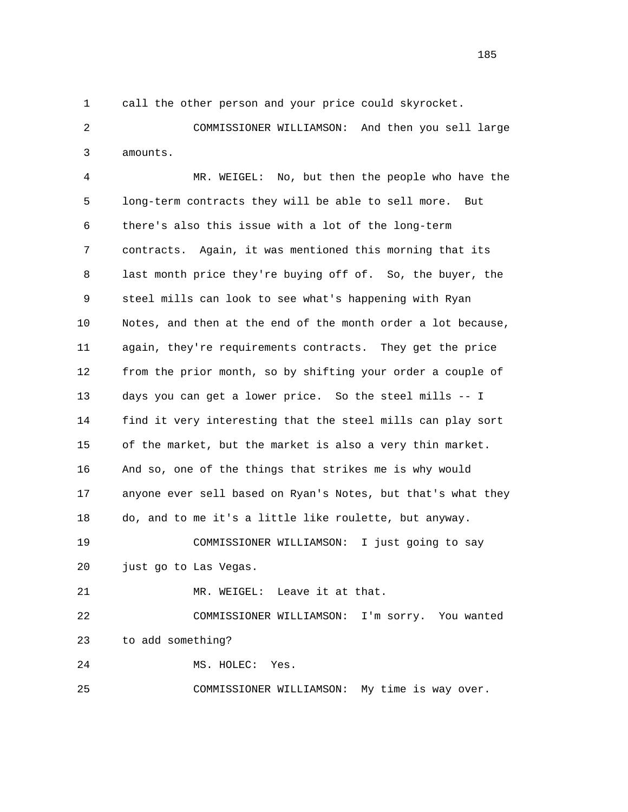1 call the other person and your price could skyrocket.

 2 COMMISSIONER WILLIAMSON: And then you sell large 3 amounts.

 4 MR. WEIGEL: No, but then the people who have the 5 long-term contracts they will be able to sell more. But 6 there's also this issue with a lot of the long-term 7 contracts. Again, it was mentioned this morning that its 8 last month price they're buying off of. So, the buyer, the 9 steel mills can look to see what's happening with Ryan 10 Notes, and then at the end of the month order a lot because, 11 again, they're requirements contracts. They get the price 12 from the prior month, so by shifting your order a couple of 13 days you can get a lower price. So the steel mills -- I 14 find it very interesting that the steel mills can play sort 15 of the market, but the market is also a very thin market. 16 And so, one of the things that strikes me is why would 17 anyone ever sell based on Ryan's Notes, but that's what they 18 do, and to me it's a little like roulette, but anyway. 19 COMMISSIONER WILLIAMSON: I just going to say 20 just go to Las Vegas. 21 MR. WEIGEL: Leave it at that. 22 COMMISSIONER WILLIAMSON: I'm sorry. You wanted 23 to add something? 24 MS. HOLEC: Yes.

25 COMMISSIONER WILLIAMSON: My time is way over.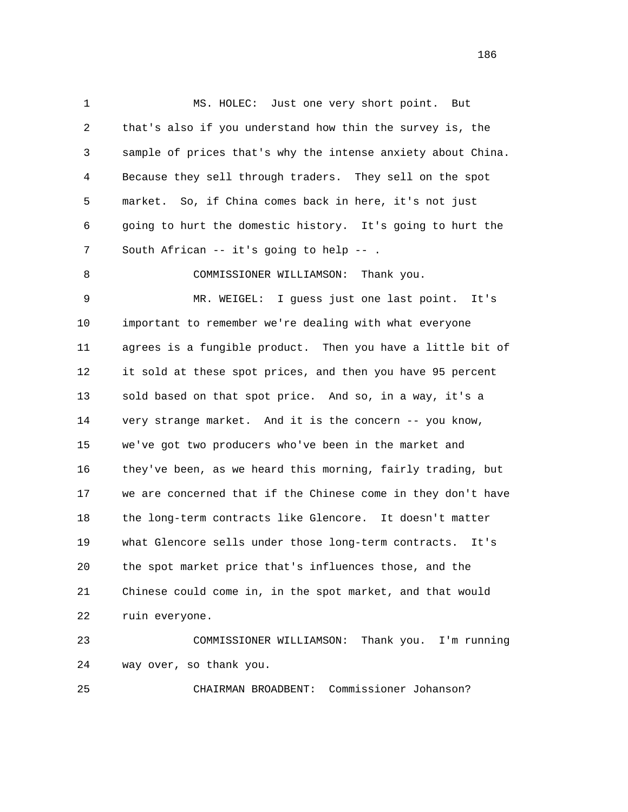1 MS. HOLEC: Just one very short point. But 2 that's also if you understand how thin the survey is, the 3 sample of prices that's why the intense anxiety about China. 4 Because they sell through traders. They sell on the spot 5 market. So, if China comes back in here, it's not just 6 going to hurt the domestic history. It's going to hurt the 7 South African -- it's going to help -- . 8 COMMISSIONER WILLIAMSON: Thank you. 9 MR. WEIGEL: I guess just one last point. It's 10 important to remember we're dealing with what everyone 11 agrees is a fungible product. Then you have a little bit of 12 it sold at these spot prices, and then you have 95 percent 13 sold based on that spot price. And so, in a way, it's a 14 very strange market. And it is the concern -- you know, 15 we've got two producers who've been in the market and 16 they've been, as we heard this morning, fairly trading, but 17 we are concerned that if the Chinese come in they don't have 18 the long-term contracts like Glencore. It doesn't matter 19 what Glencore sells under those long-term contracts. It's 20 the spot market price that's influences those, and the 21 Chinese could come in, in the spot market, and that would 22 ruin everyone. 23 COMMISSIONER WILLIAMSON: Thank you. I'm running

24 way over, so thank you.

25 CHAIRMAN BROADBENT: Commissioner Johanson?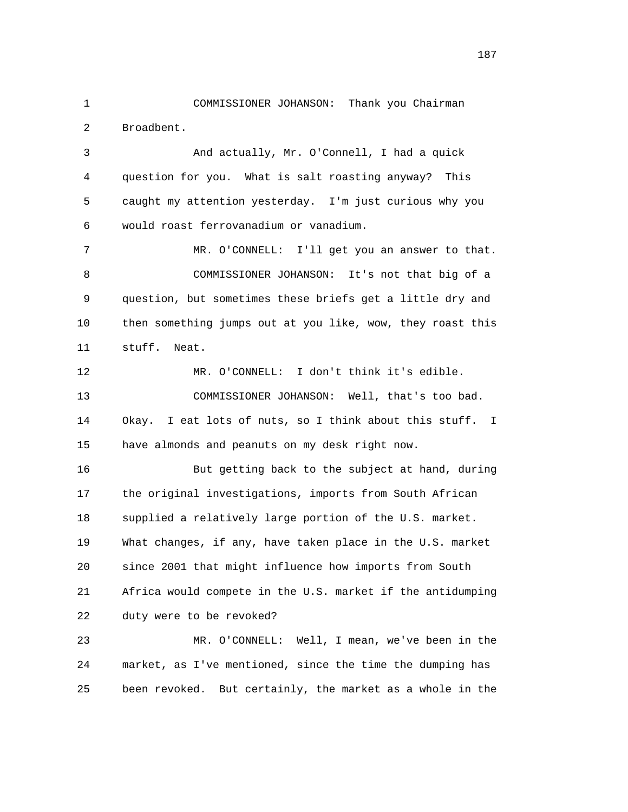1 COMMISSIONER JOHANSON: Thank you Chairman 2 Broadbent. 3 And actually, Mr. O'Connell, I had a quick 4 question for you. What is salt roasting anyway? This 5 caught my attention yesterday. I'm just curious why you 6 would roast ferrovanadium or vanadium.

 7 MR. O'CONNELL: I'll get you an answer to that. 8 COMMISSIONER JOHANSON: It's not that big of a 9 question, but sometimes these briefs get a little dry and 10 then something jumps out at you like, wow, they roast this 11 stuff. Neat.

 12 MR. O'CONNELL: I don't think it's edible. 13 COMMISSIONER JOHANSON: Well, that's too bad. 14 Okay. I eat lots of nuts, so I think about this stuff. I 15 have almonds and peanuts on my desk right now.

 16 But getting back to the subject at hand, during 17 the original investigations, imports from South African 18 supplied a relatively large portion of the U.S. market. 19 What changes, if any, have taken place in the U.S. market 20 since 2001 that might influence how imports from South 21 Africa would compete in the U.S. market if the antidumping 22 duty were to be revoked?

 23 MR. O'CONNELL: Well, I mean, we've been in the 24 market, as I've mentioned, since the time the dumping has 25 been revoked. But certainly, the market as a whole in the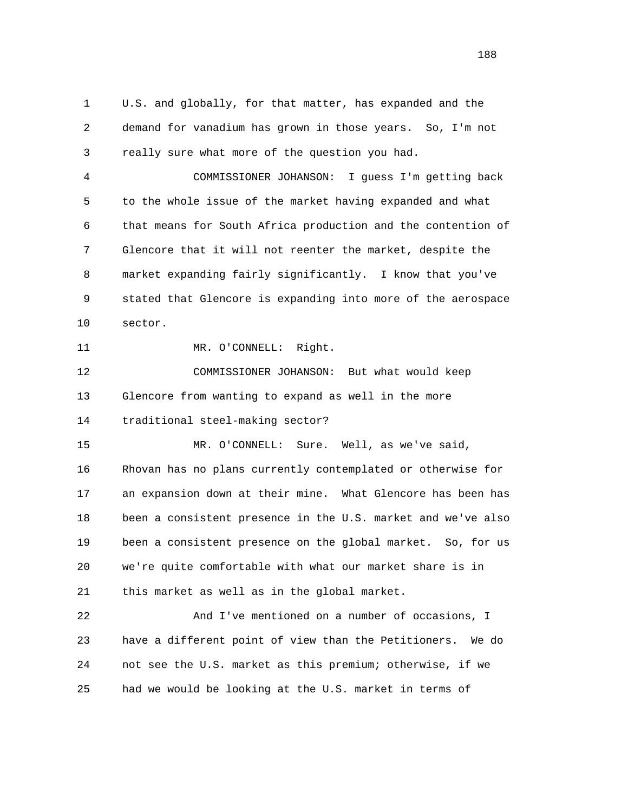1 U.S. and globally, for that matter, has expanded and the 2 demand for vanadium has grown in those years. So, I'm not 3 really sure what more of the question you had.

 4 COMMISSIONER JOHANSON: I guess I'm getting back 5 to the whole issue of the market having expanded and what 6 that means for South Africa production and the contention of 7 Glencore that it will not reenter the market, despite the 8 market expanding fairly significantly. I know that you've 9 stated that Glencore is expanding into more of the aerospace 10 sector.

11 MR. O'CONNELL: Right.

 12 COMMISSIONER JOHANSON: But what would keep 13 Glencore from wanting to expand as well in the more 14 traditional steel-making sector?

 15 MR. O'CONNELL: Sure. Well, as we've said, 16 Rhovan has no plans currently contemplated or otherwise for 17 an expansion down at their mine. What Glencore has been has 18 been a consistent presence in the U.S. market and we've also 19 been a consistent presence on the global market. So, for us 20 we're quite comfortable with what our market share is in 21 this market as well as in the global market.

 22 And I've mentioned on a number of occasions, I 23 have a different point of view than the Petitioners. We do 24 not see the U.S. market as this premium; otherwise, if we 25 had we would be looking at the U.S. market in terms of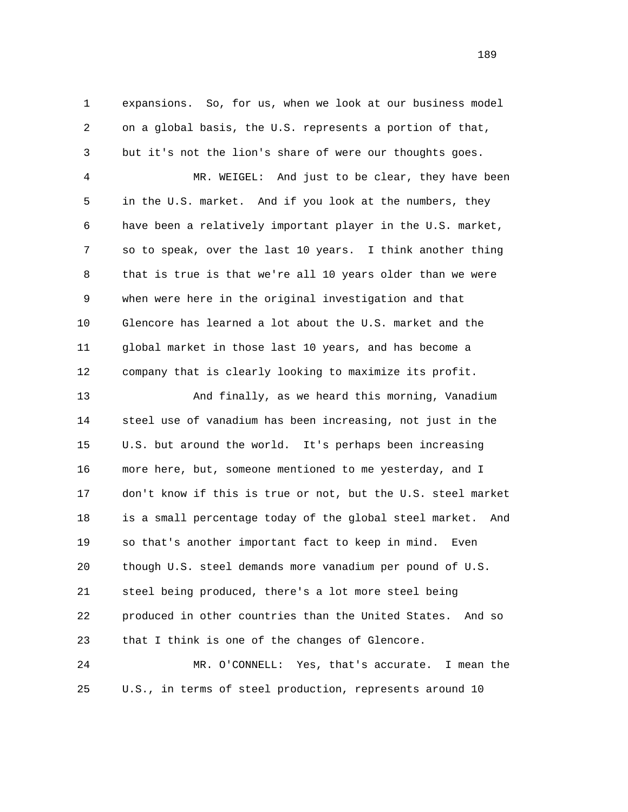1 expansions. So, for us, when we look at our business model 2 on a global basis, the U.S. represents a portion of that, 3 but it's not the lion's share of were our thoughts goes. 4 MR. WEIGEL: And just to be clear, they have been 5 in the U.S. market. And if you look at the numbers, they 6 have been a relatively important player in the U.S. market, 7 so to speak, over the last 10 years. I think another thing 8 that is true is that we're all 10 years older than we were 9 when were here in the original investigation and that 10 Glencore has learned a lot about the U.S. market and the 11 global market in those last 10 years, and has become a 12 company that is clearly looking to maximize its profit. 13 And finally, as we heard this morning, Vanadium 14 steel use of vanadium has been increasing, not just in the 15 U.S. but around the world. It's perhaps been increasing 16 more here, but, someone mentioned to me yesterday, and I 17 don't know if this is true or not, but the U.S. steel market 18 is a small percentage today of the global steel market. And 19 so that's another important fact to keep in mind. Even 20 though U.S. steel demands more vanadium per pound of U.S.

 21 steel being produced, there's a lot more steel being 22 produced in other countries than the United States. And so 23 that I think is one of the changes of Glencore.

 24 MR. O'CONNELL: Yes, that's accurate. I mean the 25 U.S., in terms of steel production, represents around 10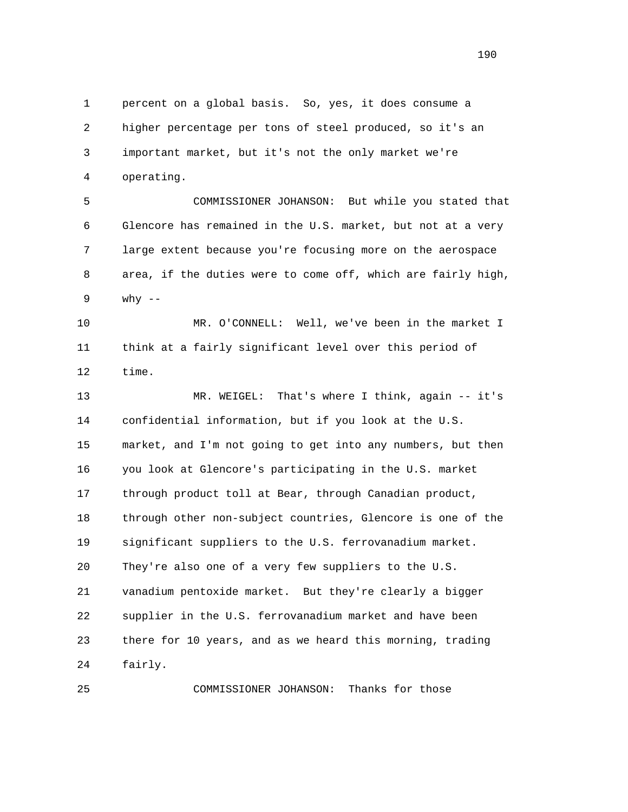1 percent on a global basis. So, yes, it does consume a 2 higher percentage per tons of steel produced, so it's an 3 important market, but it's not the only market we're 4 operating.

 5 COMMISSIONER JOHANSON: But while you stated that 6 Glencore has remained in the U.S. market, but not at a very 7 large extent because you're focusing more on the aerospace 8 area, if the duties were to come off, which are fairly high, 9 why --

 10 MR. O'CONNELL: Well, we've been in the market I 11 think at a fairly significant level over this period of 12 time.

 13 MR. WEIGEL: That's where I think, again -- it's 14 confidential information, but if you look at the U.S. 15 market, and I'm not going to get into any numbers, but then 16 you look at Glencore's participating in the U.S. market 17 through product toll at Bear, through Canadian product, 18 through other non-subject countries, Glencore is one of the 19 significant suppliers to the U.S. ferrovanadium market. 20 They're also one of a very few suppliers to the U.S. 21 vanadium pentoxide market. But they're clearly a bigger 22 supplier in the U.S. ferrovanadium market and have been 23 there for 10 years, and as we heard this morning, trading 24 fairly.

25 COMMISSIONER JOHANSON: Thanks for those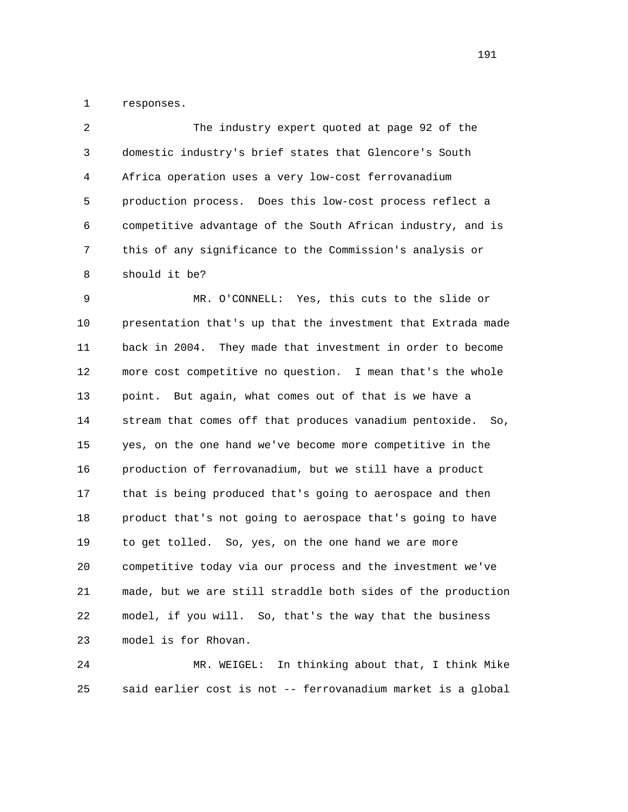1 responses.

 2 The industry expert quoted at page 92 of the 3 domestic industry's brief states that Glencore's South 4 Africa operation uses a very low-cost ferrovanadium 5 production process. Does this low-cost process reflect a 6 competitive advantage of the South African industry, and is 7 this of any significance to the Commission's analysis or 8 should it be?

 9 MR. O'CONNELL: Yes, this cuts to the slide or 10 presentation that's up that the investment that Extrada made 11 back in 2004. They made that investment in order to become 12 more cost competitive no question. I mean that's the whole 13 point. But again, what comes out of that is we have a 14 stream that comes off that produces vanadium pentoxide. So, 15 yes, on the one hand we've become more competitive in the 16 production of ferrovanadium, but we still have a product 17 that is being produced that's going to aerospace and then 18 product that's not going to aerospace that's going to have 19 to get tolled. So, yes, on the one hand we are more 20 competitive today via our process and the investment we've 21 made, but we are still straddle both sides of the production 22 model, if you will. So, that's the way that the business 23 model is for Rhovan.

 24 MR. WEIGEL: In thinking about that, I think Mike 25 said earlier cost is not -- ferrovanadium market is a global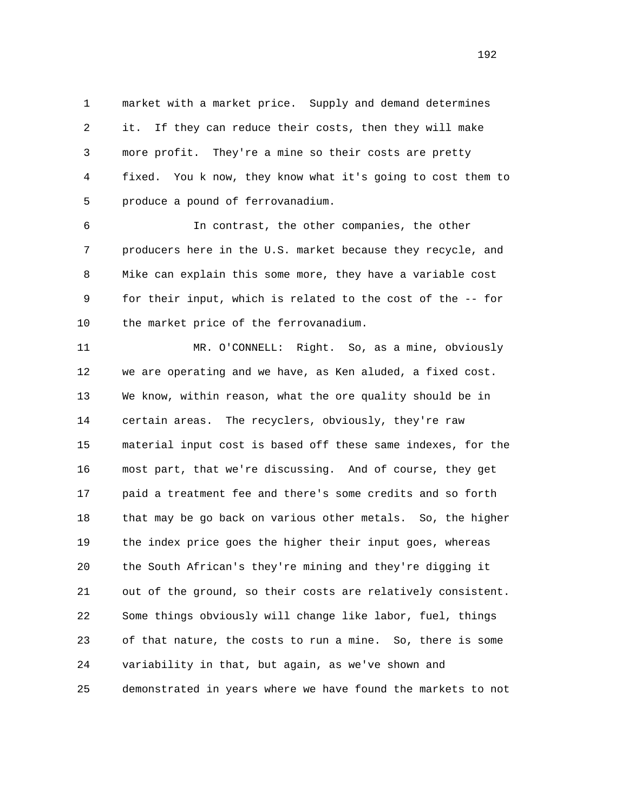1 market with a market price. Supply and demand determines 2 it. If they can reduce their costs, then they will make 3 more profit. They're a mine so their costs are pretty 4 fixed. You k now, they know what it's going to cost them to 5 produce a pound of ferrovanadium.

 6 In contrast, the other companies, the other 7 producers here in the U.S. market because they recycle, and 8 Mike can explain this some more, they have a variable cost 9 for their input, which is related to the cost of the -- for 10 the market price of the ferrovanadium.

 11 MR. O'CONNELL: Right. So, as a mine, obviously 12 we are operating and we have, as Ken aluded, a fixed cost. 13 We know, within reason, what the ore quality should be in 14 certain areas. The recyclers, obviously, they're raw 15 material input cost is based off these same indexes, for the 16 most part, that we're discussing. And of course, they get 17 paid a treatment fee and there's some credits and so forth 18 that may be go back on various other metals. So, the higher 19 the index price goes the higher their input goes, whereas 20 the South African's they're mining and they're digging it 21 out of the ground, so their costs are relatively consistent. 22 Some things obviously will change like labor, fuel, things 23 of that nature, the costs to run a mine. So, there is some 24 variability in that, but again, as we've shown and 25 demonstrated in years where we have found the markets to not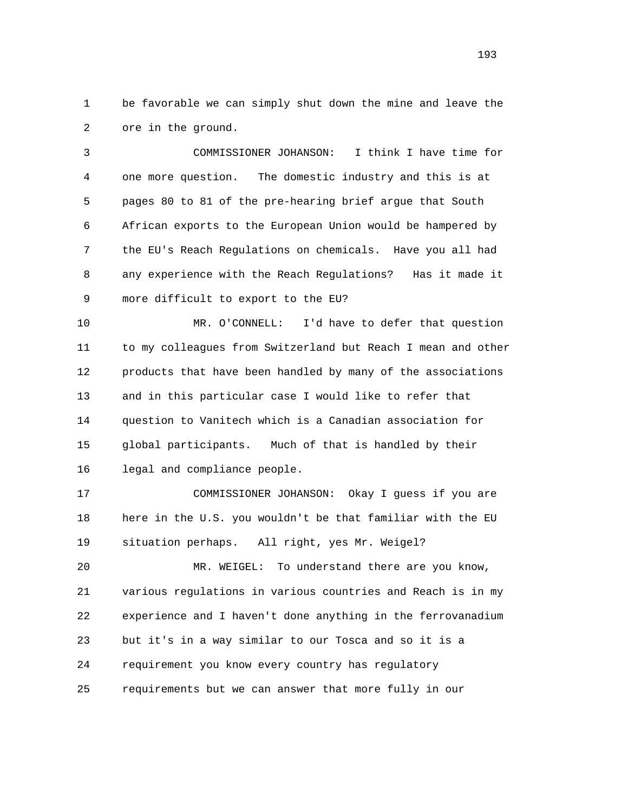1 be favorable we can simply shut down the mine and leave the 2 ore in the ground.

 3 COMMISSIONER JOHANSON: I think I have time for 4 one more question. The domestic industry and this is at 5 pages 80 to 81 of the pre-hearing brief argue that South 6 African exports to the European Union would be hampered by 7 the EU's Reach Regulations on chemicals. Have you all had 8 any experience with the Reach Regulations? Has it made it 9 more difficult to export to the EU?

 10 MR. O'CONNELL: I'd have to defer that question 11 to my colleagues from Switzerland but Reach I mean and other 12 products that have been handled by many of the associations 13 and in this particular case I would like to refer that 14 question to Vanitech which is a Canadian association for 15 global participants. Much of that is handled by their 16 legal and compliance people.

 17 COMMISSIONER JOHANSON: Okay I guess if you are 18 here in the U.S. you wouldn't be that familiar with the EU 19 situation perhaps. All right, yes Mr. Weigel?

 20 MR. WEIGEL: To understand there are you know, 21 various regulations in various countries and Reach is in my 22 experience and I haven't done anything in the ferrovanadium 23 but it's in a way similar to our Tosca and so it is a 24 requirement you know every country has regulatory 25 requirements but we can answer that more fully in our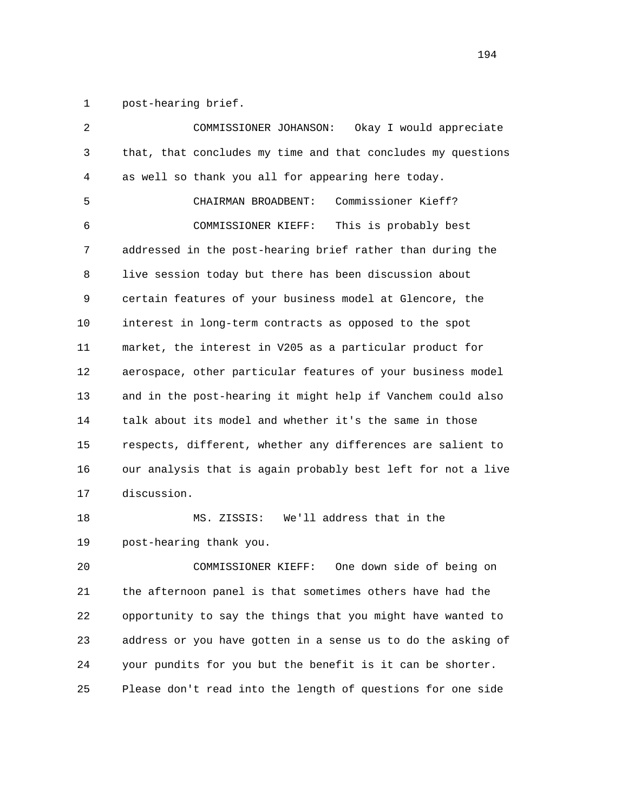1 post-hearing brief.

| 2  | Okay I would appreciate<br>COMMISSIONER JOHANSON:            |
|----|--------------------------------------------------------------|
| 3  | that, that concludes my time and that concludes my questions |
| 4  | as well so thank you all for appearing here today.           |
| 5  | Commissioner Kieff?<br>CHAIRMAN BROADBENT:                   |
| 6  | This is probably best<br>COMMISSIONER KIEFF:                 |
| 7  | addressed in the post-hearing brief rather than during the   |
| 8  | live session today but there has been discussion about       |
| 9  | certain features of your business model at Glencore, the     |
| 10 | interest in long-term contracts as opposed to the spot       |
| 11 | market, the interest in V205 as a particular product for     |
| 12 | aerospace, other particular features of your business model  |
| 13 | and in the post-hearing it might help if Vanchem could also  |
| 14 | talk about its model and whether it's the same in those      |
| 15 | respects, different, whether any differences are salient to  |
| 16 | our analysis that is again probably best left for not a live |
| 17 | discussion.                                                  |
| 18 | We'll address that in the<br>MS. ZISSIS:                     |
| 19 | post-hearing thank you.                                      |
| 20 | COMMISSIONER KIEFF:<br>One down side of being on             |
| 21 | the afternoon panel is that sometimes others have had the    |
| 22 | opportunity to say the things that you might have wanted to  |

 23 address or you have gotten in a sense us to do the asking of 24 your pundits for you but the benefit is it can be shorter. 25 Please don't read into the length of questions for one side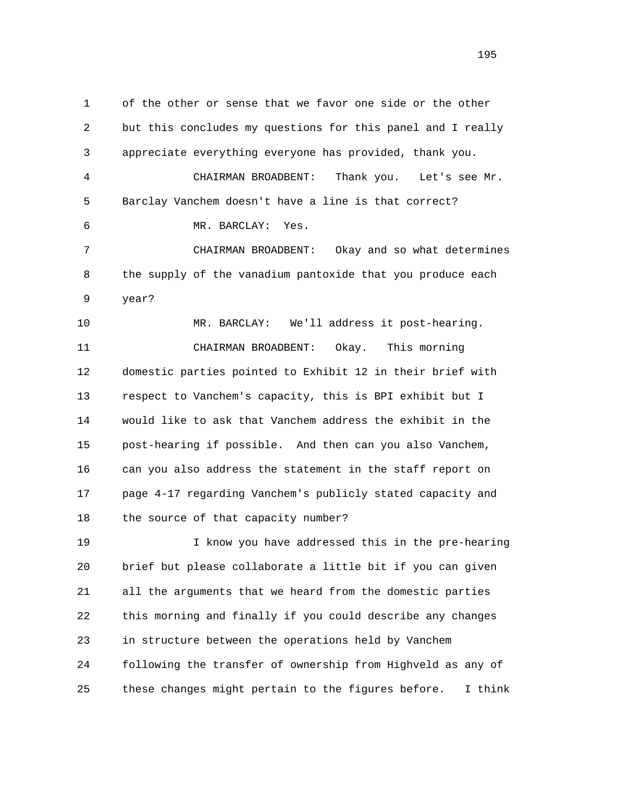1 of the other or sense that we favor one side or the other 2 but this concludes my questions for this panel and I really 3 appreciate everything everyone has provided, thank you. 4 CHAIRMAN BROADBENT: Thank you. Let's see Mr. 5 Barclay Vanchem doesn't have a line is that correct? 6 MR. BARCLAY: Yes. 7 CHAIRMAN BROADBENT: Okay and so what determines 8 the supply of the vanadium pantoxide that you produce each 9 year? 10 MR. BARCLAY: We'll address it post-hearing. 11 CHAIRMAN BROADBENT: Okay. This morning 12 domestic parties pointed to Exhibit 12 in their brief with 13 respect to Vanchem's capacity, this is BPI exhibit but I 14 would like to ask that Vanchem address the exhibit in the 15 post-hearing if possible. And then can you also Vanchem, 16 can you also address the statement in the staff report on 17 page 4-17 regarding Vanchem's publicly stated capacity and 18 the source of that capacity number? 19 I know you have addressed this in the pre-hearing 20 brief but please collaborate a little bit if you can given 21 all the arguments that we heard from the domestic parties 22 this morning and finally if you could describe any changes 23 in structure between the operations held by Vanchem 24 following the transfer of ownership from Highveld as any of

25 these changes might pertain to the figures before. I think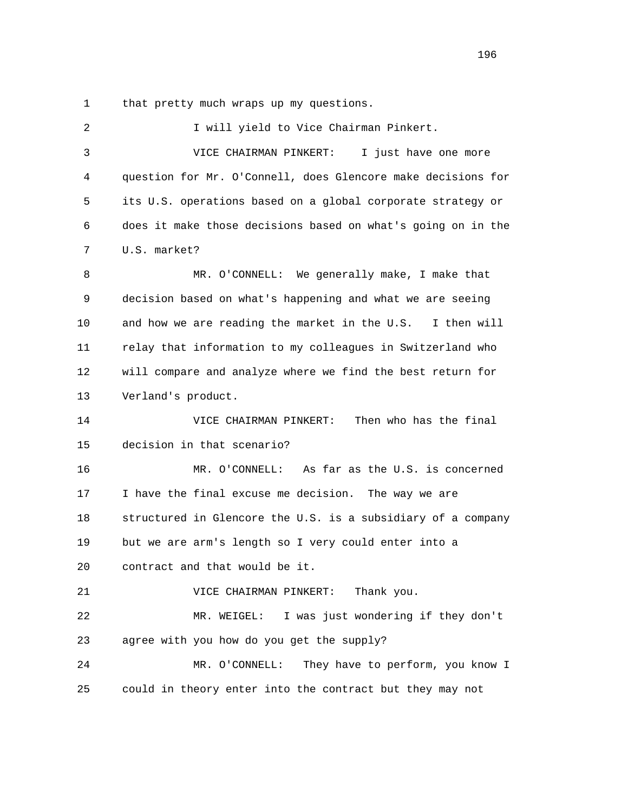1 that pretty much wraps up my questions.

| 2  | I will yield to Vice Chairman Pinkert.                       |
|----|--------------------------------------------------------------|
| 3  | VICE CHAIRMAN PINKERT:<br>I just have one more               |
| 4  | question for Mr. O'Connell, does Glencore make decisions for |
| 5  | its U.S. operations based on a global corporate strategy or  |
| 6  | does it make those decisions based on what's going on in the |
| 7  | U.S. market?                                                 |
| 8  | MR. O'CONNELL: We generally make, I make that                |
| 9  | decision based on what's happening and what we are seeing    |
| 10 | and how we are reading the market in the U.S. I then will    |
| 11 | relay that information to my colleagues in Switzerland who   |
| 12 | will compare and analyze where we find the best return for   |
| 13 | Verland's product.                                           |
| 14 | Then who has the final<br>VICE CHAIRMAN PINKERT:             |
| 15 | decision in that scenario?                                   |
| 16 | As far as the U.S. is concerned<br>MR. O'CONNELL:            |
| 17 | I have the final excuse me decision. The way we are          |
| 18 | structured in Glencore the U.S. is a subsidiary of a company |
| 19 | but we are arm's length so I very could enter into a         |
| 20 | contract and that would be it.                               |
| 21 | Thank you.<br>VICE CHAIRMAN PINKERT:                         |
| 22 | I was just wondering if they don't<br>MR. WEIGEL:            |
| 23 | agree with you how do you get the supply?                    |
| 24 | MR. O'CONNELL:<br>They have to perform, you know I           |
| 25 | could in theory enter into the contract but they may not     |
|    |                                                              |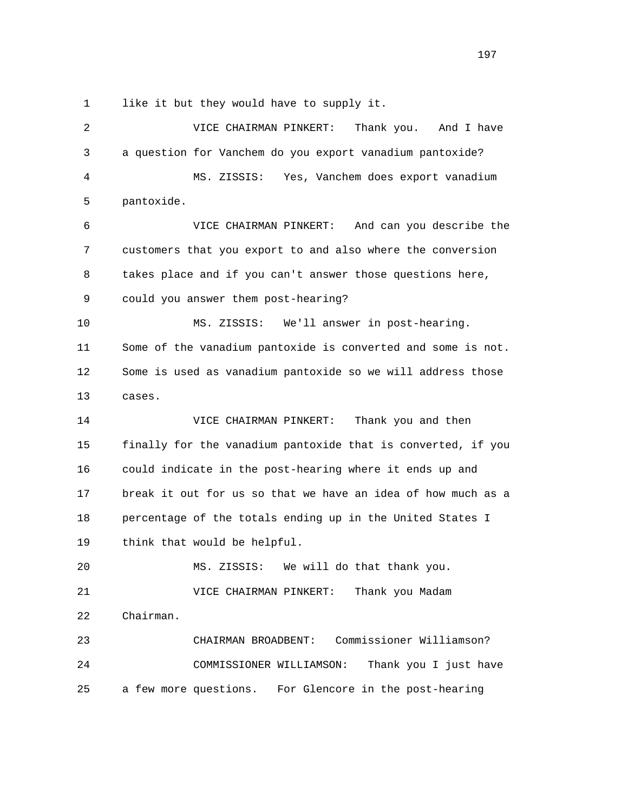1 like it but they would have to supply it.

 2 VICE CHAIRMAN PINKERT: Thank you. And I have 3 a question for Vanchem do you export vanadium pantoxide? 4 MS. ZISSIS: Yes, Vanchem does export vanadium 5 pantoxide. 6 VICE CHAIRMAN PINKERT: And can you describe the 7 customers that you export to and also where the conversion 8 takes place and if you can't answer those questions here, 9 could you answer them post-hearing? 10 MS. ZISSIS: We'll answer in post-hearing. 11 Some of the vanadium pantoxide is converted and some is not. 12 Some is used as vanadium pantoxide so we will address those 13 cases. 14 VICE CHAIRMAN PINKERT: Thank you and then 15 finally for the vanadium pantoxide that is converted, if you 16 could indicate in the post-hearing where it ends up and 17 break it out for us so that we have an idea of how much as a 18 percentage of the totals ending up in the United States I 19 think that would be helpful. 20 MS. ZISSIS: We will do that thank you. 21 VICE CHAIRMAN PINKERT: Thank you Madam 22 Chairman. 23 CHAIRMAN BROADBENT: Commissioner Williamson? 24 COMMISSIONER WILLIAMSON: Thank you I just have 25 a few more questions. For Glencore in the post-hearing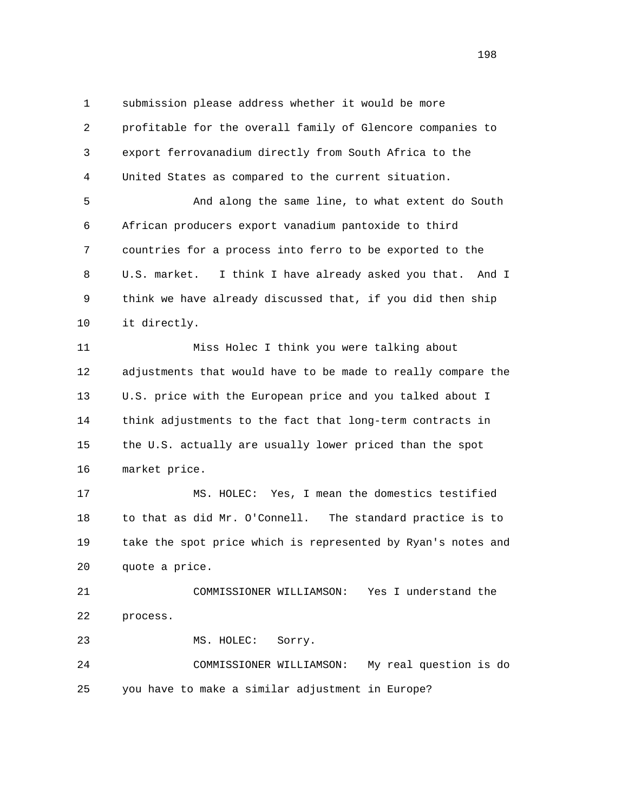1 submission please address whether it would be more 2 profitable for the overall family of Glencore companies to 3 export ferrovanadium directly from South Africa to the 4 United States as compared to the current situation.

 5 And along the same line, to what extent do South 6 African producers export vanadium pantoxide to third 7 countries for a process into ferro to be exported to the 8 U.S. market. I think I have already asked you that. And I 9 think we have already discussed that, if you did then ship 10 it directly.

 11 Miss Holec I think you were talking about 12 adjustments that would have to be made to really compare the 13 U.S. price with the European price and you talked about I 14 think adjustments to the fact that long-term contracts in 15 the U.S. actually are usually lower priced than the spot 16 market price.

 17 MS. HOLEC: Yes, I mean the domestics testified 18 to that as did Mr. O'Connell. The standard practice is to 19 take the spot price which is represented by Ryan's notes and 20 quote a price.

 21 COMMISSIONER WILLIAMSON: Yes I understand the 22 process.

23 MS. HOLEC: Sorry.

 24 COMMISSIONER WILLIAMSON: My real question is do 25 you have to make a similar adjustment in Europe?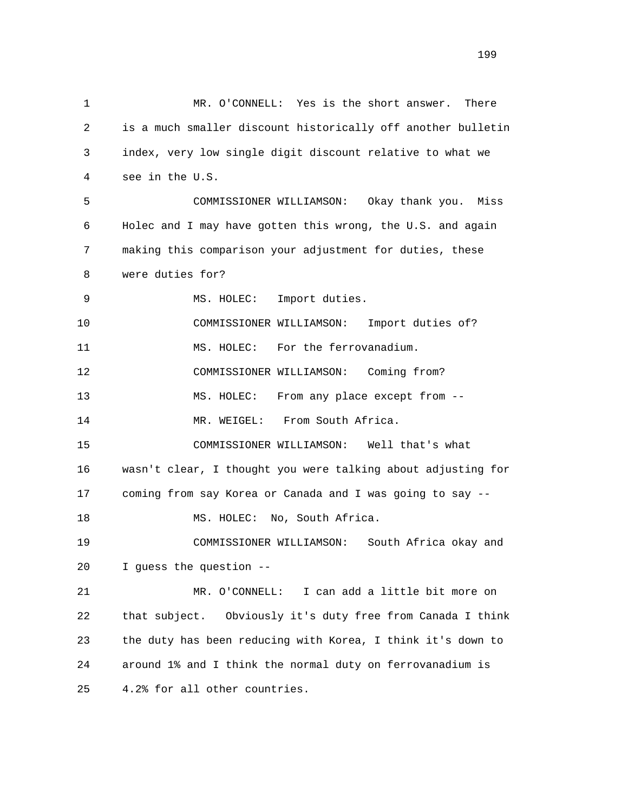1 MR. O'CONNELL: Yes is the short answer. There 2 is a much smaller discount historically off another bulletin 3 index, very low single digit discount relative to what we 4 see in the U.S. 5 COMMISSIONER WILLIAMSON: Okay thank you. Miss 6 Holec and I may have gotten this wrong, the U.S. and again 7 making this comparison your adjustment for duties, these 8 were duties for? 9 MS. HOLEC: Import duties. 10 COMMISSIONER WILLIAMSON: Import duties of? 11 MS. HOLEC: For the ferrovanadium. 12 COMMISSIONER WILLIAMSON: Coming from? 13 MS. HOLEC: From any place except from -- 14 MR. WEIGEL: From South Africa. 15 COMMISSIONER WILLIAMSON: Well that's what 16 wasn't clear, I thought you were talking about adjusting for 17 coming from say Korea or Canada and I was going to say -- 18 MS. HOLEC: No, South Africa. 19 COMMISSIONER WILLIAMSON: South Africa okay and 20 I guess the question -- 21 MR. O'CONNELL: I can add a little bit more on 22 that subject. Obviously it's duty free from Canada I think 23 the duty has been reducing with Korea, I think it's down to 24 around 1% and I think the normal duty on ferrovanadium is 25 4.2% for all other countries.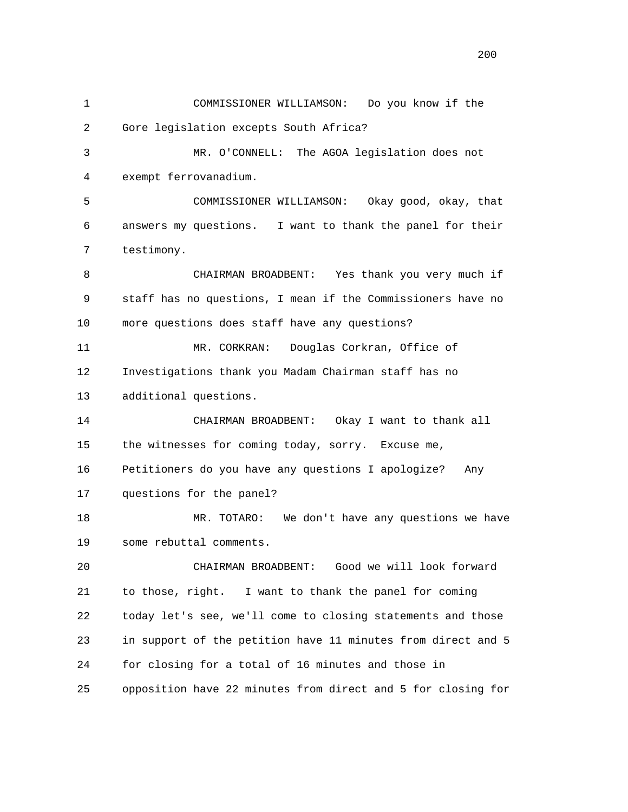1 COMMISSIONER WILLIAMSON: Do you know if the 2 Gore legislation excepts South Africa? 3 MR. O'CONNELL: The AGOA legislation does not 4 exempt ferrovanadium. 5 COMMISSIONER WILLIAMSON: Okay good, okay, that 6 answers my questions. I want to thank the panel for their 7 testimony. 8 CHAIRMAN BROADBENT: Yes thank you very much if 9 staff has no questions, I mean if the Commissioners have no 10 more questions does staff have any questions? 11 MR. CORKRAN: Douglas Corkran, Office of 12 Investigations thank you Madam Chairman staff has no 13 additional questions. 14 CHAIRMAN BROADBENT: Okay I want to thank all 15 the witnesses for coming today, sorry. Excuse me, 16 Petitioners do you have any questions I apologize? Any 17 questions for the panel? 18 MR. TOTARO: We don't have any questions we have 19 some rebuttal comments. 20 CHAIRMAN BROADBENT: Good we will look forward 21 to those, right. I want to thank the panel for coming 22 today let's see, we'll come to closing statements and those 23 in support of the petition have 11 minutes from direct and 5 24 for closing for a total of 16 minutes and those in 25 opposition have 22 minutes from direct and 5 for closing for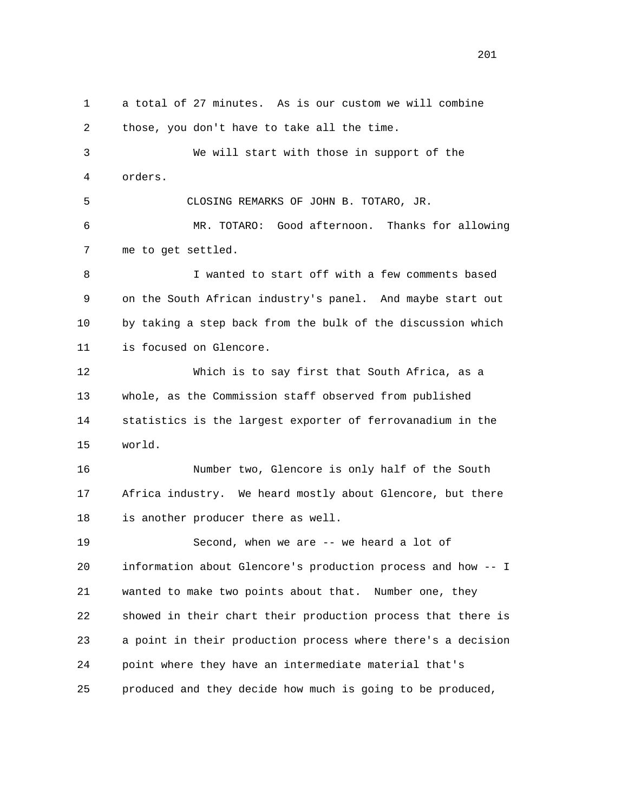1 a total of 27 minutes. As is our custom we will combine 2 those, you don't have to take all the time. 3 We will start with those in support of the 4 orders. 5 CLOSING REMARKS OF JOHN B. TOTARO, JR. 6 MR. TOTARO: Good afternoon. Thanks for allowing 7 me to get settled. 8 I wanted to start off with a few comments based 9 on the South African industry's panel. And maybe start out 10 by taking a step back from the bulk of the discussion which 11 is focused on Glencore. 12 Which is to say first that South Africa, as a 13 whole, as the Commission staff observed from published 14 statistics is the largest exporter of ferrovanadium in the 15 world. 16 Number two, Glencore is only half of the South 17 Africa industry. We heard mostly about Glencore, but there 18 is another producer there as well. 19 Second, when we are -- we heard a lot of 20 information about Glencore's production process and how -- I 21 wanted to make two points about that. Number one, they 22 showed in their chart their production process that there is 23 a point in their production process where there's a decision 24 point where they have an intermediate material that's 25 produced and they decide how much is going to be produced,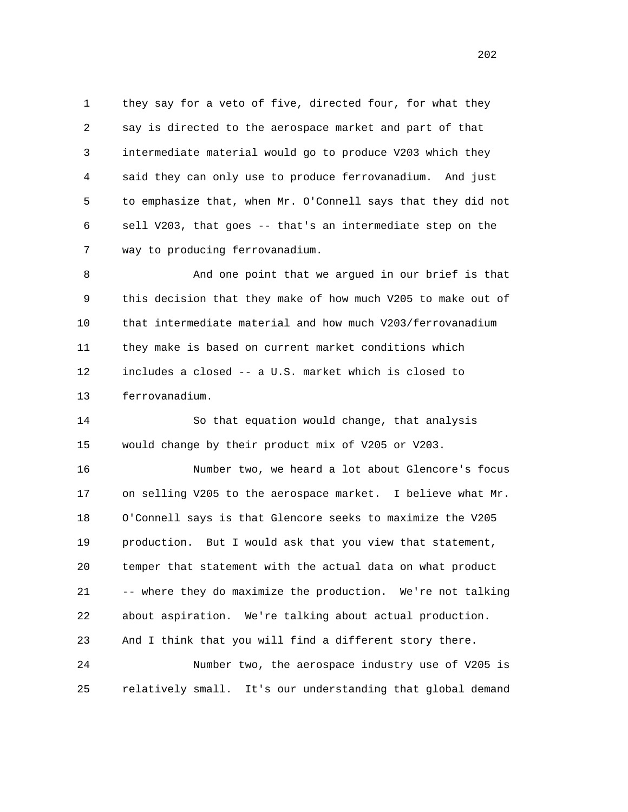1 they say for a veto of five, directed four, for what they 2 say is directed to the aerospace market and part of that 3 intermediate material would go to produce V203 which they 4 said they can only use to produce ferrovanadium. And just 5 to emphasize that, when Mr. O'Connell says that they did not 6 sell V203, that goes -- that's an intermediate step on the 7 way to producing ferrovanadium.

 8 And one point that we argued in our brief is that 9 this decision that they make of how much V205 to make out of 10 that intermediate material and how much V203/ferrovanadium 11 they make is based on current market conditions which 12 includes a closed -- a U.S. market which is closed to 13 ferrovanadium.

 14 So that equation would change, that analysis 15 would change by their product mix of V205 or V203.

 16 Number two, we heard a lot about Glencore's focus 17 on selling V205 to the aerospace market. I believe what Mr. 18 O'Connell says is that Glencore seeks to maximize the V205 19 production. But I would ask that you view that statement, 20 temper that statement with the actual data on what product 21 -- where they do maximize the production. We're not talking 22 about aspiration. We're talking about actual production. 23 And I think that you will find a different story there. 24 Number two, the aerospace industry use of V205 is

25 relatively small. It's our understanding that global demand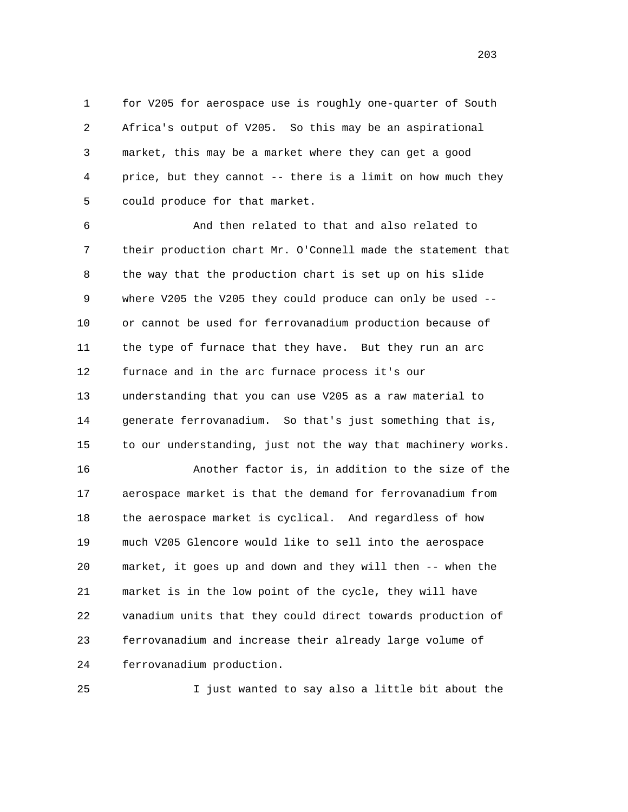1 for V205 for aerospace use is roughly one-quarter of South 2 Africa's output of V205. So this may be an aspirational 3 market, this may be a market where they can get a good 4 price, but they cannot -- there is a limit on how much they 5 could produce for that market.

 6 And then related to that and also related to 7 their production chart Mr. O'Connell made the statement that 8 the way that the production chart is set up on his slide 9 where V205 the V205 they could produce can only be used -- 10 or cannot be used for ferrovanadium production because of 11 the type of furnace that they have. But they run an arc 12 furnace and in the arc furnace process it's our 13 understanding that you can use V205 as a raw material to 14 generate ferrovanadium. So that's just something that is, 15 to our understanding, just not the way that machinery works.

 16 Another factor is, in addition to the size of the 17 aerospace market is that the demand for ferrovanadium from 18 the aerospace market is cyclical. And regardless of how 19 much V205 Glencore would like to sell into the aerospace 20 market, it goes up and down and they will then -- when the 21 market is in the low point of the cycle, they will have 22 vanadium units that they could direct towards production of 23 ferrovanadium and increase their already large volume of 24 ferrovanadium production.

25 I just wanted to say also a little bit about the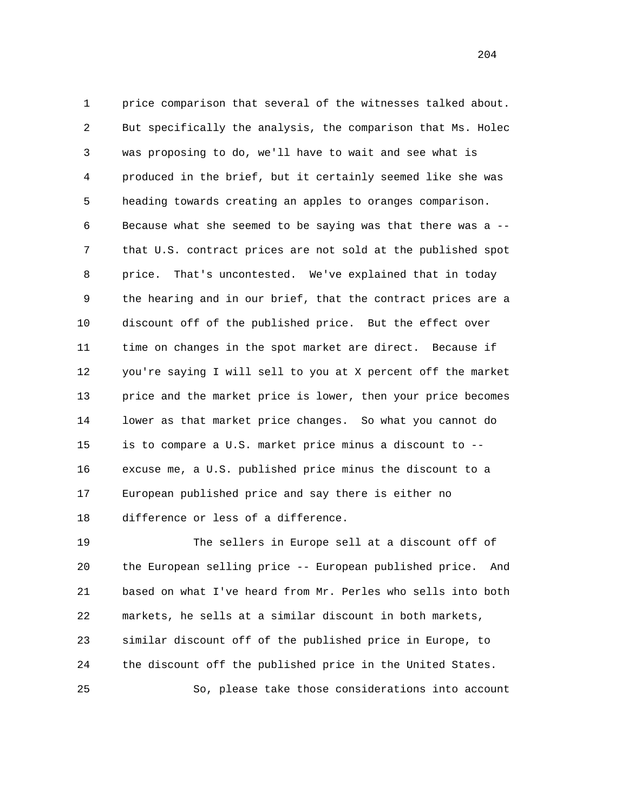1 price comparison that several of the witnesses talked about. 2 But specifically the analysis, the comparison that Ms. Holec 3 was proposing to do, we'll have to wait and see what is 4 produced in the brief, but it certainly seemed like she was 5 heading towards creating an apples to oranges comparison. 6 Because what she seemed to be saying was that there was a -- 7 that U.S. contract prices are not sold at the published spot 8 price. That's uncontested. We've explained that in today 9 the hearing and in our brief, that the contract prices are a 10 discount off of the published price. But the effect over 11 time on changes in the spot market are direct. Because if 12 you're saying I will sell to you at X percent off the market 13 price and the market price is lower, then your price becomes 14 lower as that market price changes. So what you cannot do 15 is to compare a U.S. market price minus a discount to -- 16 excuse me, a U.S. published price minus the discount to a 17 European published price and say there is either no 18 difference or less of a difference.

 19 The sellers in Europe sell at a discount off of 20 the European selling price -- European published price. And 21 based on what I've heard from Mr. Perles who sells into both 22 markets, he sells at a similar discount in both markets, 23 similar discount off of the published price in Europe, to 24 the discount off the published price in the United States. 25 So, please take those considerations into account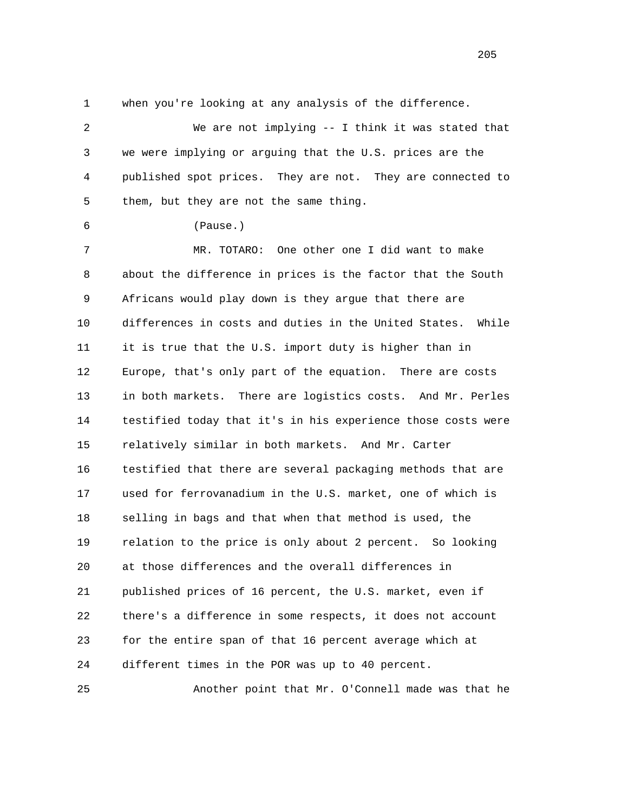1 when you're looking at any analysis of the difference.

 2 We are not implying -- I think it was stated that 3 we were implying or arguing that the U.S. prices are the 4 published spot prices. They are not. They are connected to 5 them, but they are not the same thing.

6 (Pause.)

 7 MR. TOTARO: One other one I did want to make 8 about the difference in prices is the factor that the South 9 Africans would play down is they argue that there are 10 differences in costs and duties in the United States. While 11 it is true that the U.S. import duty is higher than in 12 Europe, that's only part of the equation. There are costs 13 in both markets. There are logistics costs. And Mr. Perles 14 testified today that it's in his experience those costs were 15 relatively similar in both markets. And Mr. Carter 16 testified that there are several packaging methods that are 17 used for ferrovanadium in the U.S. market, one of which is 18 selling in bags and that when that method is used, the 19 relation to the price is only about 2 percent. So looking 20 at those differences and the overall differences in 21 published prices of 16 percent, the U.S. market, even if 22 there's a difference in some respects, it does not account 23 for the entire span of that 16 percent average which at 24 different times in the POR was up to 40 percent.

25 Another point that Mr. O'Connell made was that he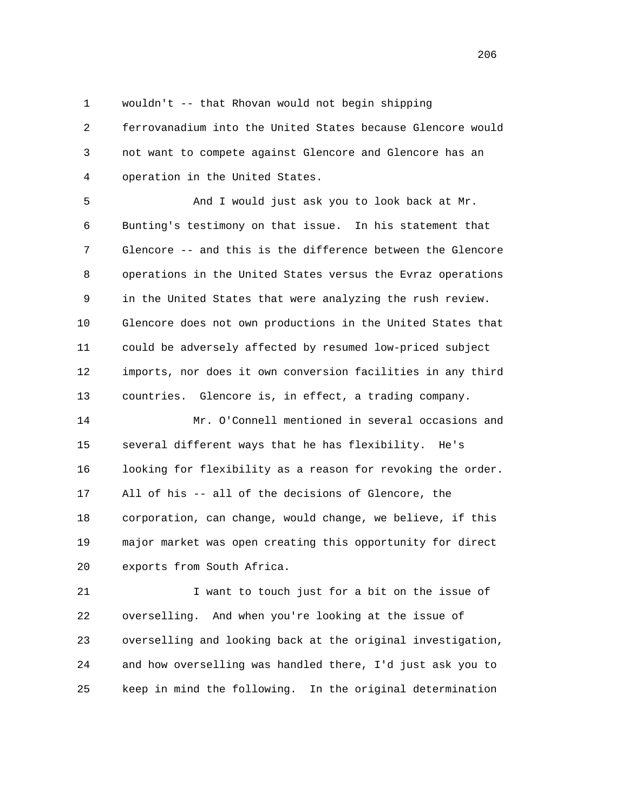1 wouldn't -- that Rhovan would not begin shipping

 2 ferrovanadium into the United States because Glencore would 3 not want to compete against Glencore and Glencore has an 4 operation in the United States.

 5 And I would just ask you to look back at Mr. 6 Bunting's testimony on that issue. In his statement that 7 Glencore -- and this is the difference between the Glencore 8 operations in the United States versus the Evraz operations 9 in the United States that were analyzing the rush review. 10 Glencore does not own productions in the United States that 11 could be adversely affected by resumed low-priced subject 12 imports, nor does it own conversion facilities in any third 13 countries. Glencore is, in effect, a trading company.

 14 Mr. O'Connell mentioned in several occasions and 15 several different ways that he has flexibility. He's 16 looking for flexibility as a reason for revoking the order. 17 All of his -- all of the decisions of Glencore, the 18 corporation, can change, would change, we believe, if this 19 major market was open creating this opportunity for direct 20 exports from South Africa.

 21 I want to touch just for a bit on the issue of 22 overselling. And when you're looking at the issue of 23 overselling and looking back at the original investigation, 24 and how overselling was handled there, I'd just ask you to 25 keep in mind the following. In the original determination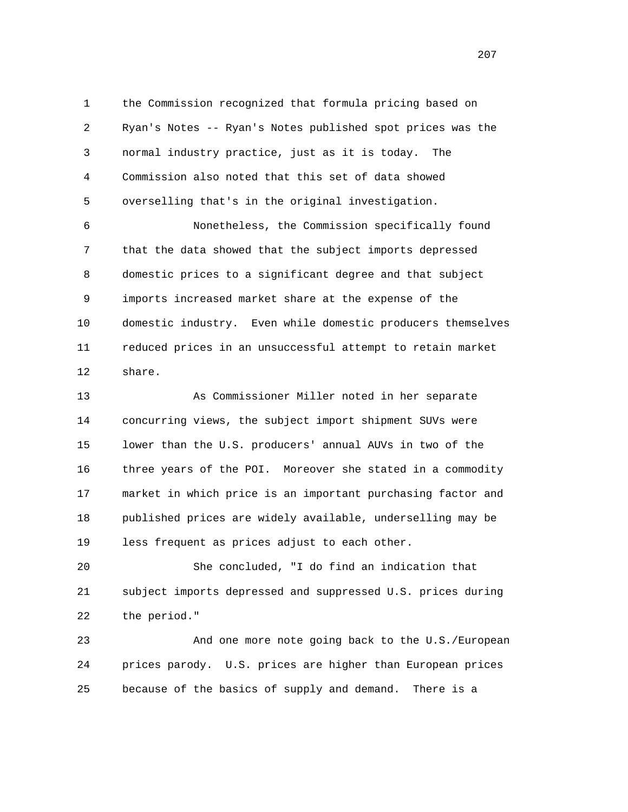1 the Commission recognized that formula pricing based on 2 Ryan's Notes -- Ryan's Notes published spot prices was the 3 normal industry practice, just as it is today. The 4 Commission also noted that this set of data showed 5 overselling that's in the original investigation.

 6 Nonetheless, the Commission specifically found 7 that the data showed that the subject imports depressed 8 domestic prices to a significant degree and that subject 9 imports increased market share at the expense of the 10 domestic industry. Even while domestic producers themselves 11 reduced prices in an unsuccessful attempt to retain market 12 share.

 13 As Commissioner Miller noted in her separate 14 concurring views, the subject import shipment SUVs were 15 lower than the U.S. producers' annual AUVs in two of the 16 three years of the POI. Moreover she stated in a commodity 17 market in which price is an important purchasing factor and 18 published prices are widely available, underselling may be 19 less frequent as prices adjust to each other.

 20 She concluded, "I do find an indication that 21 subject imports depressed and suppressed U.S. prices during 22 the period."

 23 And one more note going back to the U.S./European 24 prices parody. U.S. prices are higher than European prices 25 because of the basics of supply and demand. There is a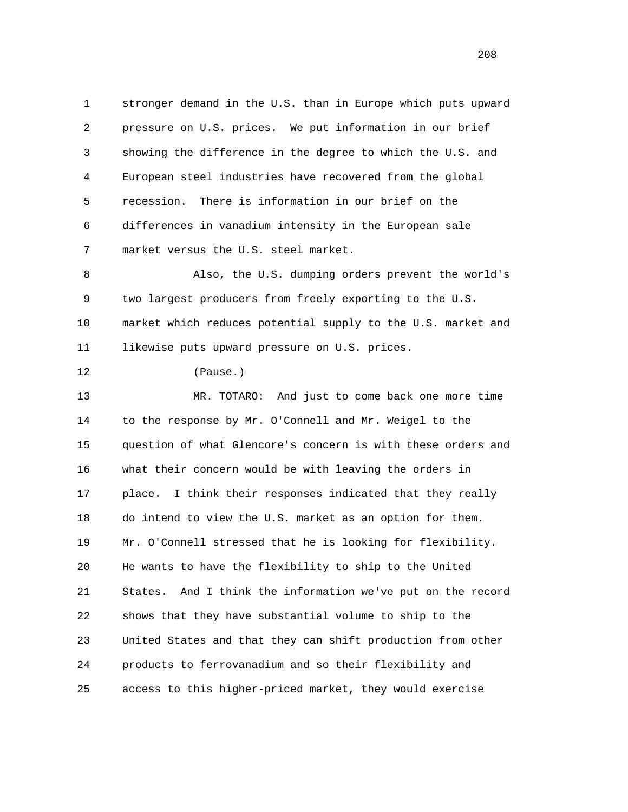1 stronger demand in the U.S. than in Europe which puts upward 2 pressure on U.S. prices. We put information in our brief 3 showing the difference in the degree to which the U.S. and 4 European steel industries have recovered from the global 5 recession. There is information in our brief on the 6 differences in vanadium intensity in the European sale 7 market versus the U.S. steel market. 8 Also, the U.S. dumping orders prevent the world's 9 two largest producers from freely exporting to the U.S. 10 market which reduces potential supply to the U.S. market and 11 likewise puts upward pressure on U.S. prices. 12 (Pause.) 13 MR. TOTARO: And just to come back one more time 14 to the response by Mr. O'Connell and Mr. Weigel to the 15 question of what Glencore's concern is with these orders and 16 what their concern would be with leaving the orders in 17 place. I think their responses indicated that they really 18 do intend to view the U.S. market as an option for them. 19 Mr. O'Connell stressed that he is looking for flexibility. 20 He wants to have the flexibility to ship to the United 21 States. And I think the information we've put on the record 22 shows that they have substantial volume to ship to the 23 United States and that they can shift production from other 24 products to ferrovanadium and so their flexibility and 25 access to this higher-priced market, they would exercise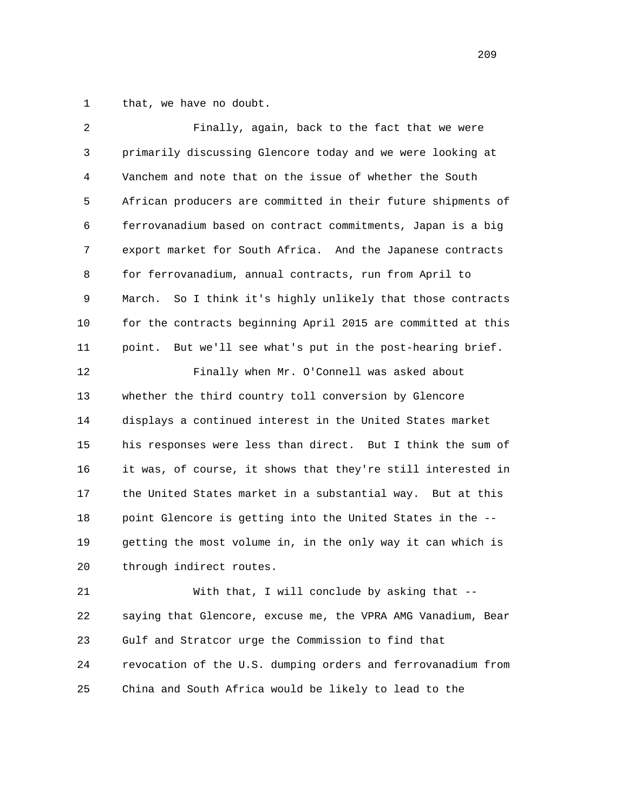1 that, we have no doubt.

| $\overline{2}$ | Finally, again, back to the fact that we were                  |
|----------------|----------------------------------------------------------------|
| 3              | primarily discussing Glencore today and we were looking at     |
| $\overline{4}$ | Vanchem and note that on the issue of whether the South        |
| 5              | African producers are committed in their future shipments of   |
| 6              | ferrovanadium based on contract commitments, Japan is a big    |
| 7              | export market for South Africa. And the Japanese contracts     |
| 8              | for ferrovanadium, annual contracts, run from April to         |
| 9              | March.<br>So I think it's highly unlikely that those contracts |
| 10             | for the contracts beginning April 2015 are committed at this   |
| 11             | But we'll see what's put in the post-hearing brief.<br>point.  |
| 12             | Finally when Mr. O'Connell was asked about                     |
| 13             | whether the third country toll conversion by Glencore          |
| 14             | displays a continued interest in the United States market      |
| 15             | his responses were less than direct. But I think the sum of    |
| 16             | it was, of course, it shows that they're still interested in   |
| 17             | the United States market in a substantial way. But at this     |
| 18             | point Glencore is getting into the United States in the --     |
| 19             | getting the most volume in, in the only way it can which is    |
| 20             | through indirect routes.                                       |
| 21             | With that, I will conclude by asking that --                   |

 22 saying that Glencore, excuse me, the VPRA AMG Vanadium, Bear 23 Gulf and Stratcor urge the Commission to find that 24 revocation of the U.S. dumping orders and ferrovanadium from 25 China and South Africa would be likely to lead to the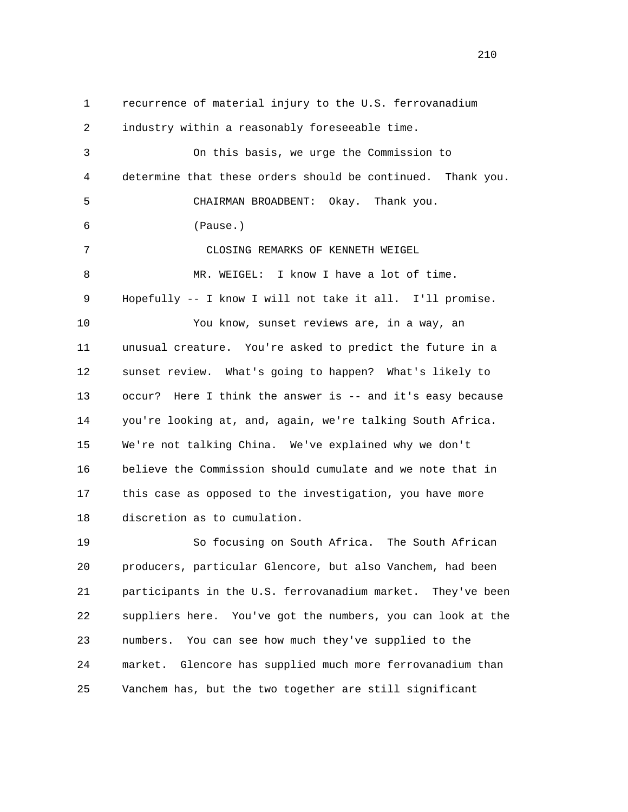1 recurrence of material injury to the U.S. ferrovanadium 2 industry within a reasonably foreseeable time. 3 On this basis, we urge the Commission to 4 determine that these orders should be continued. Thank you. 5 CHAIRMAN BROADBENT: Okay. Thank you. 6 (Pause.) 7 CLOSING REMARKS OF KENNETH WEIGEL 8 MR. WEIGEL: I know I have a lot of time. 9 Hopefully -- I know I will not take it all. I'll promise. 10 You know, sunset reviews are, in a way, an 11 unusual creature. You're asked to predict the future in a 12 sunset review. What's going to happen? What's likely to 13 occur? Here I think the answer is -- and it's easy because 14 you're looking at, and, again, we're talking South Africa. 15 We're not talking China. We've explained why we don't 16 believe the Commission should cumulate and we note that in 17 this case as opposed to the investigation, you have more 18 discretion as to cumulation. 19 So focusing on South Africa. The South African

 20 producers, particular Glencore, but also Vanchem, had been 21 participants in the U.S. ferrovanadium market. They've been 22 suppliers here. You've got the numbers, you can look at the 23 numbers. You can see how much they've supplied to the 24 market. Glencore has supplied much more ferrovanadium than 25 Vanchem has, but the two together are still significant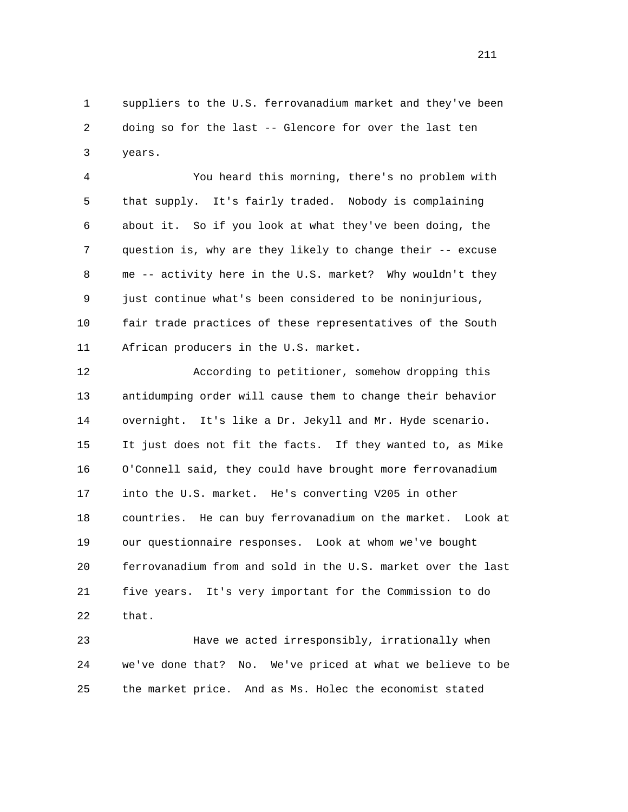1 suppliers to the U.S. ferrovanadium market and they've been 2 doing so for the last -- Glencore for over the last ten 3 years.

 4 You heard this morning, there's no problem with 5 that supply. It's fairly traded. Nobody is complaining 6 about it. So if you look at what they've been doing, the 7 question is, why are they likely to change their -- excuse 8 me -- activity here in the U.S. market? Why wouldn't they 9 just continue what's been considered to be noninjurious, 10 fair trade practices of these representatives of the South 11 African producers in the U.S. market.

 12 According to petitioner, somehow dropping this 13 antidumping order will cause them to change their behavior 14 overnight. It's like a Dr. Jekyll and Mr. Hyde scenario. 15 It just does not fit the facts. If they wanted to, as Mike 16 O'Connell said, they could have brought more ferrovanadium 17 into the U.S. market. He's converting V205 in other 18 countries. He can buy ferrovanadium on the market. Look at 19 our questionnaire responses. Look at whom we've bought 20 ferrovanadium from and sold in the U.S. market over the last 21 five years. It's very important for the Commission to do 22 that.

 23 Have we acted irresponsibly, irrationally when 24 we've done that? No. We've priced at what we believe to be 25 the market price. And as Ms. Holec the economist stated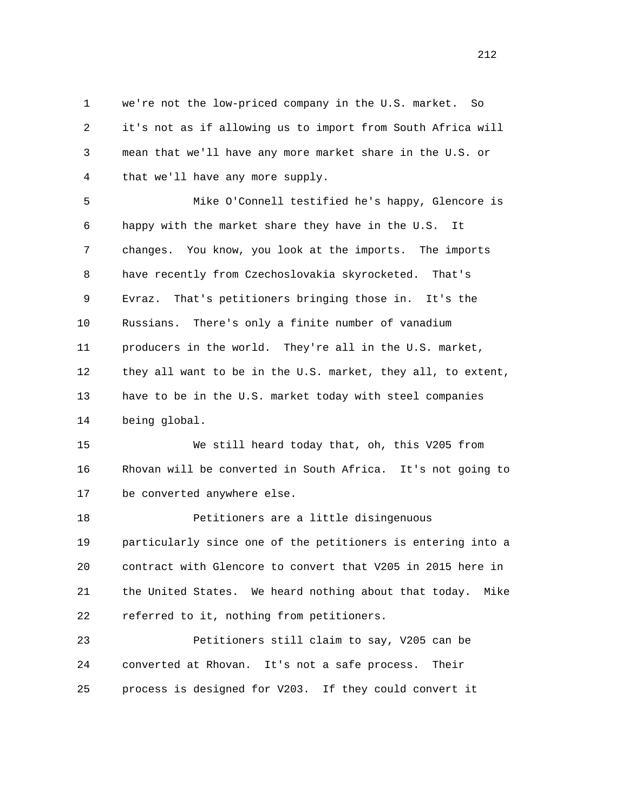1 we're not the low-priced company in the U.S. market. So 2 it's not as if allowing us to import from South Africa will 3 mean that we'll have any more market share in the U.S. or 4 that we'll have any more supply.

 5 Mike O'Connell testified he's happy, Glencore is 6 happy with the market share they have in the U.S. It 7 changes. You know, you look at the imports. The imports 8 have recently from Czechoslovakia skyrocketed. That's 9 Evraz. That's petitioners bringing those in. It's the 10 Russians. There's only a finite number of vanadium 11 producers in the world. They're all in the U.S. market, 12 they all want to be in the U.S. market, they all, to extent, 13 have to be in the U.S. market today with steel companies 14 being global.

 15 We still heard today that, oh, this V205 from 16 Rhovan will be converted in South Africa. It's not going to 17 be converted anywhere else.

 18 Petitioners are a little disingenuous 19 particularly since one of the petitioners is entering into a 20 contract with Glencore to convert that V205 in 2015 here in 21 the United States. We heard nothing about that today. Mike 22 referred to it, nothing from petitioners.

 23 Petitioners still claim to say, V205 can be 24 converted at Rhovan. It's not a safe process. Their 25 process is designed for V203. If they could convert it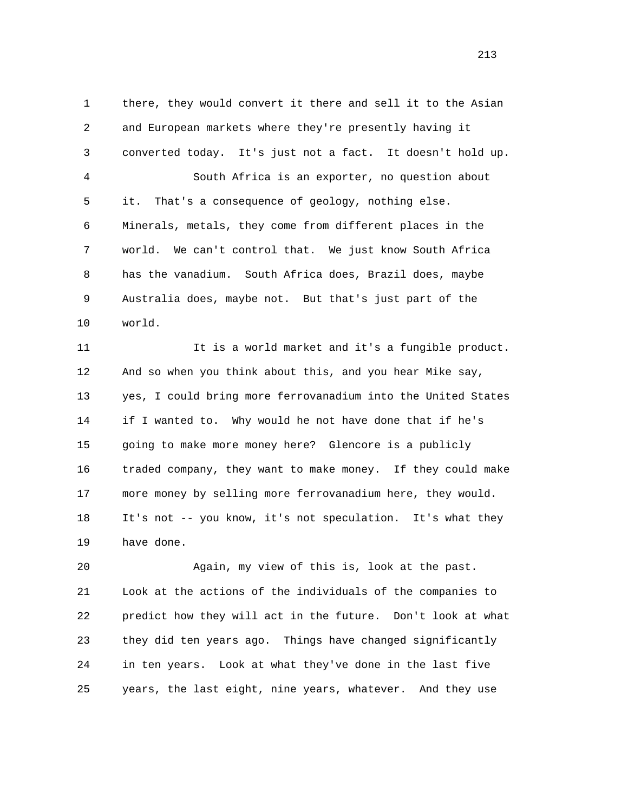1 there, they would convert it there and sell it to the Asian 2 and European markets where they're presently having it 3 converted today. It's just not a fact. It doesn't hold up. 4 South Africa is an exporter, no question about 5 it. That's a consequence of geology, nothing else. 6 Minerals, metals, they come from different places in the 7 world. We can't control that. We just know South Africa 8 has the vanadium. South Africa does, Brazil does, maybe 9 Australia does, maybe not. But that's just part of the 10 world.

 11 It is a world market and it's a fungible product. 12 And so when you think about this, and you hear Mike say, 13 yes, I could bring more ferrovanadium into the United States 14 if I wanted to. Why would he not have done that if he's 15 going to make more money here? Glencore is a publicly 16 traded company, they want to make money. If they could make 17 more money by selling more ferrovanadium here, they would. 18 It's not -- you know, it's not speculation. It's what they 19 have done.

 20 Again, my view of this is, look at the past. 21 Look at the actions of the individuals of the companies to 22 predict how they will act in the future. Don't look at what 23 they did ten years ago. Things have changed significantly 24 in ten years. Look at what they've done in the last five 25 years, the last eight, nine years, whatever. And they use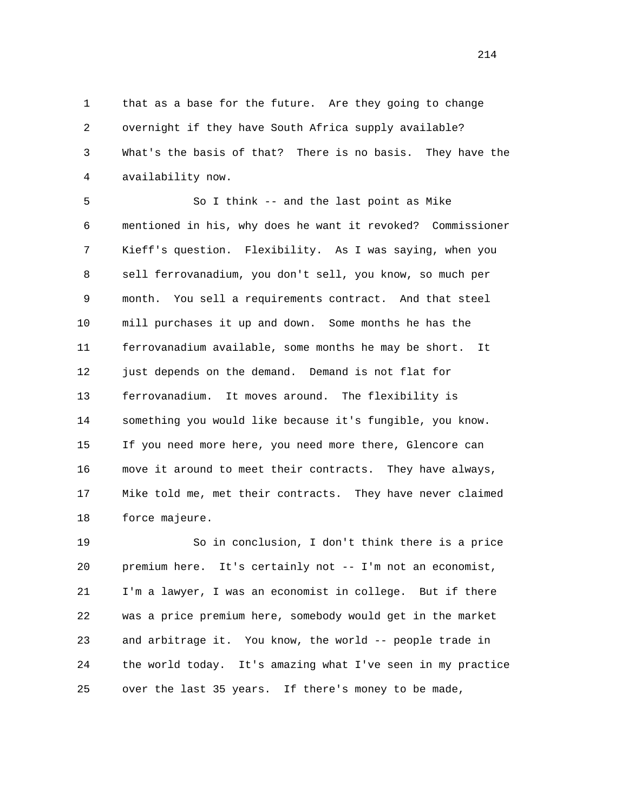1 that as a base for the future. Are they going to change 2 overnight if they have South Africa supply available? 3 What's the basis of that? There is no basis. They have the 4 availability now.

 5 So I think -- and the last point as Mike 6 mentioned in his, why does he want it revoked? Commissioner 7 Kieff's question. Flexibility. As I was saying, when you 8 sell ferrovanadium, you don't sell, you know, so much per 9 month. You sell a requirements contract. And that steel 10 mill purchases it up and down. Some months he has the 11 ferrovanadium available, some months he may be short. It 12 just depends on the demand. Demand is not flat for 13 ferrovanadium. It moves around. The flexibility is 14 something you would like because it's fungible, you know. 15 If you need more here, you need more there, Glencore can 16 move it around to meet their contracts. They have always, 17 Mike told me, met their contracts. They have never claimed 18 force majeure.

 19 So in conclusion, I don't think there is a price 20 premium here. It's certainly not -- I'm not an economist, 21 I'm a lawyer, I was an economist in college. But if there 22 was a price premium here, somebody would get in the market 23 and arbitrage it. You know, the world -- people trade in 24 the world today. It's amazing what I've seen in my practice 25 over the last 35 years. If there's money to be made,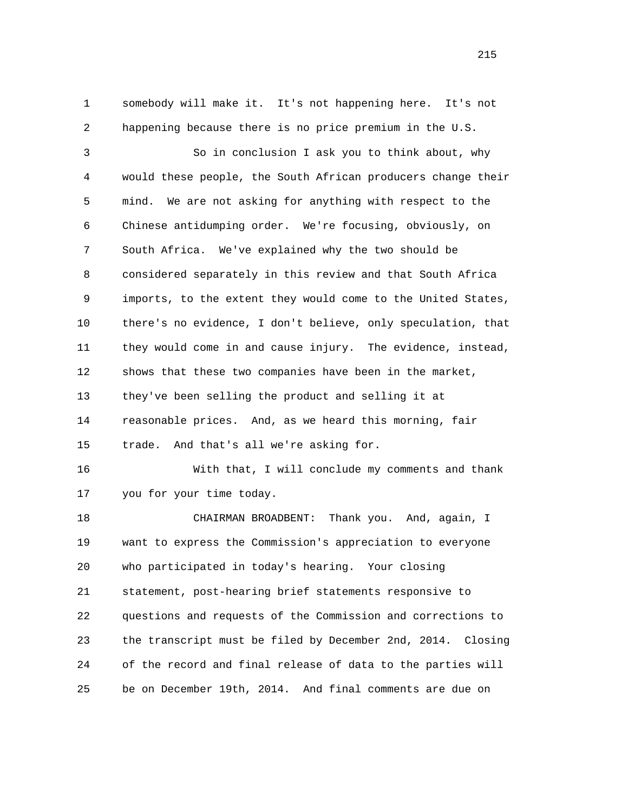1 somebody will make it. It's not happening here. It's not 2 happening because there is no price premium in the U.S.

 3 So in conclusion I ask you to think about, why 4 would these people, the South African producers change their 5 mind. We are not asking for anything with respect to the 6 Chinese antidumping order. We're focusing, obviously, on 7 South Africa. We've explained why the two should be 8 considered separately in this review and that South Africa 9 imports, to the extent they would come to the United States, 10 there's no evidence, I don't believe, only speculation, that 11 they would come in and cause injury. The evidence, instead, 12 shows that these two companies have been in the market, 13 they've been selling the product and selling it at 14 reasonable prices. And, as we heard this morning, fair 15 trade. And that's all we're asking for.

 16 With that, I will conclude my comments and thank 17 you for your time today.

 18 CHAIRMAN BROADBENT: Thank you. And, again, I 19 want to express the Commission's appreciation to everyone 20 who participated in today's hearing. Your closing 21 statement, post-hearing brief statements responsive to 22 questions and requests of the Commission and corrections to 23 the transcript must be filed by December 2nd, 2014. Closing 24 of the record and final release of data to the parties will 25 be on December 19th, 2014. And final comments are due on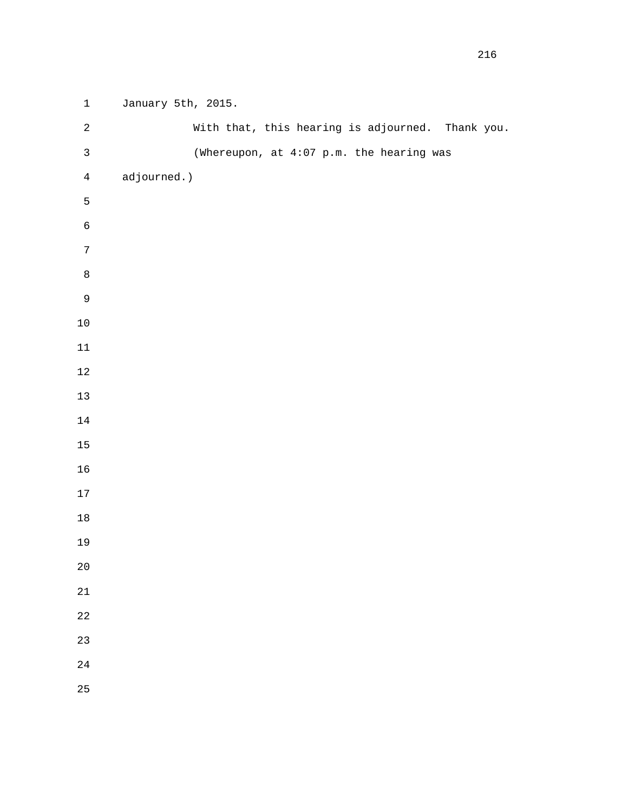```
 1 January 5th, 2015. 
 2 With that, this hearing is adjourned. Thank you. 
 3 (Whereupon, at 4:07 p.m. the hearing was 
 4 adjourned.) 
 5 
 6 
 7 
 8 
9 
10 
11 
12 
13 
14 
15 
16 
17 
18 
19 
20 
21 
22 
23 
24 
25
```